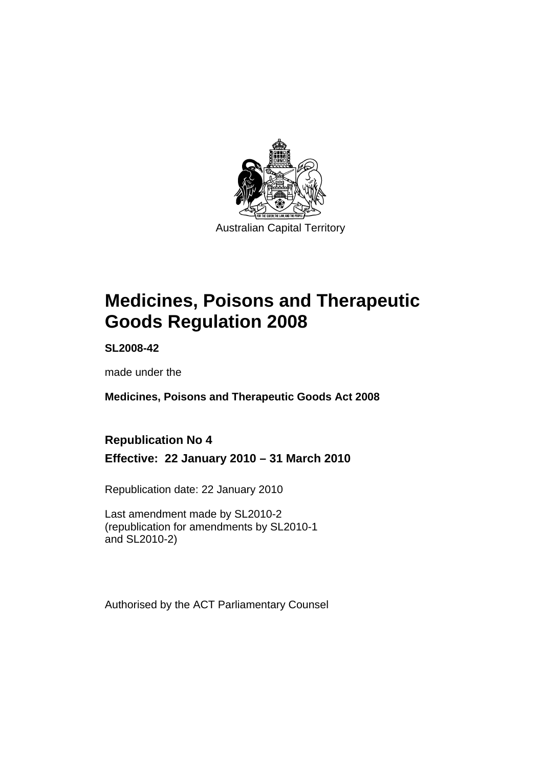

# **[Medicines, Poisons and Therapeutic](#page-24-0)  [Goods Regulation 2008](#page-24-0)**

**SL2008-42** 

made under the

**[Medicines, Poisons and Therapeutic Goods Act 2008](#page-24-0)** 

## **Republication No 4 Effective: 22 January 2010 – 31 March 2010**

Republication date: 22 January 2010

Last amendment made by SL2010-2 (republication for amendments by SL2010-1 and SL2010-2)

Authorised by the ACT Parliamentary Counsel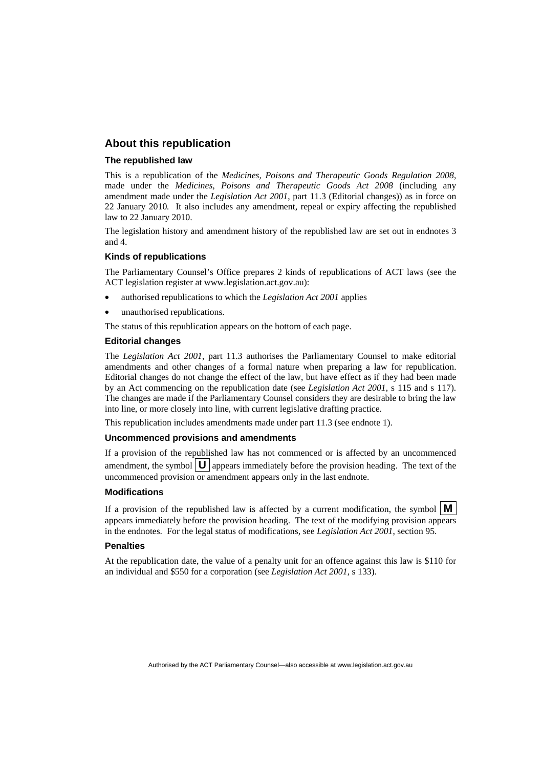#### **About this republication**

#### **The republished law**

This is a republication of the *Medicines, Poisons and Therapeutic Goods Regulation 2008*, made under the *[Medicines, Poisons and Therapeutic Goods Act 2008](#page-24-0)* (including any amendment made under the *Legislation Act 2001*, part 11.3 (Editorial changes)) as in force on 22 January 2010*.* It also includes any amendment, repeal or expiry affecting the republished law to 22 January 2010.

The legislation history and amendment history of the republished law are set out in endnotes 3 and 4.

#### **Kinds of republications**

The Parliamentary Counsel's Office prepares 2 kinds of republications of ACT laws (see the ACT legislation register at www.legislation.act.gov.au):

- authorised republications to which the *Legislation Act 2001* applies
- unauthorised republications.

The status of this republication appears on the bottom of each page.

#### **Editorial changes**

The *Legislation Act 2001*, part 11.3 authorises the Parliamentary Counsel to make editorial amendments and other changes of a formal nature when preparing a law for republication. Editorial changes do not change the effect of the law, but have effect as if they had been made by an Act commencing on the republication date (see *Legislation Act 2001*, s 115 and s 117). The changes are made if the Parliamentary Counsel considers they are desirable to bring the law into line, or more closely into line, with current legislative drafting practice.

This republication includes amendments made under part 11.3 (see endnote 1).

#### **Uncommenced provisions and amendments**

If a provision of the republished law has not commenced or is affected by an uncommenced amendment, the symbol  $\mathbf{U}$  appears immediately before the provision heading. The text of the uncommenced provision or amendment appears only in the last endnote.

#### **Modifications**

If a provision of the republished law is affected by a current modification, the symbol  $\vert \mathbf{M} \vert$ appears immediately before the provision heading. The text of the modifying provision appears in the endnotes. For the legal status of modifications, see *Legislation Act 2001*, section 95.

#### **Penalties**

At the republication date, the value of a penalty unit for an offence against this law is \$110 for an individual and \$550 for a corporation (see *Legislation Act 2001*, s 133).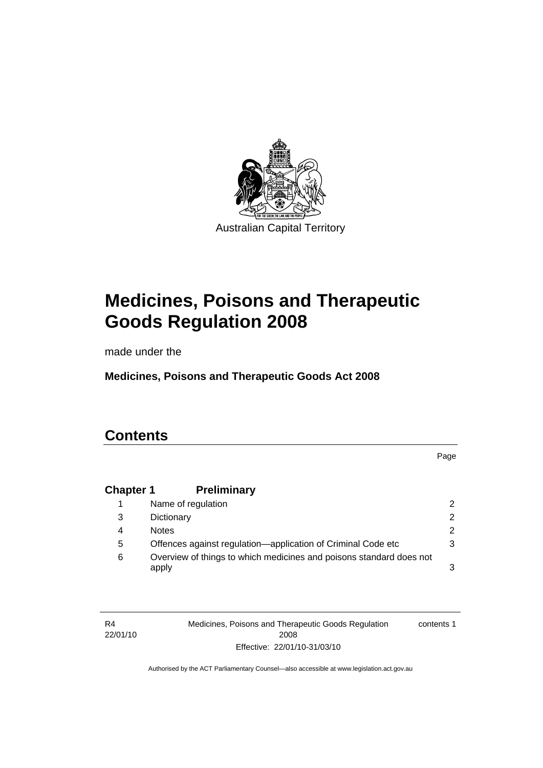

# **[Medicines, Poisons and Therapeutic](#page-24-0)  [Goods Regulation 2008](#page-24-0)**

made under the

**[Medicines, Poisons and Therapeutic Goods Act 2008](#page-24-0)** 

# **Contents**

R4

Page

### **Chapter 1 Preliminary**

|   | Name of regulation                                                           | 2             |
|---|------------------------------------------------------------------------------|---------------|
| 3 | Dictionary                                                                   | $\mathcal{P}$ |
| 4 | <b>Notes</b>                                                                 | 2             |
| 5 | Offences against regulation—application of Criminal Code etc                 | 3             |
| 6 | Overview of things to which medicines and poisons standard does not<br>apply | 3             |

22/01/10 Medicines, Poisons and Therapeutic Goods Regulation 2008 Effective: 22/01/10-31/03/10 contents 1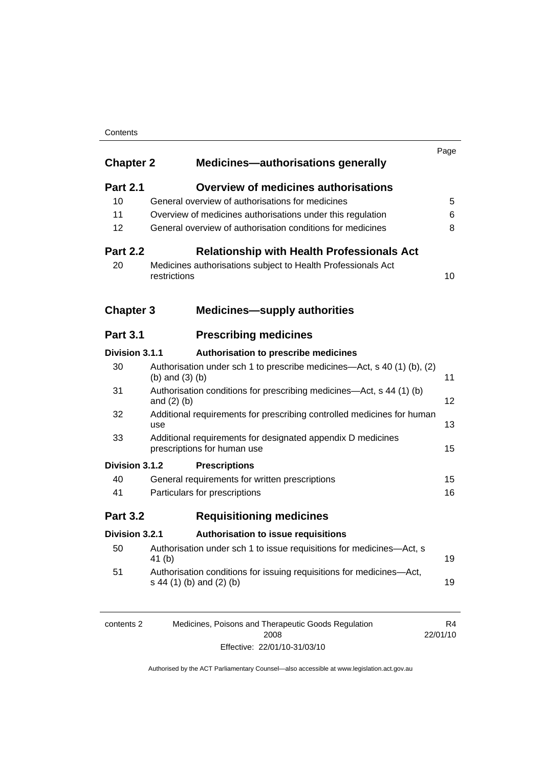#### **Contents**

| <b>Chapter 2</b> | <b>Medicines—authorisations generally</b>                                                        |    |
|------------------|--------------------------------------------------------------------------------------------------|----|
| <b>Part 2.1</b>  | <b>Overview of medicines authorisations</b>                                                      |    |
| 10               | General overview of authorisations for medicines                                                 |    |
| 11               | Overview of medicines authorisations under this regulation                                       |    |
| 12               | General overview of authorisation conditions for medicines                                       |    |
| <b>Part 2.2</b>  | <b>Relationship with Health Professionals Act</b>                                                |    |
| 20               | Medicines authorisations subject to Health Professionals Act<br>restrictions                     | 10 |
| <b>Chapter 3</b> | <b>Medicines-supply authorities</b>                                                              |    |
| <b>Part 3.1</b>  | <b>Prescribing medicines</b>                                                                     |    |
| Division 3.1.1   | Authorisation to prescribe medicines                                                             |    |
| 30               | Authorisation under sch 1 to prescribe medicines-Act, s 40 (1) (b), (2)<br>(b) and $(3)$ (b)     | 11 |
| 31               | Authorisation conditions for prescribing medicines—Act, s 44 (1) (b)<br>and $(2)$ $(b)$          | 12 |
| 32               | Additional requirements for prescribing controlled medicines for human<br>use                    | 13 |
| 33               | Additional requirements for designated appendix D medicines<br>prescriptions for human use       | 15 |
| Division 3.1.2   | <b>Prescriptions</b>                                                                             |    |
| 40               | General requirements for written prescriptions                                                   | 15 |
| 41               | Particulars for prescriptions                                                                    | 16 |
| <b>Part 3.2</b>  | <b>Requisitioning medicines</b>                                                                  |    |
| Division 3.2.1   | Authorisation to issue requisitions                                                              |    |
| 50               | Authorisation under sch 1 to issue requisitions for medicines-Act, s<br>41 (b)                   | 19 |
| 51               | Authorisation conditions for issuing requisitions for medicines-Act,<br>s 44 (1) (b) and (2) (b) | 19 |

| contents 2 | Medicines, Poisons and Therapeutic Goods Regulation | R4       |
|------------|-----------------------------------------------------|----------|
|            | 2008                                                | 22/01/10 |
|            | Effective: 22/01/10-31/03/10                        |          |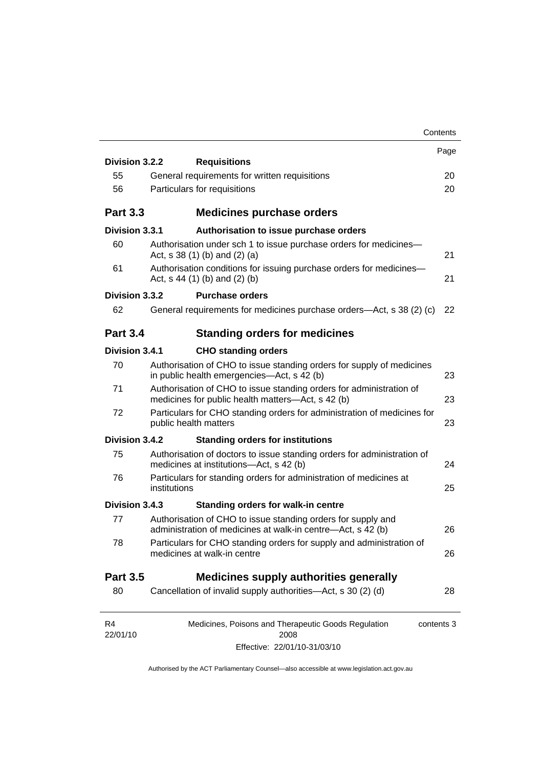| Contents                                                                                                                    |                                                                                                                                                                         |
|-----------------------------------------------------------------------------------------------------------------------------|-------------------------------------------------------------------------------------------------------------------------------------------------------------------------|
|                                                                                                                             | Page                                                                                                                                                                    |
|                                                                                                                             |                                                                                                                                                                         |
| General requirements for written requisitions                                                                               | 20                                                                                                                                                                      |
|                                                                                                                             | 20                                                                                                                                                                      |
| <b>Medicines purchase orders</b>                                                                                            |                                                                                                                                                                         |
| Authorisation to issue purchase orders                                                                                      |                                                                                                                                                                         |
| Authorisation under sch 1 to issue purchase orders for medicines-<br>Act, s $38(1)$ (b) and (2) (a)                         | 21                                                                                                                                                                      |
| Authorisation conditions for issuing purchase orders for medicines-<br>Act, $s$ 44 (1) (b) and (2) (b)                      | 21                                                                                                                                                                      |
| <b>Purchase orders</b>                                                                                                      |                                                                                                                                                                         |
| General requirements for medicines purchase orders—Act, s 38 (2) (c)                                                        | 22                                                                                                                                                                      |
| <b>Standing orders for medicines</b>                                                                                        |                                                                                                                                                                         |
| <b>CHO standing orders</b>                                                                                                  |                                                                                                                                                                         |
| Authorisation of CHO to issue standing orders for supply of medicines<br>in public health emergencies—Act, s 42 (b)         | 23                                                                                                                                                                      |
| Authorisation of CHO to issue standing orders for administration of<br>medicines for public health matters—Act, s 42 (b)    | 23                                                                                                                                                                      |
| Particulars for CHO standing orders for administration of medicines for<br>public health matters                            | 23                                                                                                                                                                      |
| <b>Standing orders for institutions</b>                                                                                     |                                                                                                                                                                         |
| Authorisation of doctors to issue standing orders for administration of<br>medicines at institutions-Act, s 42 (b)          | 24                                                                                                                                                                      |
| Particulars for standing orders for administration of medicines at<br>institutions                                          | 25                                                                                                                                                                      |
| <b>Standing orders for walk-in centre</b>                                                                                   |                                                                                                                                                                         |
| Authorisation of CHO to issue standing orders for supply and<br>administration of medicines at walk-in centre-Act, s 42 (b) | 26                                                                                                                                                                      |
| Particulars for CHO standing orders for supply and administration of<br>medicines at walk-in centre                         | 26                                                                                                                                                                      |
|                                                                                                                             |                                                                                                                                                                         |
|                                                                                                                             | 28                                                                                                                                                                      |
| <b>Medicines supply authorities generally</b><br>Cancellation of invalid supply authorities-Act, s 30 (2) (d)               |                                                                                                                                                                         |
| Medicines, Poisons and Therapeutic Goods Regulation<br>contents 3                                                           |                                                                                                                                                                         |
| Effective: 22/01/10-31/03/10                                                                                                |                                                                                                                                                                         |
|                                                                                                                             | Division 3.2.2<br><b>Requisitions</b><br>Particulars for requisitions<br>Division 3.3.1<br>Division 3.3.2<br>Division 3.4.1<br>Division 3.4.2<br>Division 3.4.3<br>2008 |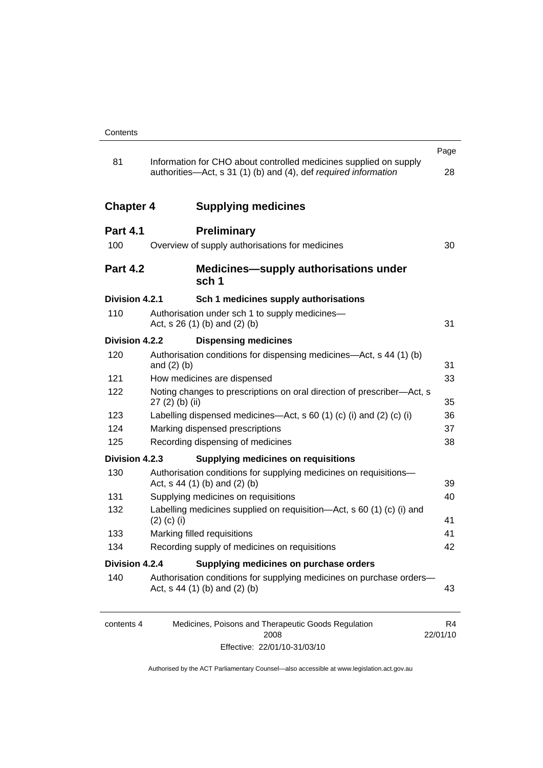|                  |                                                                                                                                      | Page                       |
|------------------|--------------------------------------------------------------------------------------------------------------------------------------|----------------------------|
| 81               | Information for CHO about controlled medicines supplied on supply<br>authorities—Act, s 31 (1) (b) and (4), def required information | 28                         |
| <b>Chapter 4</b> | <b>Supplying medicines</b>                                                                                                           |                            |
| <b>Part 4.1</b>  | <b>Preliminary</b>                                                                                                                   |                            |
| 100              | Overview of supply authorisations for medicines                                                                                      | 30                         |
| <b>Part 4.2</b>  | <b>Medicines—supply authorisations under</b><br>sch <sub>1</sub>                                                                     |                            |
| Division 4.2.1   | Sch 1 medicines supply authorisations                                                                                                |                            |
| 110              | Authorisation under sch 1 to supply medicines—<br>Act, $s$ 26 (1) (b) and (2) (b)                                                    | 31                         |
| Division 4.2.2   | <b>Dispensing medicines</b>                                                                                                          |                            |
| 120              | Authorisation conditions for dispensing medicines—Act, s 44 (1) (b)<br>and $(2)$ $(b)$                                               | 31                         |
| 121              | How medicines are dispensed                                                                                                          | 33                         |
| 122              | Noting changes to prescriptions on oral direction of prescriber-Act, s<br>27 (2) (b) (ii)                                            | 35                         |
| 123              | Labelling dispensed medicines—Act, s 60 (1) (c) (i) and (2) (c) (i)                                                                  | 36                         |
| 124              | Marking dispensed prescriptions                                                                                                      | 37                         |
| 125              | Recording dispensing of medicines                                                                                                    | 38                         |
| Division 4.2.3   | <b>Supplying medicines on requisitions</b>                                                                                           |                            |
| 130              | Authorisation conditions for supplying medicines on requisitions-                                                                    |                            |
| 131              | Act, $s$ 44 (1) (b) and (2) (b)                                                                                                      | 39<br>40                   |
| 132              | Supplying medicines on requisitions<br>Labelling medicines supplied on requisition-Act, s 60 (1) (c) (i) and                         |                            |
|                  | $(2)$ (c) (i)                                                                                                                        | 41                         |
| 133              | Marking filled requisitions                                                                                                          | 41                         |
| 134              | Recording supply of medicines on requisitions                                                                                        | 42                         |
| Division 4.2.4   | Supplying medicines on purchase orders                                                                                               |                            |
| 140              | Authorisation conditions for supplying medicines on purchase orders-<br>Act, $s$ 44 (1) (b) and (2) (b)                              | 43                         |
| contents 4       | Medicines, Poisons and Therapeutic Goods Regulation<br>2008                                                                          | R <sub>4</sub><br>22/01/10 |

Effective: 22/01/10-31/03/10

22/01/10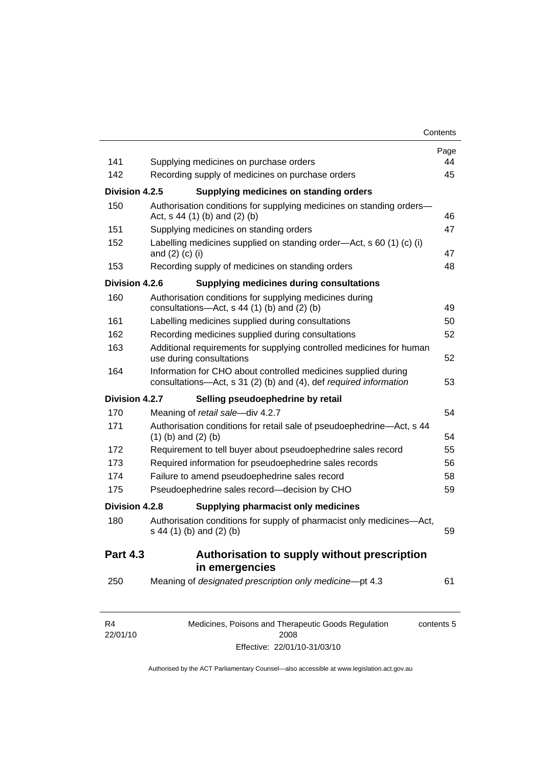| 141                        |                                                                                                                                     | Page<br>44 |
|----------------------------|-------------------------------------------------------------------------------------------------------------------------------------|------------|
| 142                        | Supplying medicines on purchase orders<br>Recording supply of medicines on purchase orders                                          | 45         |
| Division 4.2.5             | Supplying medicines on standing orders                                                                                              |            |
| 150                        | Authorisation conditions for supplying medicines on standing orders-                                                                |            |
|                            | Act, s 44 (1) (b) and (2) (b)                                                                                                       | 46         |
| 151                        | Supplying medicines on standing orders                                                                                              | 47         |
| 152                        | Labelling medicines supplied on standing order—Act, s 60 (1) (c) (i)<br>and $(2)$ $(c)$ $(i)$                                       | 47         |
| 153                        | Recording supply of medicines on standing orders                                                                                    | 48         |
| Division 4.2.6             | <b>Supplying medicines during consultations</b>                                                                                     |            |
| 160                        | Authorisation conditions for supplying medicines during<br>consultations- $-\text{Act}$ , s 44 (1) (b) and (2) (b)                  | 49         |
| 161                        | Labelling medicines supplied during consultations                                                                                   | 50         |
| 162                        | Recording medicines supplied during consultations                                                                                   | 52         |
| 163                        | Additional requirements for supplying controlled medicines for human<br>use during consultations                                    | 52         |
| 164                        | Information for CHO about controlled medicines supplied during<br>consultations-Act, s 31 (2) (b) and (4), def required information | 53         |
| Division 4.2.7             | Selling pseudoephedrine by retail                                                                                                   |            |
| 170                        | Meaning of retail sale-div 4.2.7                                                                                                    | 54         |
| 171                        | Authorisation conditions for retail sale of pseudoephedrine—Act, s 44<br>$(1)$ (b) and $(2)$ (b)                                    | 54         |
| 172                        | Requirement to tell buyer about pseudoephedrine sales record                                                                        | 55         |
| 173                        | Required information for pseudoephedrine sales records                                                                              | 56         |
| 174                        | Failure to amend pseudoephedrine sales record                                                                                       | 58         |
| 175                        | Pseudoephedrine sales record-decision by CHO                                                                                        | 59         |
| Division 4.2.8             | Supplying pharmacist only medicines                                                                                                 |            |
| 180                        | Authorisation conditions for supply of pharmacist only medicines-Act,<br>s 44 (1) (b) and (2) (b)                                   | 59         |
| <b>Part 4.3</b>            | Authorisation to supply without prescription<br>in emergencies                                                                      |            |
| 250                        | Meaning of designated prescription only medicine-pt 4.3                                                                             | 61         |
| R <sub>4</sub><br>22/01/10 | Medicines, Poisons and Therapeutic Goods Regulation<br>2008                                                                         | contents 5 |

Effective: 22/01/10-31/03/10

22/01/10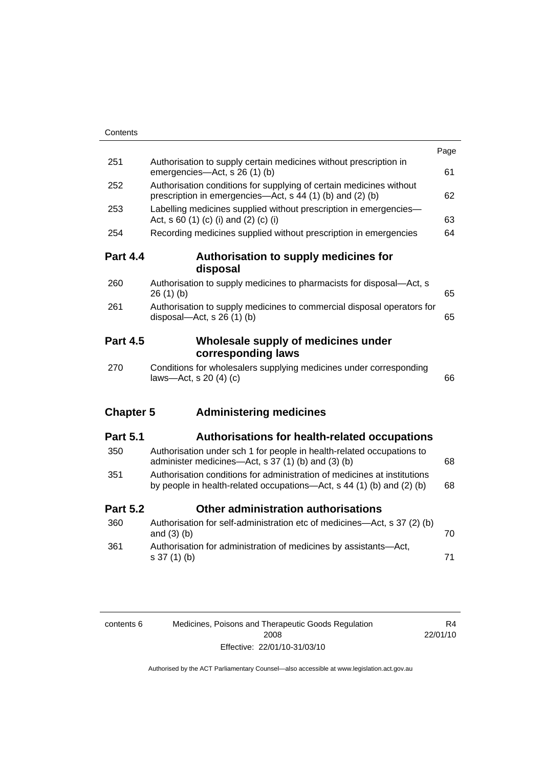| Contents         |                                                                                                                                                   |      |
|------------------|---------------------------------------------------------------------------------------------------------------------------------------------------|------|
|                  |                                                                                                                                                   | Page |
| 251              | Authorisation to supply certain medicines without prescription in<br>emergencies-Act, s 26 (1) (b)                                                | 61   |
| 252              | Authorisation conditions for supplying of certain medicines without<br>prescription in emergencies—Act, s 44 (1) (b) and (2) (b)                  | 62   |
| 253              | Labelling medicines supplied without prescription in emergencies-<br>Act, s 60 (1) (c) (i) and (2) (c) (i)                                        | 63   |
| 254              | Recording medicines supplied without prescription in emergencies                                                                                  | 64   |
| <b>Part 4.4</b>  | Authorisation to supply medicines for<br>disposal                                                                                                 |      |
| 260              | Authorisation to supply medicines to pharmacists for disposal-Act, s<br>26(1)(b)                                                                  | 65   |
| 261              | Authorisation to supply medicines to commercial disposal operators for<br>disposal- $-\text{Act}$ , s 26 (1) (b)                                  | 65   |
| <b>Part 4.5</b>  | Wholesale supply of medicines under<br>corresponding laws                                                                                         |      |
| 270              | Conditions for wholesalers supplying medicines under corresponding<br>laws-Act, s 20 (4) (c)                                                      | 66   |
| <b>Chapter 5</b> | <b>Administering medicines</b>                                                                                                                    |      |
| <b>Part 5.1</b>  | <b>Authorisations for health-related occupations</b>                                                                                              |      |
| 350              | Authorisation under sch 1 for people in health-related occupations to<br>administer medicines-Act, s 37 (1) (b) and (3) (b)                       | 68   |
| 351              | Authorisation conditions for administration of medicines at institutions<br>by people in health-related occupations—Act, s 44 (1) (b) and (2) (b) | 68   |
| <b>Part 5.2</b>  | Other administration authorisations                                                                                                               |      |
| 360              | Authorisation for self-administration etc of medicines-Act, s 37 (2) (b)<br>and $(3)$ $(b)$                                                       | 70   |
| 361              | Authorisation for administration of medicines by assistants-Act,<br>s 37 (1) (b)                                                                  | 71   |
|                  |                                                                                                                                                   |      |

| contents 6 | Medicines, Poisons and Therapeutic Goods Regulation | R4       |
|------------|-----------------------------------------------------|----------|
|            | 2008                                                | 22/01/10 |
|            | Effective: 22/01/10-31/03/10                        |          |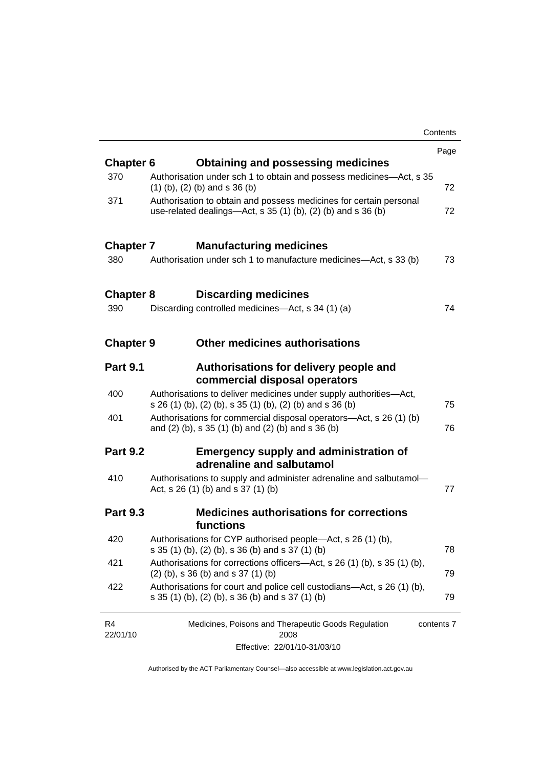|                  |                                                                                                                                       | Contents   |
|------------------|---------------------------------------------------------------------------------------------------------------------------------------|------------|
|                  |                                                                                                                                       | Page       |
| <b>Chapter 6</b> | Obtaining and possessing medicines                                                                                                    |            |
| 370              | Authorisation under sch 1 to obtain and possess medicines-Act, s 35<br>$(1)$ (b), (2) (b) and s 36 (b)                                | 72         |
| 371              | Authorisation to obtain and possess medicines for certain personal<br>use-related dealings—Act, s $35(1)(b)$ , $(2)(b)$ and s $36(b)$ | 72         |
| <b>Chapter 7</b> | <b>Manufacturing medicines</b>                                                                                                        |            |
| 380              | Authorisation under sch 1 to manufacture medicines—Act, s 33 (b)                                                                      | 73         |
| <b>Chapter 8</b> | <b>Discarding medicines</b>                                                                                                           |            |
| 390              | Discarding controlled medicines—Act, s 34 (1) (a)                                                                                     | 74         |
| <b>Chapter 9</b> | Other medicines authorisations                                                                                                        |            |
| <b>Part 9.1</b>  | Authorisations for delivery people and<br>commercial disposal operators                                                               |            |
| 400              | Authorisations to deliver medicines under supply authorities-Act,<br>s 26 (1) (b), (2) (b), s 35 (1) (b), (2) (b) and s 36 (b)        | 75         |
| 401              | Authorisations for commercial disposal operators—Act, s 26 (1) (b)<br>and (2) (b), s 35 (1) (b) and (2) (b) and s 36 (b)              | 76         |
| <b>Part 9.2</b>  | <b>Emergency supply and administration of</b><br>adrenaline and salbutamol                                                            |            |
| 410              | Authorisations to supply and administer adrenaline and salbutamol-<br>Act, s 26 (1) (b) and s 37 (1) (b)                              | 77         |
| <b>Part 9.3</b>  | <b>Medicines authorisations for corrections</b><br>functions                                                                          |            |
| 420              | Authorisations for CYP authorised people—Act, s 26 (1) (b),<br>s 35 (1) (b), (2) (b), s 36 (b) and s 37 (1) (b)                       | 78         |
| 421              | Authorisations for corrections officers-Act, s 26 (1) (b), s 35 (1) (b),<br>$(2)$ (b), s 36 (b) and s 37 (1) (b)                      | 79         |
| 422              | Authorisations for court and police cell custodians—Act, s 26 (1) (b),<br>s 35 (1) (b), (2) (b), s 36 (b) and s 37 (1) (b)            | 79         |
| R4<br>22/01/10   | Medicines, Poisons and Therapeutic Goods Regulation<br>2008                                                                           | contents 7 |
|                  |                                                                                                                                       |            |

Effective: 22/01/10-31/03/10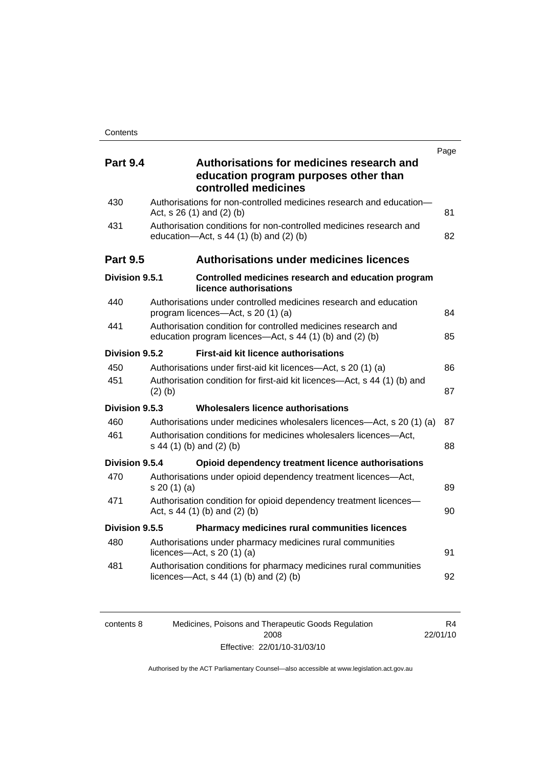|                 |                                                                                                                           | Page |
|-----------------|---------------------------------------------------------------------------------------------------------------------------|------|
| <b>Part 9.4</b> | Authorisations for medicines research and<br>education program purposes other than<br>controlled medicines                |      |
| 430             | Authorisations for non-controlled medicines research and education-<br>Act, s 26 (1) and (2) (b)                          | 81   |
| 431             | Authorisation conditions for non-controlled medicines research and<br>education- $Act$ , s 44 (1) (b) and (2) (b)         | 82   |
| <b>Part 9.5</b> | <b>Authorisations under medicines licences</b>                                                                            |      |
| Division 9.5.1  | Controlled medicines research and education program<br>licence authorisations                                             |      |
| 440             | Authorisations under controlled medicines research and education<br>program licences—Act, s 20 (1) (a)                    | 84   |
| 441             | Authorisation condition for controlled medicines research and<br>education program licences—Act, s 44 (1) (b) and (2) (b) | 85   |
| Division 9.5.2  | <b>First-aid kit licence authorisations</b>                                                                               |      |
| 450             | Authorisations under first-aid kit licences—Act, s 20 (1) (a)                                                             | 86   |
| 451             | Authorisation condition for first-aid kit licences—Act, s 44 (1) (b) and<br>$(2)$ $(b)$                                   | 87   |
| Division 9.5.3  | Wholesalers licence authorisations                                                                                        |      |
| 460             | Authorisations under medicines wholesalers licences—Act, s 20 (1) (a)                                                     | 87   |
| 461             | Authorisation conditions for medicines wholesalers licences-Act,<br>s 44 (1) (b) and (2) (b)                              | 88   |
| Division 9.5.4  | Opioid dependency treatment licence authorisations                                                                        |      |
| 470             | Authorisations under opioid dependency treatment licences-Act,<br>s 20(1)(a)                                              | 89   |
| 471             | Authorisation condition for opioid dependency treatment licences-<br>Act, $s$ 44 (1) (b) and (2) (b)                      | 90   |
| Division 9.5.5  | Pharmacy medicines rural communities licences                                                                             |      |
| 480             | Authorisations under pharmacy medicines rural communities<br>licences- $-\text{Act}$ , s 20 (1) (a)                       | 91   |
| 481             | Authorisation conditions for pharmacy medicines rural communities<br>licences—Act, $s$ 44 (1) (b) and (2) (b)             | 92   |

| contents 8 | Medicines, Poisons and Therapeutic Goods Regulation | R4       |
|------------|-----------------------------------------------------|----------|
|            | 2008                                                | 22/01/10 |
|            | Effective: 22/01/10-31/03/10                        |          |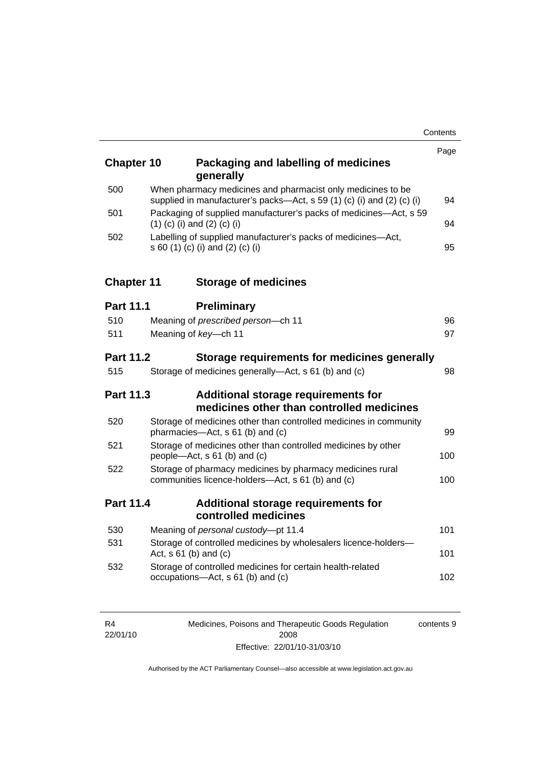| <b>Chapter 10</b> | Packaging and labelling of medicines<br>generally                                                                                     | Page |
|-------------------|---------------------------------------------------------------------------------------------------------------------------------------|------|
| 500               | When pharmacy medicines and pharmacist only medicines to be<br>supplied in manufacturer's packs-Act, s 59 (1) (c) (i) and (2) (c) (i) | 94   |
| 501               | Packaging of supplied manufacturer's packs of medicines-Act, s 59<br>$(1)$ (c) (i) and (2) (c) (i)                                    | 94   |
| 502               | Labelling of supplied manufacturer's packs of medicines-Act,<br>s 60 (1) (c) (i) and (2) (c) (i)                                      | 95   |
| <b>Chapter 11</b> | <b>Storage of medicines</b>                                                                                                           |      |
| <b>Part 11.1</b>  | <b>Preliminary</b>                                                                                                                    |      |
| 510               | Meaning of prescribed person-ch 11                                                                                                    | 96   |
| 511               | Meaning of key-ch 11                                                                                                                  | 97   |
| <b>Part 11.2</b>  | Storage requirements for medicines generally                                                                                          |      |
| 515               | Storage of medicines generally-Act, s 61 (b) and (c)                                                                                  | 98   |
| <b>Part 11.3</b>  | Additional storage requirements for<br>medicines other than controlled medicines                                                      |      |
| 520               | Storage of medicines other than controlled medicines in community<br>pharmacies-Act, s 61 (b) and (c)                                 | 99   |
| 521               | Storage of medicines other than controlled medicines by other<br>people—Act, s 61 (b) and (c)                                         | 100  |
| 522               | Storage of pharmacy medicines by pharmacy medicines rural<br>communities licence-holders-Act, s 61 (b) and (c)                        | 100  |
| <b>Part 11.4</b>  | <b>Additional storage requirements for</b><br>controlled medicines                                                                    |      |
| 530               | Meaning of personal custody-pt 11.4                                                                                                   | 101  |
| 531               | Storage of controlled medicines by wholesalers licence-holders-<br>Act, $s 61$ (b) and (c)                                            | 101  |
| 532               | Storage of controlled medicines for certain health-related<br>occupations-Act, s 61 (b) and (c)                                       | 102  |

| R4       | Medicines, Poisons and Therapeutic Goods Regulation | contents 9 |
|----------|-----------------------------------------------------|------------|
| 22/01/10 | 2008                                                |            |
|          | Effective: 22/01/10-31/03/10                        |            |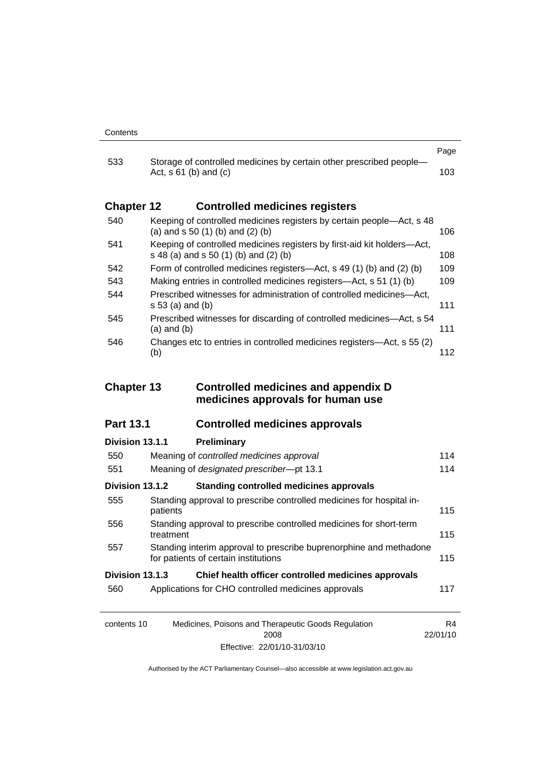|                   |                                                                                                                  | Page |
|-------------------|------------------------------------------------------------------------------------------------------------------|------|
| 533               | Storage of controlled medicines by certain other prescribed people-<br>Act, $s \, 61$ (b) and (c)                | 103. |
| <b>Chapter 12</b> | <b>Controlled medicines registers</b>                                                                            |      |
| 540               | Keeping of controlled medicines registers by certain people—Act, s 48<br>(a) and $s$ 50 (1) (b) and (2) (b)      | 106. |
| 541               | Keeping of controlled medicines registers by first-aid kit holders-Act,<br>s 48 (a) and s 50 (1) (b) and (2) (b) | 108  |
| 542               | Form of controlled medicines registers—Act, s 49 (1) (b) and (2) (b)                                             | 109  |
| 543               | Making entries in controlled medicines registers—Act, s 51 (1) (b)                                               | 109  |
| 544               | Prescribed witnesses for administration of controlled medicines—Act,<br>s 53 (a) and (b)                         | 111  |
| 545               | Prescribed witnesses for discarding of controlled medicines—Act, s 54<br>(a) and (b)                             | 111  |
| 546               | Changes etc to entries in controlled medicines registers—Act, s 55 (2)<br>(b)                                    | 112  |

#### **Chapter 13 Controlled medicines and appendix D medicines approvals for human use**

#### **Part 13.1 Controlled medicines approvals**

### contents 10 Medicines, Poisons and Therapeutic Goods Regulation R4 **Division 13.1.1 Preliminary** 550 Meaning of *controlled medicines approval* [114](#page-137-0) 551 Meaning of *designated prescriber*—pt 13.1 [114](#page-137-0) **Division 13.1.2 Standing controlled medicines approvals** 555 Standing approval to prescribe controlled medicines for hospital in-patients [115](#page-138-0) 556 Standing approval to prescribe controlled medicines for short-term treatment [115](#page-138-0) 557 Standing interim approval to prescribe buprenorphine and methadone for patients of certain institutions [115](#page-138-0) **Division 13.1.3 Chief health officer controlled medicines approvals** 560 Applications for CHO controlled medicines approvals [117](#page-140-0)

2008 Effective: 22/01/10-31/03/10 22/01/10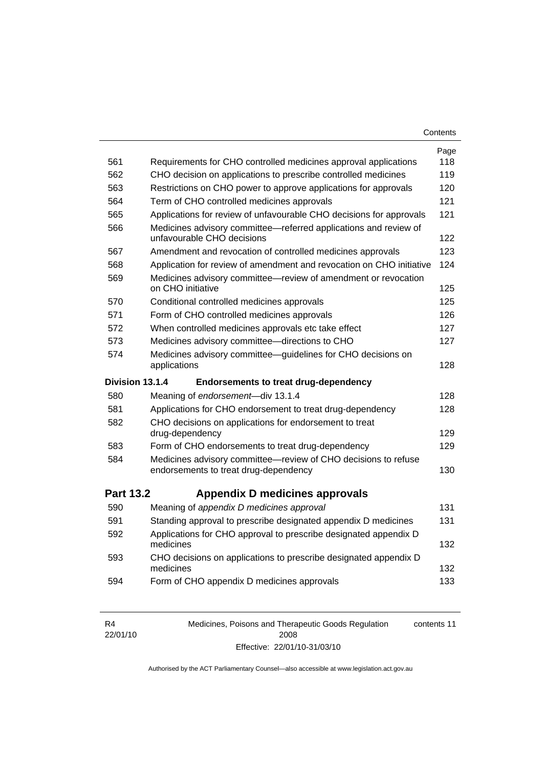| Contents |
|----------|
|----------|

| 561              |                                                                                                         | Page       |
|------------------|---------------------------------------------------------------------------------------------------------|------------|
|                  | Requirements for CHO controlled medicines approval applications                                         | 118        |
| 562              | CHO decision on applications to prescribe controlled medicines                                          | 119        |
| 563              | Restrictions on CHO power to approve applications for approvals                                         | 120<br>121 |
| 564              | Term of CHO controlled medicines approvals                                                              | 121        |
| 565              | Applications for review of unfavourable CHO decisions for approvals                                     |            |
| 566              | Medicines advisory committee-referred applications and review of<br>unfavourable CHO decisions          | 122        |
| 567              | Amendment and revocation of controlled medicines approvals                                              | 123        |
| 568              | Application for review of amendment and revocation on CHO initiative                                    | 124        |
| 569              | Medicines advisory committee-review of amendment or revocation<br>on CHO initiative                     | 125        |
| 570              | Conditional controlled medicines approvals                                                              | 125        |
| 571              | Form of CHO controlled medicines approvals                                                              | 126        |
| 572              | When controlled medicines approvals etc take effect                                                     | 127        |
| 573              | Medicines advisory committee-directions to CHO                                                          | 127        |
| 574              | Medicines advisory committee-guidelines for CHO decisions on<br>applications                            | 128        |
|                  |                                                                                                         |            |
| Division 13.1.4  | <b>Endorsements to treat drug-dependency</b>                                                            |            |
| 580              | Meaning of endorsement-div 13.1.4                                                                       | 128        |
| 581              | Applications for CHO endorsement to treat drug-dependency                                               | 128        |
| 582              | CHO decisions on applications for endorsement to treat<br>drug-dependency                               | 129        |
| 583              | Form of CHO endorsements to treat drug-dependency                                                       | 129        |
| 584              | Medicines advisory committee-review of CHO decisions to refuse<br>endorsements to treat drug-dependency | 130        |
| <b>Part 13.2</b> | <b>Appendix D medicines approvals</b>                                                                   |            |
| 590              | Meaning of appendix D medicines approval                                                                | 131        |
| 591              | Standing approval to prescribe designated appendix D medicines                                          | 131        |
| 592              | Applications for CHO approval to prescribe designated appendix D<br>medicines                           | 132        |
| 593              | CHO decisions on applications to prescribe designated appendix D<br>medicines                           | 132        |

| R4       | Medicines, Poisons and Therapeutic Goods Regulation | contents 11 |
|----------|-----------------------------------------------------|-------------|
| 22/01/10 | 2008                                                |             |
|          | Effective: 22/01/10-31/03/10                        |             |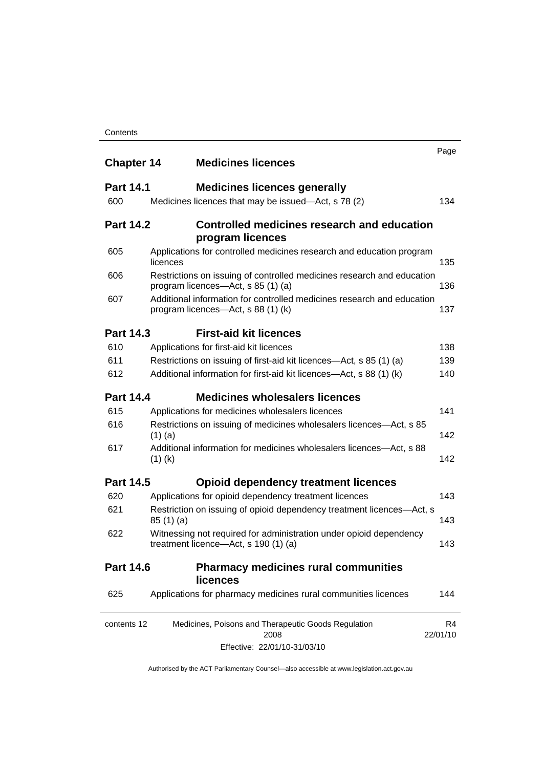| <b>Chapter 14</b> | <b>Medicines licences</b>                                                                                    | Page           |
|-------------------|--------------------------------------------------------------------------------------------------------------|----------------|
| <b>Part 14.1</b>  | <b>Medicines licences generally</b>                                                                          |                |
| 600               | Medicines licences that may be issued-Act, s 78 (2)                                                          | 134            |
| <b>Part 14.2</b>  | Controlled medicines research and education<br>program licences                                              |                |
| 605               | Applications for controlled medicines research and education program<br>licences                             | 135            |
| 606               | Restrictions on issuing of controlled medicines research and education<br>program licences—Act, s 85 (1) (a) | 136            |
| 607               | Additional information for controlled medicines research and education<br>program licences—Act, s 88 (1) (k) | 137            |
| <b>Part 14.3</b>  | <b>First-aid kit licences</b>                                                                                |                |
| 610               | Applications for first-aid kit licences                                                                      | 138            |
| 611               | Restrictions on issuing of first-aid kit licences—Act, s 85 (1) (a)                                          | 139            |
| 612               | Additional information for first-aid kit licences—Act, s 88 (1) (k)                                          | 140            |
| <b>Part 14.4</b>  | <b>Medicines wholesalers licences</b>                                                                        |                |
| 615               | Applications for medicines wholesalers licences                                                              | 141            |
| 616               | Restrictions on issuing of medicines wholesalers licences—Act, s 85<br>$(1)$ (a)                             | 142            |
| 617               | Additional information for medicines wholesalers licences—Act, s 88<br>$(1)$ (k)                             | 142            |
| <b>Part 14.5</b>  | <b>Opioid dependency treatment licences</b>                                                                  |                |
| 620               | Applications for opioid dependency treatment licences                                                        | 143            |
| 621               | Restriction on issuing of opioid dependency treatment licences-Act, s<br>85(1)(a)                            | 143            |
| 622               | Witnessing not required for administration under opioid dependency<br>treatment licence-Act, s 190 (1) (a)   | 143            |
| <b>Part 14.6</b>  | <b>Pharmacy medicines rural communities</b><br><b>licences</b>                                               |                |
| 625               | Applications for pharmacy medicines rural communities licences                                               | 144            |
| contents 12       | Medicines, Poisons and Therapeutic Goods Regulation<br>2008                                                  | R4<br>22/01/10 |
|                   | Effective: 22/01/10-31/03/10                                                                                 |                |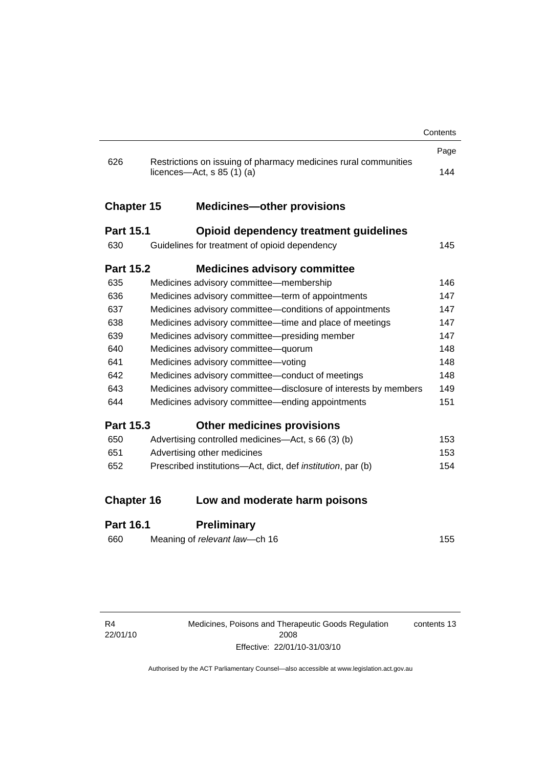|                   |                                                                                                 | Contents |
|-------------------|-------------------------------------------------------------------------------------------------|----------|
|                   |                                                                                                 | Page     |
| 626               | Restrictions on issuing of pharmacy medicines rural communities<br>licences—Act, $s$ 85 (1) (a) | 144      |
| <b>Chapter 15</b> | <b>Medicines-other provisions</b>                                                               |          |
| <b>Part 15.1</b>  | <b>Opioid dependency treatment guidelines</b>                                                   |          |
| 630               | Guidelines for treatment of opioid dependency                                                   | 145      |
| <b>Part 15.2</b>  | <b>Medicines advisory committee</b>                                                             |          |
| 635               | Medicines advisory committee-membership                                                         | 146      |
| 636               | Medicines advisory committee—term of appointments                                               | 147      |
| 637               | Medicines advisory committee-conditions of appointments                                         | 147      |
| 638               | Medicines advisory committee—time and place of meetings                                         | 147      |
| 639               | Medicines advisory committee-presiding member                                                   | 147      |
| 640               | Medicines advisory committee-quorum                                                             | 148      |
| 641               | Medicines advisory committee-voting                                                             | 148      |
| 642               | Medicines advisory committee-conduct of meetings                                                | 148      |
| 643               | Medicines advisory committee-disclosure of interests by members                                 | 149      |
| 644               | Medicines advisory committee—ending appointments                                                | 151      |
| <b>Part 15.3</b>  | <b>Other medicines provisions</b>                                                               |          |
| 650               | Advertising controlled medicines—Act, s 66 (3) (b)                                              | 153      |
| 651               | Advertising other medicines                                                                     | 153      |
| 652               | Prescribed institutions-Act, dict, def institution, par (b)                                     | 154      |
| <b>Chapter 16</b> | Low and moderate harm poisons                                                                   |          |
|                   |                                                                                                 |          |
| Part 16.1         | <b>Preliminary</b>                                                                              |          |

#### **Part 16.1 Preliminary**

| 660 | Meaning of relevant law—ch 16 | 155 |
|-----|-------------------------------|-----|
|     |                               |     |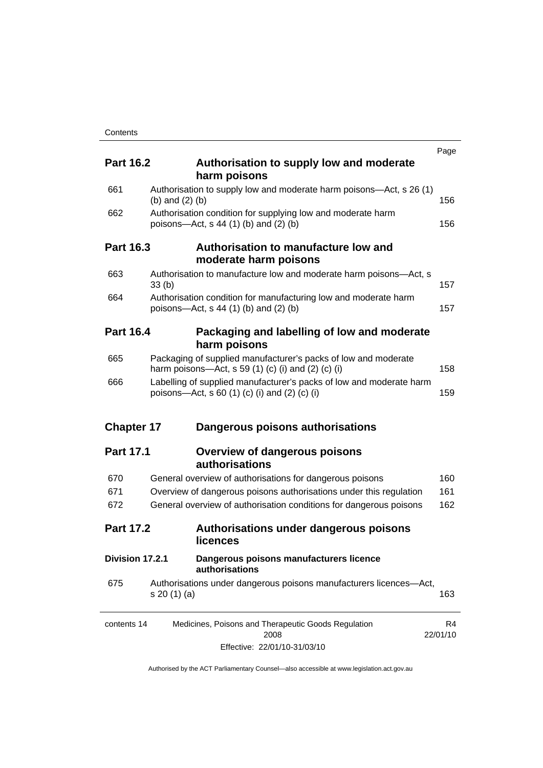|                   |                                                                                                                      |                                                                                                                      | Page           |
|-------------------|----------------------------------------------------------------------------------------------------------------------|----------------------------------------------------------------------------------------------------------------------|----------------|
| <b>Part 16.2</b>  |                                                                                                                      | Authorisation to supply low and moderate<br>harm poisons                                                             |                |
| 661               | (b) and $(2)$ (b)                                                                                                    | Authorisation to supply low and moderate harm poisons—Act, s 26 (1)                                                  | 156            |
| 662               |                                                                                                                      | Authorisation condition for supplying low and moderate harm<br>poisons—Act, s 44 (1) (b) and (2) (b)                 | 156            |
| Part 16.3         |                                                                                                                      | Authorisation to manufacture low and<br>moderate harm poisons                                                        |                |
| 663               | 33(b)                                                                                                                | Authorisation to manufacture low and moderate harm poisons-Act, s                                                    | 157            |
| 664               |                                                                                                                      | Authorisation condition for manufacturing low and moderate harm<br>poisons—Act, s 44 (1) (b) and (2) (b)             | 157            |
| <b>Part 16.4</b>  |                                                                                                                      | Packaging and labelling of low and moderate<br>harm poisons                                                          |                |
| 665               |                                                                                                                      | Packaging of supplied manufacturer's packs of low and moderate<br>harm poisons—Act, s 59 (1) (c) (i) and (2) (c) (i) | 158            |
| 666               | Labelling of supplied manufacturer's packs of low and moderate harm<br>poisons—Act, s 60 (1) (c) (i) and (2) (c) (i) |                                                                                                                      | 159            |
| <b>Chapter 17</b> |                                                                                                                      | Dangerous poisons authorisations                                                                                     |                |
| <b>Part 17.1</b>  |                                                                                                                      | <b>Overview of dangerous poisons</b><br>authorisations                                                               |                |
| 670               |                                                                                                                      | General overview of authorisations for dangerous poisons                                                             | 160            |
| 671               |                                                                                                                      | Overview of dangerous poisons authorisations under this regulation                                                   | 161            |
| 672               |                                                                                                                      | General overview of authorisation conditions for dangerous poisons                                                   | 162            |
| <b>Part 17.2</b>  |                                                                                                                      | Authorisations under dangerous poisons<br><b>licences</b>                                                            |                |
| Division 17.2.1   |                                                                                                                      | Dangerous poisons manufacturers licence<br>authorisations                                                            |                |
| 675               | s 20 (1) (a)                                                                                                         | Authorisations under dangerous poisons manufacturers licences-Act,                                                   | 163            |
| contents 14       |                                                                                                                      | Medicines, Poisons and Therapeutic Goods Regulation<br>2008                                                          | R4<br>22/01/10 |
|                   |                                                                                                                      | Effective: 22/01/10-31/03/10                                                                                         |                |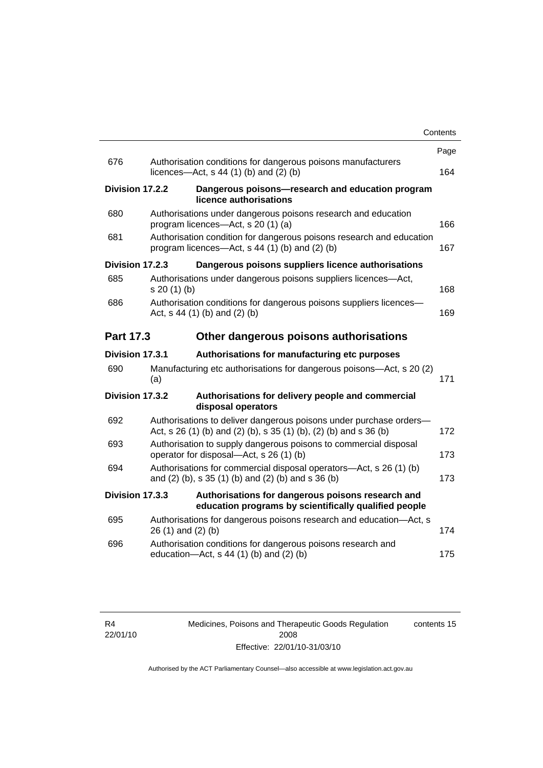|                  |                 |                                                                                                                                         | Contents |
|------------------|-----------------|-----------------------------------------------------------------------------------------------------------------------------------------|----------|
|                  |                 |                                                                                                                                         | Page     |
| 676              |                 | Authorisation conditions for dangerous poisons manufacturers<br>licences- $-\text{Act}$ , s 44 (1) (b) and (2) (b)                      | 164      |
|                  | Division 17.2.2 | Dangerous poisons-research and education program<br>licence authorisations                                                              |          |
| 680              |                 | Authorisations under dangerous poisons research and education<br>program licences—Act, s 20 (1) (a)                                     | 166      |
| 681              |                 | Authorisation condition for dangerous poisons research and education<br>program licences—Act, s 44 (1) (b) and (2) (b)                  | 167      |
|                  | Division 17.2.3 | Dangerous poisons suppliers licence authorisations                                                                                      |          |
| 685              | s 20 (1) (b)    | Authorisations under dangerous poisons suppliers licences—Act,                                                                          | 168      |
| 686              |                 | Authorisation conditions for dangerous poisons suppliers licences-<br>Act, $s$ 44 (1) (b) and (2) (b)                                   | 169      |
| <b>Part 17.3</b> |                 | Other dangerous poisons authorisations                                                                                                  |          |
|                  | Division 17.3.1 | Authorisations for manufacturing etc purposes                                                                                           |          |
| 690              | (a)             | Manufacturing etc authorisations for dangerous poisons—Act, s 20 (2)                                                                    | 171      |
|                  | Division 17.3.2 | Authorisations for delivery people and commercial<br>disposal operators                                                                 |          |
| 692              |                 | Authorisations to deliver dangerous poisons under purchase orders-<br>Act, s 26 (1) (b) and (2) (b), s 35 (1) (b), (2) (b) and s 36 (b) | 172      |
| 693              |                 | Authorisation to supply dangerous poisons to commercial disposal<br>operator for disposal-Act, s 26 (1) (b)                             | 173      |
| 694              |                 | Authorisations for commercial disposal operators-Act, s 26 (1) (b)<br>and $(2)$ (b), s 35 $(1)$ (b) and $(2)$ (b) and s 36 (b)          | 173      |
|                  | Division 17.3.3 | Authorisations for dangerous poisons research and<br>education programs by scientifically qualified people                              |          |
| 695              |                 | Authorisations for dangerous poisons research and education-Act, s<br>26 (1) and (2) (b)                                                | 174      |
| 696              |                 | Authorisation conditions for dangerous poisons research and<br>education-Act, s 44 (1) (b) and (2) (b)                                  | 175      |
|                  |                 |                                                                                                                                         |          |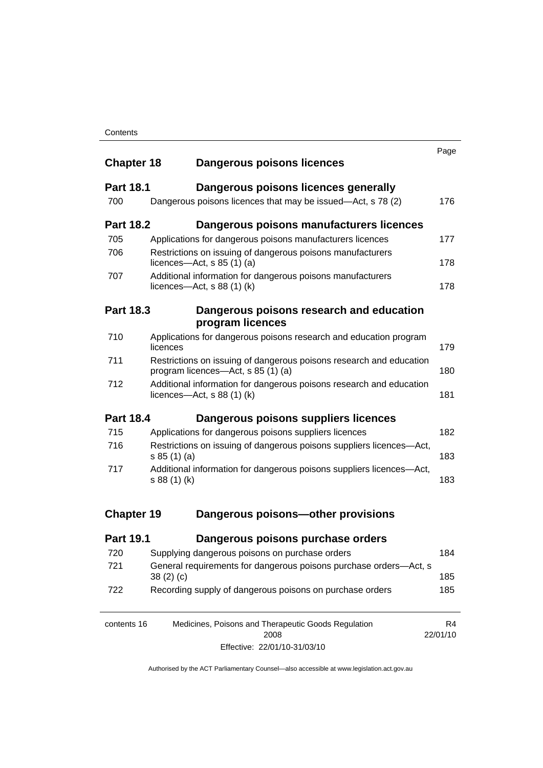| <b>Chapter 18</b> |              | Dangerous poisons licences                                                                           | Page           |
|-------------------|--------------|------------------------------------------------------------------------------------------------------|----------------|
| <b>Part 18.1</b>  |              | Dangerous poisons licences generally                                                                 |                |
| 700               |              | Dangerous poisons licences that may be issued—Act, s 78 (2)                                          | 176            |
| <b>Part 18.2</b>  |              | Dangerous poisons manufacturers licences                                                             |                |
| 705               |              | Applications for dangerous poisons manufacturers licences                                            | 177            |
| 706               |              | Restrictions on issuing of dangerous poisons manufacturers<br>licences- $-\text{Act}$ , s 85 (1) (a) | 178            |
| 707               |              | Additional information for dangerous poisons manufacturers<br>licences—Act, $s$ 88 (1) (k)           | 178            |
| <b>Part 18.3</b>  |              | Dangerous poisons research and education<br>program licences                                         |                |
| 710               |              | Applications for dangerous poisons research and education program                                    |                |
|                   | licences     |                                                                                                      | 179            |
| 711               |              | Restrictions on issuing of dangerous poisons research and education                                  |                |
|                   |              | program licences—Act, s 85 (1) (a)                                                                   | 180            |
| 712               |              | Additional information for dangerous poisons research and education<br>licences—Act, $s$ 88 (1) (k)  | 181            |
| <b>Part 18.4</b>  |              | Dangerous poisons suppliers licences                                                                 |                |
| 715               |              | Applications for dangerous poisons suppliers licences                                                | 182            |
| 716               | s 85(1)(a)   | Restrictions on issuing of dangerous poisons suppliers licences-Act,                                 | 183            |
| 717               | s 88 (1) (k) | Additional information for dangerous poisons suppliers licences-Act,                                 | 183            |
| <b>Chapter 19</b> |              | Dangerous poisons-other provisions                                                                   |                |
| <b>Part 19.1</b>  |              | Dangerous poisons purchase orders                                                                    |                |
| 720               |              | Supplying dangerous poisons on purchase orders                                                       | 184            |
| 721               | 38(2)(c)     | General requirements for dangerous poisons purchase orders-Act, s                                    | 185            |
| 722               |              | Recording supply of dangerous poisons on purchase orders                                             | 185            |
| contents 16       |              | Medicines, Poisons and Therapeutic Goods Regulation<br>2008                                          | R4<br>22/01/10 |

Effective: 22/01/10-31/03/10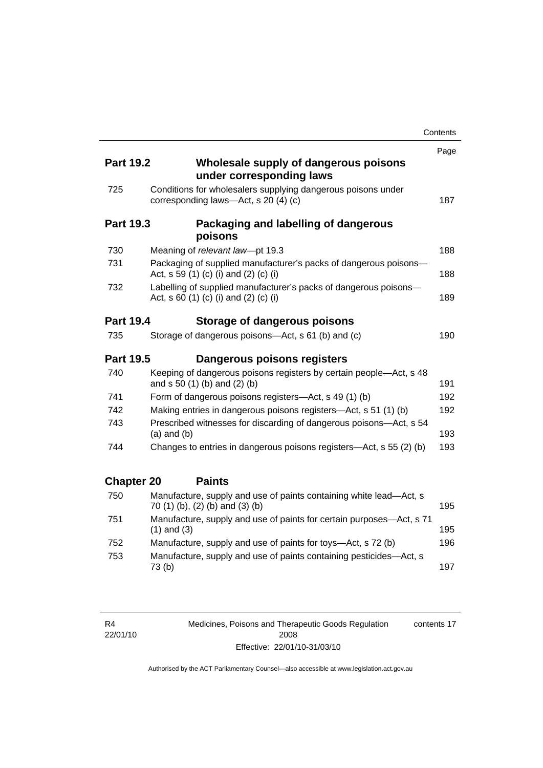|                   |                                                                                                           | Contents |
|-------------------|-----------------------------------------------------------------------------------------------------------|----------|
|                   |                                                                                                           | Page     |
| <b>Part 19.2</b>  | Wholesale supply of dangerous poisons<br>under corresponding laws                                         |          |
| 725               | Conditions for wholesalers supplying dangerous poisons under<br>corresponding laws-Act, s 20 (4) (c)      | 187      |
| <b>Part 19.3</b>  | Packaging and labelling of dangerous<br>poisons                                                           |          |
| 730               | Meaning of relevant law-pt 19.3                                                                           | 188      |
| 731               | Packaging of supplied manufacturer's packs of dangerous poisons-<br>Act, s 59 (1) (c) (i) and (2) (c) (i) | 188      |
| 732               | Labelling of supplied manufacturer's packs of dangerous poisons-<br>Act, s 60 (1) (c) (i) and (2) (c) (i) | 189      |
| <b>Part 19.4</b>  | Storage of dangerous poisons                                                                              |          |
| 735               | Storage of dangerous poisons-Act, s 61 (b) and (c)                                                        | 190      |
| <b>Part 19.5</b>  | Dangerous poisons registers                                                                               |          |
| 740               | Keeping of dangerous poisons registers by certain people-Act, s 48<br>and s 50 (1) (b) and (2) (b)        | 191      |
| 741               | Form of dangerous poisons registers—Act, s 49 (1) (b)                                                     | 192      |
| 742               | Making entries in dangerous poisons registers-Act, s 51 (1) (b)                                           | 192      |
| 743               | Prescribed witnesses for discarding of dangerous poisons-Act, s 54<br>$(a)$ and $(b)$                     | 193      |
| 744               | Changes to entries in dangerous poisons registers—Act, s 55 (2) (b)                                       | 193      |
| <b>Chapter 20</b> | <b>Paints</b>                                                                                             |          |
| 750               | Manufacture, supply and use of paints containing white lead-Act, s<br>70 (1) (b), (2) (b) and (3) (b)     | 195      |
| 751               | Manufacture, supply and use of paints for certain purposes—Act, s 71<br>$(1)$ and $(3)$                   | 195      |
| 752               | Manufacture, supply and use of paints for toys—Act, s 72 (b)                                              | 196      |
| 753               | Manufacture, supply and use of paints containing pesticides-Act, s<br>73(b)                               | 197      |

R4 22/01/10 Medicines, Poisons and Therapeutic Goods Regulation 2008 Effective: 22/01/10-31/03/10 contents 17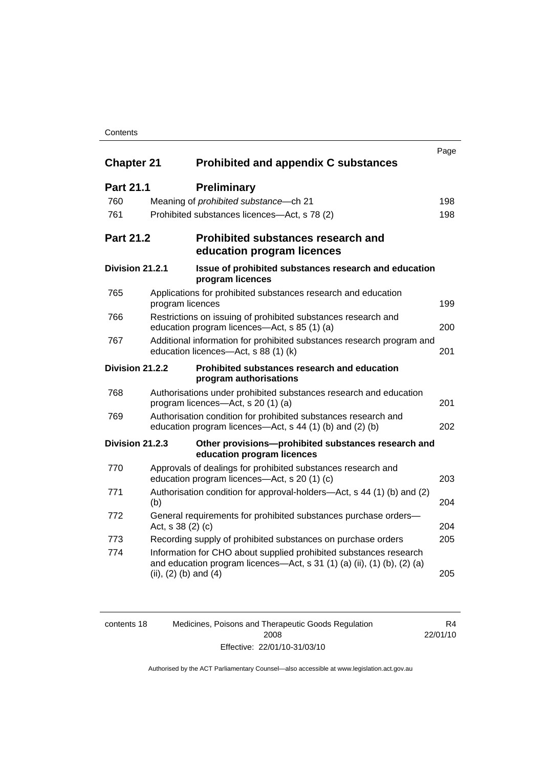#### **Contents**

| <b>Chapter 21</b> |                                                                                                                            | <b>Prohibited and appendix C substances</b>                                                                                                  | Page |
|-------------------|----------------------------------------------------------------------------------------------------------------------------|----------------------------------------------------------------------------------------------------------------------------------------------|------|
| <b>Part 21.1</b>  | <b>Preliminary</b>                                                                                                         |                                                                                                                                              |      |
| 760               | Meaning of <i>prohibited</i> substance - ch 21                                                                             |                                                                                                                                              | 198  |
| 761               | Prohibited substances licences—Act, s 78 (2)                                                                               |                                                                                                                                              | 198  |
| <b>Part 21.2</b>  | education program licences                                                                                                 | <b>Prohibited substances research and</b>                                                                                                    |      |
| Division 21.2.1   | program licences                                                                                                           | Issue of prohibited substances research and education                                                                                        |      |
| 765               | Applications for prohibited substances research and education<br>program licences                                          |                                                                                                                                              | 199  |
| 766               | Restrictions on issuing of prohibited substances research and<br>education program licences—Act, s 85 (1) (a)              |                                                                                                                                              | 200  |
| 767               | Additional information for prohibited substances research program and<br>education licences-Act, s 88 (1) (k)              |                                                                                                                                              | 201  |
| Division 21.2.2   | program authorisations                                                                                                     | Prohibited substances research and education                                                                                                 |      |
| 768               | program licences—Act, s 20 (1) (a)                                                                                         | Authorisations under prohibited substances research and education                                                                            | 201  |
| 769               | Authorisation condition for prohibited substances research and<br>education program licences—Act, s 44 (1) (b) and (2) (b) |                                                                                                                                              | 202  |
| Division 21.2.3   | education program licences                                                                                                 | Other provisions-prohibited substances research and                                                                                          |      |
| 770               | Approvals of dealings for prohibited substances research and<br>education program licences—Act, s 20 (1) (c)               |                                                                                                                                              | 203  |
| 771               | (b)                                                                                                                        | Authorisation condition for approval-holders—Act, s 44 (1) (b) and (2)                                                                       | 204  |
| 772               | Act, s 38 (2) (c)                                                                                                          | General requirements for prohibited substances purchase orders-                                                                              | 204  |
| 773               |                                                                                                                            | Recording supply of prohibited substances on purchase orders                                                                                 | 205  |
| 774               | (ii), $(2)$ (b) and $(4)$                                                                                                  | Information for CHO about supplied prohibited substances research<br>and education program licences—Act, s 31 (1) (a) (ii), (1) (b), (2) (a) | 205  |

| contents 18 | Medicines, Poisons and Therapeutic Goods Regulation | R4       |
|-------------|-----------------------------------------------------|----------|
|             | 2008                                                | 22/01/10 |
|             | Effective: 22/01/10-31/03/10                        |          |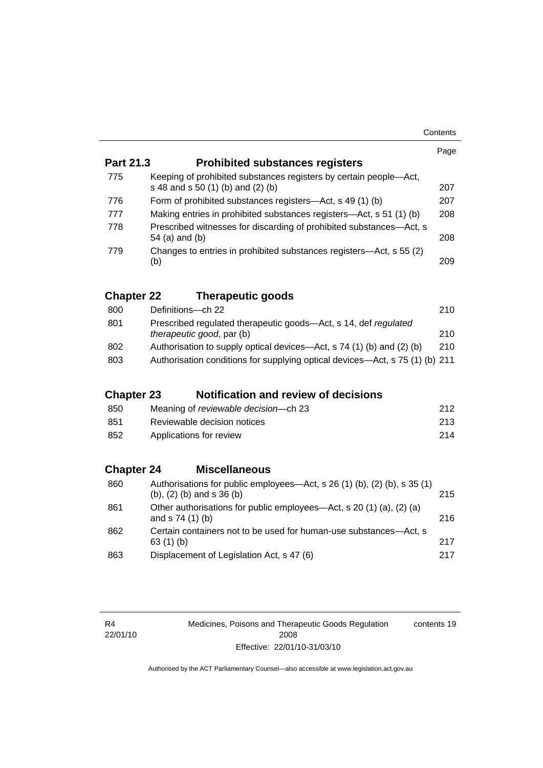|                   |                                                                                                                | Page |
|-------------------|----------------------------------------------------------------------------------------------------------------|------|
| <b>Part 21.3</b>  | <b>Prohibited substances registers</b>                                                                         |      |
| 775               | Keeping of prohibited substances registers by certain people—Act,<br>s 48 and s 50 (1) (b) and (2) (b)         | 207  |
| 776               | Form of prohibited substances registers—Act, s 49 (1) (b)                                                      | 207  |
| 777               | Making entries in prohibited substances registers—Act, s 51 (1) (b)                                            | 208  |
| 778               | Prescribed witnesses for discarding of prohibited substances-Act, s<br>54 (a) and (b)                          | 208  |
| 779               | Changes to entries in prohibited substances registers-Act, s 55 (2)<br>(b)                                     | 209  |
| <b>Chapter 22</b> | <b>Therapeutic goods</b>                                                                                       |      |
| 800               | Definitions-ch 22                                                                                              | 210  |
| 801               | Prescribed regulated therapeutic goods-Act, s 14, def regulated<br>therapeutic good, par (b)                   | 210  |
| 802               | Authorisation to supply optical devices—Act, s 74 (1) (b) and (2) (b)                                          | 210  |
| 803               | Authorisation conditions for supplying optical devices—Act, s 75 (1) (b) 211                                   |      |
| <b>Chapter 23</b> | <b>Notification and review of decisions</b>                                                                    |      |
| 850               | Meaning of reviewable decision-ch 23                                                                           | 212  |
| 851               | Reviewable decision notices                                                                                    | 213  |
| 852               | Applications for review                                                                                        | 214  |
| <b>Chapter 24</b> | <b>Miscellaneous</b>                                                                                           |      |
| 860               | Authorisations for public employees-Act, s 26 (1) (b), (2) (b), s 35 (1)<br>$(b)$ , $(2)$ $(b)$ and s 36 $(b)$ | 215  |
| 861               | Other authorisations for public employees—Act, s 20 (1) (a), (2) (a)<br>and s 74 (1) (b)                       | 216  |
| 862               | Certain containers not to be used for human-use substances—Act, s<br>63(1)(b)                                  | 217  |
| 863               | Displacement of Legislation Act, s 47 (6)                                                                      | 217  |

Medicines, Poisons and Therapeutic Goods Regulation 2008 Effective: 22/01/10-31/03/10 contents 19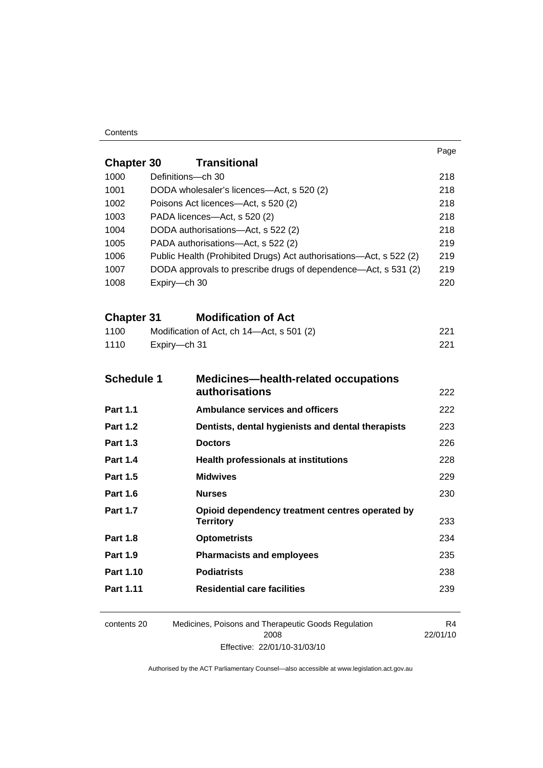#### **Contents**

|                                                                    | Page                                                                                                                                                                                                                                                                                                                                                                                                                                                                                                                                                                                     |  |  |  |
|--------------------------------------------------------------------|------------------------------------------------------------------------------------------------------------------------------------------------------------------------------------------------------------------------------------------------------------------------------------------------------------------------------------------------------------------------------------------------------------------------------------------------------------------------------------------------------------------------------------------------------------------------------------------|--|--|--|
| <b>Transitional</b><br><b>Chapter 30</b>                           |                                                                                                                                                                                                                                                                                                                                                                                                                                                                                                                                                                                          |  |  |  |
|                                                                    | 218                                                                                                                                                                                                                                                                                                                                                                                                                                                                                                                                                                                      |  |  |  |
|                                                                    | 218                                                                                                                                                                                                                                                                                                                                                                                                                                                                                                                                                                                      |  |  |  |
|                                                                    | 218                                                                                                                                                                                                                                                                                                                                                                                                                                                                                                                                                                                      |  |  |  |
|                                                                    | 218                                                                                                                                                                                                                                                                                                                                                                                                                                                                                                                                                                                      |  |  |  |
|                                                                    | 218                                                                                                                                                                                                                                                                                                                                                                                                                                                                                                                                                                                      |  |  |  |
|                                                                    | 219                                                                                                                                                                                                                                                                                                                                                                                                                                                                                                                                                                                      |  |  |  |
|                                                                    | 219                                                                                                                                                                                                                                                                                                                                                                                                                                                                                                                                                                                      |  |  |  |
|                                                                    | 219                                                                                                                                                                                                                                                                                                                                                                                                                                                                                                                                                                                      |  |  |  |
|                                                                    | 220                                                                                                                                                                                                                                                                                                                                                                                                                                                                                                                                                                                      |  |  |  |
| <b>Modification of Act</b><br><b>Chapter 31</b>                    |                                                                                                                                                                                                                                                                                                                                                                                                                                                                                                                                                                                          |  |  |  |
| Modification of Act, ch 14-Act, s 501 (2)                          | 221                                                                                                                                                                                                                                                                                                                                                                                                                                                                                                                                                                                      |  |  |  |
| Expiry-ch 31                                                       | 221                                                                                                                                                                                                                                                                                                                                                                                                                                                                                                                                                                                      |  |  |  |
|                                                                    |                                                                                                                                                                                                                                                                                                                                                                                                                                                                                                                                                                                          |  |  |  |
| <b>Schedule 1</b>                                                  |                                                                                                                                                                                                                                                                                                                                                                                                                                                                                                                                                                                          |  |  |  |
| authorisations                                                     | 222                                                                                                                                                                                                                                                                                                                                                                                                                                                                                                                                                                                      |  |  |  |
| <b>Ambulance services and officers</b>                             | 222                                                                                                                                                                                                                                                                                                                                                                                                                                                                                                                                                                                      |  |  |  |
| Dentists, dental hygienists and dental therapists                  | 223                                                                                                                                                                                                                                                                                                                                                                                                                                                                                                                                                                                      |  |  |  |
| <b>Doctors</b>                                                     | 226                                                                                                                                                                                                                                                                                                                                                                                                                                                                                                                                                                                      |  |  |  |
| <b>Health professionals at institutions</b>                        | 228                                                                                                                                                                                                                                                                                                                                                                                                                                                                                                                                                                                      |  |  |  |
| <b>Midwives</b>                                                    | 229                                                                                                                                                                                                                                                                                                                                                                                                                                                                                                                                                                                      |  |  |  |
| <b>Nurses</b>                                                      | 230                                                                                                                                                                                                                                                                                                                                                                                                                                                                                                                                                                                      |  |  |  |
|                                                                    |                                                                                                                                                                                                                                                                                                                                                                                                                                                                                                                                                                                          |  |  |  |
|                                                                    | 233                                                                                                                                                                                                                                                                                                                                                                                                                                                                                                                                                                                      |  |  |  |
|                                                                    | 234                                                                                                                                                                                                                                                                                                                                                                                                                                                                                                                                                                                      |  |  |  |
|                                                                    | 235                                                                                                                                                                                                                                                                                                                                                                                                                                                                                                                                                                                      |  |  |  |
|                                                                    | 238                                                                                                                                                                                                                                                                                                                                                                                                                                                                                                                                                                                      |  |  |  |
| <b>Residential care facilities</b>                                 | 239                                                                                                                                                                                                                                                                                                                                                                                                                                                                                                                                                                                      |  |  |  |
| Medicines, Poisons and Therapeutic Goods Regulation<br>contents 20 | R4<br>22/01/10                                                                                                                                                                                                                                                                                                                                                                                                                                                                                                                                                                           |  |  |  |
| <b>Part 1.10</b>                                                   | Definitions-ch 30<br>DODA wholesaler's licences-Act, s 520 (2)<br>Poisons Act licences—Act, s 520 (2)<br>PADA licences-Act, s 520 (2)<br>DODA authorisations-Act, s 522 (2)<br>PADA authorisations-Act, s 522 (2)<br>Public Health (Prohibited Drugs) Act authorisations—Act, s 522 (2)<br>DODA approvals to prescribe drugs of dependence—Act, s 531 (2)<br>Expiry-ch 30<br><b>Medicines-health-related occupations</b><br>Opioid dependency treatment centres operated by<br><b>Territory</b><br><b>Optometrists</b><br><b>Pharmacists and employees</b><br><b>Podiatrists</b><br>2008 |  |  |  |

Effective: 22/01/10-31/03/10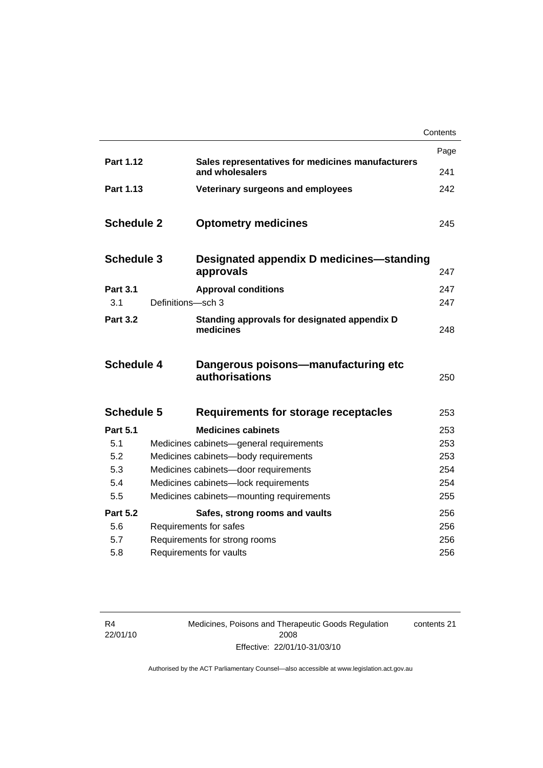|                   |                   |                                                                      | Contents |
|-------------------|-------------------|----------------------------------------------------------------------|----------|
|                   |                   |                                                                      | Page     |
| Part 1.12         |                   | Sales representatives for medicines manufacturers<br>and wholesalers | 241      |
| Part 1.13         |                   | Veterinary surgeons and employees                                    | 242      |
| <b>Schedule 2</b> |                   | <b>Optometry medicines</b>                                           | 245      |
| <b>Schedule 3</b> |                   | Designated appendix D medicines—standing<br>approvals                | 247      |
| <b>Part 3.1</b>   |                   | <b>Approval conditions</b>                                           | 247      |
| 3.1               | Definitions-sch 3 |                                                                      | 247      |
| <b>Part 3.2</b>   |                   | Standing approvals for designated appendix D<br>medicines            | 248      |
| <b>Schedule 4</b> |                   | Dangerous poisons-manufacturing etc<br>authorisations                | 250      |
| <b>Schedule 5</b> |                   | Requirements for storage receptacles                                 | 253      |
| <b>Part 5.1</b>   |                   | <b>Medicines cabinets</b>                                            | 253      |
| 5.1               |                   | Medicines cabinets-general requirements                              | 253      |
| 5.2               |                   | Medicines cabinets-body requirements                                 | 253      |
| 5.3               |                   | Medicines cabinets-door requirements                                 | 254      |
| 5.4               |                   | Medicines cabinets-lock requirements                                 | 254      |
| 5.5               |                   | Medicines cabinets-mounting requirements                             | 255      |
| <b>Part 5.2</b>   |                   | Safes, strong rooms and vaults                                       | 256      |
| 5.6               |                   | Requirements for safes                                               | 256      |
| 5.7               |                   | Requirements for strong rooms                                        | 256      |
| 5.8               |                   | Requirements for vaults                                              | 256      |

R4 22/01/10 Medicines, Poisons and Therapeutic Goods Regulation 2008 Effective: 22/01/10-31/03/10

contents 21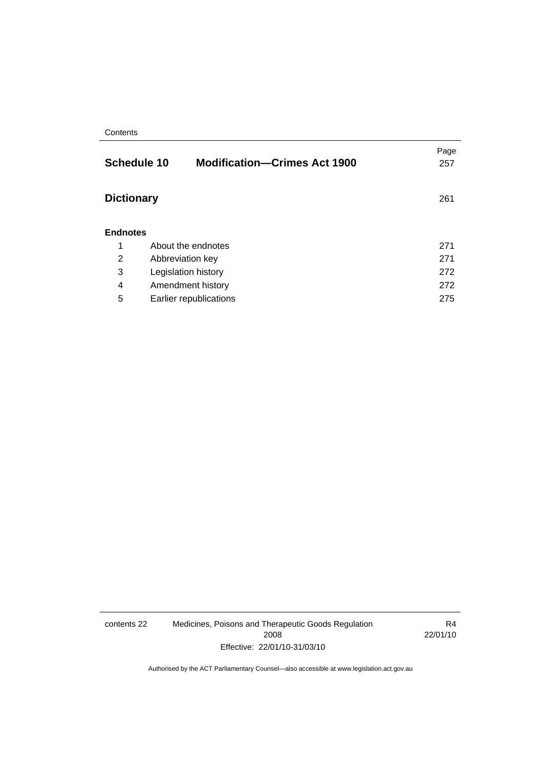#### **Contents**

|                   | <b>Schedule 10</b><br><b>Modification-Crimes Act 1900</b> | Page<br>257 |
|-------------------|-----------------------------------------------------------|-------------|
| <b>Dictionary</b> |                                                           | 261         |
| <b>Endnotes</b>   |                                                           |             |
| 1                 | About the endnotes                                        | 271         |
| 2                 | Abbreviation key                                          | 271         |
| 3                 | Legislation history                                       | 272         |
| 4                 | Amendment history                                         | 272         |
| 5                 | Earlier republications                                    | 275         |

contents 22 Medicines, Poisons and Therapeutic Goods Regulation 2008 Effective: 22/01/10-31/03/10

R4 22/01/10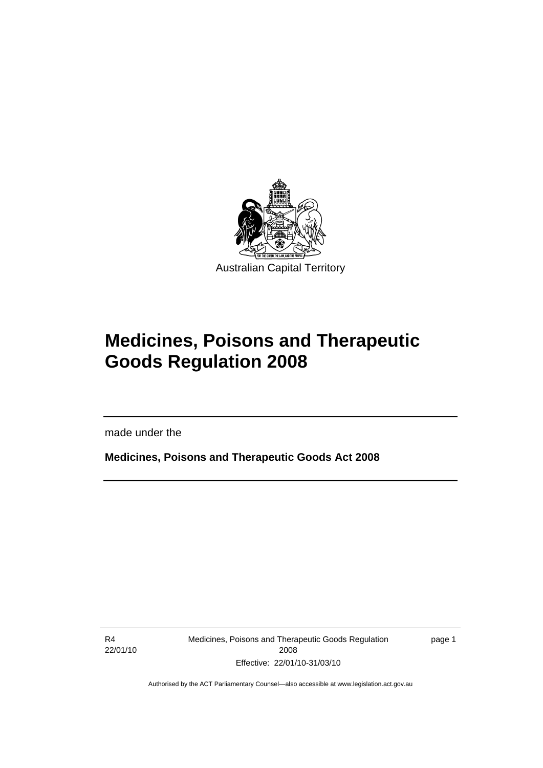<span id="page-24-0"></span>

# **Medicines, Poisons and Therapeutic Goods Regulation 2008**

made under the

**Medicines, Poisons and Therapeutic Goods Act 2008** 

R4 22/01/10

l

Medicines, Poisons and Therapeutic Goods Regulation 2008 Effective: 22/01/10-31/03/10

page 1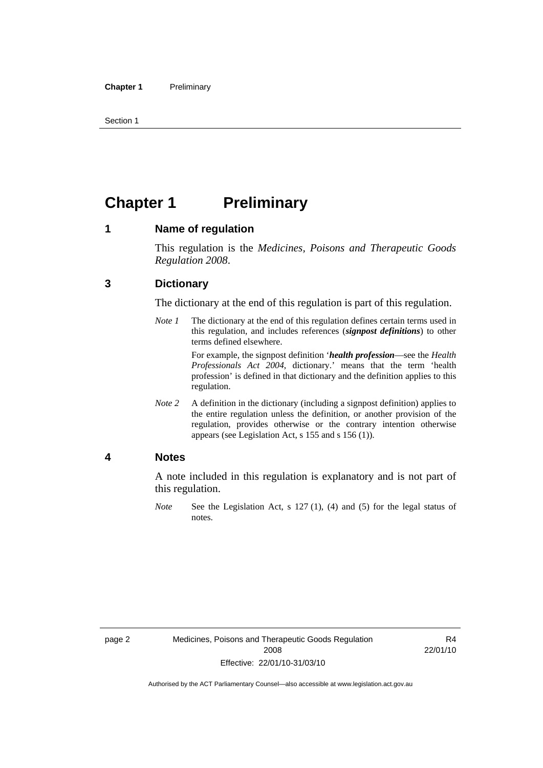<span id="page-25-0"></span>Section 1

# **Chapter 1 Preliminary**

#### **1 Name of regulation**

This regulation is the *Medicines, Poisons and Therapeutic Goods Regulation 2008*.

#### **3 Dictionary**

The dictionary at the end of this regulation is part of this regulation.

*Note 1* The dictionary at the end of this regulation defines certain terms used in this regulation, and includes references (*signpost definitions*) to other terms defined elsewhere.

> For example, the signpost definition '*health profession*—see the *Health Professionals Act 2004*, dictionary.' means that the term 'health profession' is defined in that dictionary and the definition applies to this regulation.

*Note 2* A definition in the dictionary (including a signpost definition) applies to the entire regulation unless the definition, or another provision of the regulation, provides otherwise or the contrary intention otherwise appears (see Legislation Act, s 155 and s 156 (1)).

#### **4 Notes**

A note included in this regulation is explanatory and is not part of this regulation.

*Note* See the Legislation Act, s 127 (1), (4) and (5) for the legal status of notes.

R4 22/01/10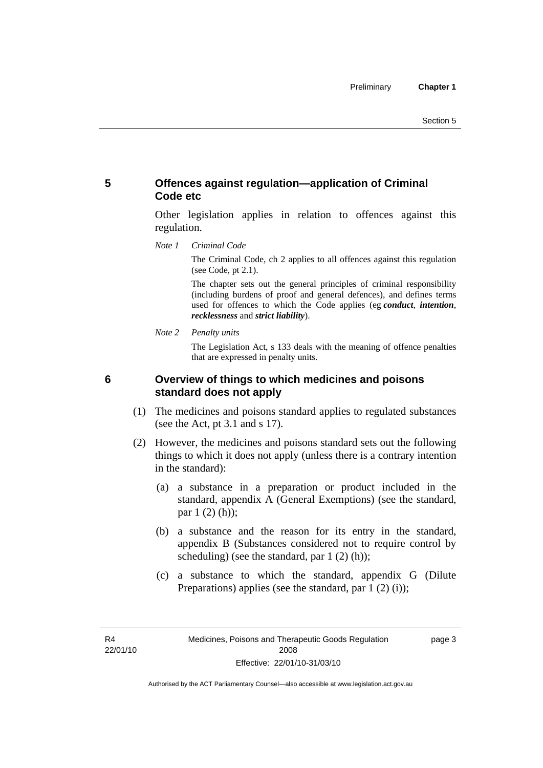#### <span id="page-26-0"></span>**5 Offences against regulation—application of Criminal Code etc**

Other legislation applies in relation to offences against this regulation.

*Note 1 Criminal Code*

The Criminal Code, ch 2 applies to all offences against this regulation (see Code, pt 2.1).

The chapter sets out the general principles of criminal responsibility (including burdens of proof and general defences), and defines terms used for offences to which the Code applies (eg *conduct*, *intention*, *recklessness* and *strict liability*).

*Note 2 Penalty units* 

The Legislation Act, s 133 deals with the meaning of offence penalties that are expressed in penalty units.

#### **6 Overview of things to which medicines and poisons standard does not apply**

- (1) The medicines and poisons standard applies to regulated substances (see the Act, pt 3.1 and s 17).
- (2) However, the medicines and poisons standard sets out the following things to which it does not apply (unless there is a contrary intention in the standard):
	- (a) a substance in a preparation or product included in the standard, appendix A (General Exemptions) (see the standard, par 1 (2) (h));
	- (b) a substance and the reason for its entry in the standard, appendix B (Substances considered not to require control by scheduling) (see the standard, par 1 (2) (h));
	- (c) a substance to which the standard, appendix G (Dilute Preparations) applies (see the standard, par 1 (2) (i));

R4 22/01/10 page 3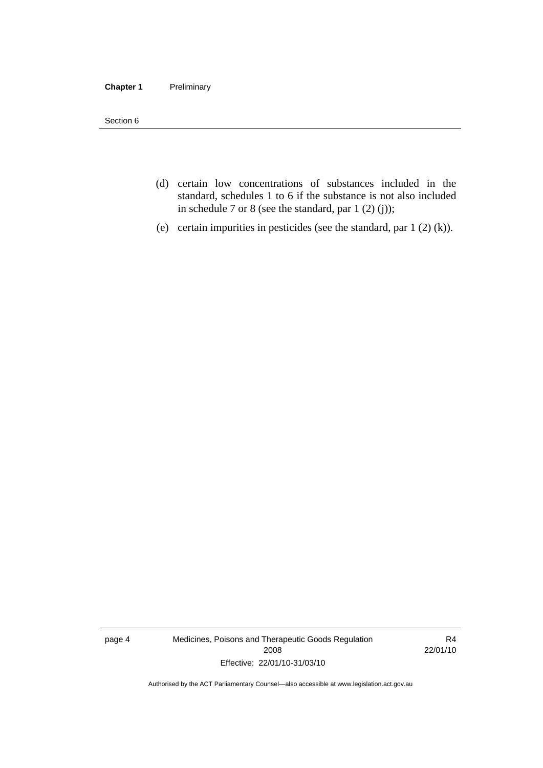#### **Chapter 1** Preliminary

Section 6

- (d) certain low concentrations of substances included in the standard, schedules 1 to 6 if the substance is not also included in schedule 7 or 8 (see the standard, par 1 (2) (j));
- (e) certain impurities in pesticides (see the standard, par 1 (2) (k)).

page 4 Medicines, Poisons and Therapeutic Goods Regulation 2008 Effective: 22/01/10-31/03/10

R4 22/01/10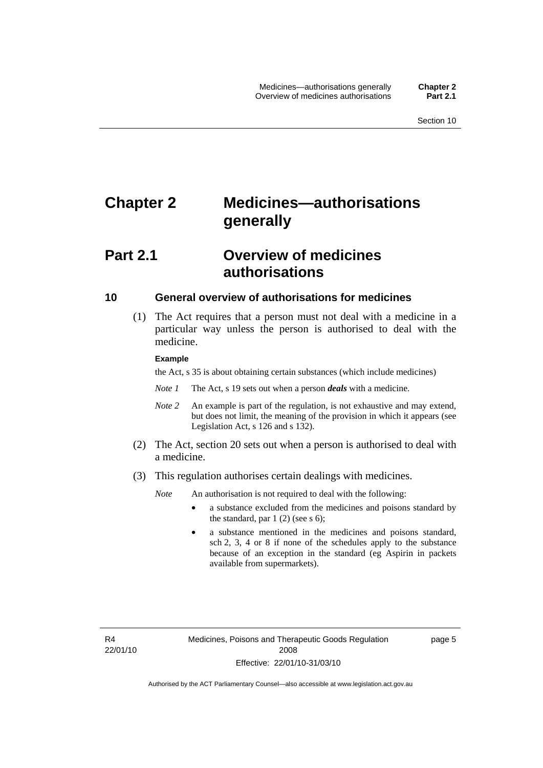# <span id="page-28-0"></span>**Chapter 2 Medicines—authorisations generally**

## **Part 2.1 Overview of medicines authorisations**

#### **10 General overview of authorisations for medicines**

 (1) The Act requires that a person must not deal with a medicine in a particular way unless the person is authorised to deal with the medicine.

#### **Example**

the Act, s 35 is about obtaining certain substances (which include medicines)

- *Note 1* The Act, s 19 sets out when a person *deals* with a medicine.
- *Note 2* An example is part of the regulation, is not exhaustive and may extend, but does not limit, the meaning of the provision in which it appears (see Legislation Act, s 126 and s 132).
- (2) The Act, section 20 sets out when a person is authorised to deal with a medicine.
- (3) This regulation authorises certain dealings with medicines.

*Note* An authorisation is not required to deal with the following:

- a substance excluded from the medicines and poisons standard by the standard, par  $1(2)$  (see s 6);
- a substance mentioned in the medicines and poisons standard, sch 2, 3, 4 or 8 if none of the schedules apply to the substance because of an exception in the standard (eg Aspirin in packets available from supermarkets).

R4 22/01/10 page 5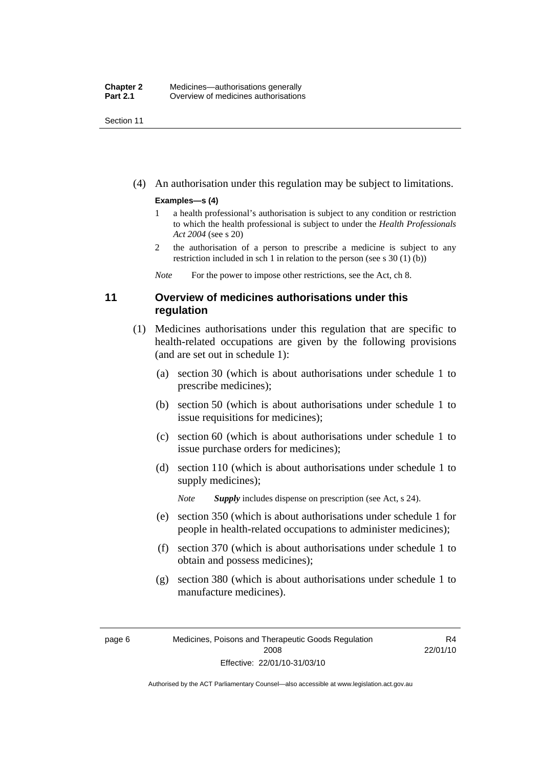<span id="page-29-0"></span>Section 11

(4) An authorisation under this regulation may be subject to limitations.

#### **Examples—s (4)**

- 1 a health professional's authorisation is subject to any condition or restriction to which the health professional is subject to under the *Health Professionals Act 2004* (see s 20)
- 2 the authorisation of a person to prescribe a medicine is subject to any restriction included in sch 1 in relation to the person (see s 30 (1) (b))

*Note* For the power to impose other restrictions, see the Act, ch 8.

#### **11 Overview of medicines authorisations under this regulation**

- (1) Medicines authorisations under this regulation that are specific to health-related occupations are given by the following provisions (and are set out in schedule 1):
	- (a) section 30 (which is about authorisations under schedule 1 to prescribe medicines);
	- (b) section 50 (which is about authorisations under schedule 1 to issue requisitions for medicines);
	- (c) section 60 (which is about authorisations under schedule 1 to issue purchase orders for medicines);
	- (d) section 110 (which is about authorisations under schedule 1 to supply medicines);

*Note Supply* includes dispense on prescription (see Act, s 24).

- (e) section 350 (which is about authorisations under schedule 1 for people in health-related occupations to administer medicines);
- (f) section 370 (which is about authorisations under schedule 1 to obtain and possess medicines);
- (g) section 380 (which is about authorisations under schedule 1 to manufacture medicines).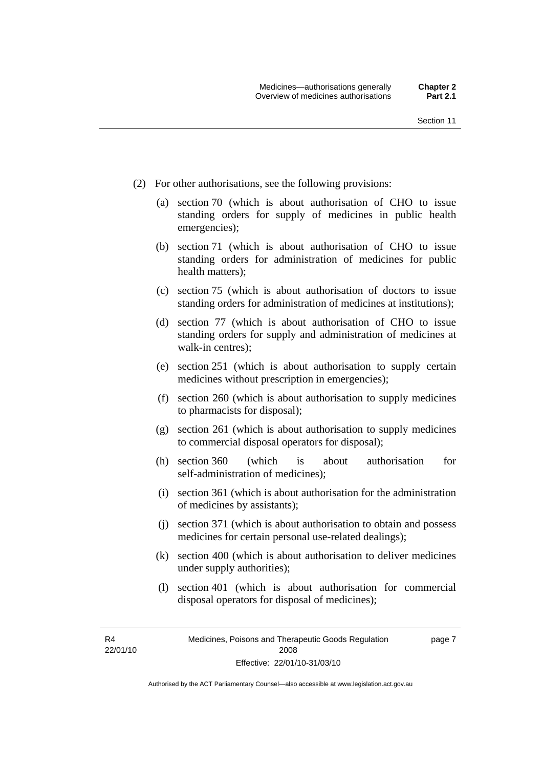- (2) For other authorisations, see the following provisions:
	- (a) section 70 (which is about authorisation of CHO to issue standing orders for supply of medicines in public health emergencies);
	- (b) section 71 (which is about authorisation of CHO to issue standing orders for administration of medicines for public health matters);
	- (c) section 75 (which is about authorisation of doctors to issue standing orders for administration of medicines at institutions);
	- (d) section 77 (which is about authorisation of CHO to issue standing orders for supply and administration of medicines at walk-in centres);
	- (e) section 251 (which is about authorisation to supply certain medicines without prescription in emergencies);
	- (f) section 260 (which is about authorisation to supply medicines to pharmacists for disposal);
	- (g) section 261 (which is about authorisation to supply medicines to commercial disposal operators for disposal);
	- (h) section 360 (which is about authorisation for self-administration of medicines);
	- (i) section 361 (which is about authorisation for the administration of medicines by assistants);
	- (j) section 371 (which is about authorisation to obtain and possess medicines for certain personal use-related dealings);
	- (k) section 400 (which is about authorisation to deliver medicines under supply authorities);
	- (l) section 401 (which is about authorisation for commercial disposal operators for disposal of medicines);

R4 22/01/10 page 7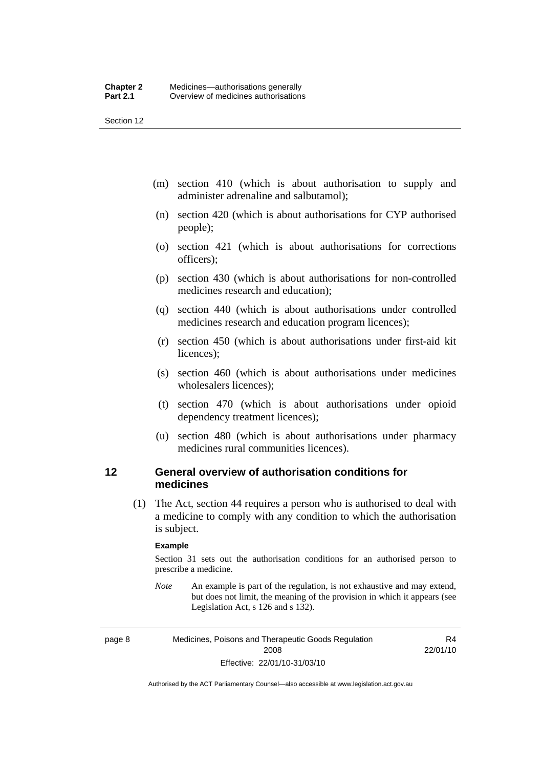<span id="page-31-0"></span>Section 12

- (m) section 410 (which is about authorisation to supply and administer adrenaline and salbutamol);
- (n) section 420 (which is about authorisations for CYP authorised people);
- (o) section 421 (which is about authorisations for corrections officers);
- (p) section 430 (which is about authorisations for non-controlled medicines research and education);
- (q) section 440 (which is about authorisations under controlled medicines research and education program licences);
- (r) section 450 (which is about authorisations under first-aid kit licences);
- (s) section 460 (which is about authorisations under medicines wholesalers licences);
- (t) section 470 (which is about authorisations under opioid dependency treatment licences);
- (u) section 480 (which is about authorisations under pharmacy medicines rural communities licences).

#### **12 General overview of authorisation conditions for medicines**

 (1) The Act, section 44 requires a person who is authorised to deal with a medicine to comply with any condition to which the authorisation is subject.

#### **Example**

Section 31 sets out the authorisation conditions for an authorised person to prescribe a medicine.

*Note* An example is part of the regulation, is not exhaustive and may extend, but does not limit, the meaning of the provision in which it appears (see Legislation Act, s 126 and s 132).

page 8 Medicines, Poisons and Therapeutic Goods Regulation 2008 Effective: 22/01/10-31/03/10

R4 22/01/10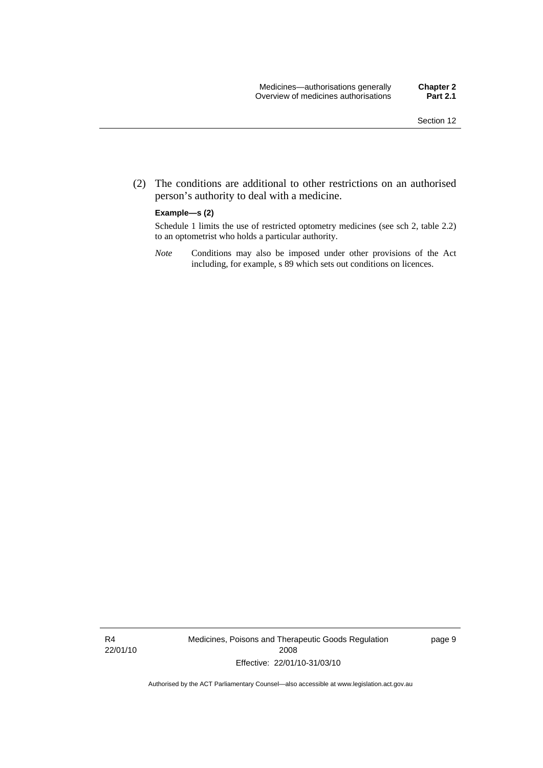(2) The conditions are additional to other restrictions on an authorised person's authority to deal with a medicine.

#### **Example—s (2)**

Schedule 1 limits the use of restricted optometry medicines (see sch 2, table 2.2) to an optometrist who holds a particular authority.

*Note* Conditions may also be imposed under other provisions of the Act including, for example, s 89 which sets out conditions on licences.

R4 22/01/10 Medicines, Poisons and Therapeutic Goods Regulation 2008 Effective: 22/01/10-31/03/10

page 9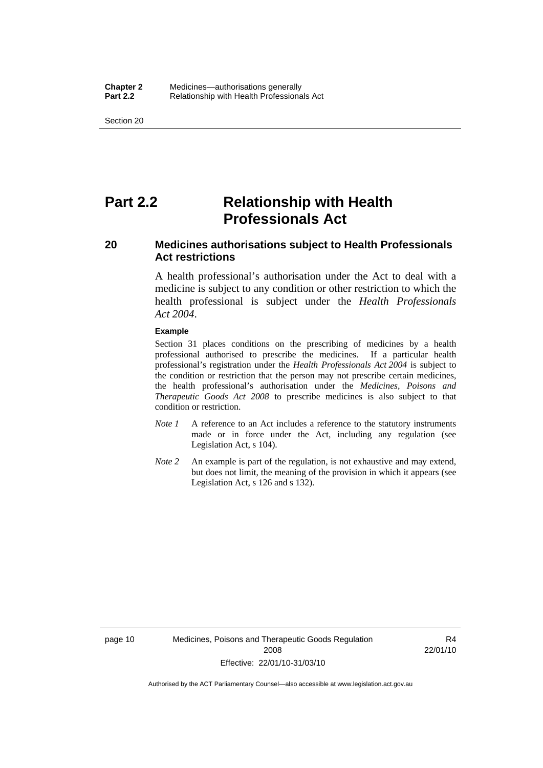<span id="page-33-0"></span>Section 20

## **Part 2.2 Relationship with Health Professionals Act**

#### **20 Medicines authorisations subject to Health Professionals Act restrictions**

A health professional's authorisation under the Act to deal with a medicine is subject to any condition or other restriction to which the health professional is subject under the *Health Professionals Act 2004*.

#### **Example**

Section 31 places conditions on the prescribing of medicines by a health professional authorised to prescribe the medicines. If a particular health professional's registration under the *Health Professionals Act 2004* is subject to the condition or restriction that the person may not prescribe certain medicines, the health professional's authorisation under the *Medicines, Poisons and Therapeutic Goods Act 2008* to prescribe medicines is also subject to that condition or restriction.

- *Note 1* A reference to an Act includes a reference to the statutory instruments made or in force under the Act, including any regulation (see Legislation Act, s 104).
- *Note 2* An example is part of the regulation, is not exhaustive and may extend, but does not limit, the meaning of the provision in which it appears (see Legislation Act, s 126 and s 132).

R4 22/01/10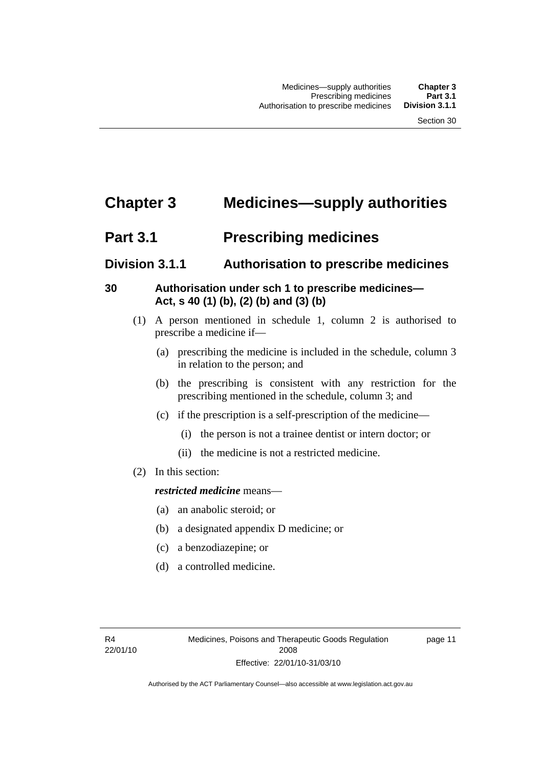# <span id="page-34-0"></span>**Chapter 3 Medicines—supply authorities**

### **Part 3.1** Prescribing medicines

### **Division 3.1.1 Authorisation to prescribe medicines**

### **30 Authorisation under sch 1 to prescribe medicines— Act, s 40 (1) (b), (2) (b) and (3) (b)**

- (1) A person mentioned in schedule 1, column 2 is authorised to prescribe a medicine if—
	- (a) prescribing the medicine is included in the schedule, column 3 in relation to the person; and
	- (b) the prescribing is consistent with any restriction for the prescribing mentioned in the schedule, column 3; and
	- (c) if the prescription is a self-prescription of the medicine—
		- (i) the person is not a trainee dentist or intern doctor; or
		- (ii) the medicine is not a restricted medicine.
- (2) In this section:

#### *restricted medicine* means—

- (a) an anabolic steroid; or
- (b) a designated appendix D medicine; or
- (c) a benzodiazepine; or
- (d) a controlled medicine.

page 11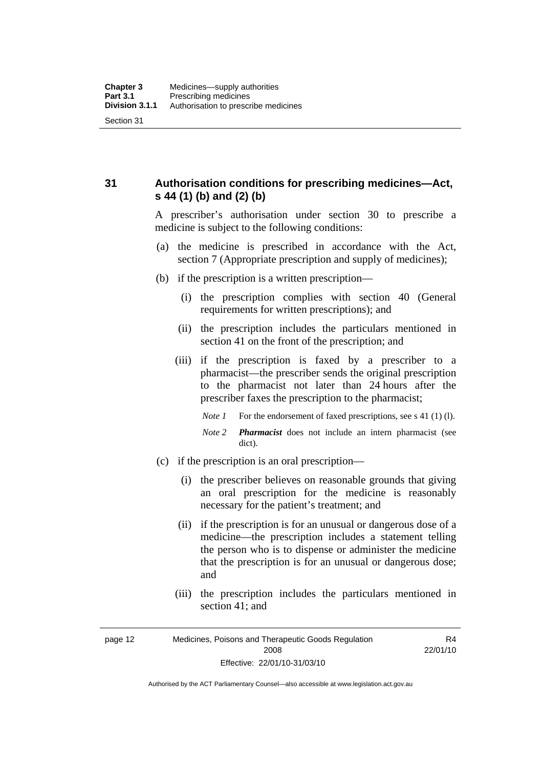<span id="page-35-0"></span>**31 Authorisation conditions for prescribing medicines—Act, s 44 (1) (b) and (2) (b)** 

> A prescriber's authorisation under section 30 to prescribe a medicine is subject to the following conditions:

- (a) the medicine is prescribed in accordance with the Act, section 7 (Appropriate prescription and supply of medicines);
- (b) if the prescription is a written prescription—
	- (i) the prescription complies with section 40 (General requirements for written prescriptions); and
	- (ii) the prescription includes the particulars mentioned in section 41 on the front of the prescription; and
	- (iii) if the prescription is faxed by a prescriber to a pharmacist—the prescriber sends the original prescription to the pharmacist not later than 24 hours after the prescriber faxes the prescription to the pharmacist;
		- *Note 1* For the endorsement of faxed prescriptions, see s 41 (1) (1).
		- *Note 2 Pharmacist* does not include an intern pharmacist (see dict).
- (c) if the prescription is an oral prescription—
	- (i) the prescriber believes on reasonable grounds that giving an oral prescription for the medicine is reasonably necessary for the patient's treatment; and
	- (ii) if the prescription is for an unusual or dangerous dose of a medicine—the prescription includes a statement telling the person who is to dispense or administer the medicine that the prescription is for an unusual or dangerous dose; and
	- (iii) the prescription includes the particulars mentioned in section 41; and

R4 22/01/10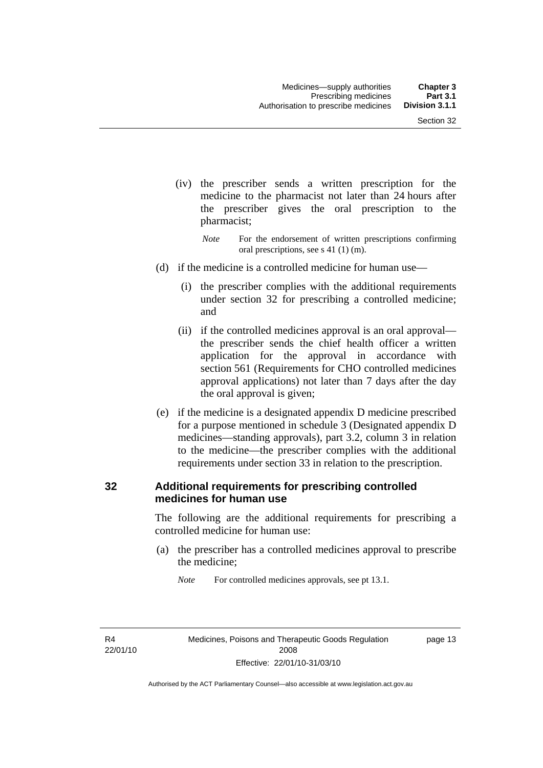- (iv) the prescriber sends a written prescription for the medicine to the pharmacist not later than 24 hours after the prescriber gives the oral prescription to the pharmacist;
	- *Note* For the endorsement of written prescriptions confirming oral prescriptions, see s 41 (1) (m).
- (d) if the medicine is a controlled medicine for human use—
	- (i) the prescriber complies with the additional requirements under section 32 for prescribing a controlled medicine; and
	- (ii) if the controlled medicines approval is an oral approval the prescriber sends the chief health officer a written application for the approval in accordance with section 561 (Requirements for CHO controlled medicines approval applications) not later than 7 days after the day the oral approval is given;
- (e) if the medicine is a designated appendix D medicine prescribed for a purpose mentioned in schedule 3 (Designated appendix D medicines—standing approvals), part 3.2, column 3 in relation to the medicine—the prescriber complies with the additional requirements under section 33 in relation to the prescription.

#### **32 Additional requirements for prescribing controlled medicines for human use**

The following are the additional requirements for prescribing a controlled medicine for human use:

 (a) the prescriber has a controlled medicines approval to prescribe the medicine;

*Note* For controlled medicines approvals, see pt 13.1.

R4 22/01/10 page 13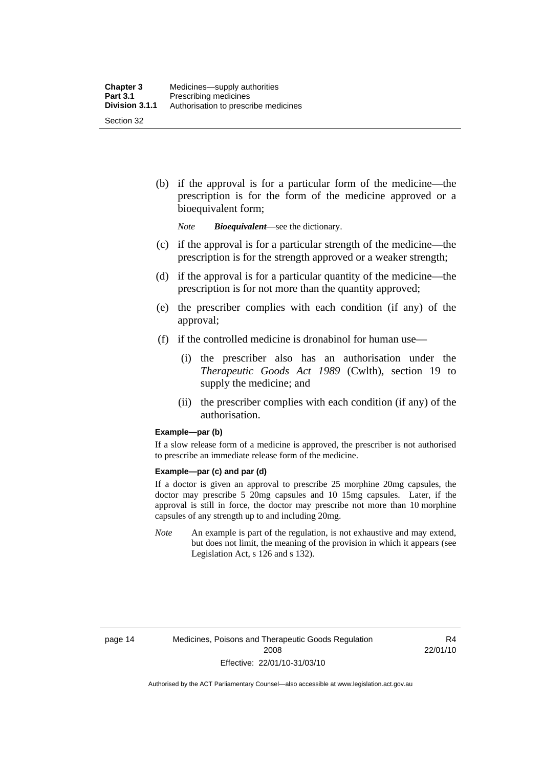(b) if the approval is for a particular form of the medicine—the prescription is for the form of the medicine approved or a bioequivalent form;

*Note Bioequivalent*—see the dictionary.

- (c) if the approval is for a particular strength of the medicine—the prescription is for the strength approved or a weaker strength;
- (d) if the approval is for a particular quantity of the medicine—the prescription is for not more than the quantity approved;
- (e) the prescriber complies with each condition (if any) of the approval;
- (f) if the controlled medicine is dronabinol for human use—
	- (i) the prescriber also has an authorisation under the *Therapeutic Goods Act 1989* (Cwlth), section 19 to supply the medicine; and
	- (ii) the prescriber complies with each condition (if any) of the authorisation.

#### **Example—par (b)**

If a slow release form of a medicine is approved, the prescriber is not authorised to prescribe an immediate release form of the medicine.

#### **Example—par (c) and par (d)**

If a doctor is given an approval to prescribe 25 morphine 20mg capsules, the doctor may prescribe 5 20mg capsules and 10 15mg capsules. Later, if the approval is still in force, the doctor may prescribe not more than 10 morphine capsules of any strength up to and including 20mg.

*Note* An example is part of the regulation, is not exhaustive and may extend, but does not limit, the meaning of the provision in which it appears (see Legislation Act, s 126 and s 132).

R4 22/01/10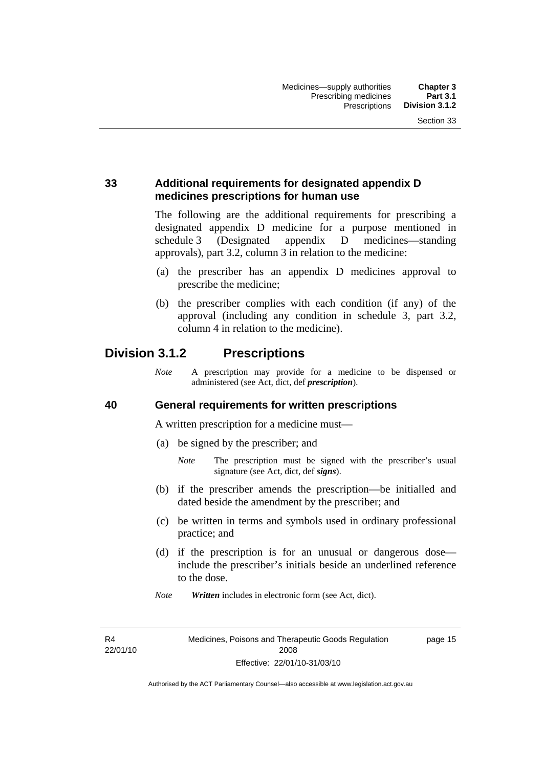#### **33 Additional requirements for designated appendix D medicines prescriptions for human use**

The following are the additional requirements for prescribing a designated appendix D medicine for a purpose mentioned in schedule 3 (Designated appendix D medicines—standing approvals), part 3.2, column 3 in relation to the medicine:

- (a) the prescriber has an appendix D medicines approval to prescribe the medicine;
- (b) the prescriber complies with each condition (if any) of the approval (including any condition in schedule 3, part 3.2, column 4 in relation to the medicine).

# **Division 3.1.2 Prescriptions**

*Note* A prescription may provide for a medicine to be dispensed or administered (see Act, dict, def *prescription*).

#### **40 General requirements for written prescriptions**

A written prescription for a medicine must—

- (a) be signed by the prescriber; and
	- *Note* The prescription must be signed with the prescriber's usual signature (see Act, dict, def *signs*).
- (b) if the prescriber amends the prescription—be initialled and dated beside the amendment by the prescriber; and
- (c) be written in terms and symbols used in ordinary professional practice; and
- (d) if the prescription is for an unusual or dangerous dose include the prescriber's initials beside an underlined reference to the dose.
- *Note Written* includes in electronic form (see Act, dict).

R4 22/01/10 page 15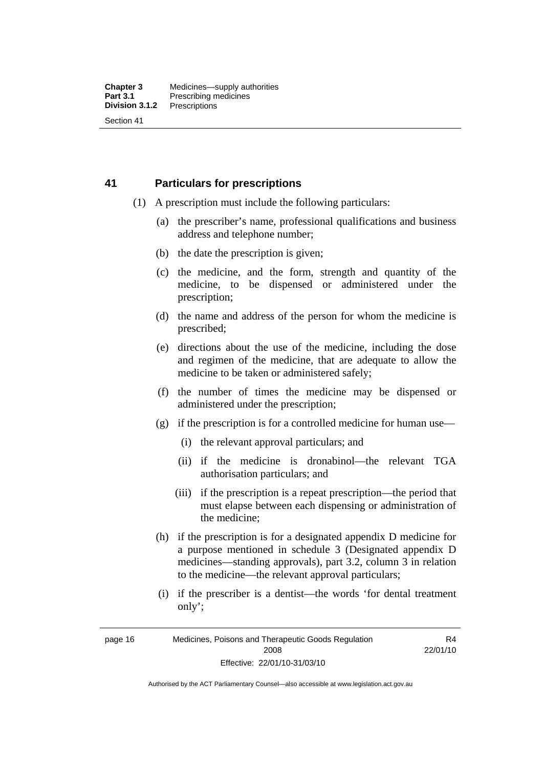#### **41 Particulars for prescriptions**

- (1) A prescription must include the following particulars:
	- (a) the prescriber's name, professional qualifications and business address and telephone number;
	- (b) the date the prescription is given;
	- (c) the medicine, and the form, strength and quantity of the medicine, to be dispensed or administered under the prescription;
	- (d) the name and address of the person for whom the medicine is prescribed;
	- (e) directions about the use of the medicine, including the dose and regimen of the medicine, that are adequate to allow the medicine to be taken or administered safely;
	- (f) the number of times the medicine may be dispensed or administered under the prescription;
	- (g) if the prescription is for a controlled medicine for human use—
		- (i) the relevant approval particulars; and
		- (ii) if the medicine is dronabinol—the relevant TGA authorisation particulars; and
		- (iii) if the prescription is a repeat prescription—the period that must elapse between each dispensing or administration of the medicine;
	- (h) if the prescription is for a designated appendix D medicine for a purpose mentioned in schedule 3 (Designated appendix D medicines—standing approvals), part 3.2, column 3 in relation to the medicine—the relevant approval particulars;
	- (i) if the prescriber is a dentist—the words 'for dental treatment only';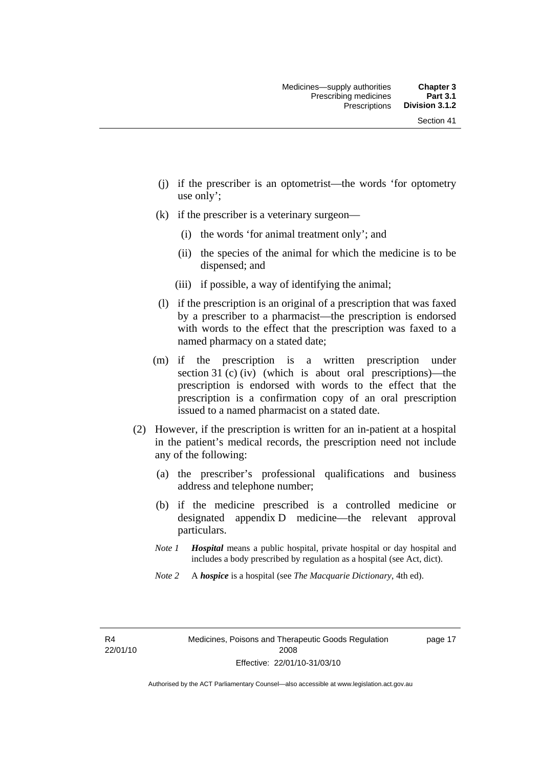- (j) if the prescriber is an optometrist—the words 'for optometry use only';
- (k) if the prescriber is a veterinary surgeon—
	- (i) the words 'for animal treatment only'; and
	- (ii) the species of the animal for which the medicine is to be dispensed; and
	- (iii) if possible, a way of identifying the animal;
- (l) if the prescription is an original of a prescription that was faxed by a prescriber to a pharmacist—the prescription is endorsed with words to the effect that the prescription was faxed to a named pharmacy on a stated date;
- (m) if the prescription is a written prescription under section 31 (c) (iv) (which is about oral prescriptions)—the prescription is endorsed with words to the effect that the prescription is a confirmation copy of an oral prescription issued to a named pharmacist on a stated date.
- (2) However, if the prescription is written for an in-patient at a hospital in the patient's medical records, the prescription need not include any of the following:
	- (a) the prescriber's professional qualifications and business address and telephone number;
	- (b) if the medicine prescribed is a controlled medicine or designated appendix D medicine—the relevant approval particulars.
	- *Note 1 Hospital* means a public hospital, private hospital or day hospital and includes a body prescribed by regulation as a hospital (see Act, dict).
	- *Note 2* A *hospice* is a hospital (see *The Macquarie Dictionary*, 4th ed).

R4 22/01/10 page 17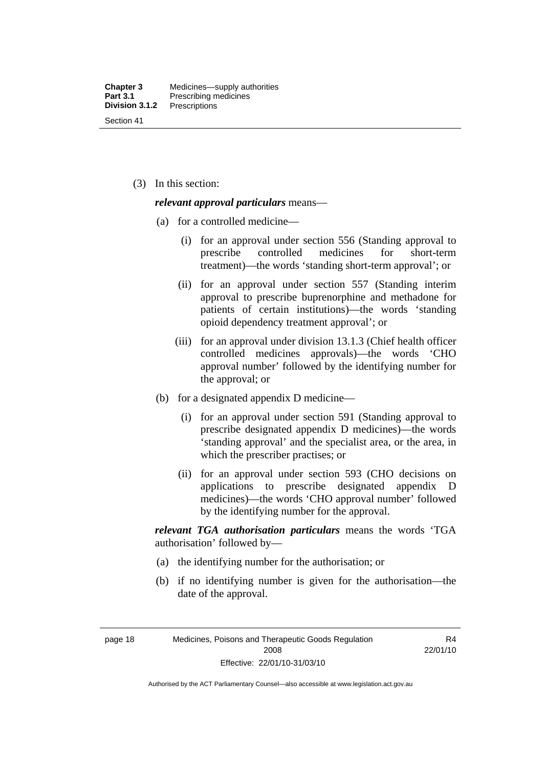(3) In this section:

#### *relevant approval particulars* means—

- (a) for a controlled medicine—
	- (i) for an approval under section 556 (Standing approval to prescribe controlled medicines for short-term treatment)—the words 'standing short-term approval'; or
	- (ii) for an approval under section 557 (Standing interim approval to prescribe buprenorphine and methadone for patients of certain institutions)—the words 'standing opioid dependency treatment approval'; or
	- (iii) for an approval under division 13.1.3 (Chief health officer controlled medicines approvals)—the words 'CHO approval number' followed by the identifying number for the approval; or
- (b) for a designated appendix D medicine—
	- (i) for an approval under section 591 (Standing approval to prescribe designated appendix D medicines)—the words 'standing approval' and the specialist area, or the area, in which the prescriber practises; or
	- (ii) for an approval under section 593 (CHO decisions on applications to prescribe designated appendix D medicines)—the words 'CHO approval number' followed by the identifying number for the approval.

*relevant TGA authorisation particulars* means the words 'TGA authorisation' followed by—

- (a) the identifying number for the authorisation; or
- (b) if no identifying number is given for the authorisation—the date of the approval.

page 18 Medicines, Poisons and Therapeutic Goods Regulation 2008 Effective: 22/01/10-31/03/10

R4 22/01/10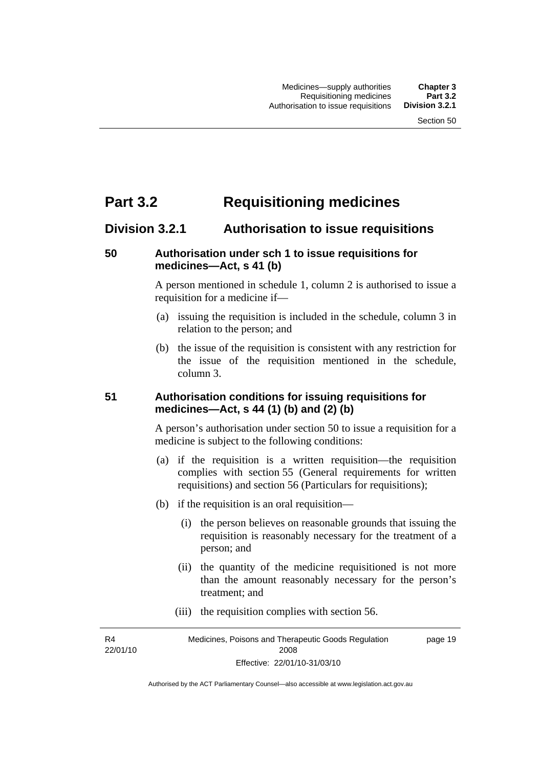# **Part 3.2 Requisitioning medicines**

## **Division 3.2.1 Authorisation to issue requisitions**

#### **50 Authorisation under sch 1 to issue requisitions for medicines—Act, s 41 (b)**

A person mentioned in schedule 1, column 2 is authorised to issue a requisition for a medicine if—

- (a) issuing the requisition is included in the schedule, column 3 in relation to the person; and
- (b) the issue of the requisition is consistent with any restriction for the issue of the requisition mentioned in the schedule, column 3.

#### **51 Authorisation conditions for issuing requisitions for medicines—Act, s 44 (1) (b) and (2) (b)**

A person's authorisation under section 50 to issue a requisition for a medicine is subject to the following conditions:

- (a) if the requisition is a written requisition—the requisition complies with section 55 (General requirements for written requisitions) and section 56 (Particulars for requisitions);
- (b) if the requisition is an oral requisition—
	- (i) the person believes on reasonable grounds that issuing the requisition is reasonably necessary for the treatment of a person; and
	- (ii) the quantity of the medicine requisitioned is not more than the amount reasonably necessary for the person's treatment; and
	- (iii) the requisition complies with section 56.

R4 22/01/10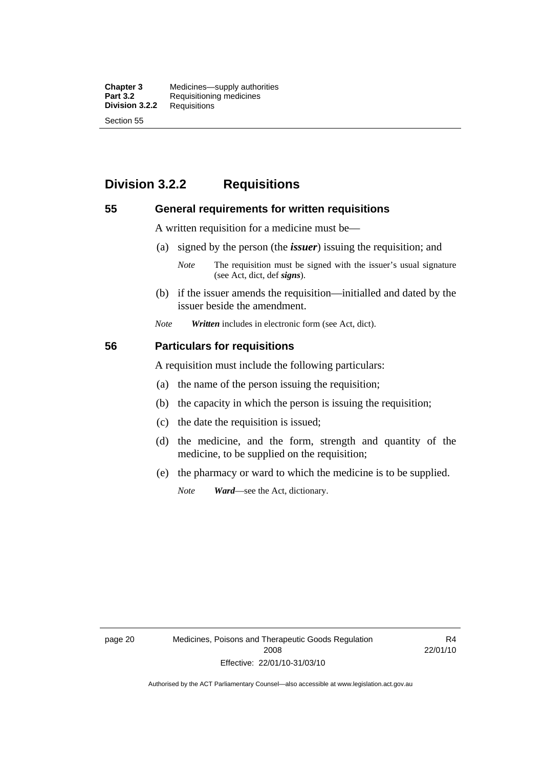**Chapter 3** Medicines—supply authorities<br>**Part 3.2** Requisitioning medicines **Requisitioning medicines**<br>Requisitions **Division 3.2.2** Section 55

# **Division 3.2.2 Requisitions**

#### **55 General requirements for written requisitions**

A written requisition for a medicine must be—

(a) signed by the person (the *issuer*) issuing the requisition; and

 (b) if the issuer amends the requisition—initialled and dated by the issuer beside the amendment.

*Note Written* includes in electronic form (see Act, dict).

#### **56 Particulars for requisitions**

A requisition must include the following particulars:

- (a) the name of the person issuing the requisition;
- (b) the capacity in which the person is issuing the requisition;
- (c) the date the requisition is issued;
- (d) the medicine, and the form, strength and quantity of the medicine, to be supplied on the requisition;
- (e) the pharmacy or ward to which the medicine is to be supplied.

*Note Ward*—see the Act, dictionary.

page 20 Medicines, Poisons and Therapeutic Goods Regulation 2008 Effective: 22/01/10-31/03/10

R4 22/01/10

*Note* The requisition must be signed with the issuer's usual signature (see Act, dict, def *signs*).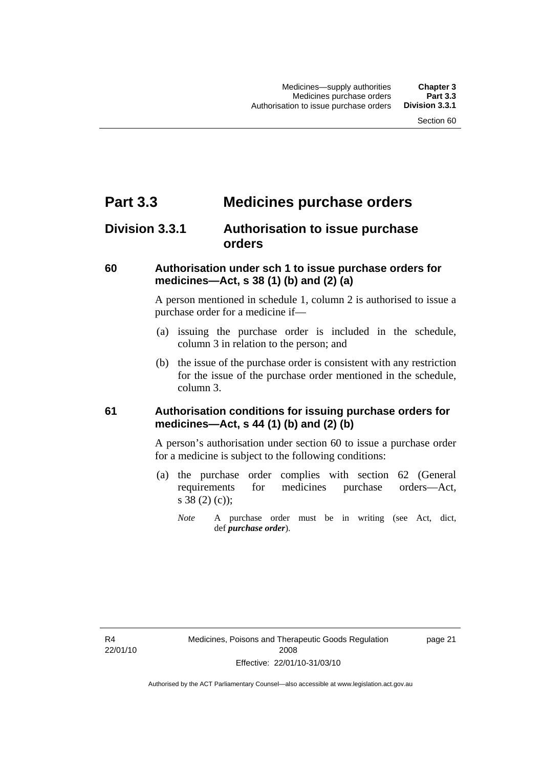# **Part 3.3 Medicines purchase orders**

# **Division 3.3.1 Authorisation to issue purchase orders**

#### **60 Authorisation under sch 1 to issue purchase orders for medicines—Act, s 38 (1) (b) and (2) (a)**

A person mentioned in schedule 1, column 2 is authorised to issue a purchase order for a medicine if—

- (a) issuing the purchase order is included in the schedule, column 3 in relation to the person; and
- (b) the issue of the purchase order is consistent with any restriction for the issue of the purchase order mentioned in the schedule, column 3.

## **61 Authorisation conditions for issuing purchase orders for medicines—Act, s 44 (1) (b) and (2) (b)**

A person's authorisation under section 60 to issue a purchase order for a medicine is subject to the following conditions:

- (a) the purchase order complies with section 62 (General requirements for medicines purchase orders—Act, s 38 (2) (c));
	- *Note* A purchase order must be in writing (see Act, dict, def *purchase order*).

R4 22/01/10 page 21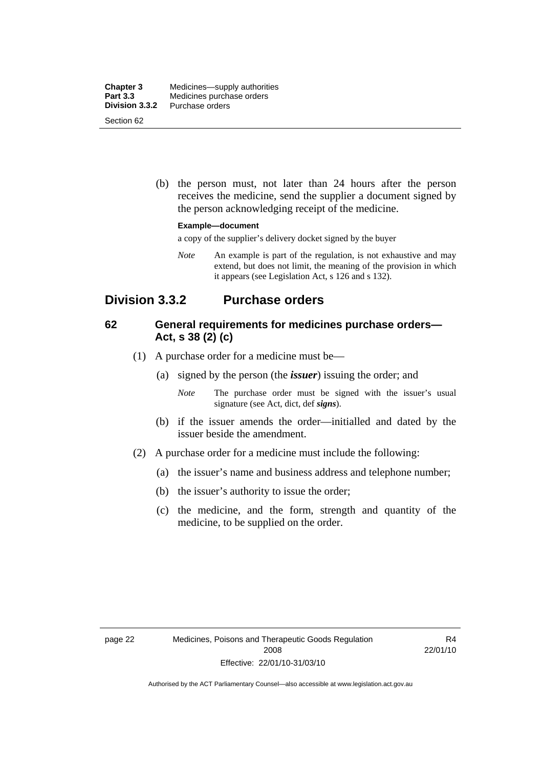| <b>Chapter 3</b> | Medicines—supply authorities |
|------------------|------------------------------|
| <b>Part 3.3</b>  | Medicines purchase orders    |
| Division 3.3.2   | Purchase orders              |
| Section 62       |                              |

 (b) the person must, not later than 24 hours after the person receives the medicine, send the supplier a document signed by the person acknowledging receipt of the medicine.

#### **Example—document**

a copy of the supplier's delivery docket signed by the buyer

*Note* An example is part of the regulation, is not exhaustive and may extend, but does not limit, the meaning of the provision in which it appears (see Legislation Act, s 126 and s 132).

## **Division 3.3.2 Purchase orders**

#### **62 General requirements for medicines purchase orders— Act, s 38 (2) (c)**

- (1) A purchase order for a medicine must be—
	- (a) signed by the person (the *issuer*) issuing the order; and
		- *Note* The purchase order must be signed with the issuer's usual signature (see Act, dict, def *signs*).
	- (b) if the issuer amends the order—initialled and dated by the issuer beside the amendment.
- (2) A purchase order for a medicine must include the following:
	- (a) the issuer's name and business address and telephone number;
	- (b) the issuer's authority to issue the order;
	- (c) the medicine, and the form, strength and quantity of the medicine, to be supplied on the order.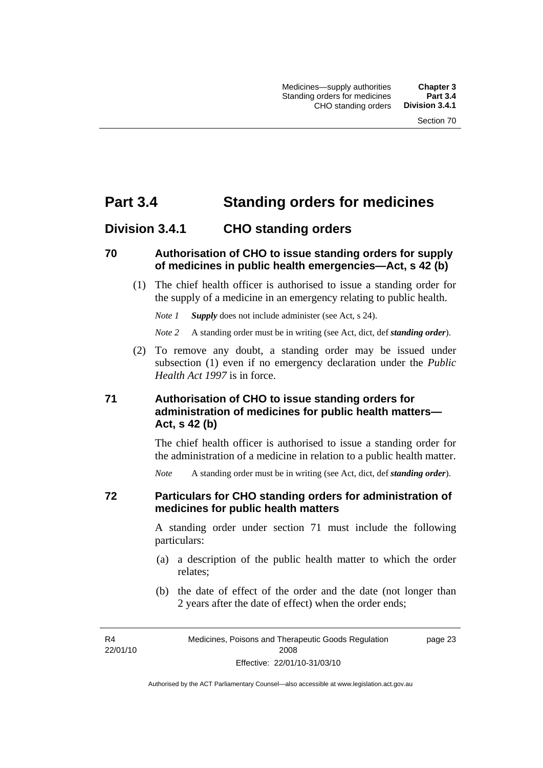# **Part 3.4 Standing orders for medicines**

## **Division 3.4.1 CHO standing orders**

#### **70 Authorisation of CHO to issue standing orders for supply of medicines in public health emergencies—Act, s 42 (b)**

 (1) The chief health officer is authorised to issue a standing order for the supply of a medicine in an emergency relating to public health.

*Note 1 Supply* does not include administer (see Act, s 24).

*Note 2* A standing order must be in writing (see Act, dict, def *standing order*).

 (2) To remove any doubt, a standing order may be issued under subsection (1) even if no emergency declaration under the *Public Health Act 1997* is in force.

## **71 Authorisation of CHO to issue standing orders for administration of medicines for public health matters— Act, s 42 (b)**

The chief health officer is authorised to issue a standing order for the administration of a medicine in relation to a public health matter.

*Note* A standing order must be in writing (see Act, dict, def *standing order*).

#### **72 Particulars for CHO standing orders for administration of medicines for public health matters**

A standing order under section 71 must include the following particulars:

- (a) a description of the public health matter to which the order relates;
- (b) the date of effect of the order and the date (not longer than 2 years after the date of effect) when the order ends;

R4 22/01/10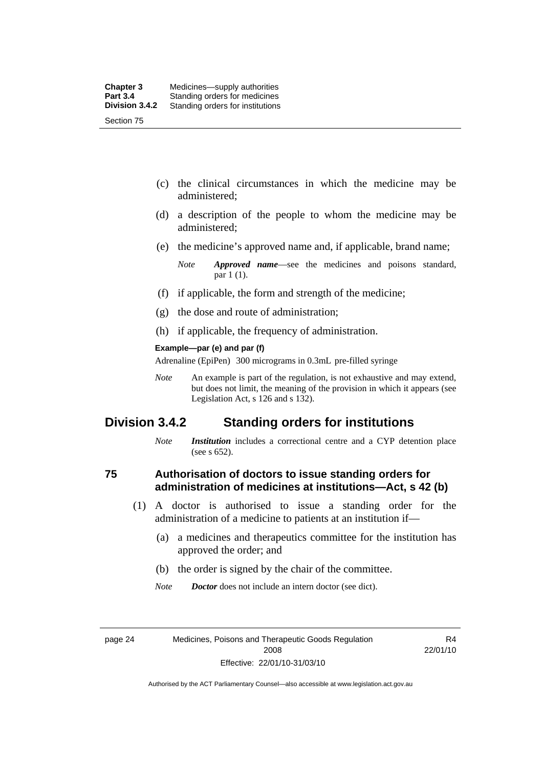- (c) the clinical circumstances in which the medicine may be administered;
- (d) a description of the people to whom the medicine may be administered;
- (e) the medicine's approved name and, if applicable, brand name;

- (f) if applicable, the form and strength of the medicine;
- (g) the dose and route of administration;
- (h) if applicable, the frequency of administration.

#### **Example—par (e) and par (f)**

Adrenaline (EpiPen) 300 micrograms in 0.3mL pre-filled syringe

*Note* An example is part of the regulation, is not exhaustive and may extend, but does not limit, the meaning of the provision in which it appears (see Legislation Act, s 126 and s 132).

## **Division 3.4.2 Standing orders for institutions**

*Note Institution* includes a correctional centre and a CYP detention place (see s 652).

#### **75 Authorisation of doctors to issue standing orders for administration of medicines at institutions—Act, s 42 (b)**

- (1) A doctor is authorised to issue a standing order for the administration of a medicine to patients at an institution if—
	- (a) a medicines and therapeutics committee for the institution has approved the order; and
	- (b) the order is signed by the chair of the committee.
	- *Note Doctor* does not include an intern doctor (see dict).

R4 22/01/10

*Note Approved name*—see the medicines and poisons standard, par 1 (1).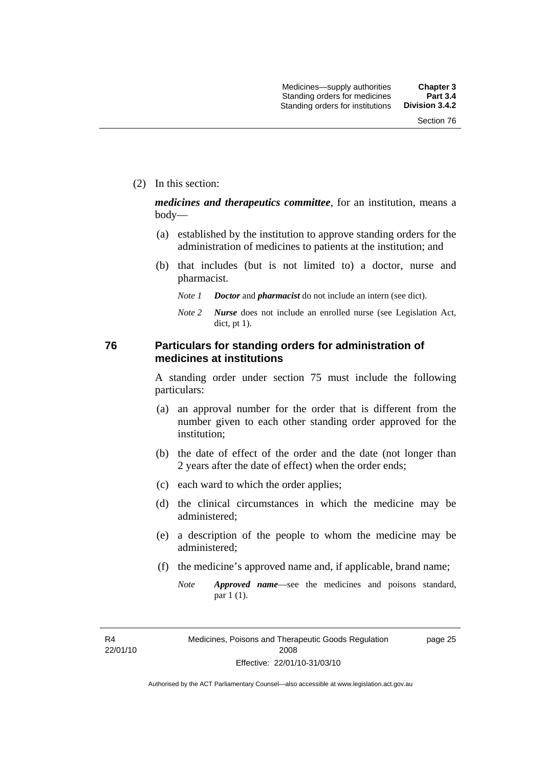(2) In this section:

*medicines and therapeutics committee*, for an institution, means a body—

- (a) established by the institution to approve standing orders for the administration of medicines to patients at the institution; and
- (b) that includes (but is not limited to) a doctor, nurse and pharmacist.
	- *Note 1 Doctor* and *pharmacist* do not include an intern (see dict).
	- *Note 2 Nurse* does not include an enrolled nurse (see Legislation Act, dict, pt 1).

#### **76 Particulars for standing orders for administration of medicines at institutions**

A standing order under section 75 must include the following particulars:

- (a) an approval number for the order that is different from the number given to each other standing order approved for the institution;
- (b) the date of effect of the order and the date (not longer than 2 years after the date of effect) when the order ends;
- (c) each ward to which the order applies;
- (d) the clinical circumstances in which the medicine may be administered;
- (e) a description of the people to whom the medicine may be administered;
- (f) the medicine's approved name and, if applicable, brand name;
	- *Note Approved name*—see the medicines and poisons standard, par 1 (1).

R4 22/01/10 page 25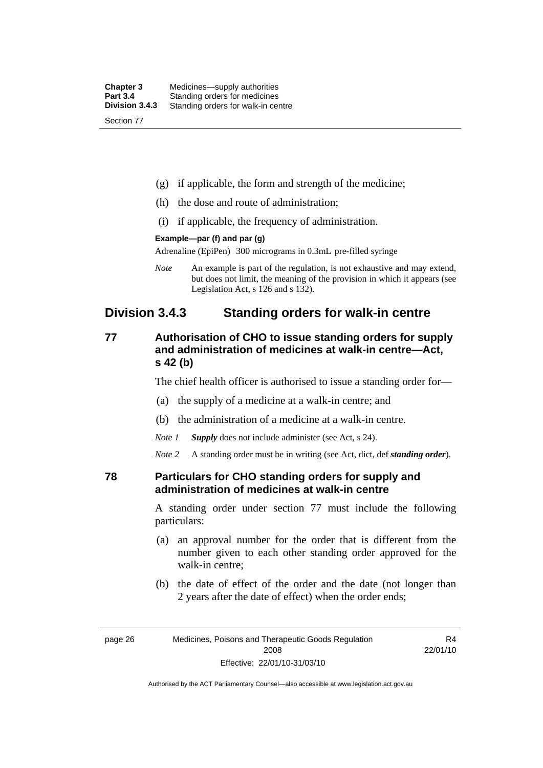| <b>Chapter 3</b> | Medicines—supply authorities       |
|------------------|------------------------------------|
| <b>Part 3.4</b>  | Standing orders for medicines      |
| Division 3.4.3   | Standing orders for walk-in centre |
| Section 77       |                                    |

- (g) if applicable, the form and strength of the medicine;
- (h) the dose and route of administration;
- (i) if applicable, the frequency of administration.

#### **Example—par (f) and par (g)**

Adrenaline (EpiPen) 300 micrograms in 0.3mL pre-filled syringe

*Note* An example is part of the regulation, is not exhaustive and may extend, but does not limit, the meaning of the provision in which it appears (see Legislation Act, s 126 and s 132).

## **Division 3.4.3 Standing orders for walk-in centre**

## **77 Authorisation of CHO to issue standing orders for supply and administration of medicines at walk-in centre—Act, s 42 (b)**

The chief health officer is authorised to issue a standing order for—

- (a) the supply of a medicine at a walk-in centre; and
- (b) the administration of a medicine at a walk-in centre.

*Note 1 Supply* does not include administer (see Act, s 24).

*Note 2* A standing order must be in writing (see Act, dict, def *standing order*).

#### **78 Particulars for CHO standing orders for supply and administration of medicines at walk-in centre**

A standing order under section 77 must include the following particulars:

- (a) an approval number for the order that is different from the number given to each other standing order approved for the walk-in centre;
- (b) the date of effect of the order and the date (not longer than 2 years after the date of effect) when the order ends;

R4 22/01/10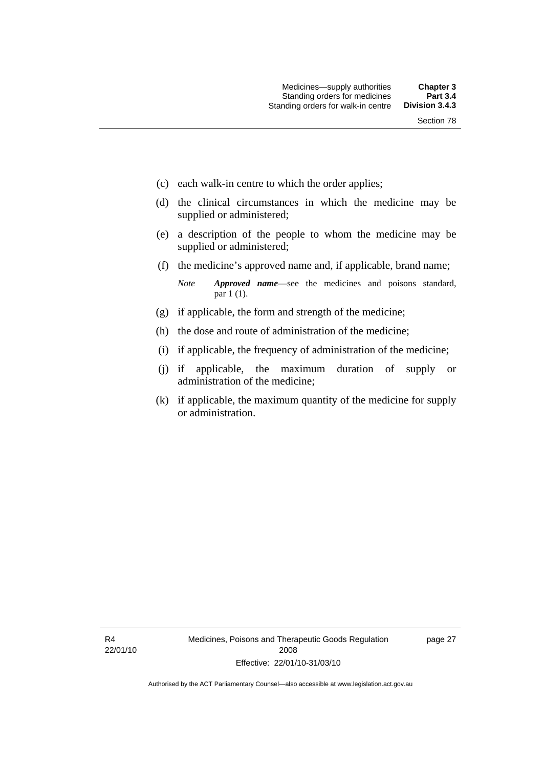- (c) each walk-in centre to which the order applies;
- (d) the clinical circumstances in which the medicine may be supplied or administered;
- (e) a description of the people to whom the medicine may be supplied or administered;
- (f) the medicine's approved name and, if applicable, brand name;

*Note Approved name*—see the medicines and poisons standard, par 1 (1).

- (g) if applicable, the form and strength of the medicine;
- (h) the dose and route of administration of the medicine;
- (i) if applicable, the frequency of administration of the medicine;
- (j) if applicable, the maximum duration of supply or administration of the medicine;
- (k) if applicable, the maximum quantity of the medicine for supply or administration.

R4 22/01/10 page 27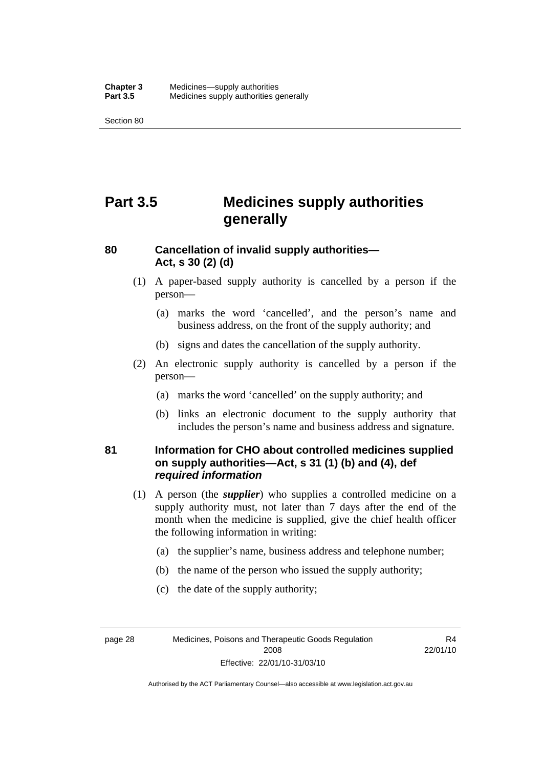Section 80

# **Part 3.5 Medicines supply authorities generally**

#### **80 Cancellation of invalid supply authorities— Act, s 30 (2) (d)**

- (1) A paper-based supply authority is cancelled by a person if the person—
	- (a) marks the word 'cancelled', and the person's name and business address, on the front of the supply authority; and
	- (b) signs and dates the cancellation of the supply authority.
- (2) An electronic supply authority is cancelled by a person if the person—
	- (a) marks the word 'cancelled' on the supply authority; and
	- (b) links an electronic document to the supply authority that includes the person's name and business address and signature.

#### **81 Information for CHO about controlled medicines supplied on supply authorities—Act, s 31 (1) (b) and (4), def**  *required information*

- (1) A person (the *supplier*) who supplies a controlled medicine on a supply authority must, not later than 7 days after the end of the month when the medicine is supplied, give the chief health officer the following information in writing:
	- (a) the supplier's name, business address and telephone number;
	- (b) the name of the person who issued the supply authority;
	- (c) the date of the supply authority;

page 28 Medicines, Poisons and Therapeutic Goods Regulation 2008 Effective: 22/01/10-31/03/10

R4 22/01/10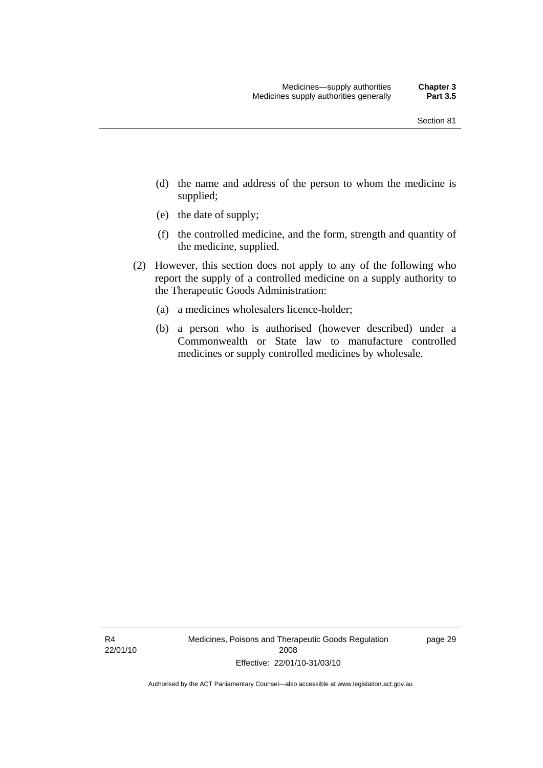- (d) the name and address of the person to whom the medicine is supplied;
- (e) the date of supply;
- (f) the controlled medicine, and the form, strength and quantity of the medicine, supplied.
- (2) However, this section does not apply to any of the following who report the supply of a controlled medicine on a supply authority to the Therapeutic Goods Administration:
	- (a) a medicines wholesalers licence-holder;
	- (b) a person who is authorised (however described) under a Commonwealth or State law to manufacture controlled medicines or supply controlled medicines by wholesale.

R4 22/01/10 Medicines, Poisons and Therapeutic Goods Regulation 2008 Effective: 22/01/10-31/03/10

page 29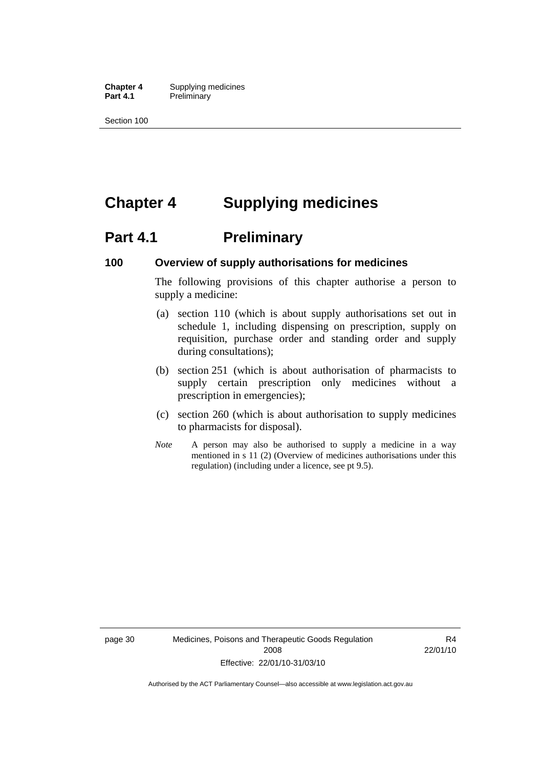**Chapter 4** Supplying medicines<br>**Part 4.1** Preliminary **Preliminary** 

Section 100

# **Chapter 4 Supplying medicines**

# **Part 4.1** Preliminary

#### **100 Overview of supply authorisations for medicines**

The following provisions of this chapter authorise a person to supply a medicine:

- (a) section 110 (which is about supply authorisations set out in schedule 1, including dispensing on prescription, supply on requisition, purchase order and standing order and supply during consultations);
- (b) section 251 (which is about authorisation of pharmacists to supply certain prescription only medicines without a prescription in emergencies);
- (c) section 260 (which is about authorisation to supply medicines to pharmacists for disposal).
- *Note* A person may also be authorised to supply a medicine in a way mentioned in s 11 (2) (Overview of medicines authorisations under this regulation) (including under a licence, see pt 9.5).

R4 22/01/10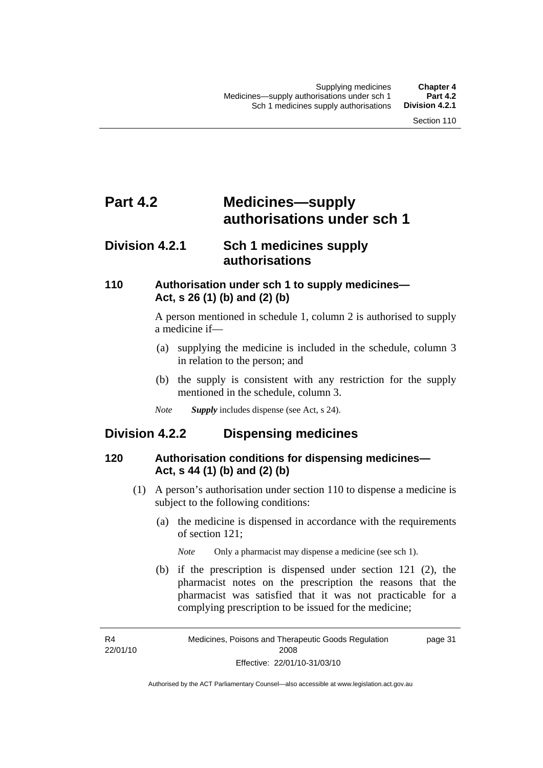# **Part 4.2 Medicines—supply authorisations under sch 1**

# **Division 4.2.1 Sch 1 medicines supply authorisations**

#### **110 Authorisation under sch 1 to supply medicines— Act, s 26 (1) (b) and (2) (b)**

A person mentioned in schedule 1, column 2 is authorised to supply a medicine if—

- (a) supplying the medicine is included in the schedule, column 3 in relation to the person; and
- (b) the supply is consistent with any restriction for the supply mentioned in the schedule, column 3.
- *Note Supply* includes dispense (see Act, s 24).

## **Division 4.2.2 Dispensing medicines**

#### **120 Authorisation conditions for dispensing medicines— Act, s 44 (1) (b) and (2) (b)**

- (1) A person's authorisation under section 110 to dispense a medicine is subject to the following conditions:
	- (a) the medicine is dispensed in accordance with the requirements of section 121;

*Note* Only a pharmacist may dispense a medicine (see sch 1).

 (b) if the prescription is dispensed under section 121 (2), the pharmacist notes on the prescription the reasons that the pharmacist was satisfied that it was not practicable for a complying prescription to be issued for the medicine;

R4 22/01/10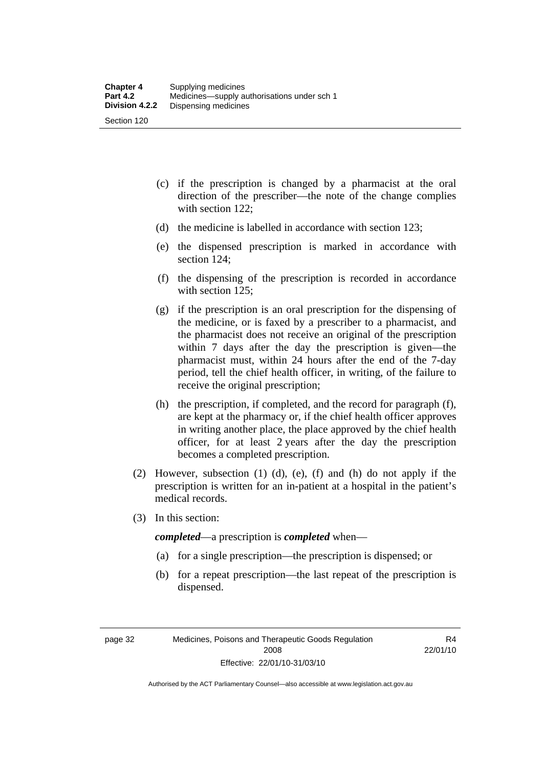- (c) if the prescription is changed by a pharmacist at the oral direction of the prescriber—the note of the change complies with section 122;
- (d) the medicine is labelled in accordance with section 123;
- (e) the dispensed prescription is marked in accordance with section 124;
- (f) the dispensing of the prescription is recorded in accordance with section 125:
- (g) if the prescription is an oral prescription for the dispensing of the medicine, or is faxed by a prescriber to a pharmacist, and the pharmacist does not receive an original of the prescription within 7 days after the day the prescription is given—the pharmacist must, within 24 hours after the end of the 7-day period, tell the chief health officer, in writing, of the failure to receive the original prescription;
- (h) the prescription, if completed, and the record for paragraph (f), are kept at the pharmacy or, if the chief health officer approves in writing another place, the place approved by the chief health officer, for at least 2 years after the day the prescription becomes a completed prescription.
- (2) However, subsection (1) (d), (e), (f) and (h) do not apply if the prescription is written for an in-patient at a hospital in the patient's medical records.
- (3) In this section:

*completed*—a prescription is *completed* when—

- (a) for a single prescription—the prescription is dispensed; or
- (b) for a repeat prescription—the last repeat of the prescription is dispensed.

R4 22/01/10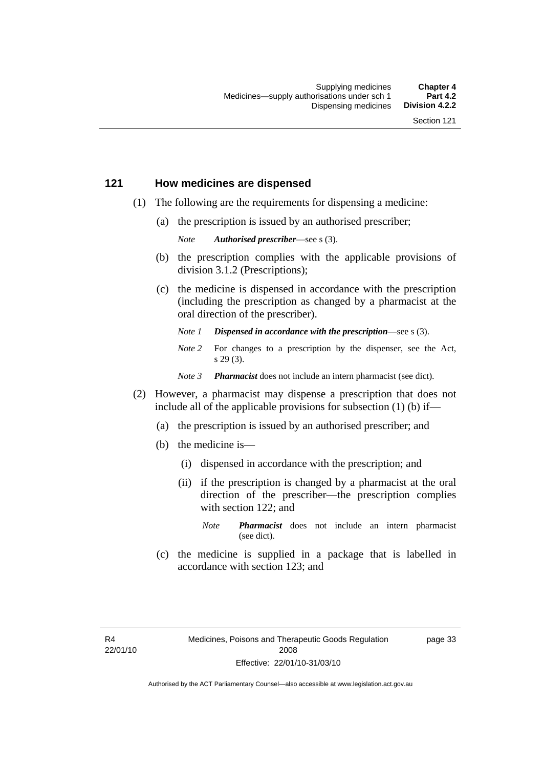#### **121 How medicines are dispensed**

- (1) The following are the requirements for dispensing a medicine:
	- (a) the prescription is issued by an authorised prescriber;

*Note Authorised prescriber*—see s (3).

- (b) the prescription complies with the applicable provisions of division 3.1.2 (Prescriptions);
- (c) the medicine is dispensed in accordance with the prescription (including the prescription as changed by a pharmacist at the oral direction of the prescriber).
	- *Note 1 Dispensed in accordance with the prescription*—see s (3).
	- *Note* 2 For changes to a prescription by the dispenser, see the Act, s 29 (3).
	- *Note 3 Pharmacist* does not include an intern pharmacist (see dict).
- (2) However, a pharmacist may dispense a prescription that does not include all of the applicable provisions for subsection (1) (b) if—
	- (a) the prescription is issued by an authorised prescriber; and
	- (b) the medicine is—
		- (i) dispensed in accordance with the prescription; and
		- (ii) if the prescription is changed by a pharmacist at the oral direction of the prescriber—the prescription complies with section 122; and
			- *Note Pharmacist* does not include an intern pharmacist (see dict).
	- (c) the medicine is supplied in a package that is labelled in accordance with section 123; and

page 33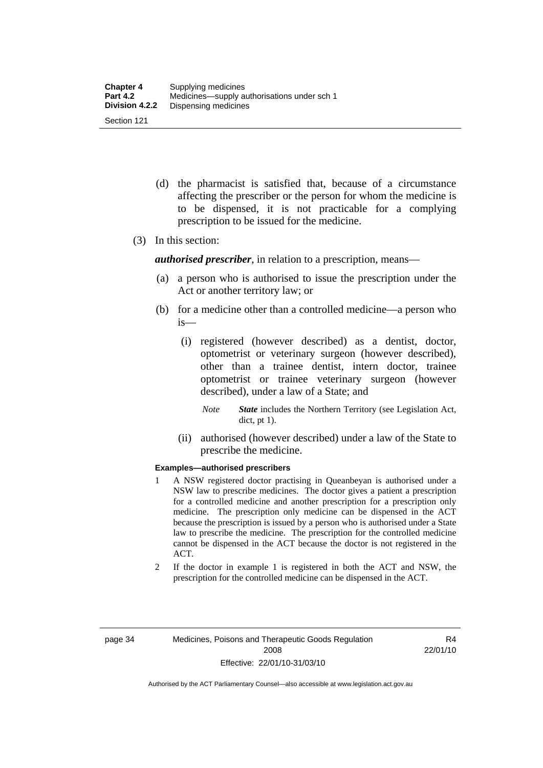- (d) the pharmacist is satisfied that, because of a circumstance affecting the prescriber or the person for whom the medicine is to be dispensed, it is not practicable for a complying prescription to be issued for the medicine.
- (3) In this section:

*authorised prescriber*, in relation to a prescription, means—

- (a) a person who is authorised to issue the prescription under the Act or another territory law; or
- (b) for a medicine other than a controlled medicine—a person who is—
	- (i) registered (however described) as a dentist, doctor, optometrist or veterinary surgeon (however described), other than a trainee dentist, intern doctor, trainee optometrist or trainee veterinary surgeon (however described), under a law of a State; and
		- *Note State* includes the Northern Territory (see Legislation Act, dict, pt 1).
	- (ii) authorised (however described) under a law of the State to prescribe the medicine.

#### **Examples—authorised prescribers**

- 1 A NSW registered doctor practising in Queanbeyan is authorised under a NSW law to prescribe medicines. The doctor gives a patient a prescription for a controlled medicine and another prescription for a prescription only medicine. The prescription only medicine can be dispensed in the ACT because the prescription is issued by a person who is authorised under a State law to prescribe the medicine. The prescription for the controlled medicine cannot be dispensed in the ACT because the doctor is not registered in the ACT.
- 2 If the doctor in example 1 is registered in both the ACT and NSW, the prescription for the controlled medicine can be dispensed in the ACT.

R4 22/01/10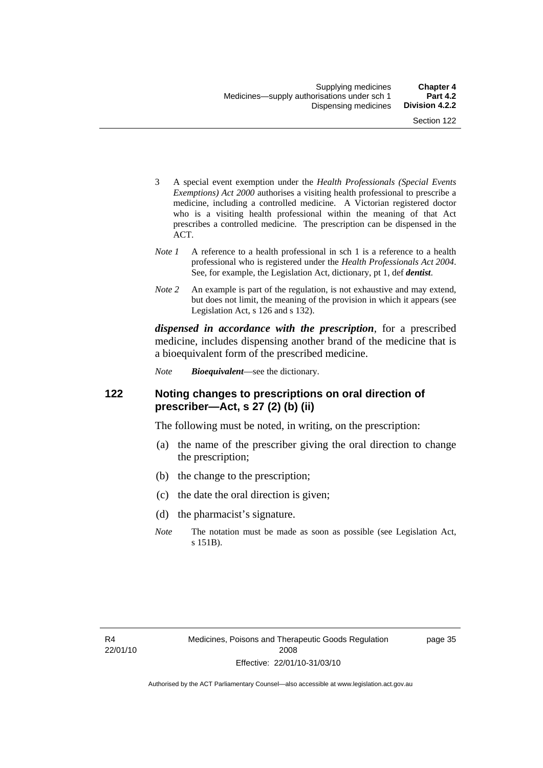- 3 A special event exemption under the *Health Professionals (Special Events Exemptions) Act 2000* authorises a visiting health professional to prescribe a medicine, including a controlled medicine. A Victorian registered doctor who is a visiting health professional within the meaning of that Act prescribes a controlled medicine. The prescription can be dispensed in the ACT.
- *Note 1* A reference to a health professional in sch 1 is a reference to a health professional who is registered under the *Health Professionals Act 2004*. See, for example, the Legislation Act, dictionary, pt 1, def *dentist*.
- *Note 2* An example is part of the regulation, is not exhaustive and may extend, but does not limit, the meaning of the provision in which it appears (see Legislation Act, s 126 and s 132).

*dispensed in accordance with the prescription*, for a prescribed medicine, includes dispensing another brand of the medicine that is a bioequivalent form of the prescribed medicine.

*Note Bioequivalent*—see the dictionary.

#### **122 Noting changes to prescriptions on oral direction of prescriber—Act, s 27 (2) (b) (ii)**

The following must be noted, in writing, on the prescription:

- (a) the name of the prescriber giving the oral direction to change the prescription;
- (b) the change to the prescription;
- (c) the date the oral direction is given;
- (d) the pharmacist's signature.
- *Note* The notation must be made as soon as possible (see Legislation Act, s 151B).

page 35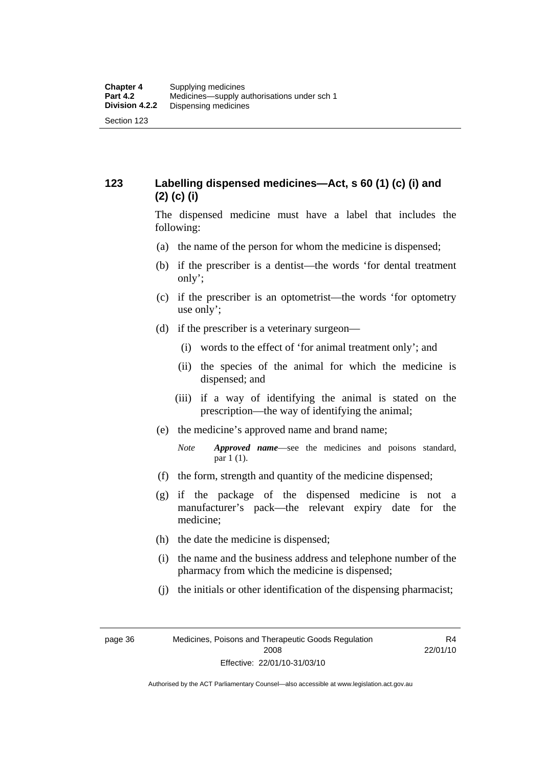## **123 Labelling dispensed medicines—Act, s 60 (1) (c) (i) and (2) (c) (i)**

The dispensed medicine must have a label that includes the following:

- (a) the name of the person for whom the medicine is dispensed;
- (b) if the prescriber is a dentist—the words 'for dental treatment only';
- (c) if the prescriber is an optometrist—the words 'for optometry use only';
- (d) if the prescriber is a veterinary surgeon—
	- (i) words to the effect of 'for animal treatment only'; and
	- (ii) the species of the animal for which the medicine is dispensed; and
	- (iii) if a way of identifying the animal is stated on the prescription—the way of identifying the animal;
- (e) the medicine's approved name and brand name;
	- *Note Approved name*—see the medicines and poisons standard, par 1 (1).
- (f) the form, strength and quantity of the medicine dispensed;
- (g) if the package of the dispensed medicine is not a manufacturer's pack—the relevant expiry date for the medicine;
- (h) the date the medicine is dispensed;
- (i) the name and the business address and telephone number of the pharmacy from which the medicine is dispensed;
- (j) the initials or other identification of the dispensing pharmacist;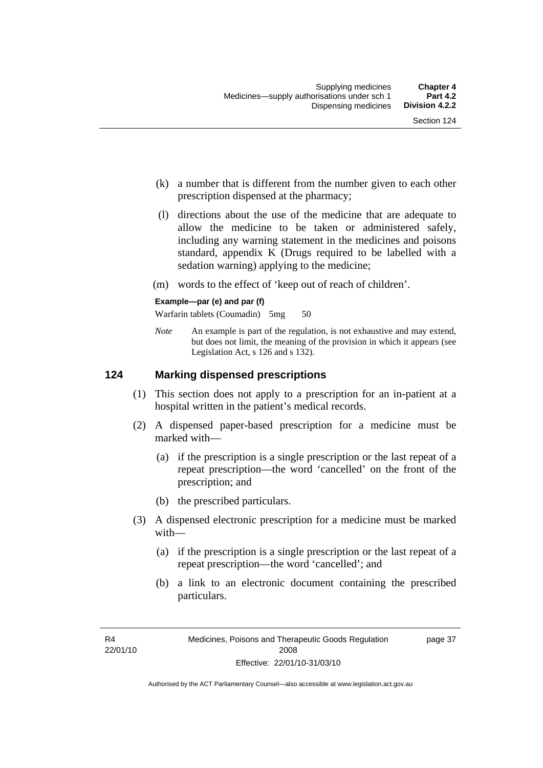- (k) a number that is different from the number given to each other prescription dispensed at the pharmacy;
- (l) directions about the use of the medicine that are adequate to allow the medicine to be taken or administered safely, including any warning statement in the medicines and poisons standard, appendix K (Drugs required to be labelled with a sedation warning) applying to the medicine;
- (m) words to the effect of 'keep out of reach of children'.

#### **Example—par (e) and par (f)**

Warfarin tablets (Coumadin) 5mg 50

*Note* An example is part of the regulation, is not exhaustive and may extend, but does not limit, the meaning of the provision in which it appears (see Legislation Act, s 126 and s 132).

#### **124 Marking dispensed prescriptions**

- (1) This section does not apply to a prescription for an in-patient at a hospital written in the patient's medical records.
- (2) A dispensed paper-based prescription for a medicine must be marked with—
	- (a) if the prescription is a single prescription or the last repeat of a repeat prescription—the word 'cancelled' on the front of the prescription; and
	- (b) the prescribed particulars.
- (3) A dispensed electronic prescription for a medicine must be marked with—
	- (a) if the prescription is a single prescription or the last repeat of a repeat prescription—the word 'cancelled'; and
	- (b) a link to an electronic document containing the prescribed particulars.

page 37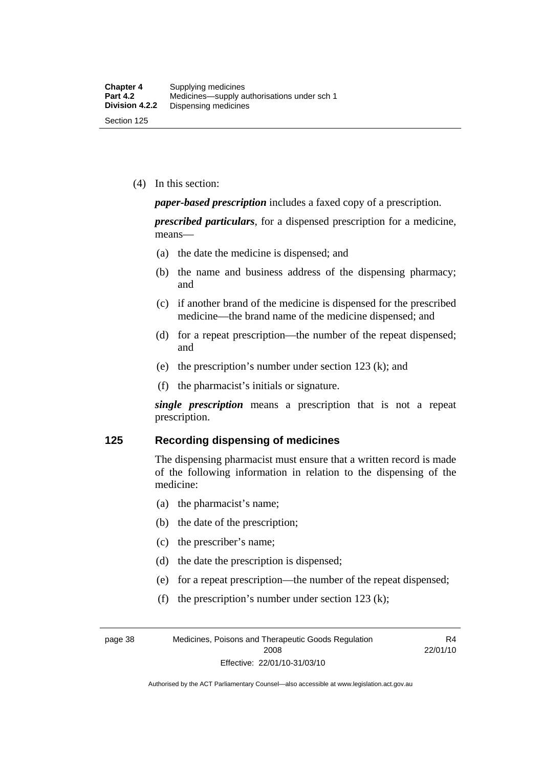(4) In this section:

*paper-based prescription* includes a faxed copy of a prescription.

*prescribed particulars*, for a dispensed prescription for a medicine, means—

- (a) the date the medicine is dispensed; and
- (b) the name and business address of the dispensing pharmacy; and
- (c) if another brand of the medicine is dispensed for the prescribed medicine—the brand name of the medicine dispensed; and
- (d) for a repeat prescription—the number of the repeat dispensed; and
- (e) the prescription's number under section 123 (k); and
- (f) the pharmacist's initials or signature.

*single prescription* means a prescription that is not a repeat prescription.

#### **125 Recording dispensing of medicines**

The dispensing pharmacist must ensure that a written record is made of the following information in relation to the dispensing of the medicine:

- (a) the pharmacist's name;
- (b) the date of the prescription;
- (c) the prescriber's name;
- (d) the date the prescription is dispensed;
- (e) for a repeat prescription—the number of the repeat dispensed;
- (f) the prescription's number under section 123 (k);

page 38 Medicines, Poisons and Therapeutic Goods Regulation 2008 Effective: 22/01/10-31/03/10

R4 22/01/10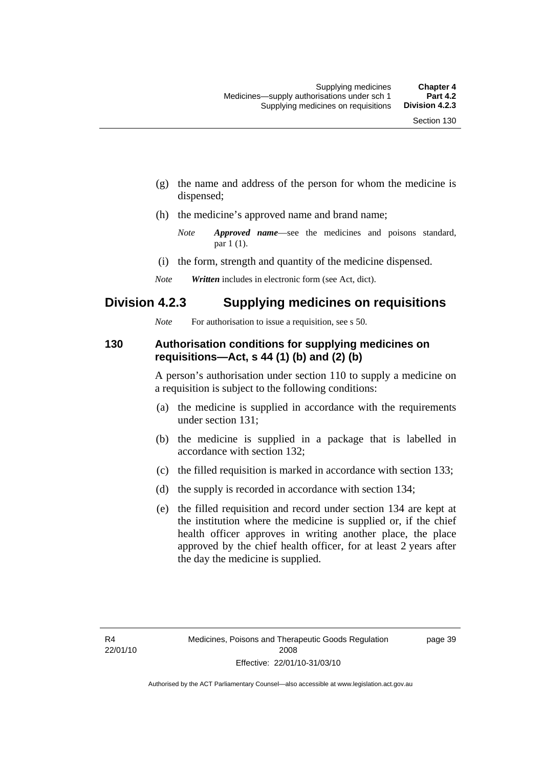- (g) the name and address of the person for whom the medicine is dispensed;
- (h) the medicine's approved name and brand name;

- (i) the form, strength and quantity of the medicine dispensed.
- *Note Written* includes in electronic form (see Act, dict).

## **Division 4.2.3 Supplying medicines on requisitions**

*Note* For authorisation to issue a requisition, see s 50.

#### **130 Authorisation conditions for supplying medicines on requisitions—Act, s 44 (1) (b) and (2) (b)**

A person's authorisation under section 110 to supply a medicine on a requisition is subject to the following conditions:

- (a) the medicine is supplied in accordance with the requirements under section 131;
- (b) the medicine is supplied in a package that is labelled in accordance with section 132;
- (c) the filled requisition is marked in accordance with section 133;
- (d) the supply is recorded in accordance with section 134;
- (e) the filled requisition and record under section 134 are kept at the institution where the medicine is supplied or, if the chief health officer approves in writing another place, the place approved by the chief health officer, for at least 2 years after the day the medicine is supplied.

page 39

*Note Approved name*—see the medicines and poisons standard, par 1 (1).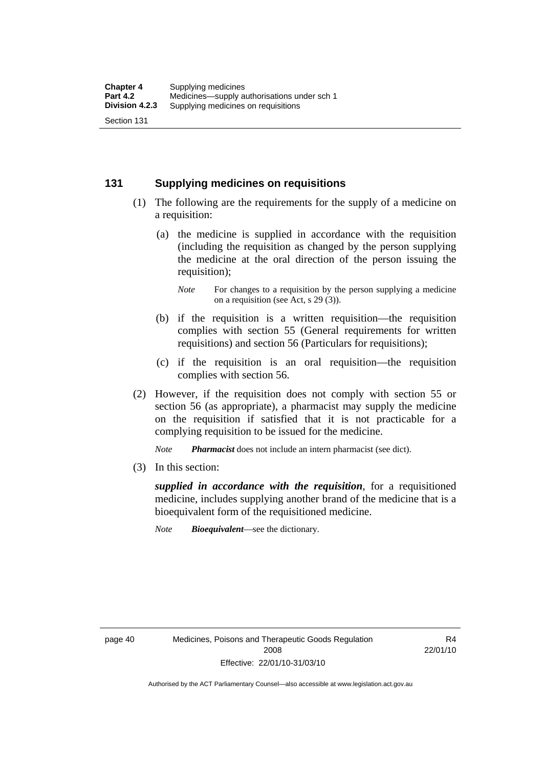#### **131 Supplying medicines on requisitions**

- (1) The following are the requirements for the supply of a medicine on a requisition:
	- (a) the medicine is supplied in accordance with the requisition (including the requisition as changed by the person supplying the medicine at the oral direction of the person issuing the requisition);

- (b) if the requisition is a written requisition—the requisition complies with section 55 (General requirements for written requisitions) and section 56 (Particulars for requisitions);
- (c) if the requisition is an oral requisition—the requisition complies with section 56.
- (2) However, if the requisition does not comply with section 55 or section 56 (as appropriate), a pharmacist may supply the medicine on the requisition if satisfied that it is not practicable for a complying requisition to be issued for the medicine.

*Note Pharmacist* does not include an intern pharmacist (see dict).

(3) In this section:

*supplied in accordance with the requisition*, for a requisitioned medicine, includes supplying another brand of the medicine that is a bioequivalent form of the requisitioned medicine.

*Note Bioequivalent*—see the dictionary.

R4 22/01/10

*Note* For changes to a requisition by the person supplying a medicine on a requisition (see Act, s 29 (3)).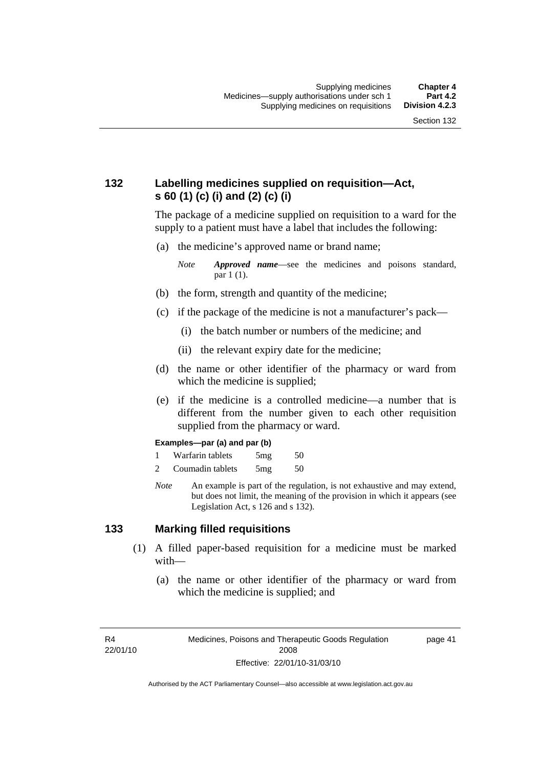## **132 Labelling medicines supplied on requisition—Act, s 60 (1) (c) (i) and (2) (c) (i)**

The package of a medicine supplied on requisition to a ward for the supply to a patient must have a label that includes the following:

(a) the medicine's approved name or brand name;

*Note Approved name*—see the medicines and poisons standard, par 1 (1).

- (b) the form, strength and quantity of the medicine;
- (c) if the package of the medicine is not a manufacturer's pack—
	- (i) the batch number or numbers of the medicine; and
	- (ii) the relevant expiry date for the medicine;
- (d) the name or other identifier of the pharmacy or ward from which the medicine is supplied;
- (e) if the medicine is a controlled medicine—a number that is different from the number given to each other requisition supplied from the pharmacy or ward.

#### **Examples—par (a) and par (b)**

- 1 Warfarin tablets 5mg 50
- 2 Coumadin tablets 5mg 50
- *Note* An example is part of the regulation, is not exhaustive and may extend, but does not limit, the meaning of the provision in which it appears (see Legislation Act, s 126 and s 132).

#### **133 Marking filled requisitions**

- (1) A filled paper-based requisition for a medicine must be marked with—
	- (a) the name or other identifier of the pharmacy or ward from which the medicine is supplied; and

R4 22/01/10 page 41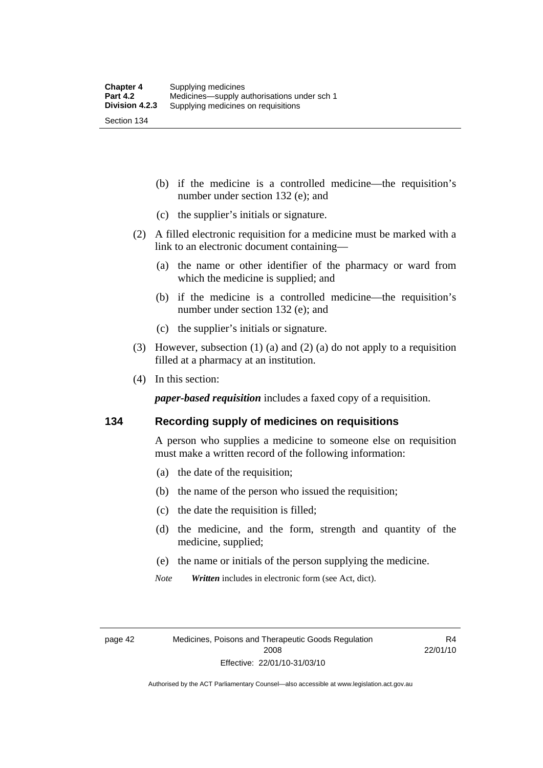(b) if the medicine is a controlled medicine—the requisition's number under section 132 (e); and

- (c) the supplier's initials or signature.
- (2) A filled electronic requisition for a medicine must be marked with a link to an electronic document containing—
	- (a) the name or other identifier of the pharmacy or ward from which the medicine is supplied; and
	- (b) if the medicine is a controlled medicine—the requisition's number under section 132 (e); and
	- (c) the supplier's initials or signature.
- (3) However, subsection (1) (a) and (2) (a) do not apply to a requisition filled at a pharmacy at an institution.
- (4) In this section:

*paper-based requisition* includes a faxed copy of a requisition.

#### **134 Recording supply of medicines on requisitions**

A person who supplies a medicine to someone else on requisition must make a written record of the following information:

- (a) the date of the requisition;
- (b) the name of the person who issued the requisition;
- (c) the date the requisition is filled;
- (d) the medicine, and the form, strength and quantity of the medicine, supplied;
- (e) the name or initials of the person supplying the medicine.
- *Note Written* includes in electronic form (see Act, dict).

page 42 Medicines, Poisons and Therapeutic Goods Regulation 2008 Effective: 22/01/10-31/03/10

R4 22/01/10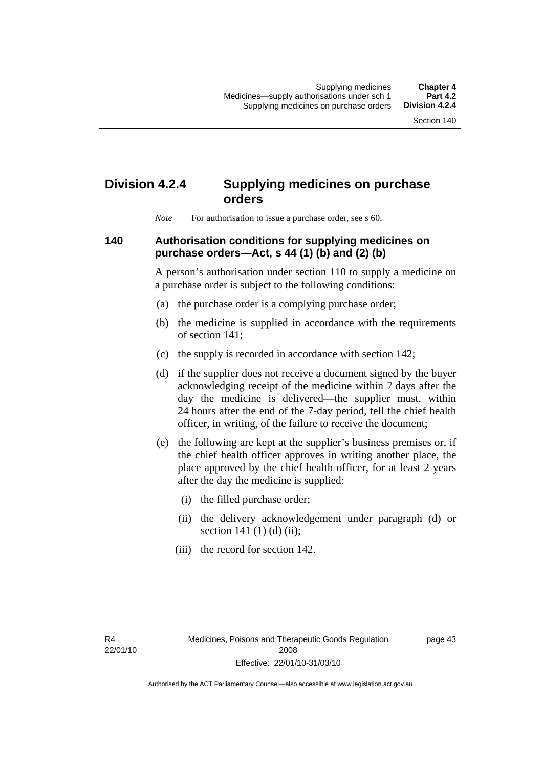# **Division 4.2.4 Supplying medicines on purchase orders**

*Note* For authorisation to issue a purchase order, see s 60.

#### **140 Authorisation conditions for supplying medicines on purchase orders—Act, s 44 (1) (b) and (2) (b)**

A person's authorisation under section 110 to supply a medicine on a purchase order is subject to the following conditions:

- (a) the purchase order is a complying purchase order;
- (b) the medicine is supplied in accordance with the requirements of section 141;
- (c) the supply is recorded in accordance with section 142;
- (d) if the supplier does not receive a document signed by the buyer acknowledging receipt of the medicine within 7 days after the day the medicine is delivered—the supplier must, within 24 hours after the end of the 7-day period, tell the chief health officer, in writing, of the failure to receive the document;
- (e) the following are kept at the supplier's business premises or, if the chief health officer approves in writing another place, the place approved by the chief health officer, for at least 2 years after the day the medicine is supplied:
	- (i) the filled purchase order;
	- (ii) the delivery acknowledgement under paragraph (d) or section 141 $(1)$  $(d)$  $(ii)$ ;
	- (iii) the record for section 142.

R4 22/01/10 page 43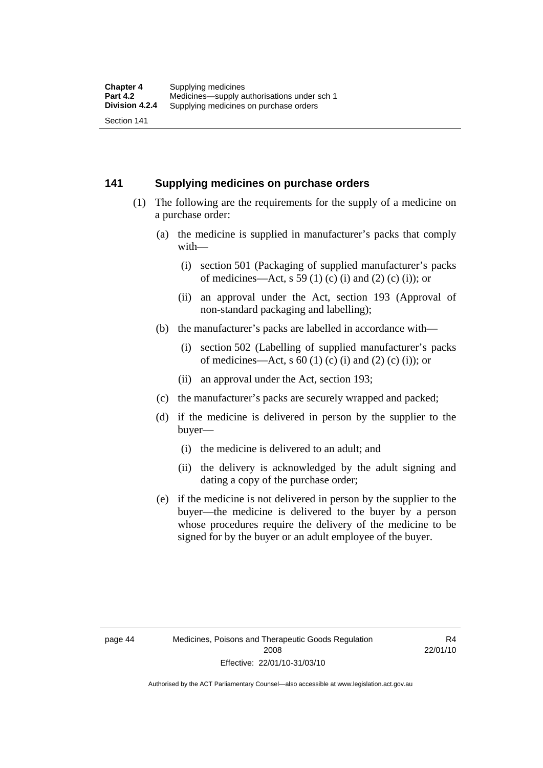#### **141 Supplying medicines on purchase orders**

- (1) The following are the requirements for the supply of a medicine on a purchase order:
	- (a) the medicine is supplied in manufacturer's packs that comply with—
		- (i) section 501 (Packaging of supplied manufacturer's packs of medicines—Act, s 59 (1) (c) (i) and (2) (c) (i)); or
		- (ii) an approval under the Act, section 193 (Approval of non-standard packaging and labelling);
	- (b) the manufacturer's packs are labelled in accordance with—
		- (i) section 502 (Labelling of supplied manufacturer's packs of medicines—Act, s  $60$  (1) (c) (i) and (2) (c) (i)); or
		- (ii) an approval under the Act, section 193;
	- (c) the manufacturer's packs are securely wrapped and packed;
	- (d) if the medicine is delivered in person by the supplier to the buyer—
		- (i) the medicine is delivered to an adult; and
		- (ii) the delivery is acknowledged by the adult signing and dating a copy of the purchase order;
	- (e) if the medicine is not delivered in person by the supplier to the buyer—the medicine is delivered to the buyer by a person whose procedures require the delivery of the medicine to be signed for by the buyer or an adult employee of the buyer.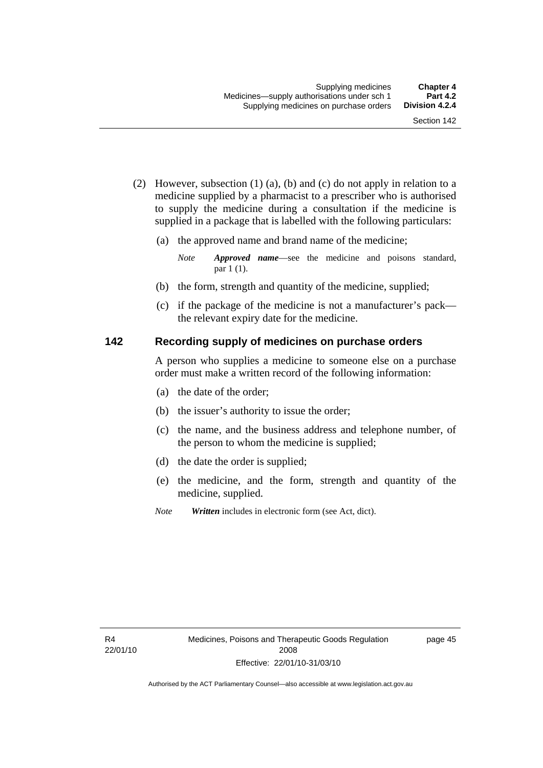- (2) However, subsection (1) (a), (b) and (c) do not apply in relation to a medicine supplied by a pharmacist to a prescriber who is authorised to supply the medicine during a consultation if the medicine is supplied in a package that is labelled with the following particulars:
	- (a) the approved name and brand name of the medicine;

*Note Approved name*—see the medicine and poisons standard, par 1 (1).

- (b) the form, strength and quantity of the medicine, supplied;
- (c) if the package of the medicine is not a manufacturer's pack the relevant expiry date for the medicine.

#### **142 Recording supply of medicines on purchase orders**

A person who supplies a medicine to someone else on a purchase order must make a written record of the following information:

- (a) the date of the order;
- (b) the issuer's authority to issue the order;
- (c) the name, and the business address and telephone number, of the person to whom the medicine is supplied;
- (d) the date the order is supplied;
- (e) the medicine, and the form, strength and quantity of the medicine, supplied.
- *Note Written* includes in electronic form (see Act, dict).

page 45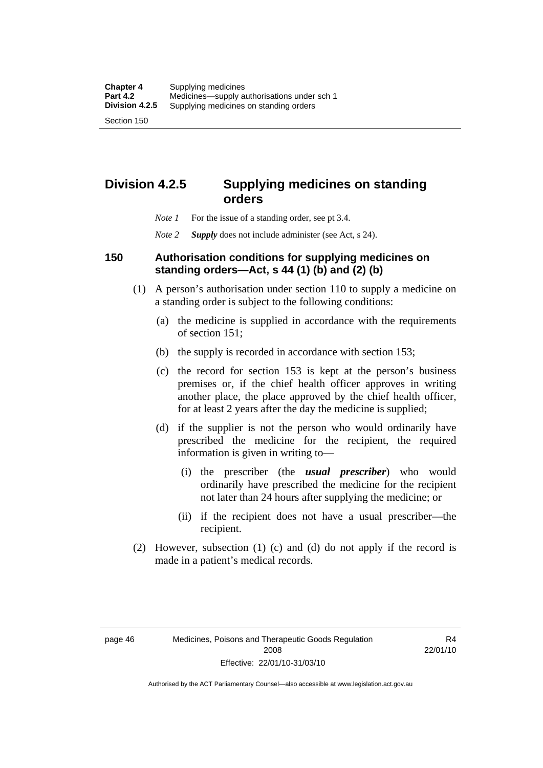# **Division 4.2.5 Supplying medicines on standing orders**

- *Note 1* For the issue of a standing order, see pt 3.4.
- *Note 2 Supply* does not include administer (see Act, s 24).

#### **150 Authorisation conditions for supplying medicines on standing orders—Act, s 44 (1) (b) and (2) (b)**

- (1) A person's authorisation under section 110 to supply a medicine on a standing order is subject to the following conditions:
	- (a) the medicine is supplied in accordance with the requirements of section 151;
	- (b) the supply is recorded in accordance with section 153;
	- (c) the record for section 153 is kept at the person's business premises or, if the chief health officer approves in writing another place, the place approved by the chief health officer, for at least 2 years after the day the medicine is supplied;
	- (d) if the supplier is not the person who would ordinarily have prescribed the medicine for the recipient, the required information is given in writing to—
		- (i) the prescriber (the *usual prescriber*) who would ordinarily have prescribed the medicine for the recipient not later than 24 hours after supplying the medicine; or
		- (ii) if the recipient does not have a usual prescriber—the recipient.
- (2) However, subsection (1) (c) and (d) do not apply if the record is made in a patient's medical records.

page 46 Medicines, Poisons and Therapeutic Goods Regulation 2008 Effective: 22/01/10-31/03/10

R4 22/01/10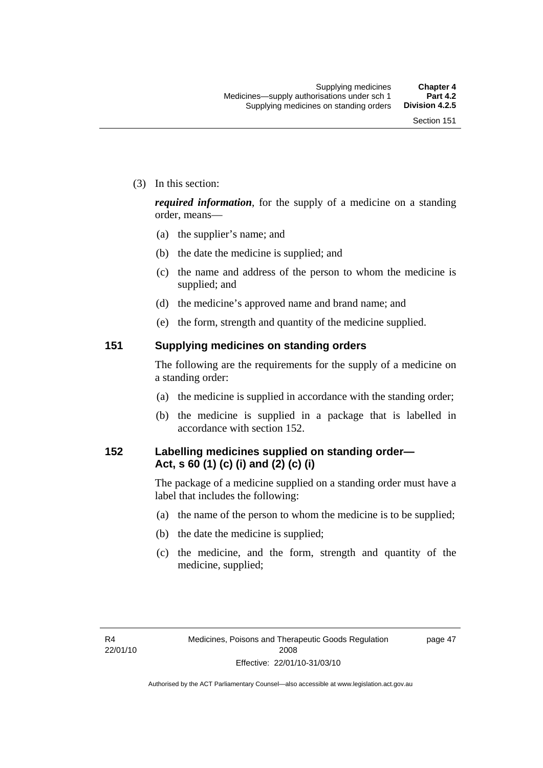(3) In this section:

*required information*, for the supply of a medicine on a standing order, means—

- (a) the supplier's name; and
- (b) the date the medicine is supplied; and
- (c) the name and address of the person to whom the medicine is supplied; and
- (d) the medicine's approved name and brand name; and
- (e) the form, strength and quantity of the medicine supplied.

#### **151 Supplying medicines on standing orders**

The following are the requirements for the supply of a medicine on a standing order:

- (a) the medicine is supplied in accordance with the standing order;
- (b) the medicine is supplied in a package that is labelled in accordance with section 152.

## **152 Labelling medicines supplied on standing order— Act, s 60 (1) (c) (i) and (2) (c) (i)**

The package of a medicine supplied on a standing order must have a label that includes the following:

- (a) the name of the person to whom the medicine is to be supplied;
- (b) the date the medicine is supplied;
- (c) the medicine, and the form, strength and quantity of the medicine, supplied;

page 47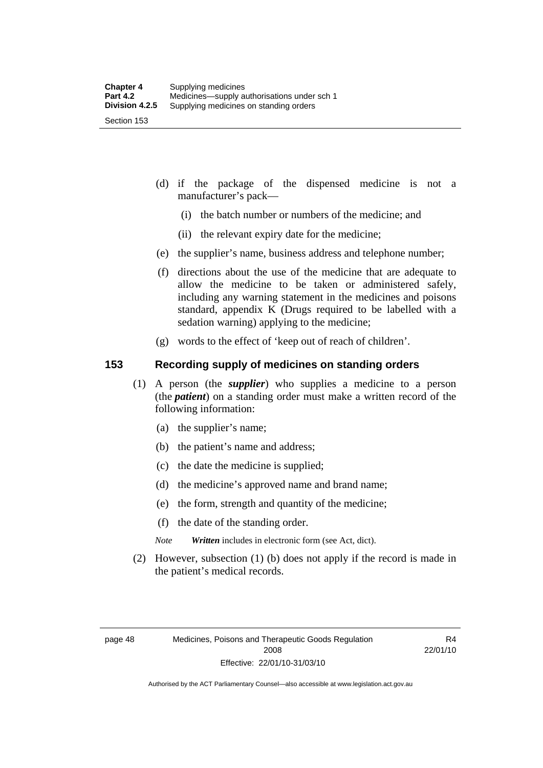- (d) if the package of the dispensed medicine is not a manufacturer's pack—
	- (i) the batch number or numbers of the medicine; and
	- (ii) the relevant expiry date for the medicine;
- (e) the supplier's name, business address and telephone number;
- (f) directions about the use of the medicine that are adequate to allow the medicine to be taken or administered safely, including any warning statement in the medicines and poisons standard, appendix K (Drugs required to be labelled with a sedation warning) applying to the medicine;
- (g) words to the effect of 'keep out of reach of children'.

#### **153 Recording supply of medicines on standing orders**

- (1) A person (the *supplier*) who supplies a medicine to a person (the *patient*) on a standing order must make a written record of the following information:
	- (a) the supplier's name;
	- (b) the patient's name and address;
	- (c) the date the medicine is supplied;
	- (d) the medicine's approved name and brand name;
	- (e) the form, strength and quantity of the medicine;
	- (f) the date of the standing order.
	- *Note Written* includes in electronic form (see Act, dict).
- (2) However, subsection (1) (b) does not apply if the record is made in the patient's medical records.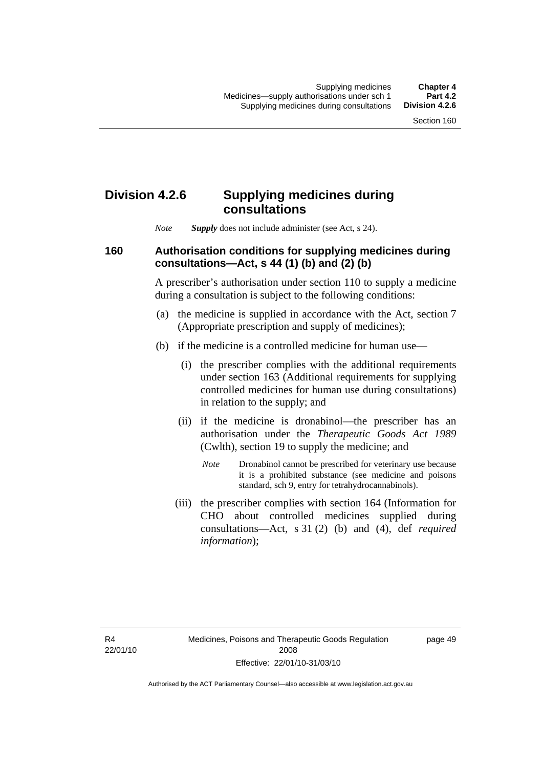### **Division 4.2.6 Supplying medicines during consultations**

*Note Supply* does not include administer (see Act, s 24).

### **160 Authorisation conditions for supplying medicines during consultations—Act, s 44 (1) (b) and (2) (b)**

A prescriber's authorisation under section 110 to supply a medicine during a consultation is subject to the following conditions:

- (a) the medicine is supplied in accordance with the Act, section 7 (Appropriate prescription and supply of medicines);
- (b) if the medicine is a controlled medicine for human use—
	- (i) the prescriber complies with the additional requirements under section 163 (Additional requirements for supplying controlled medicines for human use during consultations) in relation to the supply; and
	- (ii) if the medicine is dronabinol—the prescriber has an authorisation under the *Therapeutic Goods Act 1989* (Cwlth), section 19 to supply the medicine; and
		- *Note* Dronabinol cannot be prescribed for veterinary use because it is a prohibited substance (see medicine and poisons standard, sch 9, entry for tetrahydrocannabinols).
	- (iii) the prescriber complies with section 164 (Information for CHO about controlled medicines supplied during consultations—Act, s 31 (2) (b) and (4), def *required information*);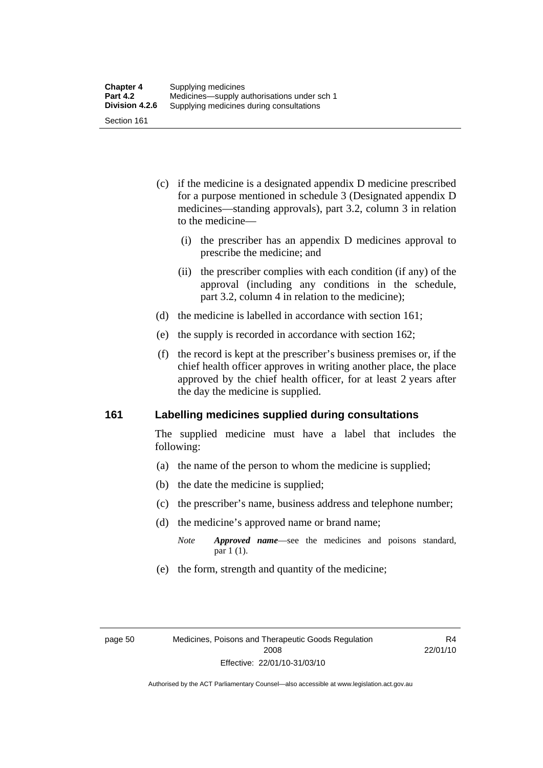- (c) if the medicine is a designated appendix D medicine prescribed for a purpose mentioned in schedule 3 (Designated appendix D medicines—standing approvals), part 3.2, column 3 in relation to the medicine—
	- (i) the prescriber has an appendix D medicines approval to prescribe the medicine; and
	- (ii) the prescriber complies with each condition (if any) of the approval (including any conditions in the schedule, part 3.2, column 4 in relation to the medicine);
- (d) the medicine is labelled in accordance with section 161;
- (e) the supply is recorded in accordance with section 162;
- (f) the record is kept at the prescriber's business premises or, if the chief health officer approves in writing another place, the place approved by the chief health officer, for at least 2 years after the day the medicine is supplied.

### **161 Labelling medicines supplied during consultations**

The supplied medicine must have a label that includes the following:

- (a) the name of the person to whom the medicine is supplied;
- (b) the date the medicine is supplied;
- (c) the prescriber's name, business address and telephone number;
- (d) the medicine's approved name or brand name;
	- *Note Approved name*—see the medicines and poisons standard, par 1 (1).
- (e) the form, strength and quantity of the medicine;

R4 22/01/10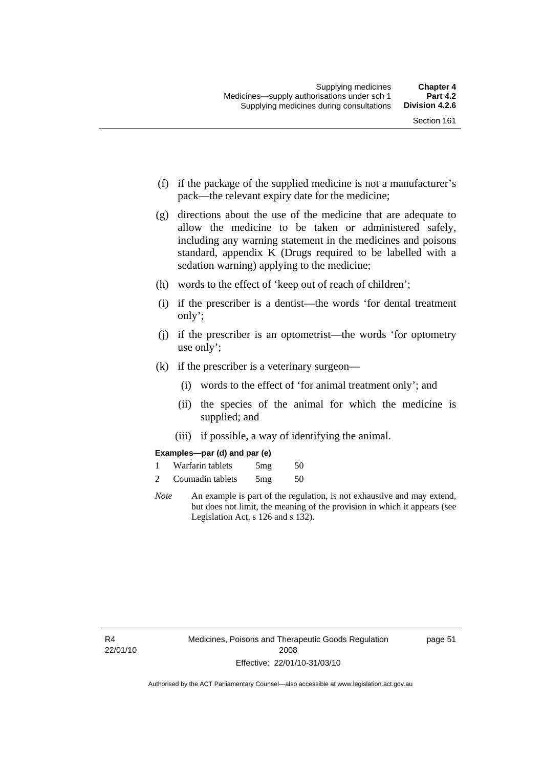- (f) if the package of the supplied medicine is not a manufacturer's pack—the relevant expiry date for the medicine;
- (g) directions about the use of the medicine that are adequate to allow the medicine to be taken or administered safely, including any warning statement in the medicines and poisons standard, appendix K (Drugs required to be labelled with a sedation warning) applying to the medicine;
- (h) words to the effect of 'keep out of reach of children';
- (i) if the prescriber is a dentist—the words 'for dental treatment only';
- (j) if the prescriber is an optometrist—the words 'for optometry use only';
- (k) if the prescriber is a veterinary surgeon—
	- (i) words to the effect of 'for animal treatment only'; and
	- (ii) the species of the animal for which the medicine is supplied; and
	- (iii) if possible, a way of identifying the animal.

#### **Examples—par (d) and par (e)**

| Warfarin tablets | 5mg | 50 |
|------------------|-----|----|
| Coumadin tablets | 5mg | 50 |

*Note* An example is part of the regulation, is not exhaustive and may extend, but does not limit, the meaning of the provision in which it appears (see Legislation Act, s 126 and s 132).

page 51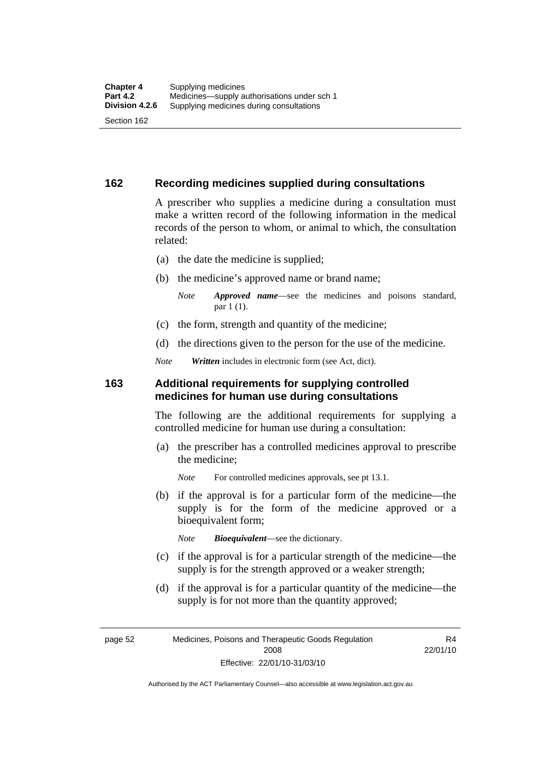### **162 Recording medicines supplied during consultations**

A prescriber who supplies a medicine during a consultation must make a written record of the following information in the medical records of the person to whom, or animal to which, the consultation related:

- (a) the date the medicine is supplied;
- (b) the medicine's approved name or brand name;

*Note Approved name*—see the medicines and poisons standard, par 1 (1).

- (c) the form, strength and quantity of the medicine;
- (d) the directions given to the person for the use of the medicine.

*Note Written* includes in electronic form (see Act, dict).

#### **163 Additional requirements for supplying controlled medicines for human use during consultations**

The following are the additional requirements for supplying a controlled medicine for human use during a consultation:

- (a) the prescriber has a controlled medicines approval to prescribe the medicine;
	- *Note* For controlled medicines approvals, see pt 13.1.
- (b) if the approval is for a particular form of the medicine—the supply is for the form of the medicine approved or a bioequivalent form;

*Note Bioequivalent*—see the dictionary.

- (c) if the approval is for a particular strength of the medicine—the supply is for the strength approved or a weaker strength;
- (d) if the approval is for a particular quantity of the medicine—the supply is for not more than the quantity approved;

page 52 Medicines, Poisons and Therapeutic Goods Regulation 2008 Effective: 22/01/10-31/03/10

R4 22/01/10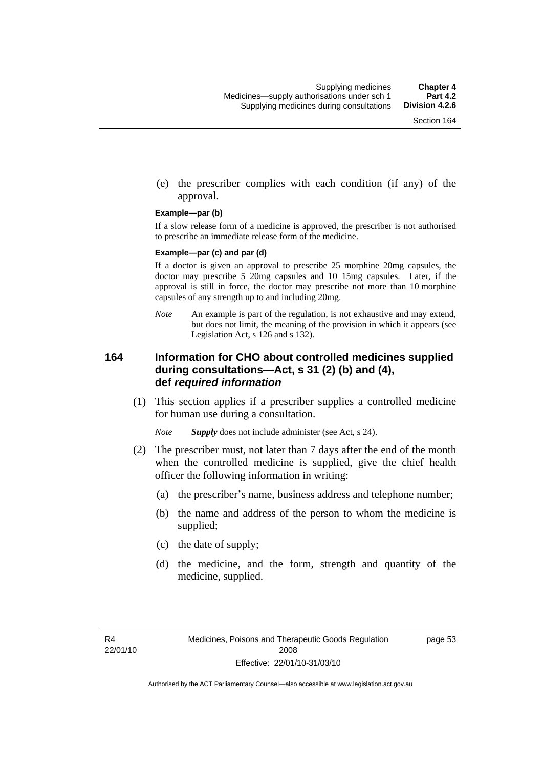(e) the prescriber complies with each condition (if any) of the approval.

#### **Example—par (b)**

If a slow release form of a medicine is approved, the prescriber is not authorised to prescribe an immediate release form of the medicine.

#### **Example—par (c) and par (d)**

If a doctor is given an approval to prescribe 25 morphine 20mg capsules, the doctor may prescribe 5 20mg capsules and 10 15mg capsules. Later, if the approval is still in force, the doctor may prescribe not more than 10 morphine capsules of any strength up to and including 20mg.

*Note* An example is part of the regulation, is not exhaustive and may extend, but does not limit, the meaning of the provision in which it appears (see Legislation Act, s 126 and s 132).

### **164 Information for CHO about controlled medicines supplied during consultations—Act, s 31 (2) (b) and (4), def** *required information*

 (1) This section applies if a prescriber supplies a controlled medicine for human use during a consultation.

*Note Supply* does not include administer (see Act, s 24).

- (2) The prescriber must, not later than 7 days after the end of the month when the controlled medicine is supplied, give the chief health officer the following information in writing:
	- (a) the prescriber's name, business address and telephone number;
	- (b) the name and address of the person to whom the medicine is supplied;
	- (c) the date of supply;
	- (d) the medicine, and the form, strength and quantity of the medicine, supplied.

page 53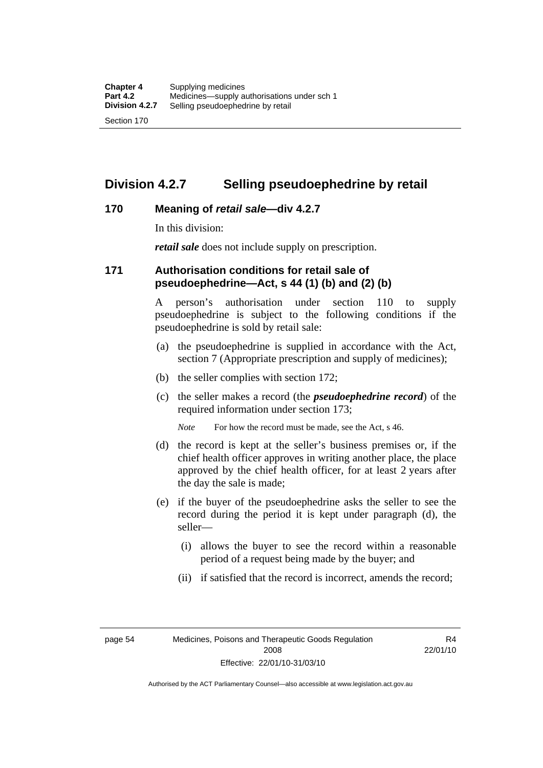### **Division 4.2.7 Selling pseudoephedrine by retail**

### **170 Meaning of** *retail sale***—div 4.2.7**

In this division:

*retail sale* does not include supply on prescription.

### **171 Authorisation conditions for retail sale of pseudoephedrine—Act, s 44 (1) (b) and (2) (b)**

A person's authorisation under section 110 to supply pseudoephedrine is subject to the following conditions if the pseudoephedrine is sold by retail sale:

- (a) the pseudoephedrine is supplied in accordance with the Act, section 7 (Appropriate prescription and supply of medicines);
- (b) the seller complies with section 172;
- (c) the seller makes a record (the *pseudoephedrine record*) of the required information under section 173;

*Note* For how the record must be made, see the Act, s 46.

- (d) the record is kept at the seller's business premises or, if the chief health officer approves in writing another place, the place approved by the chief health officer, for at least 2 years after the day the sale is made;
- (e) if the buyer of the pseudoephedrine asks the seller to see the record during the period it is kept under paragraph (d), the seller—
	- (i) allows the buyer to see the record within a reasonable period of a request being made by the buyer; and
	- (ii) if satisfied that the record is incorrect, amends the record;

page 54 Medicines, Poisons and Therapeutic Goods Regulation 2008 Effective: 22/01/10-31/03/10

R4 22/01/10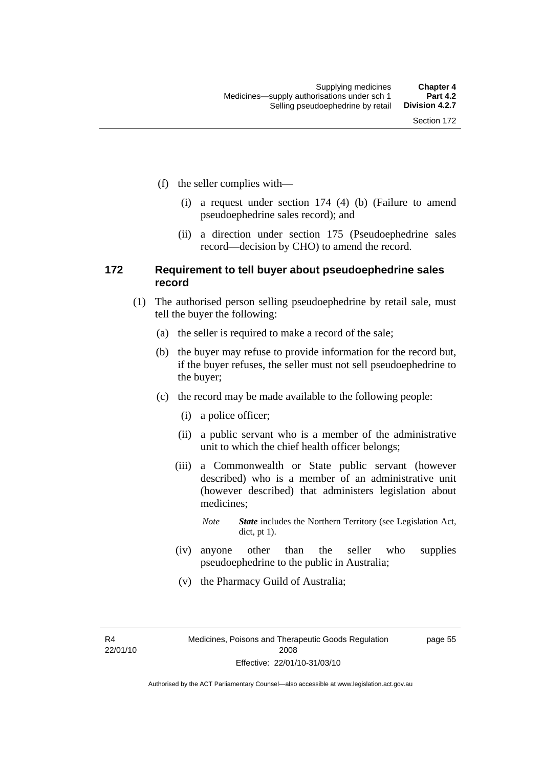- (f) the seller complies with—
	- (i) a request under section 174 (4) (b) (Failure to amend pseudoephedrine sales record); and
	- (ii) a direction under section 175 (Pseudoephedrine sales record—decision by CHO) to amend the record.

### **172 Requirement to tell buyer about pseudoephedrine sales record**

- (1) The authorised person selling pseudoephedrine by retail sale, must tell the buyer the following:
	- (a) the seller is required to make a record of the sale;
	- (b) the buyer may refuse to provide information for the record but, if the buyer refuses, the seller must not sell pseudoephedrine to the buyer;
	- (c) the record may be made available to the following people:
		- (i) a police officer;
		- (ii) a public servant who is a member of the administrative unit to which the chief health officer belongs;
		- (iii) a Commonwealth or State public servant (however described) who is a member of an administrative unit (however described) that administers legislation about medicines;
			- *Note State* includes the Northern Territory (see Legislation Act, dict, pt 1).
		- (iv) anyone other than the seller who supplies pseudoephedrine to the public in Australia;
		- (v) the Pharmacy Guild of Australia;

R4 22/01/10 page 55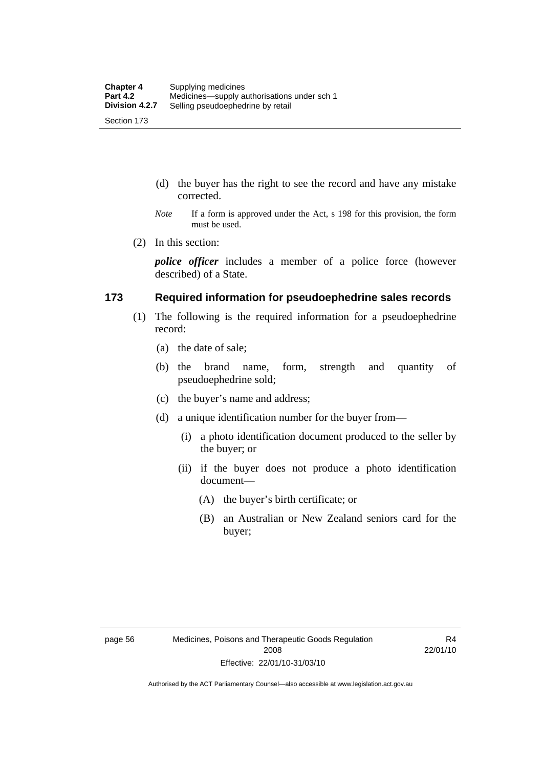- (d) the buyer has the right to see the record and have any mistake corrected.
- *Note* If a form is approved under the Act, s 198 for this provision, the form must be used.
- (2) In this section:

*police officer* includes a member of a police force (however described) of a State.

#### **173 Required information for pseudoephedrine sales records**

- (1) The following is the required information for a pseudoephedrine record:
	- (a) the date of sale;
	- (b) the brand name, form, strength and quantity of pseudoephedrine sold;
	- (c) the buyer's name and address;
	- (d) a unique identification number for the buyer from—
		- (i) a photo identification document produced to the seller by the buyer; or
		- (ii) if the buyer does not produce a photo identification document—
			- (A) the buyer's birth certificate; or
			- (B) an Australian or New Zealand seniors card for the buyer;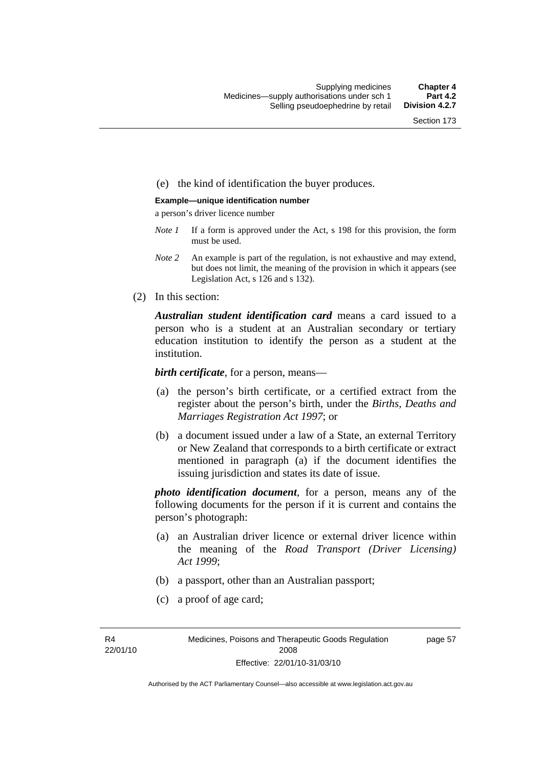#### (e) the kind of identification the buyer produces.

#### **Example—unique identification number**

a person's driver licence number

- *Note 1* If a form is approved under the Act, s 198 for this provision, the form must be used.
- *Note 2* An example is part of the regulation, is not exhaustive and may extend, but does not limit, the meaning of the provision in which it appears (see Legislation Act, s 126 and s 132).
- (2) In this section:

*Australian student identification card* means a card issued to a person who is a student at an Australian secondary or tertiary education institution to identify the person as a student at the institution.

*birth certificate*, for a person, means—

- (a) the person's birth certificate, or a certified extract from the register about the person's birth, under the *Births, Deaths and Marriages Registration Act 1997*; or
- (b) a document issued under a law of a State, an external Territory or New Zealand that corresponds to a birth certificate or extract mentioned in paragraph (a) if the document identifies the issuing jurisdiction and states its date of issue.

*photo identification document*, for a person, means any of the following documents for the person if it is current and contains the person's photograph:

- (a) an Australian driver licence or external driver licence within the meaning of the *Road Transport (Driver Licensing) Act 1999*;
- (b) a passport, other than an Australian passport;
- (c) a proof of age card;

R4 22/01/10 page 57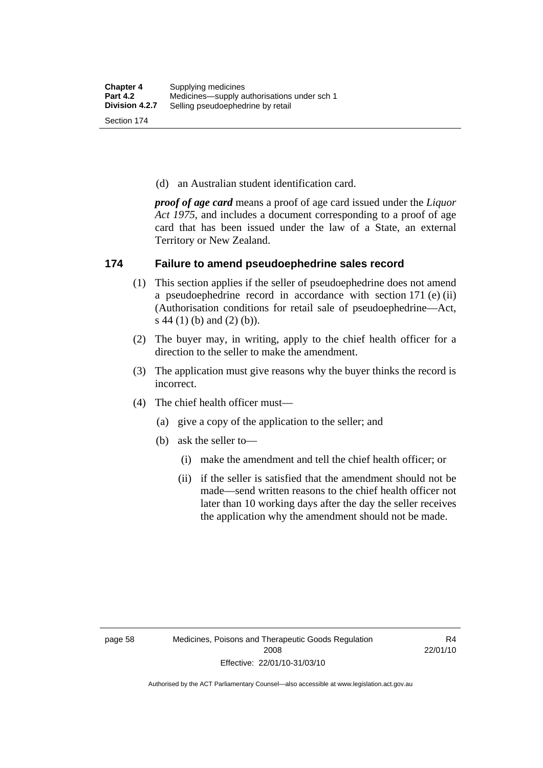(d) an Australian student identification card.

*proof of age card* means a proof of age card issued under the *Liquor Act 1975*, and includes a document corresponding to a proof of age card that has been issued under the law of a State, an external Territory or New Zealand.

### **174 Failure to amend pseudoephedrine sales record**

- (1) This section applies if the seller of pseudoephedrine does not amend a pseudoephedrine record in accordance with section 171 (e) (ii) (Authorisation conditions for retail sale of pseudoephedrine—Act, s 44 (1) (b) and (2) (b)).
- (2) The buyer may, in writing, apply to the chief health officer for a direction to the seller to make the amendment.
- (3) The application must give reasons why the buyer thinks the record is incorrect.
- (4) The chief health officer must—
	- (a) give a copy of the application to the seller; and
	- (b) ask the seller to—
		- (i) make the amendment and tell the chief health officer; or
		- (ii) if the seller is satisfied that the amendment should not be made—send written reasons to the chief health officer not later than 10 working days after the day the seller receives the application why the amendment should not be made.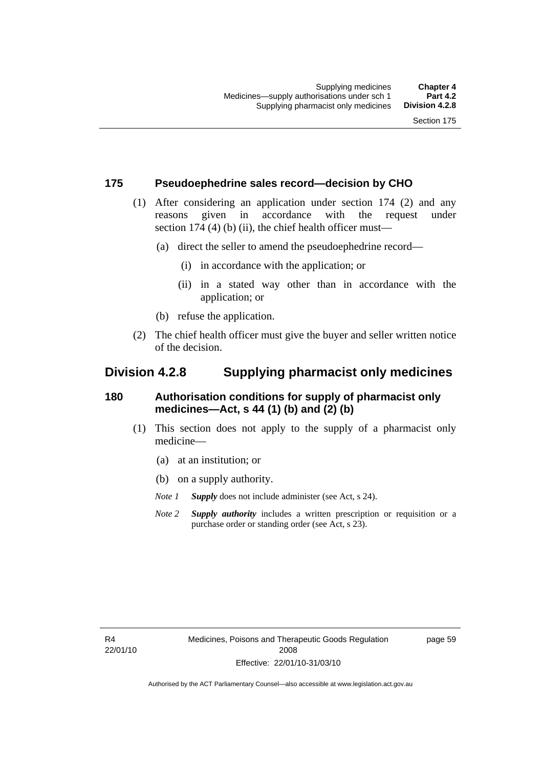### **175 Pseudoephedrine sales record—decision by CHO**

- (1) After considering an application under section 174 (2) and any reasons given in accordance with the request under section 174  $(4)$  (b)  $(ii)$ , the chief health officer must—
	- (a) direct the seller to amend the pseudoephedrine record—
		- (i) in accordance with the application; or
		- (ii) in a stated way other than in accordance with the application; or
	- (b) refuse the application.
- (2) The chief health officer must give the buyer and seller written notice of the decision.

### **Division 4.2.8 Supplying pharmacist only medicines**

### **180 Authorisation conditions for supply of pharmacist only medicines—Act, s 44 (1) (b) and (2) (b)**

- (1) This section does not apply to the supply of a pharmacist only medicine—
	- (a) at an institution; or
	- (b) on a supply authority.

*Note 1 Supply* does not include administer (see Act, s 24).

*Note 2 Supply authority* includes a written prescription or requisition or a purchase order or standing order (see Act, s 23).

R4 22/01/10 page 59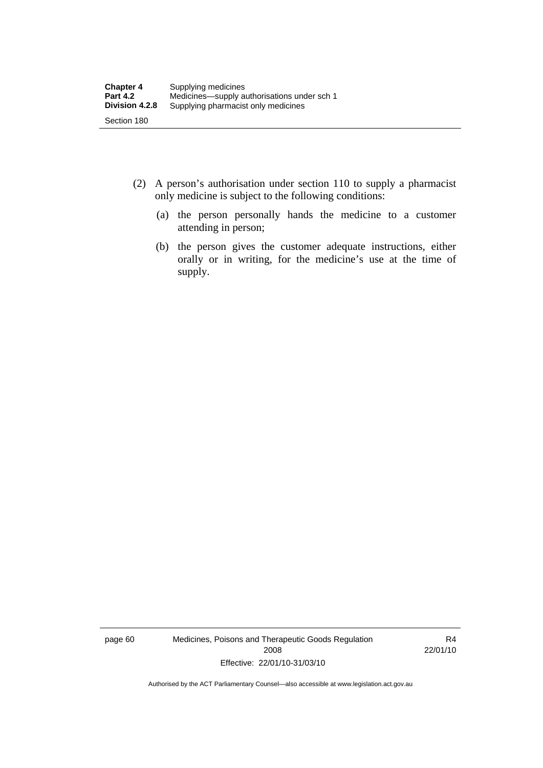- (2) A person's authorisation under section 110 to supply a pharmacist only medicine is subject to the following conditions:
	- (a) the person personally hands the medicine to a customer attending in person;
	- (b) the person gives the customer adequate instructions, either orally or in writing, for the medicine's use at the time of supply.

page 60 Medicines, Poisons and Therapeutic Goods Regulation 2008 Effective: 22/01/10-31/03/10

R4 22/01/10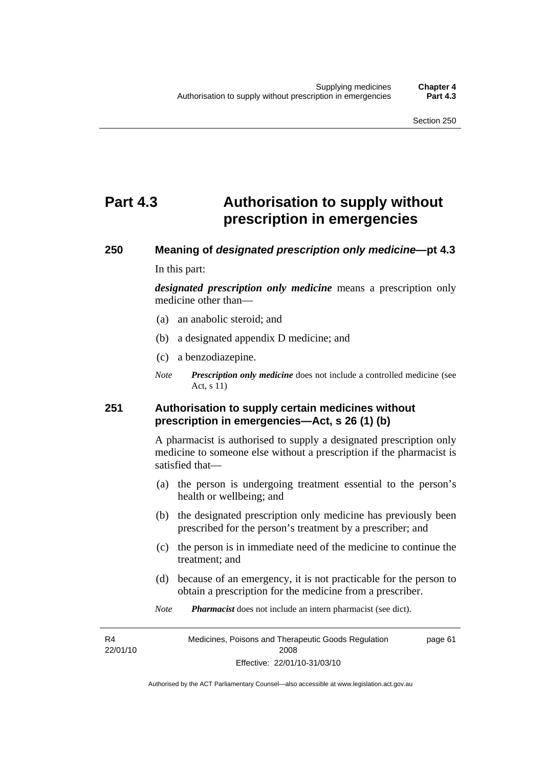# **Part 4.3 Authorisation to supply without prescription in emergencies**

# **250 Meaning of** *designated prescription only medicine***—pt 4.3**

In this part:

*designated prescription only medicine* means a prescription only medicine other than—

- (a) an anabolic steroid; and
- (b) a designated appendix D medicine; and
- (c) a benzodiazepine.
- *Note Prescription only medicine* does not include a controlled medicine (see Act, s 11)

### **251 Authorisation to supply certain medicines without prescription in emergencies—Act, s 26 (1) (b)**

A pharmacist is authorised to supply a designated prescription only medicine to someone else without a prescription if the pharmacist is satisfied that—

- (a) the person is undergoing treatment essential to the person's health or wellbeing; and
- (b) the designated prescription only medicine has previously been prescribed for the person's treatment by a prescriber; and
- (c) the person is in immediate need of the medicine to continue the treatment; and
- (d) because of an emergency, it is not practicable for the person to obtain a prescription for the medicine from a prescriber.
- *Note Pharmacist* does not include an intern pharmacist (see dict).

R4 22/01/10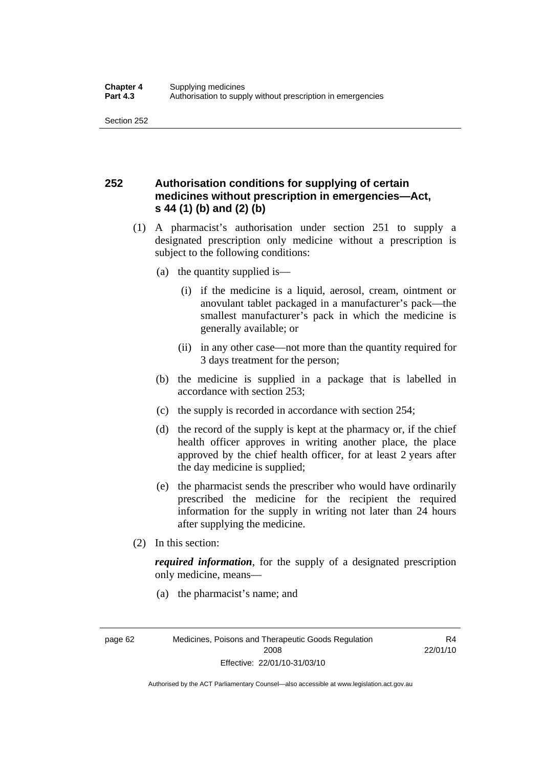### **252 Authorisation conditions for supplying of certain medicines without prescription in emergencies—Act, s 44 (1) (b) and (2) (b)**

- (1) A pharmacist's authorisation under section 251 to supply a designated prescription only medicine without a prescription is subject to the following conditions:
	- (a) the quantity supplied is—
		- (i) if the medicine is a liquid, aerosol, cream, ointment or anovulant tablet packaged in a manufacturer's pack—the smallest manufacturer's pack in which the medicine is generally available; or
		- (ii) in any other case—not more than the quantity required for 3 days treatment for the person;
	- (b) the medicine is supplied in a package that is labelled in accordance with section 253;
	- (c) the supply is recorded in accordance with section 254;
	- (d) the record of the supply is kept at the pharmacy or, if the chief health officer approves in writing another place, the place approved by the chief health officer, for at least 2 years after the day medicine is supplied;
	- (e) the pharmacist sends the prescriber who would have ordinarily prescribed the medicine for the recipient the required information for the supply in writing not later than 24 hours after supplying the medicine.
- (2) In this section:

*required information*, for the supply of a designated prescription only medicine, means—

(a) the pharmacist's name; and

page 62 Medicines, Poisons and Therapeutic Goods Regulation 2008 Effective: 22/01/10-31/03/10

R4 22/01/10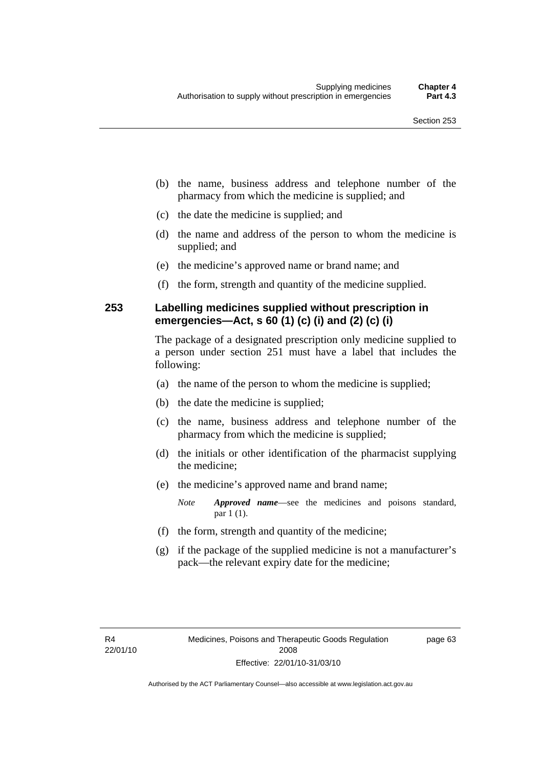- (b) the name, business address and telephone number of the pharmacy from which the medicine is supplied; and
- (c) the date the medicine is supplied; and
- (d) the name and address of the person to whom the medicine is supplied; and
- (e) the medicine's approved name or brand name; and
- (f) the form, strength and quantity of the medicine supplied.

### **253 Labelling medicines supplied without prescription in emergencies—Act, s 60 (1) (c) (i) and (2) (c) (i)**

The package of a designated prescription only medicine supplied to a person under section 251 must have a label that includes the following:

- (a) the name of the person to whom the medicine is supplied;
- (b) the date the medicine is supplied;
- (c) the name, business address and telephone number of the pharmacy from which the medicine is supplied;
- (d) the initials or other identification of the pharmacist supplying the medicine;
- (e) the medicine's approved name and brand name;

*Note Approved name*—see the medicines and poisons standard, par 1 (1).

- (f) the form, strength and quantity of the medicine;
- (g) if the package of the supplied medicine is not a manufacturer's pack—the relevant expiry date for the medicine;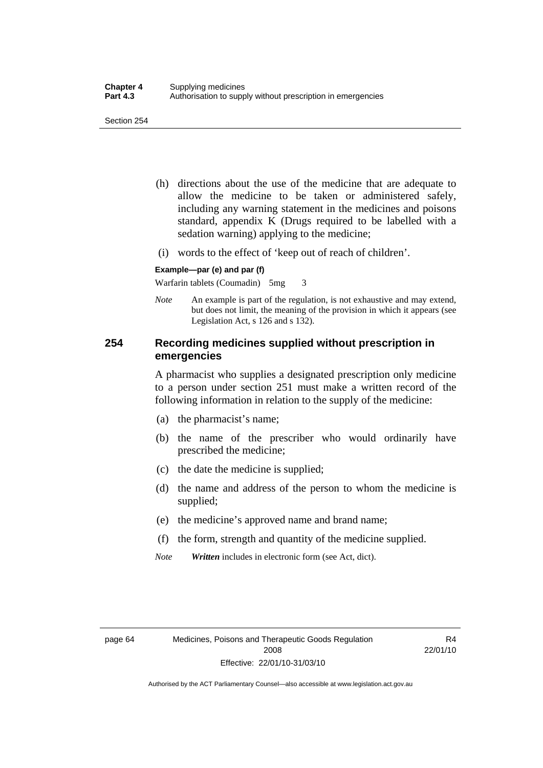- (h) directions about the use of the medicine that are adequate to allow the medicine to be taken or administered safely, including any warning statement in the medicines and poisons standard, appendix K (Drugs required to be labelled with a sedation warning) applying to the medicine;
- (i) words to the effect of 'keep out of reach of children'.

#### **Example—par (e) and par (f)**

Warfarin tablets (Coumadin) 5mg 3

*Note* An example is part of the regulation, is not exhaustive and may extend, but does not limit, the meaning of the provision in which it appears (see Legislation Act, s 126 and s 132).

### **254 Recording medicines supplied without prescription in emergencies**

A pharmacist who supplies a designated prescription only medicine to a person under section 251 must make a written record of the following information in relation to the supply of the medicine:

- (a) the pharmacist's name;
- (b) the name of the prescriber who would ordinarily have prescribed the medicine;
- (c) the date the medicine is supplied;
- (d) the name and address of the person to whom the medicine is supplied;
- (e) the medicine's approved name and brand name;
- (f) the form, strength and quantity of the medicine supplied.
- *Note Written* includes in electronic form (see Act, dict).

R4 22/01/10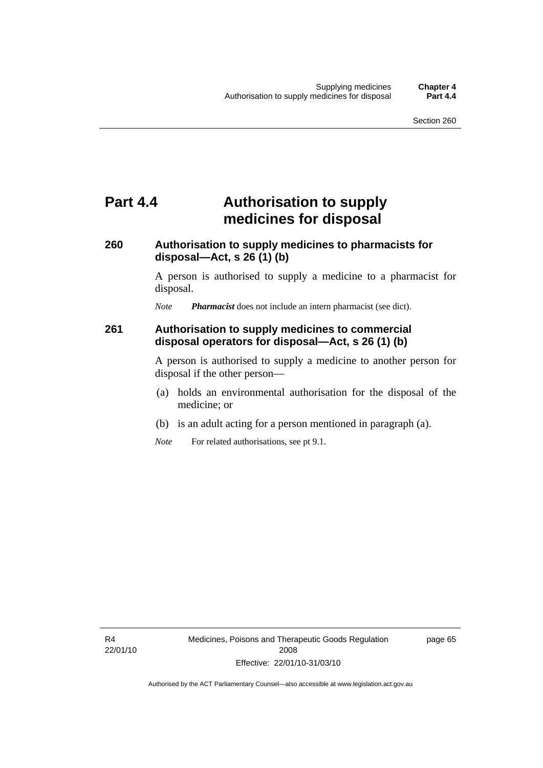# **Part 4.4 Authorisation to supply medicines for disposal**

### **260 Authorisation to supply medicines to pharmacists for disposal—Act, s 26 (1) (b)**

A person is authorised to supply a medicine to a pharmacist for disposal.

*Note Pharmacist* does not include an intern pharmacist (see dict).

### **261 Authorisation to supply medicines to commercial disposal operators for disposal—Act, s 26 (1) (b)**

A person is authorised to supply a medicine to another person for disposal if the other person—

- (a) holds an environmental authorisation for the disposal of the medicine; or
- (b) is an adult acting for a person mentioned in paragraph (a).
- *Note* For related authorisations, see pt 9.1.

page 65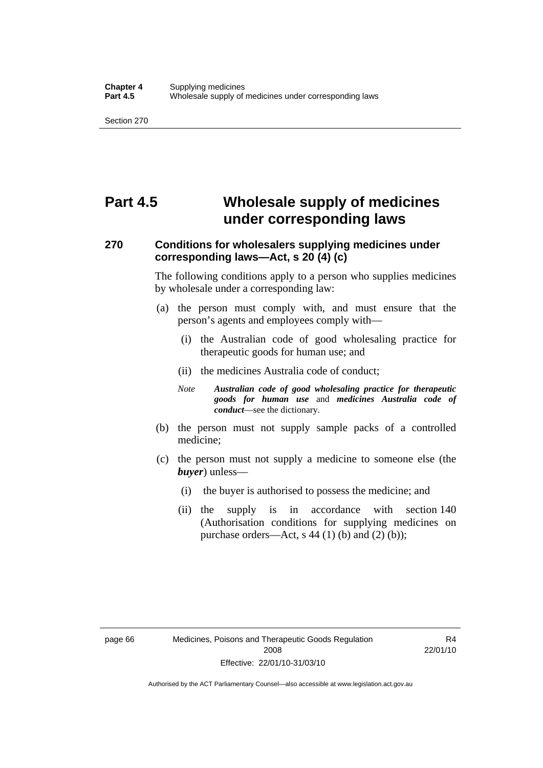# **Part 4.5 Wholesale supply of medicines under corresponding laws**

### **270 Conditions for wholesalers supplying medicines under corresponding laws—Act, s 20 (4) (c)**

The following conditions apply to a person who supplies medicines by wholesale under a corresponding law:

- (a) the person must comply with, and must ensure that the person's agents and employees comply with—
	- (i) the Australian code of good wholesaling practice for therapeutic goods for human use; and
	- (ii) the medicines Australia code of conduct;
	- *Note Australian code of good wholesaling practice for therapeutic goods for human use* and *medicines Australia code of conduct*—see the dictionary.
- (b) the person must not supply sample packs of a controlled medicine;
- (c) the person must not supply a medicine to someone else (the *buyer*) unless—
	- (i) the buyer is authorised to possess the medicine; and
	- (ii) the supply is in accordance with section 140 (Authorisation conditions for supplying medicines on purchase orders—Act, s 44 (1) (b) and (2) (b));

R4 22/01/10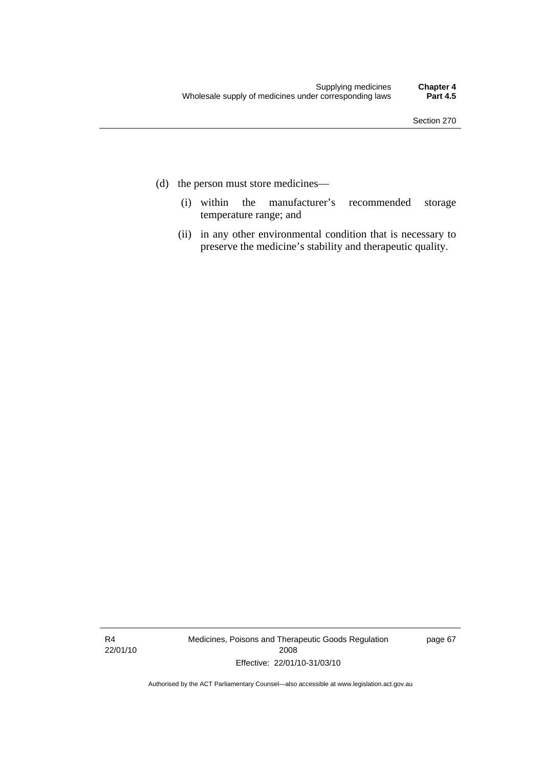- (d) the person must store medicines—
	- (i) within the manufacturer's recommended storage temperature range; and
	- (ii) in any other environmental condition that is necessary to preserve the medicine's stability and therapeutic quality.

R4 22/01/10 Medicines, Poisons and Therapeutic Goods Regulation 2008 Effective: 22/01/10-31/03/10

page 67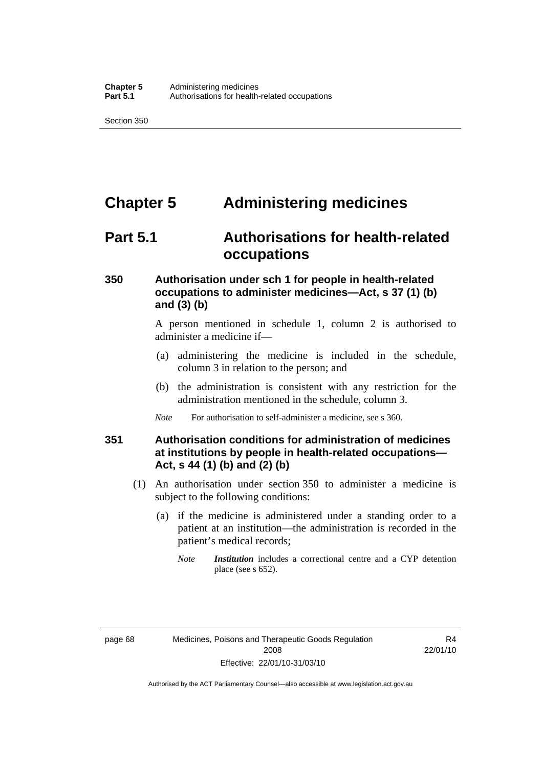# **Chapter 5 Administering medicines**

### **Part 5.1 Authorisations for health-related occupations**

### **350 Authorisation under sch 1 for people in health-related occupations to administer medicines—Act, s 37 (1) (b) and (3) (b)**

A person mentioned in schedule 1, column 2 is authorised to administer a medicine if—

- (a) administering the medicine is included in the schedule, column 3 in relation to the person; and
- (b) the administration is consistent with any restriction for the administration mentioned in the schedule, column 3.
- *Note* For authorisation to self-administer a medicine, see s 360.

### **351 Authorisation conditions for administration of medicines at institutions by people in health-related occupations— Act, s 44 (1) (b) and (2) (b)**

- (1) An authorisation under section 350 to administer a medicine is subject to the following conditions:
	- (a) if the medicine is administered under a standing order to a patient at an institution—the administration is recorded in the patient's medical records;
		- *Note Institution* includes a correctional centre and a CYP detention place (see s 652).

R4 22/01/10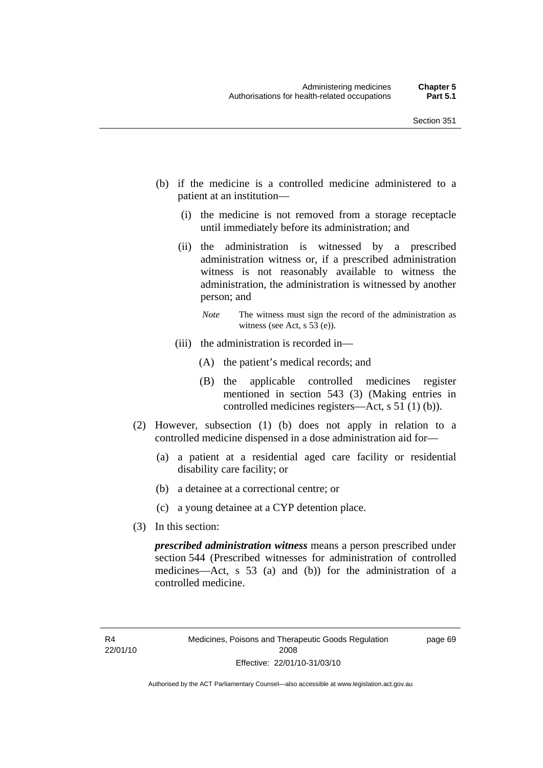- (b) if the medicine is a controlled medicine administered to a patient at an institution—
	- (i) the medicine is not removed from a storage receptacle until immediately before its administration; and
	- (ii) the administration is witnessed by a prescribed administration witness or, if a prescribed administration witness is not reasonably available to witness the administration, the administration is witnessed by another person; and
		- *Note* The witness must sign the record of the administration as witness (see Act, s 53 (e)).
	- (iii) the administration is recorded in—
		- (A) the patient's medical records; and
		- (B) the applicable controlled medicines register mentioned in section 543 (3) (Making entries in controlled medicines registers—Act, s 51 (1) (b)).
- (2) However, subsection (1) (b) does not apply in relation to a controlled medicine dispensed in a dose administration aid for—
	- (a) a patient at a residential aged care facility or residential disability care facility; or
	- (b) a detainee at a correctional centre; or
	- (c) a young detainee at a CYP detention place.
- (3) In this section:

*prescribed administration witness* means a person prescribed under section 544 (Prescribed witnesses for administration of controlled medicines—Act, s 53 (a) and (b)) for the administration of a controlled medicine.

page 69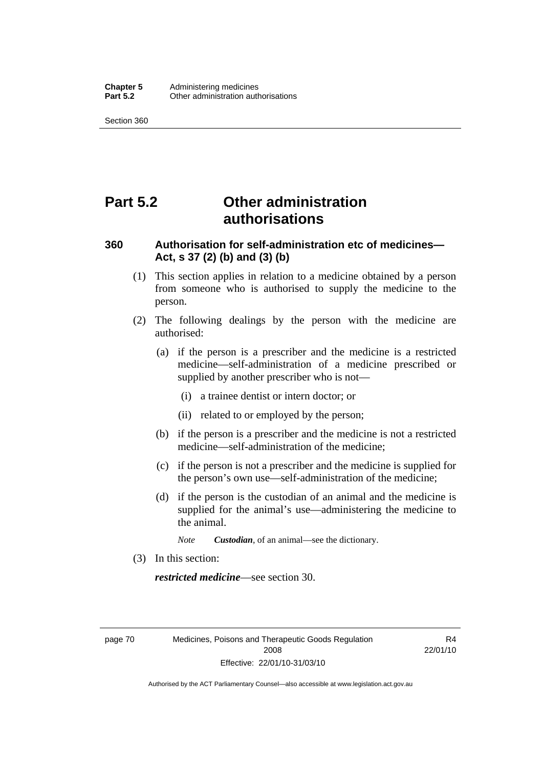# **Part 5.2 Other administration authorisations**

### **360 Authorisation for self-administration etc of medicines— Act, s 37 (2) (b) and (3) (b)**

- (1) This section applies in relation to a medicine obtained by a person from someone who is authorised to supply the medicine to the person.
- (2) The following dealings by the person with the medicine are authorised:
	- (a) if the person is a prescriber and the medicine is a restricted medicine—self-administration of a medicine prescribed or supplied by another prescriber who is not—
		- (i) a trainee dentist or intern doctor; or
		- (ii) related to or employed by the person;
	- (b) if the person is a prescriber and the medicine is not a restricted medicine—self-administration of the medicine;
	- (c) if the person is not a prescriber and the medicine is supplied for the person's own use—self-administration of the medicine;
	- (d) if the person is the custodian of an animal and the medicine is supplied for the animal's use—administering the medicine to the animal.
		- *Note Custodian*, of an animal—see the dictionary.
- (3) In this section:

*restricted medicine*—see section 30.

page 70 Medicines, Poisons and Therapeutic Goods Regulation 2008 Effective: 22/01/10-31/03/10

R4 22/01/10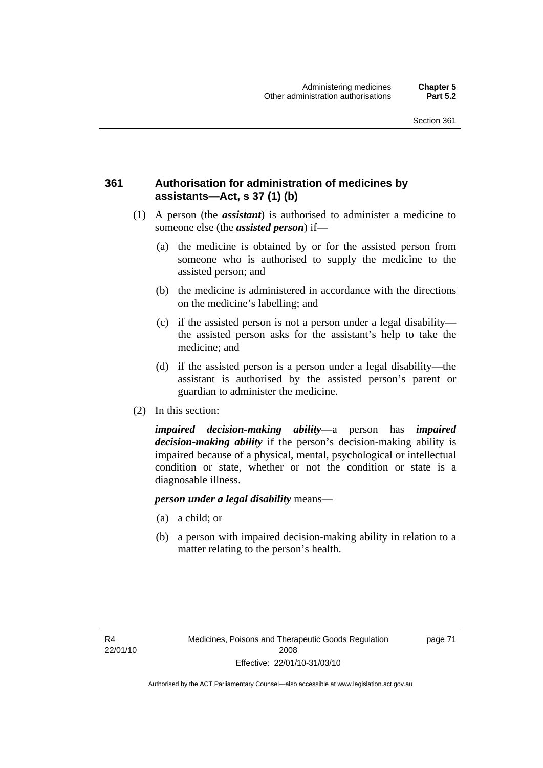### **361 Authorisation for administration of medicines by assistants—Act, s 37 (1) (b)**

- (1) A person (the *assistant*) is authorised to administer a medicine to someone else (the *assisted person*) if—
	- (a) the medicine is obtained by or for the assisted person from someone who is authorised to supply the medicine to the assisted person; and
	- (b) the medicine is administered in accordance with the directions on the medicine's labelling; and
	- (c) if the assisted person is not a person under a legal disability the assisted person asks for the assistant's help to take the medicine; and
	- (d) if the assisted person is a person under a legal disability—the assistant is authorised by the assisted person's parent or guardian to administer the medicine.
- (2) In this section:

*impaired decision-making ability*—a person has *impaired decision-making ability* if the person's decision-making ability is impaired because of a physical, mental, psychological or intellectual condition or state, whether or not the condition or state is a diagnosable illness.

#### *person under a legal disability* means—

- (a) a child; or
- (b) a person with impaired decision-making ability in relation to a matter relating to the person's health.

page 71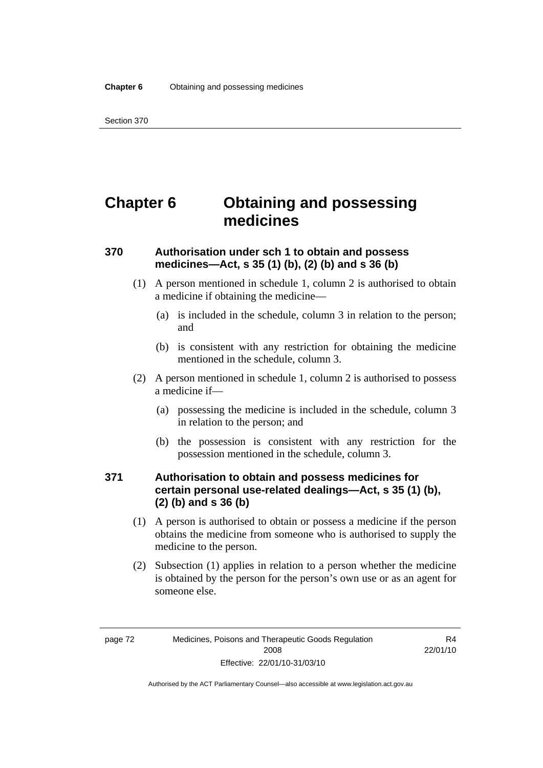# **Chapter 6 Obtaining and possessing medicines**

### **370 Authorisation under sch 1 to obtain and possess medicines—Act, s 35 (1) (b), (2) (b) and s 36 (b)**

- (1) A person mentioned in schedule 1, column 2 is authorised to obtain a medicine if obtaining the medicine—
	- (a) is included in the schedule, column 3 in relation to the person; and
	- (b) is consistent with any restriction for obtaining the medicine mentioned in the schedule, column 3.
- (2) A person mentioned in schedule 1, column 2 is authorised to possess a medicine if—
	- (a) possessing the medicine is included in the schedule, column 3 in relation to the person; and
	- (b) the possession is consistent with any restriction for the possession mentioned in the schedule, column 3.

### **371 Authorisation to obtain and possess medicines for certain personal use-related dealings—Act, s 35 (1) (b), (2) (b) and s 36 (b)**

- (1) A person is authorised to obtain or possess a medicine if the person obtains the medicine from someone who is authorised to supply the medicine to the person.
- (2) Subsection (1) applies in relation to a person whether the medicine is obtained by the person for the person's own use or as an agent for someone else.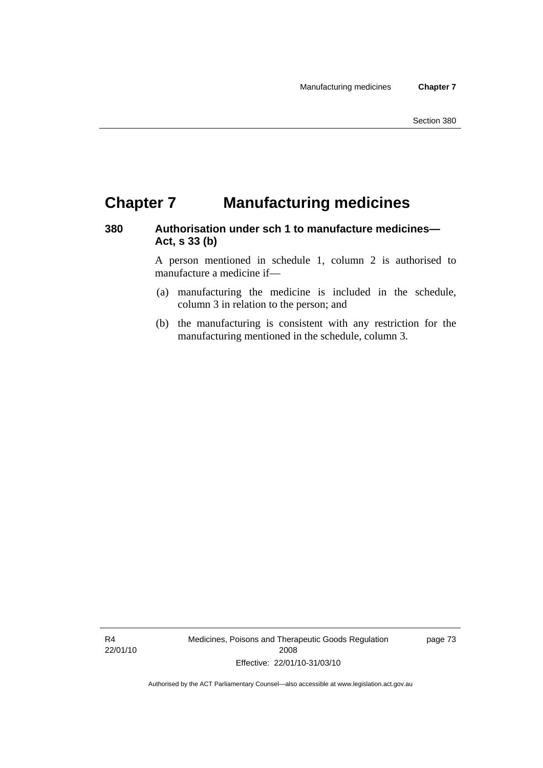# **Chapter 7 Manufacturing medicines**

### **380 Authorisation under sch 1 to manufacture medicines— Act, s 33 (b)**

A person mentioned in schedule 1, column 2 is authorised to manufacture a medicine if—

- (a) manufacturing the medicine is included in the schedule, column 3 in relation to the person; and
- (b) the manufacturing is consistent with any restriction for the manufacturing mentioned in the schedule, column 3.

R4 22/01/10 Medicines, Poisons and Therapeutic Goods Regulation 2008 Effective: 22/01/10-31/03/10

page 73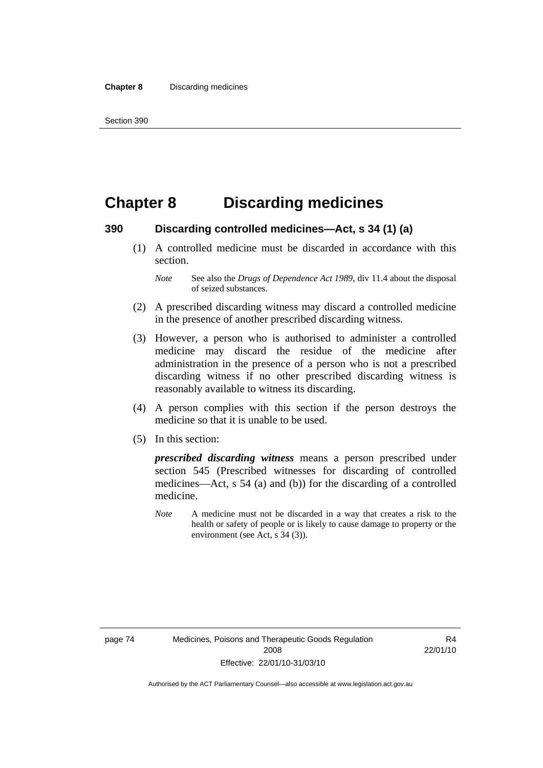## **Chapter 8 Discarding medicines**

### **390 Discarding controlled medicines—Act, s 34 (1) (a)**

 (1) A controlled medicine must be discarded in accordance with this section.

- (2) A prescribed discarding witness may discard a controlled medicine in the presence of another prescribed discarding witness.
- (3) However, a person who is authorised to administer a controlled medicine may discard the residue of the medicine after administration in the presence of a person who is not a prescribed discarding witness if no other prescribed discarding witness is reasonably available to witness its discarding.
- (4) A person complies with this section if the person destroys the medicine so that it is unable to be used.
- (5) In this section:

*prescribed discarding witness* means a person prescribed under section 545 (Prescribed witnesses for discarding of controlled medicines—Act, s 54 (a) and (b)) for the discarding of a controlled medicine.

*Note* A medicine must not be discarded in a way that creates a risk to the health or safety of people or is likely to cause damage to property or the environment (see Act, s 34 (3)).

R4 22/01/10

*Note* See also the *Drugs of Dependence Act 1989*, div 11.4 about the disposal of seized substances.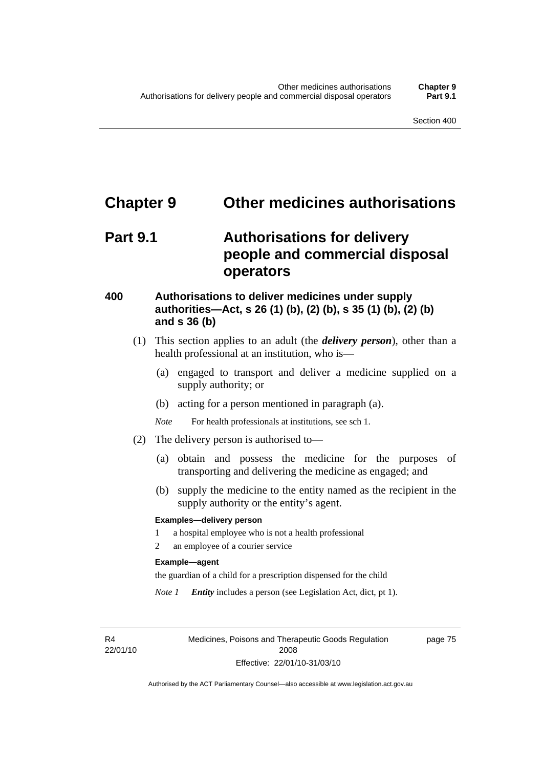### **Chapter 9 Other medicines authorisations**

# **Part 9.1 Authorisations for delivery people and commercial disposal operators**

### **400 Authorisations to deliver medicines under supply authorities—Act, s 26 (1) (b), (2) (b), s 35 (1) (b), (2) (b) and s 36 (b)**

- (1) This section applies to an adult (the *delivery person*), other than a health professional at an institution, who is—
	- (a) engaged to transport and deliver a medicine supplied on a supply authority; or
	- (b) acting for a person mentioned in paragraph (a).
	- *Note* For health professionals at institutions, see sch 1.
- (2) The delivery person is authorised to—
	- (a) obtain and possess the medicine for the purposes of transporting and delivering the medicine as engaged; and
	- (b) supply the medicine to the entity named as the recipient in the supply authority or the entity's agent.

#### **Examples—delivery person**

- 1 a hospital employee who is not a health professional
- 2 an employee of a courier service

#### **Example—agent**

the guardian of a child for a prescription dispensed for the child

*Note 1 Entity* includes a person (see Legislation Act, dict, pt 1).

R4 22/01/10 Medicines, Poisons and Therapeutic Goods Regulation 2008 Effective: 22/01/10-31/03/10

page 75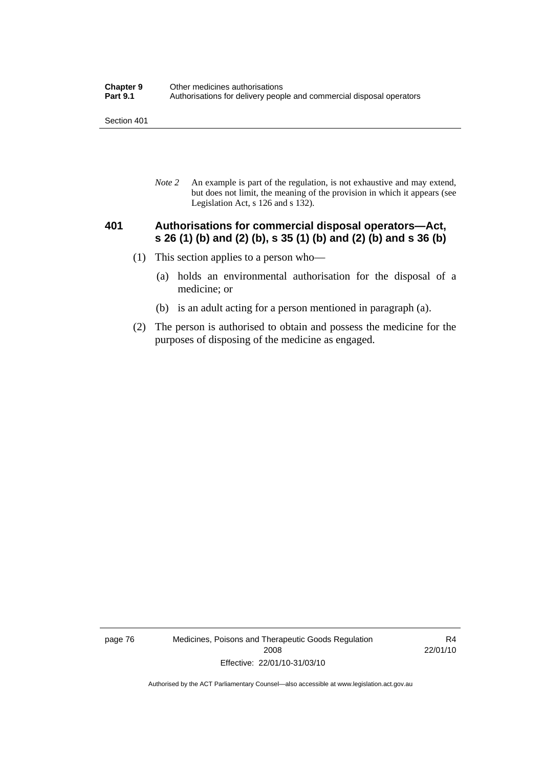*Note 2* An example is part of the regulation, is not exhaustive and may extend, but does not limit, the meaning of the provision in which it appears (see Legislation Act, s 126 and s 132).

### **401 Authorisations for commercial disposal operators—Act, s 26 (1) (b) and (2) (b), s 35 (1) (b) and (2) (b) and s 36 (b)**

- (1) This section applies to a person who—
	- (a) holds an environmental authorisation for the disposal of a medicine; or
	- (b) is an adult acting for a person mentioned in paragraph (a).
- (2) The person is authorised to obtain and possess the medicine for the purposes of disposing of the medicine as engaged.

page 76 Medicines, Poisons and Therapeutic Goods Regulation 2008 Effective: 22/01/10-31/03/10

R4 22/01/10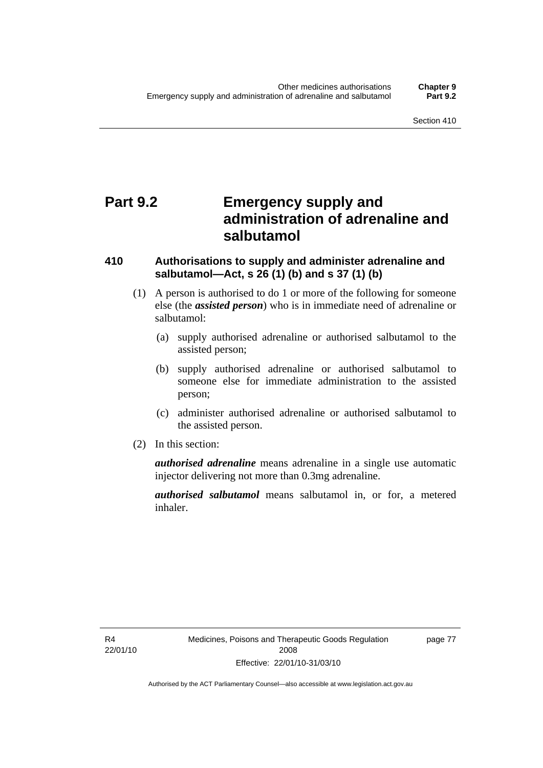# **Part 9.2 Emergency supply and administration of adrenaline and salbutamol**

### **410 Authorisations to supply and administer adrenaline and salbutamol—Act, s 26 (1) (b) and s 37 (1) (b)**

- (1) A person is authorised to do 1 or more of the following for someone else (the *assisted person*) who is in immediate need of adrenaline or salbutamol:
	- (a) supply authorised adrenaline or authorised salbutamol to the assisted person;
	- (b) supply authorised adrenaline or authorised salbutamol to someone else for immediate administration to the assisted person;
	- (c) administer authorised adrenaline or authorised salbutamol to the assisted person.
- (2) In this section:

*authorised adrenaline* means adrenaline in a single use automatic injector delivering not more than 0.3mg adrenaline.

*authorised salbutamol* means salbutamol in, or for, a metered inhaler.

R4 22/01/10 page 77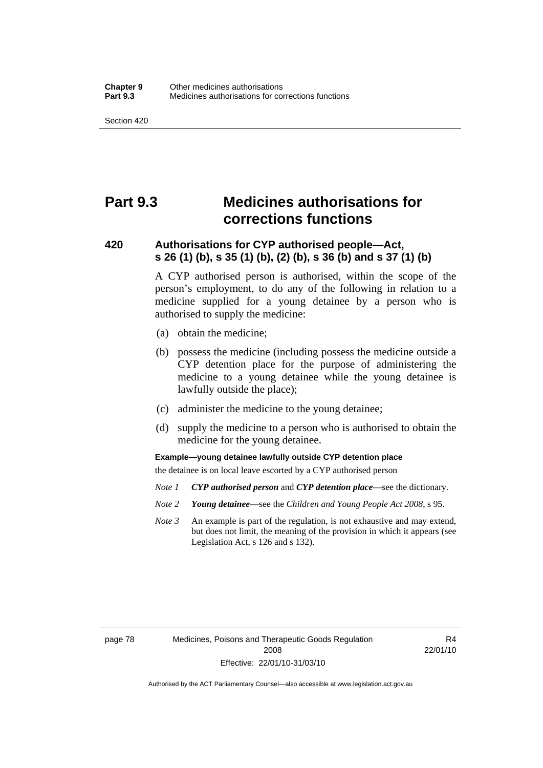# **Part 9.3 Medicines authorisations for corrections functions**

### **420 Authorisations for CYP authorised people—Act, s 26 (1) (b), s 35 (1) (b), (2) (b), s 36 (b) and s 37 (1) (b)**

A CYP authorised person is authorised, within the scope of the person's employment, to do any of the following in relation to a medicine supplied for a young detainee by a person who is authorised to supply the medicine:

- (a) obtain the medicine;
- (b) possess the medicine (including possess the medicine outside a CYP detention place for the purpose of administering the medicine to a young detainee while the young detainee is lawfully outside the place);
- (c) administer the medicine to the young detainee;
- (d) supply the medicine to a person who is authorised to obtain the medicine for the young detainee.

**Example—young detainee lawfully outside CYP detention place** 

the detainee is on local leave escorted by a CYP authorised person

- *Note 1 CYP authorised person* and *CYP detention place*—see the dictionary.
- *Note 2 Young detainee*—see the *Children and Young People Act 2008*, s 95.
- *Note 3* An example is part of the regulation, is not exhaustive and may extend, but does not limit, the meaning of the provision in which it appears (see Legislation Act, s 126 and s 132).

page 78 Medicines, Poisons and Therapeutic Goods Regulation 2008 Effective: 22/01/10-31/03/10

R4 22/01/10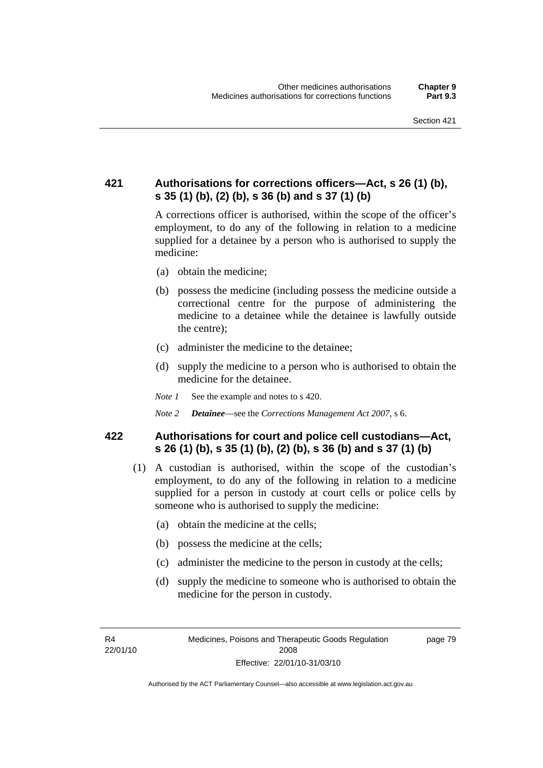### **421 Authorisations for corrections officers—Act, s 26 (1) (b), s 35 (1) (b), (2) (b), s 36 (b) and s 37 (1) (b)**

A corrections officer is authorised, within the scope of the officer's employment, to do any of the following in relation to a medicine supplied for a detainee by a person who is authorised to supply the medicine:

- (a) obtain the medicine;
- (b) possess the medicine (including possess the medicine outside a correctional centre for the purpose of administering the medicine to a detainee while the detainee is lawfully outside the centre);
- (c) administer the medicine to the detainee;
- (d) supply the medicine to a person who is authorised to obtain the medicine for the detainee.
- *Note 1* See the example and notes to s 420.
- *Note 2 Detainee*—see the *Corrections Management Act 2007*, s 6.

### **422 Authorisations for court and police cell custodians—Act, s 26 (1) (b), s 35 (1) (b), (2) (b), s 36 (b) and s 37 (1) (b)**

- (1) A custodian is authorised, within the scope of the custodian's employment, to do any of the following in relation to a medicine supplied for a person in custody at court cells or police cells by someone who is authorised to supply the medicine:
	- (a) obtain the medicine at the cells;
	- (b) possess the medicine at the cells;
	- (c) administer the medicine to the person in custody at the cells;
	- (d) supply the medicine to someone who is authorised to obtain the medicine for the person in custody.

R4 22/01/10 page 79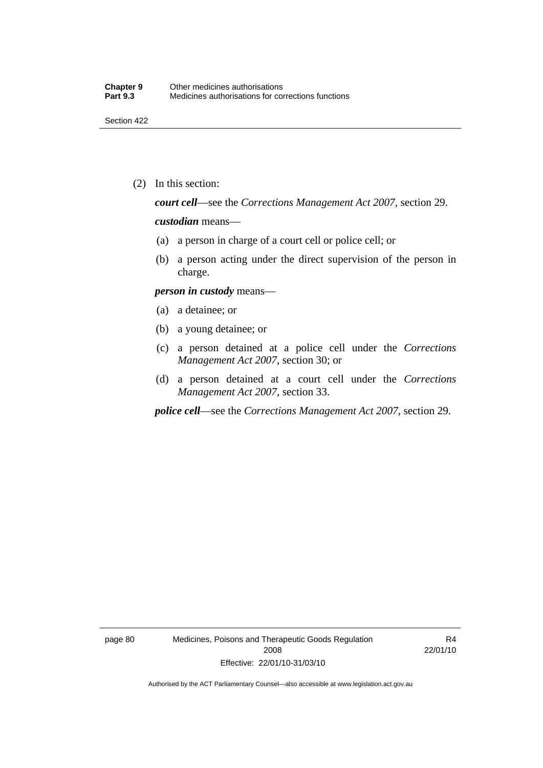(2) In this section:

*court cell*—see the *Corrections Management Act 2007*, section 29.

#### *custodian* means—

- (a) a person in charge of a court cell or police cell; or
- (b) a person acting under the direct supervision of the person in charge.

#### *person in custody* means—

- (a) a detainee; or
- (b) a young detainee; or
- (c) a person detained at a police cell under the *Corrections Management Act 2007*, section 30; or
- (d) a person detained at a court cell under the *Corrections Management Act 2007*, section 33.

*police cell*—see the *Corrections Management Act 2007*, section 29.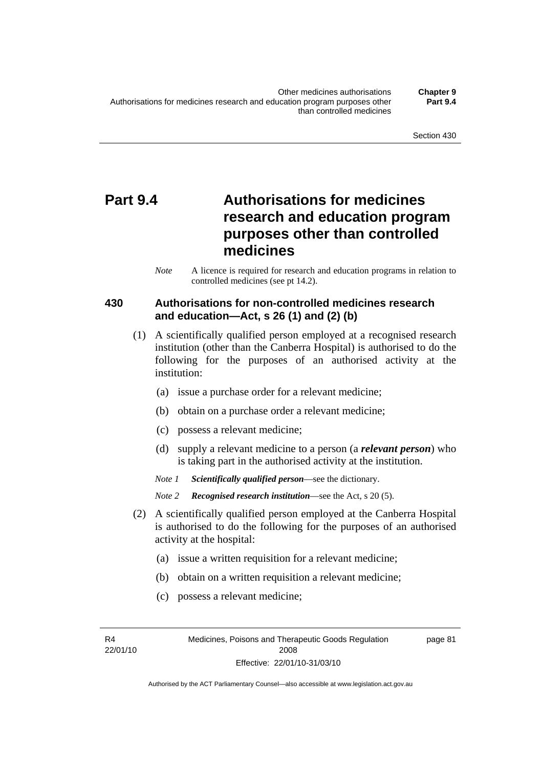# **Part 9.4 Authorisations for medicines research and education program purposes other than controlled medicines**

*Note* A licence is required for research and education programs in relation to controlled medicines (see pt 14.2).

### **430 Authorisations for non-controlled medicines research and education—Act, s 26 (1) and (2) (b)**

- (1) A scientifically qualified person employed at a recognised research institution (other than the Canberra Hospital) is authorised to do the following for the purposes of an authorised activity at the institution:
	- (a) issue a purchase order for a relevant medicine;
	- (b) obtain on a purchase order a relevant medicine;
	- (c) possess a relevant medicine;
	- (d) supply a relevant medicine to a person (a *relevant person*) who is taking part in the authorised activity at the institution.
	- *Note 1 Scientifically qualified person*—see the dictionary.

*Note 2 Recognised research institution*—see the Act, s 20 (5).

- (2) A scientifically qualified person employed at the Canberra Hospital is authorised to do the following for the purposes of an authorised activity at the hospital:
	- (a) issue a written requisition for a relevant medicine;
	- (b) obtain on a written requisition a relevant medicine;
	- (c) possess a relevant medicine;

R4 22/01/10 page 81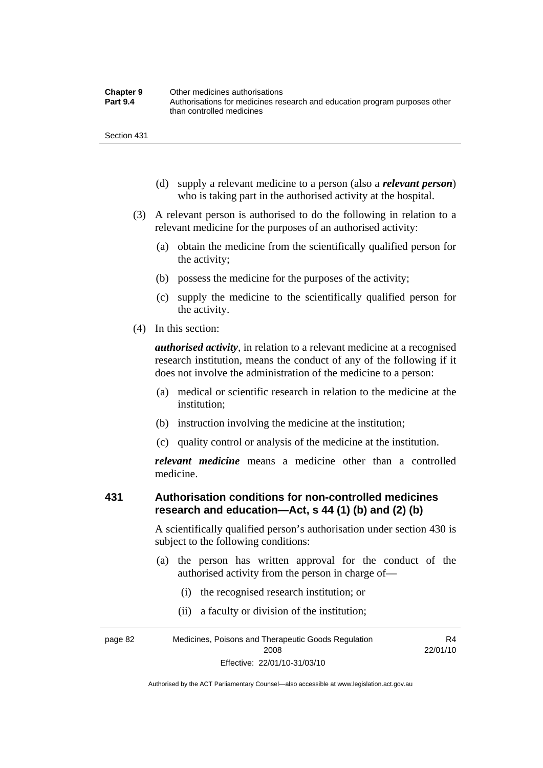| <b>Chapter 9</b> | Other medicines authorisations                                             |
|------------------|----------------------------------------------------------------------------|
| <b>Part 9.4</b>  | Authorisations for medicines research and education program purposes other |
|                  | than controlled medicines                                                  |

- (d) supply a relevant medicine to a person (also a *relevant person*) who is taking part in the authorised activity at the hospital.
- (3) A relevant person is authorised to do the following in relation to a relevant medicine for the purposes of an authorised activity:
	- (a) obtain the medicine from the scientifically qualified person for the activity;
	- (b) possess the medicine for the purposes of the activity;
	- (c) supply the medicine to the scientifically qualified person for the activity.
- (4) In this section:

*authorised activity*, in relation to a relevant medicine at a recognised research institution, means the conduct of any of the following if it does not involve the administration of the medicine to a person:

- (a) medical or scientific research in relation to the medicine at the institution;
- (b) instruction involving the medicine at the institution;
- (c) quality control or analysis of the medicine at the institution.

*relevant medicine* means a medicine other than a controlled medicine.

### **431 Authorisation conditions for non-controlled medicines research and education—Act, s 44 (1) (b) and (2) (b)**

A scientifically qualified person's authorisation under section 430 is subject to the following conditions:

 (a) the person has written approval for the conduct of the authorised activity from the person in charge of—

R4

- (i) the recognised research institution; or
- (ii) a faculty or division of the institution;

page 82 Medicines, Poisons and Therapeutic Goods Regulation 2008 Effective: 22/01/10-31/03/10 22/01/10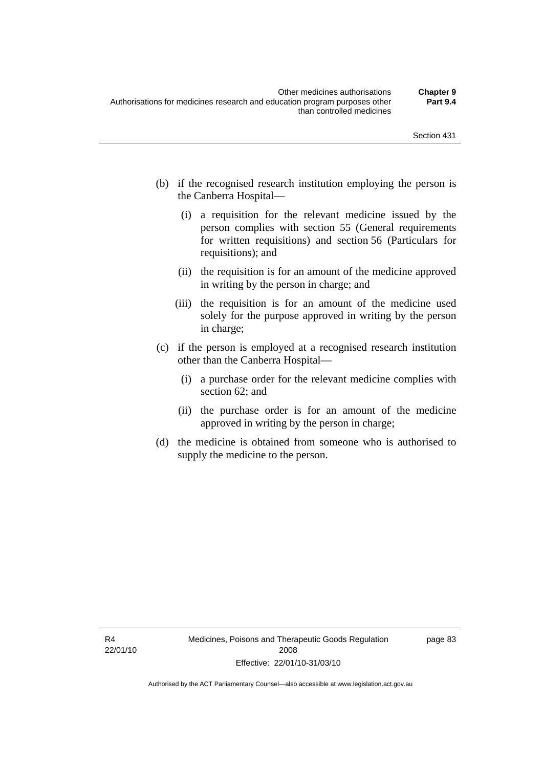- (b) if the recognised research institution employing the person is the Canberra Hospital—
	- (i) a requisition for the relevant medicine issued by the person complies with section 55 (General requirements for written requisitions) and section 56 (Particulars for requisitions); and
	- (ii) the requisition is for an amount of the medicine approved in writing by the person in charge; and
	- (iii) the requisition is for an amount of the medicine used solely for the purpose approved in writing by the person in charge;
- (c) if the person is employed at a recognised research institution other than the Canberra Hospital—
	- (i) a purchase order for the relevant medicine complies with section 62; and
	- (ii) the purchase order is for an amount of the medicine approved in writing by the person in charge;
- (d) the medicine is obtained from someone who is authorised to supply the medicine to the person.

page 83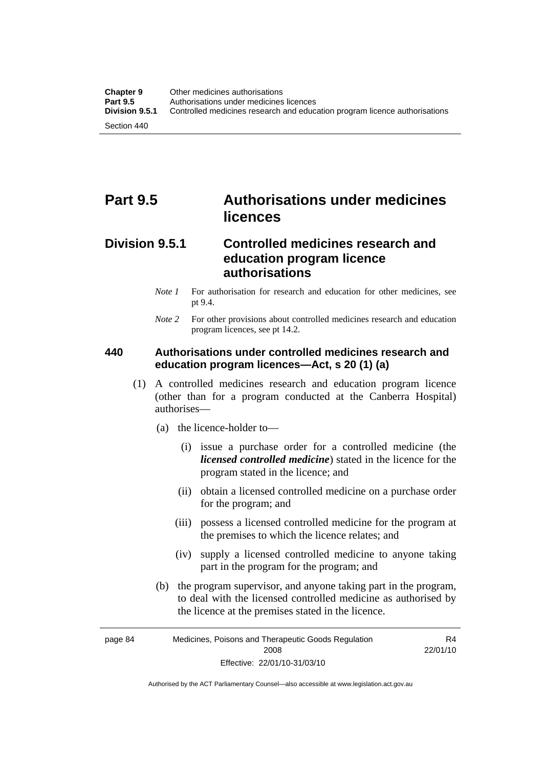# **Part 9.5 Authorisations under medicines licences**

### **Division 9.5.1 Controlled medicines research and education program licence authorisations**

- *Note 1* For authorisation for research and education for other medicines, see pt 9.4.
- *Note* 2 For other provisions about controlled medicines research and education program licences, see pt 14.2.

### **440 Authorisations under controlled medicines research and education program licences—Act, s 20 (1) (a)**

- (1) A controlled medicines research and education program licence (other than for a program conducted at the Canberra Hospital) authorises—
	- (a) the licence-holder to—
		- (i) issue a purchase order for a controlled medicine (the *licensed controlled medicine*) stated in the licence for the program stated in the licence; and
		- (ii) obtain a licensed controlled medicine on a purchase order for the program; and
		- (iii) possess a licensed controlled medicine for the program at the premises to which the licence relates; and
		- (iv) supply a licensed controlled medicine to anyone taking part in the program for the program; and
	- (b) the program supervisor, and anyone taking part in the program, to deal with the licensed controlled medicine as authorised by the licence at the premises stated in the licence.

page 84 Medicines, Poisons and Therapeutic Goods Regulation 2008 Effective: 22/01/10-31/03/10 R4 22/01/10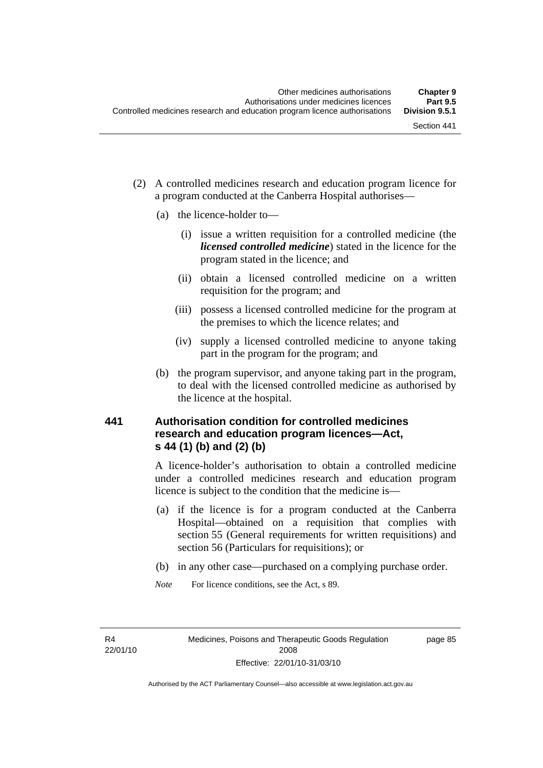- (2) A controlled medicines research and education program licence for a program conducted at the Canberra Hospital authorises—
	- (a) the licence-holder to—
		- (i) issue a written requisition for a controlled medicine (the *licensed controlled medicine*) stated in the licence for the program stated in the licence; and
		- (ii) obtain a licensed controlled medicine on a written requisition for the program; and
		- (iii) possess a licensed controlled medicine for the program at the premises to which the licence relates; and
		- (iv) supply a licensed controlled medicine to anyone taking part in the program for the program; and
	- (b) the program supervisor, and anyone taking part in the program, to deal with the licensed controlled medicine as authorised by the licence at the hospital.

## **441 Authorisation condition for controlled medicines research and education program licences—Act, s 44 (1) (b) and (2) (b)**

A licence-holder's authorisation to obtain a controlled medicine under a controlled medicines research and education program licence is subject to the condition that the medicine is—

- (a) if the licence is for a program conducted at the Canberra Hospital—obtained on a requisition that complies with section 55 (General requirements for written requisitions) and section 56 (Particulars for requisitions); or
- (b) in any other case—purchased on a complying purchase order.
- *Note* For licence conditions, see the Act, s 89.

R4 22/01/10 page 85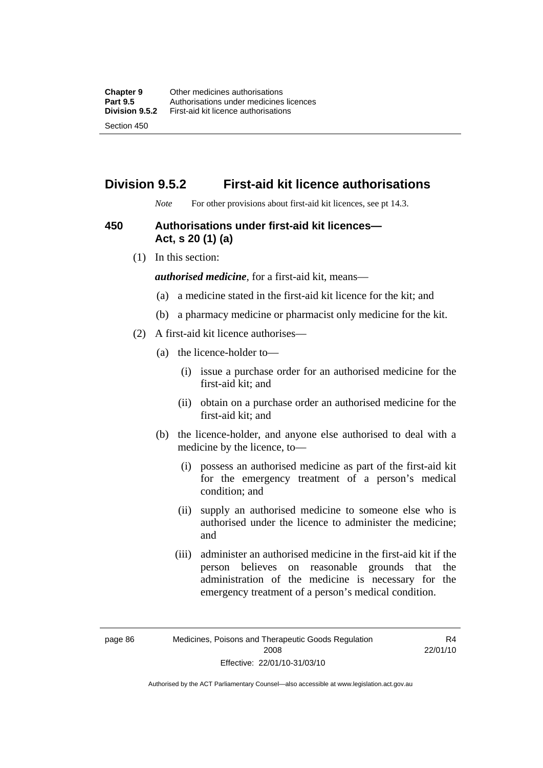## **Division 9.5.2 First-aid kit licence authorisations**

*Note* For other provisions about first-aid kit licences, see pt 14.3.

#### **450 Authorisations under first-aid kit licences— Act, s 20 (1) (a)**

(1) In this section:

*authorised medicine*, for a first-aid kit, means—

- (a) a medicine stated in the first-aid kit licence for the kit; and
- (b) a pharmacy medicine or pharmacist only medicine for the kit.
- (2) A first-aid kit licence authorises—
	- (a) the licence-holder to—
		- (i) issue a purchase order for an authorised medicine for the first-aid kit; and
		- (ii) obtain on a purchase order an authorised medicine for the first-aid kit; and
	- (b) the licence-holder, and anyone else authorised to deal with a medicine by the licence, to—
		- (i) possess an authorised medicine as part of the first-aid kit for the emergency treatment of a person's medical condition; and
		- (ii) supply an authorised medicine to someone else who is authorised under the licence to administer the medicine; and
		- (iii) administer an authorised medicine in the first-aid kit if the person believes on reasonable grounds that the administration of the medicine is necessary for the emergency treatment of a person's medical condition.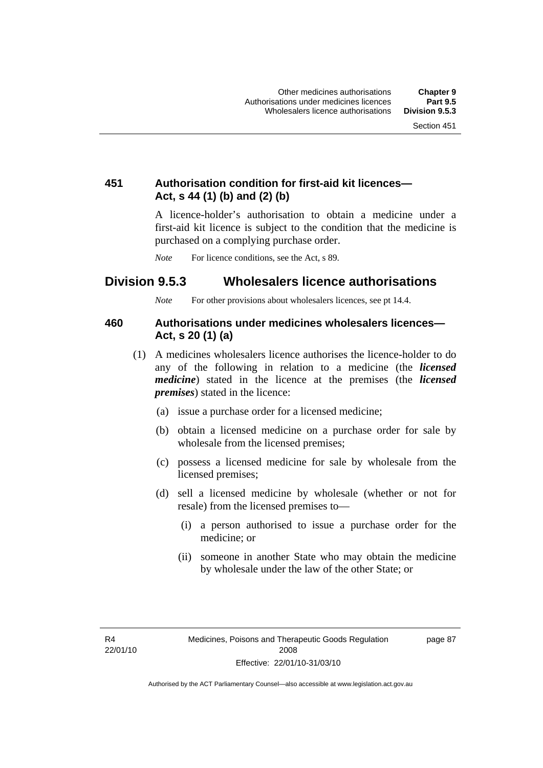## **451 Authorisation condition for first-aid kit licences— Act, s 44 (1) (b) and (2) (b)**

A licence-holder's authorisation to obtain a medicine under a first-aid kit licence is subject to the condition that the medicine is purchased on a complying purchase order.

*Note* For licence conditions, see the Act, s 89.

## **Division 9.5.3 Wholesalers licence authorisations**

*Note* For other provisions about wholesalers licences, see pt 14.4.

#### **460 Authorisations under medicines wholesalers licences— Act, s 20 (1) (a)**

- (1) A medicines wholesalers licence authorises the licence-holder to do any of the following in relation to a medicine (the *licensed medicine*) stated in the licence at the premises (the *licensed premises*) stated in the licence:
	- (a) issue a purchase order for a licensed medicine;
	- (b) obtain a licensed medicine on a purchase order for sale by wholesale from the licensed premises;
	- (c) possess a licensed medicine for sale by wholesale from the licensed premises;
	- (d) sell a licensed medicine by wholesale (whether or not for resale) from the licensed premises to—
		- (i) a person authorised to issue a purchase order for the medicine; or
		- (ii) someone in another State who may obtain the medicine by wholesale under the law of the other State; or

R4 22/01/10 page 87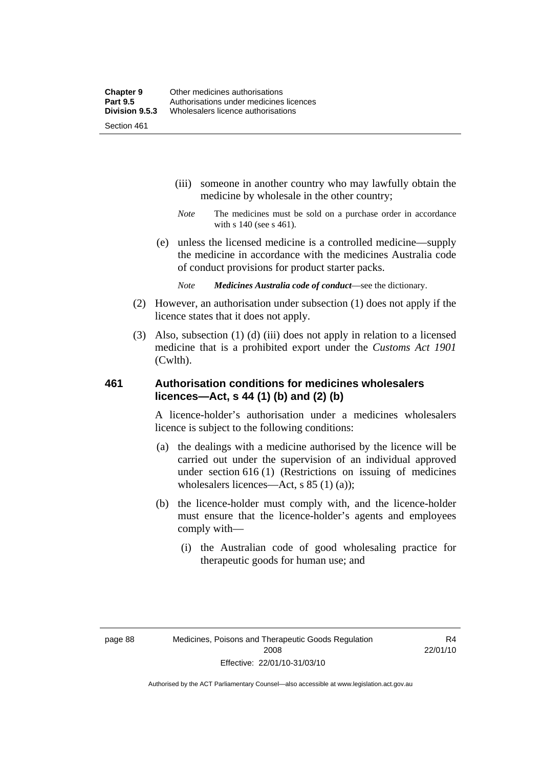- (iii) someone in another country who may lawfully obtain the medicine by wholesale in the other country;
- *Note* The medicines must be sold on a purchase order in accordance with s 140 (see s 461).
- (e) unless the licensed medicine is a controlled medicine—supply the medicine in accordance with the medicines Australia code of conduct provisions for product starter packs.
	- *Note Medicines Australia code of conduct*—see the dictionary.
- (2) However, an authorisation under subsection (1) does not apply if the licence states that it does not apply.
- (3) Also, subsection (1) (d) (iii) does not apply in relation to a licensed medicine that is a prohibited export under the *Customs Act 1901* (Cwlth).

#### **461 Authorisation conditions for medicines wholesalers licences—Act, s 44 (1) (b) and (2) (b)**

A licence-holder's authorisation under a medicines wholesalers licence is subject to the following conditions:

- (a) the dealings with a medicine authorised by the licence will be carried out under the supervision of an individual approved under section 616 (1) (Restrictions on issuing of medicines wholesalers licences—Act, s 85 (1) (a));
- (b) the licence-holder must comply with, and the licence-holder must ensure that the licence-holder's agents and employees comply with—
	- (i) the Australian code of good wholesaling practice for therapeutic goods for human use; and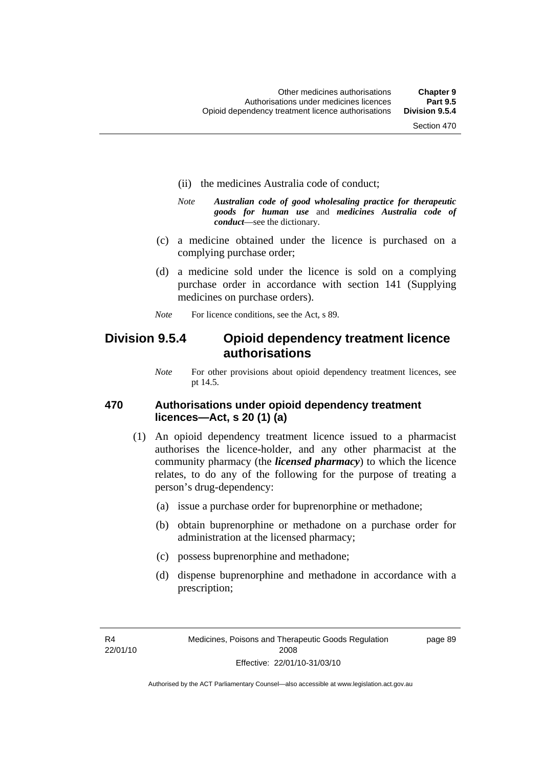- (ii) the medicines Australia code of conduct;
- *Note Australian code of good wholesaling practice for therapeutic goods for human use* and *medicines Australia code of conduct*—see the dictionary.
- (c) a medicine obtained under the licence is purchased on a complying purchase order;
- (d) a medicine sold under the licence is sold on a complying purchase order in accordance with section 141 (Supplying medicines on purchase orders).
- *Note* For licence conditions, see the Act, s 89.

## **Division 9.5.4 Opioid dependency treatment licence authorisations**

*Note* For other provisions about opioid dependency treatment licences, see pt 14.5.

#### **470 Authorisations under opioid dependency treatment licences—Act, s 20 (1) (a)**

- (1) An opioid dependency treatment licence issued to a pharmacist authorises the licence-holder, and any other pharmacist at the community pharmacy (the *licensed pharmacy*) to which the licence relates, to do any of the following for the purpose of treating a person's drug-dependency:
	- (a) issue a purchase order for buprenorphine or methadone;
	- (b) obtain buprenorphine or methadone on a purchase order for administration at the licensed pharmacy;
	- (c) possess buprenorphine and methadone;
	- (d) dispense buprenorphine and methadone in accordance with a prescription;

R4 22/01/10 page 89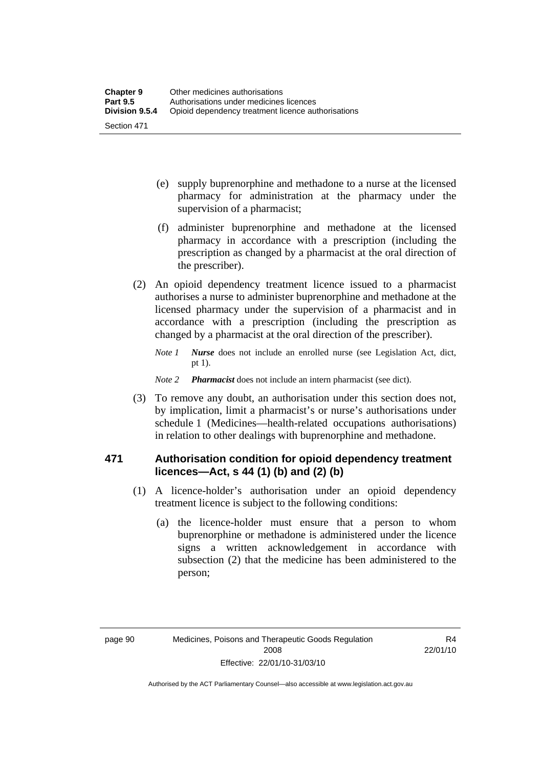- (e) supply buprenorphine and methadone to a nurse at the licensed pharmacy for administration at the pharmacy under the supervision of a pharmacist;
- (f) administer buprenorphine and methadone at the licensed pharmacy in accordance with a prescription (including the prescription as changed by a pharmacist at the oral direction of the prescriber).
- (2) An opioid dependency treatment licence issued to a pharmacist authorises a nurse to administer buprenorphine and methadone at the licensed pharmacy under the supervision of a pharmacist and in accordance with a prescription (including the prescription as changed by a pharmacist at the oral direction of the prescriber).
	- *Note 1 Nurse* does not include an enrolled nurse (see Legislation Act, dict, pt 1).

#### *Note 2 Pharmacist* does not include an intern pharmacist (see dict).

 (3) To remove any doubt, an authorisation under this section does not, by implication, limit a pharmacist's or nurse's authorisations under schedule 1 (Medicines—health-related occupations authorisations) in relation to other dealings with buprenorphine and methadone.

#### **471 Authorisation condition for opioid dependency treatment licences—Act, s 44 (1) (b) and (2) (b)**

- (1) A licence-holder's authorisation under an opioid dependency treatment licence is subject to the following conditions:
	- (a) the licence-holder must ensure that a person to whom buprenorphine or methadone is administered under the licence signs a written acknowledgement in accordance with subsection (2) that the medicine has been administered to the person;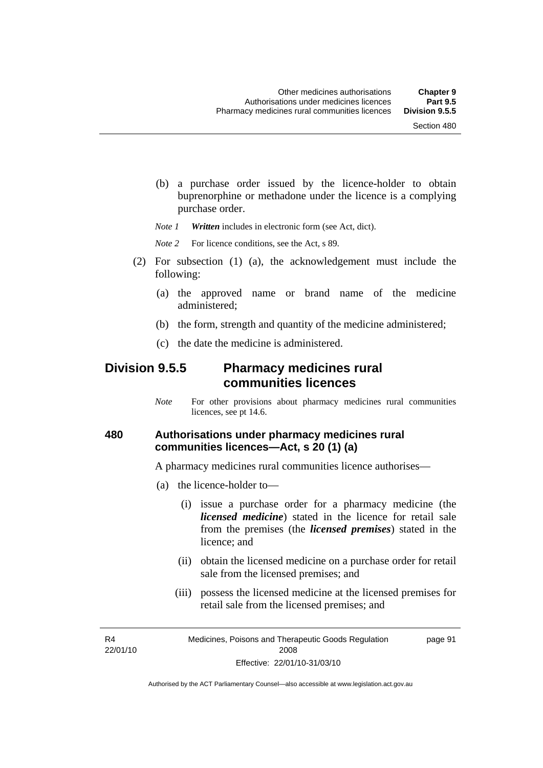(b) a purchase order issued by the licence-holder to obtain buprenorphine or methadone under the licence is a complying purchase order.

*Note 1 Written* includes in electronic form (see Act, dict).

*Note* 2 For licence conditions, see the Act, s 89.

- (2) For subsection (1) (a), the acknowledgement must include the following:
	- (a) the approved name or brand name of the medicine administered;
	- (b) the form, strength and quantity of the medicine administered;
	- (c) the date the medicine is administered.

## **Division 9.5.5 Pharmacy medicines rural communities licences**

*Note* For other provisions about pharmacy medicines rural communities licences, see pt 14.6.

#### **480 Authorisations under pharmacy medicines rural communities licences—Act, s 20 (1) (a)**

A pharmacy medicines rural communities licence authorises—

- (a) the licence-holder to—
	- (i) issue a purchase order for a pharmacy medicine (the *licensed medicine*) stated in the licence for retail sale from the premises (the *licensed premises*) stated in the licence; and
	- (ii) obtain the licensed medicine on a purchase order for retail sale from the licensed premises; and
	- (iii) possess the licensed medicine at the licensed premises for retail sale from the licensed premises; and

R4 22/01/10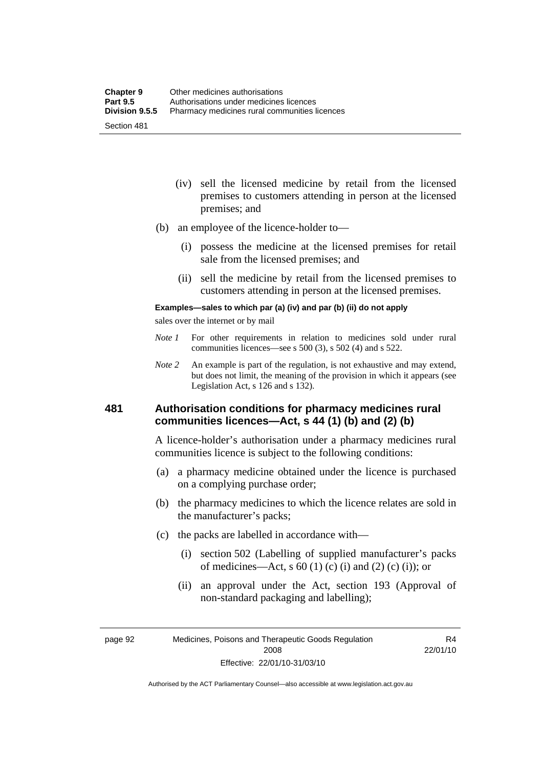- (iv) sell the licensed medicine by retail from the licensed premises to customers attending in person at the licensed premises; and
- (b) an employee of the licence-holder to—
	- (i) possess the medicine at the licensed premises for retail sale from the licensed premises; and
	- (ii) sell the medicine by retail from the licensed premises to customers attending in person at the licensed premises.

#### **Examples—sales to which par (a) (iv) and par (b) (ii) do not apply**

sales over the internet or by mail

- *Note 1* For other requirements in relation to medicines sold under rural communities licences—see s 500 (3), s 502 (4) and s 522.
- *Note 2* An example is part of the regulation, is not exhaustive and may extend, but does not limit, the meaning of the provision in which it appears (see Legislation Act, s 126 and s 132).

#### **481 Authorisation conditions for pharmacy medicines rural communities licences—Act, s 44 (1) (b) and (2) (b)**

A licence-holder's authorisation under a pharmacy medicines rural communities licence is subject to the following conditions:

- (a) a pharmacy medicine obtained under the licence is purchased on a complying purchase order;
- (b) the pharmacy medicines to which the licence relates are sold in the manufacturer's packs;
- (c) the packs are labelled in accordance with—
	- (i) section 502 (Labelling of supplied manufacturer's packs of medicines—Act, s  $60(1)$  (c) (i) and (2) (c) (i)); or
	- (ii) an approval under the Act, section 193 (Approval of non-standard packaging and labelling);

page 92 Medicines, Poisons and Therapeutic Goods Regulation 2008 Effective: 22/01/10-31/03/10

R4 22/01/10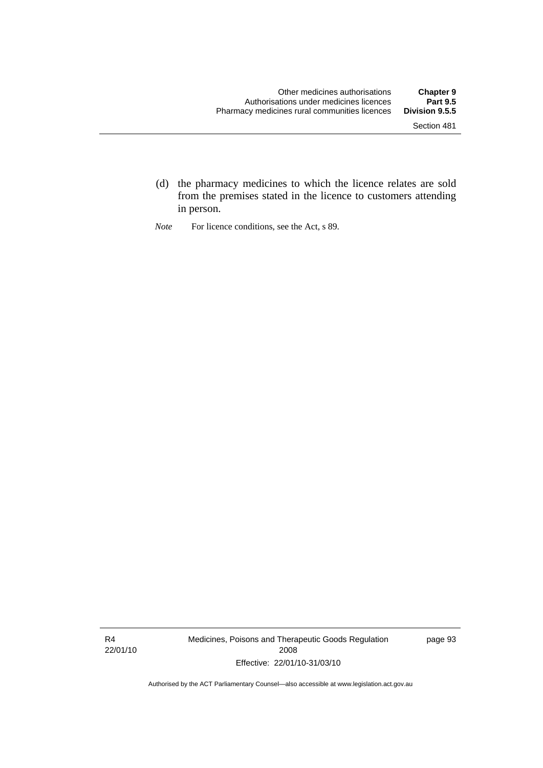- (d) the pharmacy medicines to which the licence relates are sold from the premises stated in the licence to customers attending in person.
- *Note* For licence conditions, see the Act, s 89.

R4 22/01/10 Medicines, Poisons and Therapeutic Goods Regulation 2008 Effective: 22/01/10-31/03/10

page 93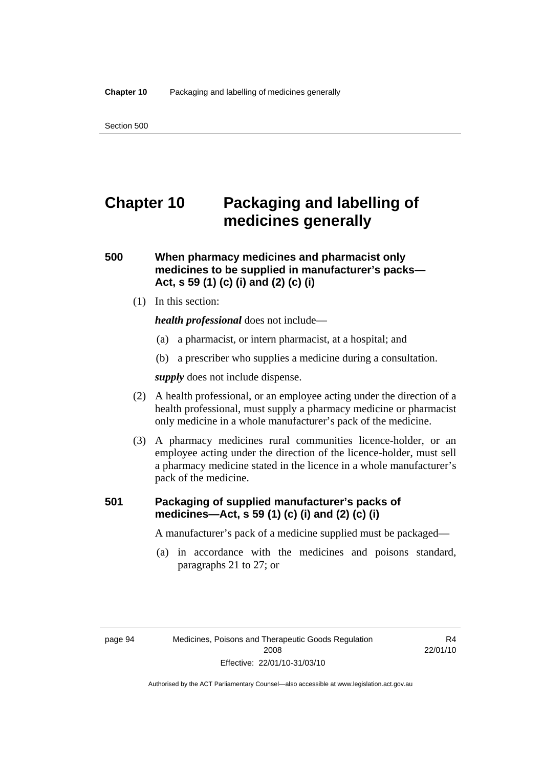# **Chapter 10 Packaging and labelling of medicines generally**

#### **500 When pharmacy medicines and pharmacist only medicines to be supplied in manufacturer's packs— Act, s 59 (1) (c) (i) and (2) (c) (i)**

(1) In this section:

*health professional* does not include—

- (a) a pharmacist, or intern pharmacist, at a hospital; and
- (b) a prescriber who supplies a medicine during a consultation.

*supply* does not include dispense.

- (2) A health professional, or an employee acting under the direction of a health professional, must supply a pharmacy medicine or pharmacist only medicine in a whole manufacturer's pack of the medicine.
- (3) A pharmacy medicines rural communities licence-holder, or an employee acting under the direction of the licence-holder, must sell a pharmacy medicine stated in the licence in a whole manufacturer's pack of the medicine.

#### **501 Packaging of supplied manufacturer's packs of medicines—Act, s 59 (1) (c) (i) and (2) (c) (i)**

A manufacturer's pack of a medicine supplied must be packaged—

 (a) in accordance with the medicines and poisons standard, paragraphs 21 to 27; or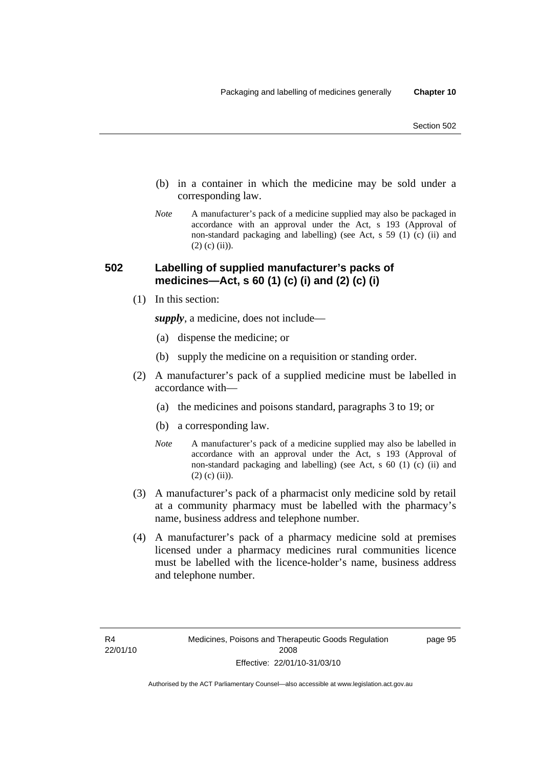- (b) in a container in which the medicine may be sold under a corresponding law.
- *Note* A manufacturer's pack of a medicine supplied may also be packaged in accordance with an approval under the Act, s 193 (Approval of non-standard packaging and labelling) (see Act, s 59 (1) (c) (ii) and  $(2)$  (c) (ii)).

#### **502 Labelling of supplied manufacturer's packs of medicines—Act, s 60 (1) (c) (i) and (2) (c) (i)**

(1) In this section:

*supply*, a medicine, does not include—

- (a) dispense the medicine; or
- (b) supply the medicine on a requisition or standing order.
- (2) A manufacturer's pack of a supplied medicine must be labelled in accordance with—
	- (a) the medicines and poisons standard, paragraphs 3 to 19; or
	- (b) a corresponding law.
	- *Note* A manufacturer's pack of a medicine supplied may also be labelled in accordance with an approval under the Act, s 193 (Approval of non-standard packaging and labelling) (see Act, s 60 (1) (c) (ii) and  $(2)$  (c) (ii)).
- (3) A manufacturer's pack of a pharmacist only medicine sold by retail at a community pharmacy must be labelled with the pharmacy's name, business address and telephone number.
- (4) A manufacturer's pack of a pharmacy medicine sold at premises licensed under a pharmacy medicines rural communities licence must be labelled with the licence-holder's name, business address and telephone number.

page 95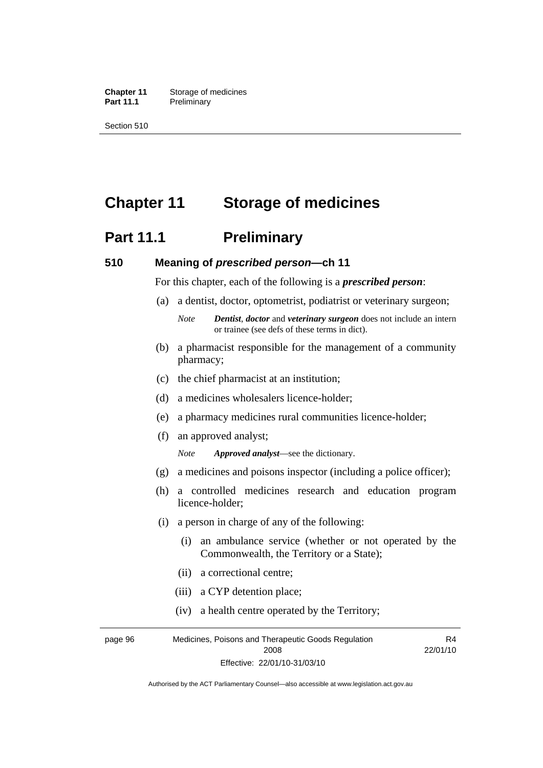**Chapter 11** Storage of medicines Part 11.1 Preliminary

Section 510

# **Chapter 11 Storage of medicines**

# **Part 11.1** Preliminary

#### **510 Meaning of** *prescribed person***—ch 11**

For this chapter, each of the following is a *prescribed person*:

- (a) a dentist, doctor, optometrist, podiatrist or veterinary surgeon;
	- *Note Dentist*, *doctor* and *veterinary surgeon* does not include an intern or trainee (see defs of these terms in dict).
- (b) a pharmacist responsible for the management of a community pharmacy;
- (c) the chief pharmacist at an institution;
- (d) a medicines wholesalers licence-holder;
- (e) a pharmacy medicines rural communities licence-holder;
- (f) an approved analyst;

*Note Approved analyst*—see the dictionary.

- (g) a medicines and poisons inspector (including a police officer);
- (h) a controlled medicines research and education program licence-holder;
- (i) a person in charge of any of the following:
	- (i) an ambulance service (whether or not operated by the Commonwealth, the Territory or a State);
	- (ii) a correctional centre;
	- (iii) a CYP detention place;
	- (iv) a health centre operated by the Territory;

page 96 Medicines, Poisons and Therapeutic Goods Regulation 2008 Effective: 22/01/10-31/03/10 R4 22/01/10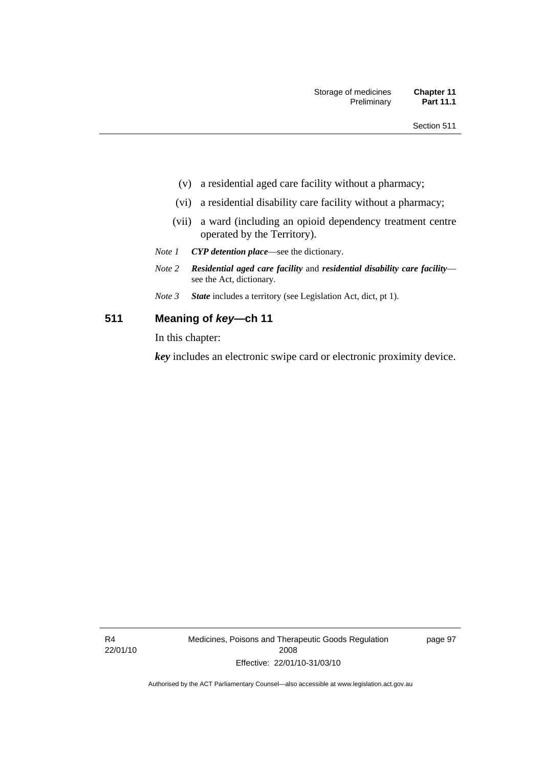- (v) a residential aged care facility without a pharmacy;
- (vi) a residential disability care facility without a pharmacy;
- (vii) a ward (including an opioid dependency treatment centre operated by the Territory).
- *Note 1 CYP detention place*—see the dictionary.
- *Note 2 Residential aged care facility* and *residential disability care facility* see the Act, dictionary.
- *Note 3 State* includes a territory (see Legislation Act, dict, pt 1).

#### **511 Meaning of** *key***—ch 11**

In this chapter:

*key* includes an electronic swipe card or electronic proximity device.

R4 22/01/10 Medicines, Poisons and Therapeutic Goods Regulation 2008 Effective: 22/01/10-31/03/10

page 97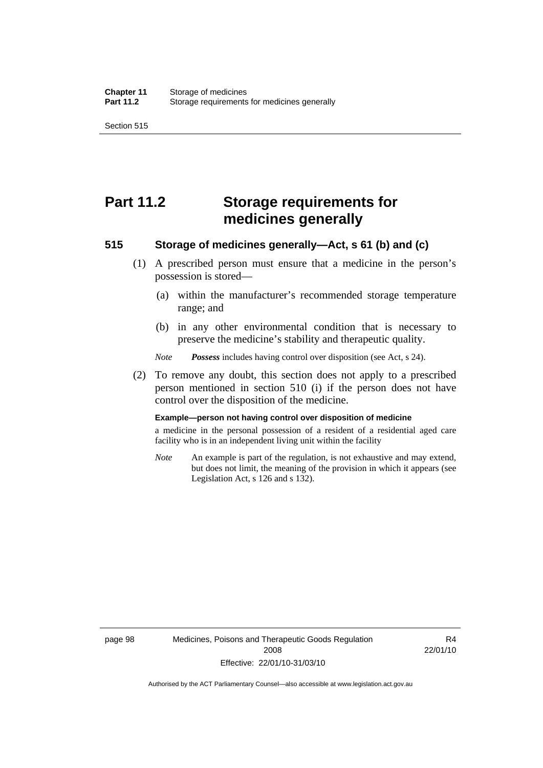Section 515

# **Part 11.2 Storage requirements for medicines generally**

#### **515 Storage of medicines generally—Act, s 61 (b) and (c)**

- (1) A prescribed person must ensure that a medicine in the person's possession is stored—
	- (a) within the manufacturer's recommended storage temperature range; and
	- (b) in any other environmental condition that is necessary to preserve the medicine's stability and therapeutic quality.

*Note Possess* includes having control over disposition (see Act, s 24).

 (2) To remove any doubt, this section does not apply to a prescribed person mentioned in section 510 (i) if the person does not have control over the disposition of the medicine.

#### **Example—person not having control over disposition of medicine**

a medicine in the personal possession of a resident of a residential aged care facility who is in an independent living unit within the facility

*Note* An example is part of the regulation, is not exhaustive and may extend, but does not limit, the meaning of the provision in which it appears (see Legislation Act, s 126 and s 132).

R4 22/01/10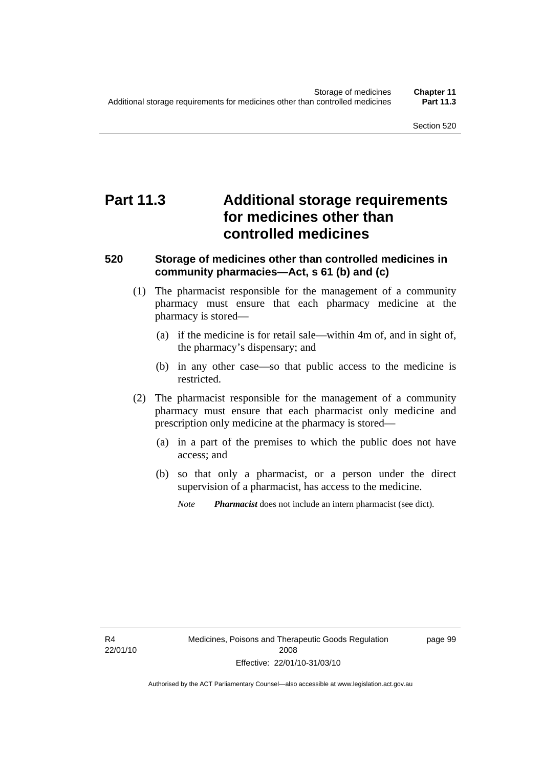# **Part 11.3 Additional storage requirements for medicines other than controlled medicines**

#### **520 Storage of medicines other than controlled medicines in community pharmacies—Act, s 61 (b) and (c)**

- (1) The pharmacist responsible for the management of a community pharmacy must ensure that each pharmacy medicine at the pharmacy is stored—
	- (a) if the medicine is for retail sale—within 4m of, and in sight of, the pharmacy's dispensary; and
	- (b) in any other case—so that public access to the medicine is restricted.
- (2) The pharmacist responsible for the management of a community pharmacy must ensure that each pharmacist only medicine and prescription only medicine at the pharmacy is stored—
	- (a) in a part of the premises to which the public does not have access; and
	- (b) so that only a pharmacist, or a person under the direct supervision of a pharmacist, has access to the medicine.
		- *Note Pharmacist* does not include an intern pharmacist (see dict).

R4 22/01/10 page 99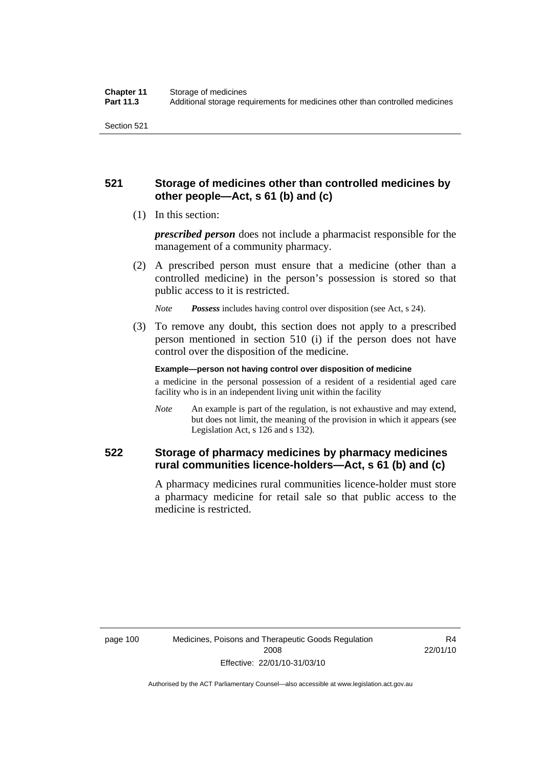## **521 Storage of medicines other than controlled medicines by other people—Act, s 61 (b) and (c)**

(1) In this section:

*prescribed person* does not include a pharmacist responsible for the management of a community pharmacy.

 (2) A prescribed person must ensure that a medicine (other than a controlled medicine) in the person's possession is stored so that public access to it is restricted.

*Note Possess* includes having control over disposition (see Act, s 24).

 (3) To remove any doubt, this section does not apply to a prescribed person mentioned in section 510 (i) if the person does not have control over the disposition of the medicine.

**Example—person not having control over disposition of medicine** 

a medicine in the personal possession of a resident of a residential aged care facility who is in an independent living unit within the facility

*Note* An example is part of the regulation, is not exhaustive and may extend, but does not limit, the meaning of the provision in which it appears (see Legislation Act, s 126 and s 132).

## **522 Storage of pharmacy medicines by pharmacy medicines rural communities licence-holders—Act, s 61 (b) and (c)**

A pharmacy medicines rural communities licence-holder must store a pharmacy medicine for retail sale so that public access to the medicine is restricted.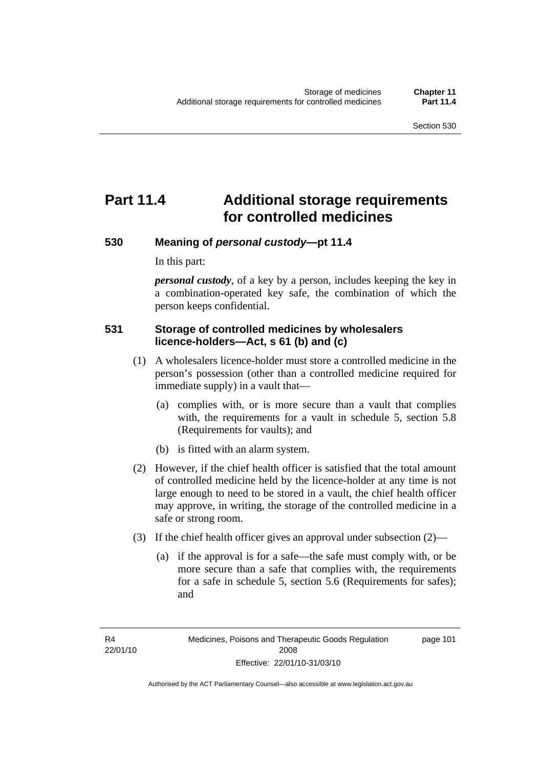page 101

# **Part 11.4 Additional storage requirements for controlled medicines**

#### **530 Meaning of** *personal custody***—pt 11.4**

In this part:

*personal custody*, of a key by a person, includes keeping the key in a combination-operated key safe, the combination of which the person keeps confidential.

#### **531 Storage of controlled medicines by wholesalers licence-holders—Act, s 61 (b) and (c)**

- (1) A wholesalers licence-holder must store a controlled medicine in the person's possession (other than a controlled medicine required for immediate supply) in a vault that—
	- (a) complies with, or is more secure than a vault that complies with, the requirements for a vault in schedule 5, section 5.8 (Requirements for vaults); and
	- (b) is fitted with an alarm system.
- (2) However, if the chief health officer is satisfied that the total amount of controlled medicine held by the licence-holder at any time is not large enough to need to be stored in a vault, the chief health officer may approve, in writing, the storage of the controlled medicine in a safe or strong room.
- (3) If the chief health officer gives an approval under subsection (2)—
	- (a) if the approval is for a safe—the safe must comply with, or be more secure than a safe that complies with, the requirements for a safe in schedule 5, section 5.6 (Requirements for safes); and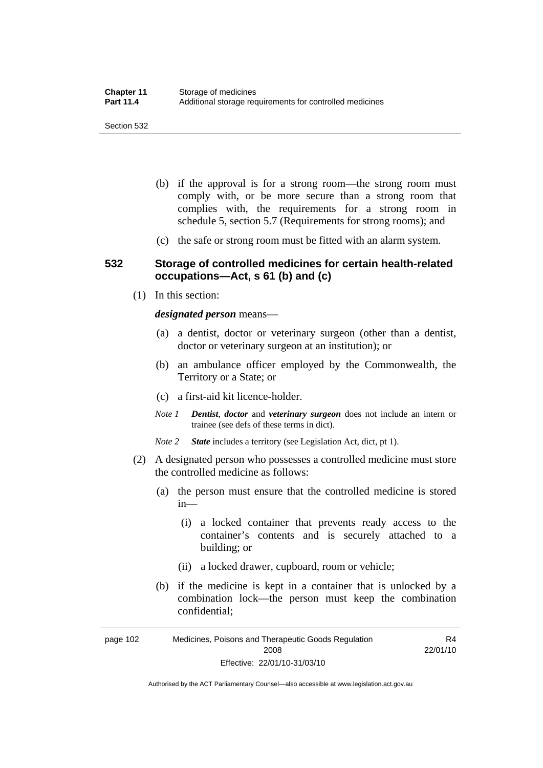- (b) if the approval is for a strong room—the strong room must comply with, or be more secure than a strong room that complies with, the requirements for a strong room in schedule 5, section 5.7 (Requirements for strong rooms); and
- (c) the safe or strong room must be fitted with an alarm system.

#### **532 Storage of controlled medicines for certain health-related occupations—Act, s 61 (b) and (c)**

(1) In this section:

*designated person* means—

- (a) a dentist, doctor or veterinary surgeon (other than a dentist, doctor or veterinary surgeon at an institution); or
- (b) an ambulance officer employed by the Commonwealth, the Territory or a State; or
- (c) a first-aid kit licence-holder.
- *Note 1 Dentist*, *doctor* and *veterinary surgeon* does not include an intern or trainee (see defs of these terms in dict).
- *Note 2 State* includes a territory (see Legislation Act, dict, pt 1).
- (2) A designated person who possesses a controlled medicine must store the controlled medicine as follows:
	- (a) the person must ensure that the controlled medicine is stored in—
		- (i) a locked container that prevents ready access to the container's contents and is securely attached to a building; or
		- (ii) a locked drawer, cupboard, room or vehicle;
	- (b) if the medicine is kept in a container that is unlocked by a combination lock—the person must keep the combination confidential;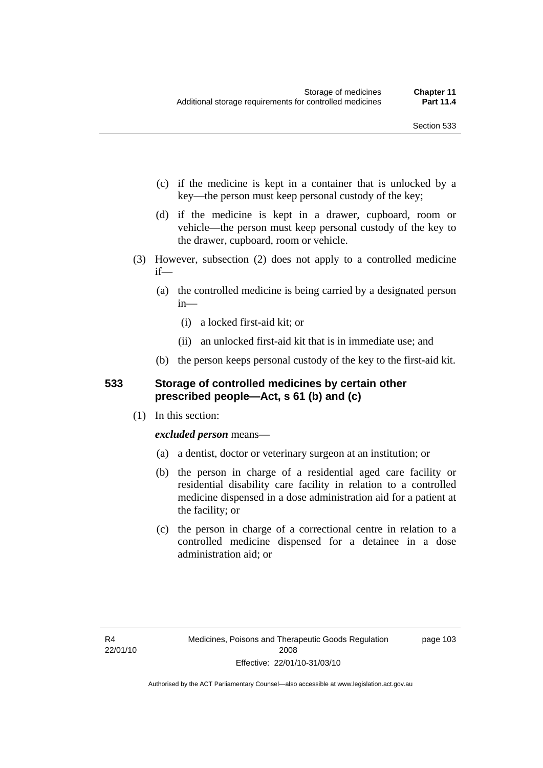- (c) if the medicine is kept in a container that is unlocked by a key—the person must keep personal custody of the key;
- (d) if the medicine is kept in a drawer, cupboard, room or vehicle—the person must keep personal custody of the key to the drawer, cupboard, room or vehicle.
- (3) However, subsection (2) does not apply to a controlled medicine if—
	- (a) the controlled medicine is being carried by a designated person in—
		- (i) a locked first-aid kit; or
		- (ii) an unlocked first-aid kit that is in immediate use; and
	- (b) the person keeps personal custody of the key to the first-aid kit.

#### **533 Storage of controlled medicines by certain other prescribed people—Act, s 61 (b) and (c)**

(1) In this section:

#### *excluded person* means—

- (a) a dentist, doctor or veterinary surgeon at an institution; or
- (b) the person in charge of a residential aged care facility or residential disability care facility in relation to a controlled medicine dispensed in a dose administration aid for a patient at the facility; or
- (c) the person in charge of a correctional centre in relation to a controlled medicine dispensed for a detainee in a dose administration aid; or

page 103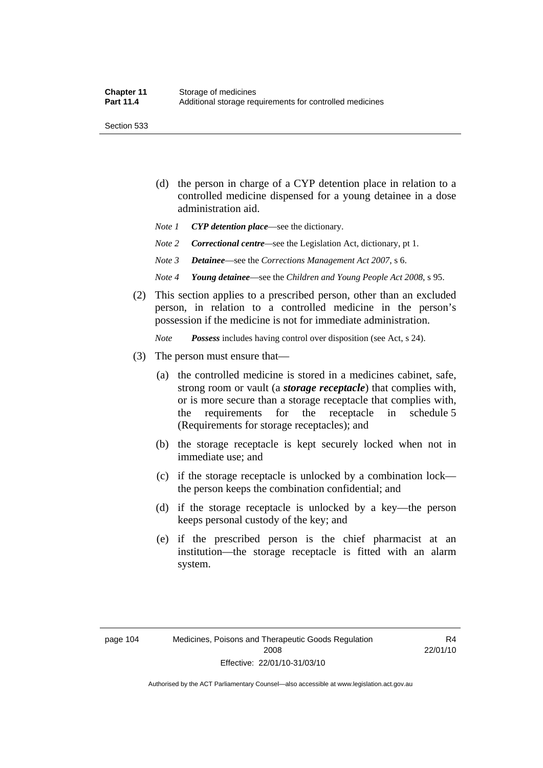Section 533

- (d) the person in charge of a CYP detention place in relation to a controlled medicine dispensed for a young detainee in a dose administration aid.
- *Note 1 CYP detention place*—see the dictionary.
- *Note 2 Correctional centre—see the Legislation Act, dictionary, pt 1.*
- *Note 3 Detainee*—see the *Corrections Management Act 2007*, s 6.
- *Note 4 Young detainee*—see the *Children and Young People Act 2008*, s 95.
- (2) This section applies to a prescribed person, other than an excluded person, in relation to a controlled medicine in the person's possession if the medicine is not for immediate administration.

*Note Possess* includes having control over disposition (see Act, s 24).

- (3) The person must ensure that—
	- (a) the controlled medicine is stored in a medicines cabinet, safe, strong room or vault (a *storage receptacle*) that complies with, or is more secure than a storage receptacle that complies with, the requirements for the receptacle in schedule 5 (Requirements for storage receptacles); and
	- (b) the storage receptacle is kept securely locked when not in immediate use; and
	- (c) if the storage receptacle is unlocked by a combination lock the person keeps the combination confidential; and
	- (d) if the storage receptacle is unlocked by a key—the person keeps personal custody of the key; and
	- (e) if the prescribed person is the chief pharmacist at an institution—the storage receptacle is fitted with an alarm system.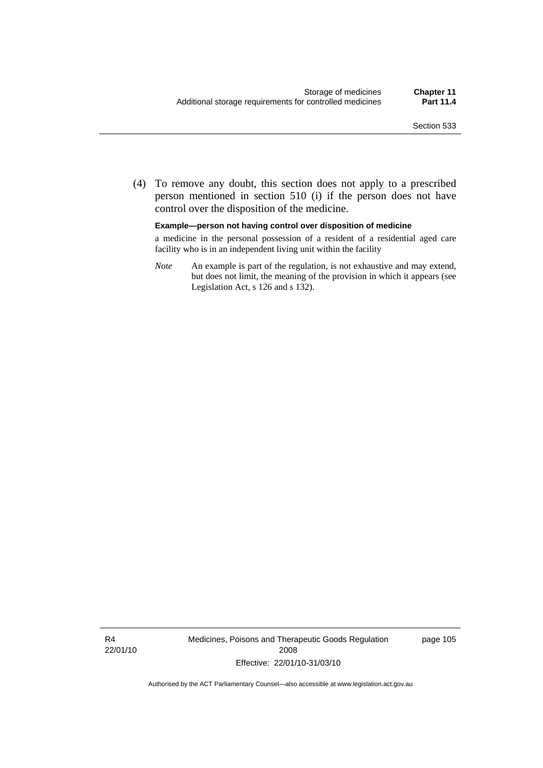(4) To remove any doubt, this section does not apply to a prescribed person mentioned in section 510 (i) if the person does not have control over the disposition of the medicine.

**Example—person not having control over disposition of medicine** 

a medicine in the personal possession of a resident of a residential aged care facility who is in an independent living unit within the facility

*Note* An example is part of the regulation, is not exhaustive and may extend, but does not limit, the meaning of the provision in which it appears (see Legislation Act, s 126 and s 132).

R4 22/01/10 Medicines, Poisons and Therapeutic Goods Regulation 2008 Effective: 22/01/10-31/03/10

page 105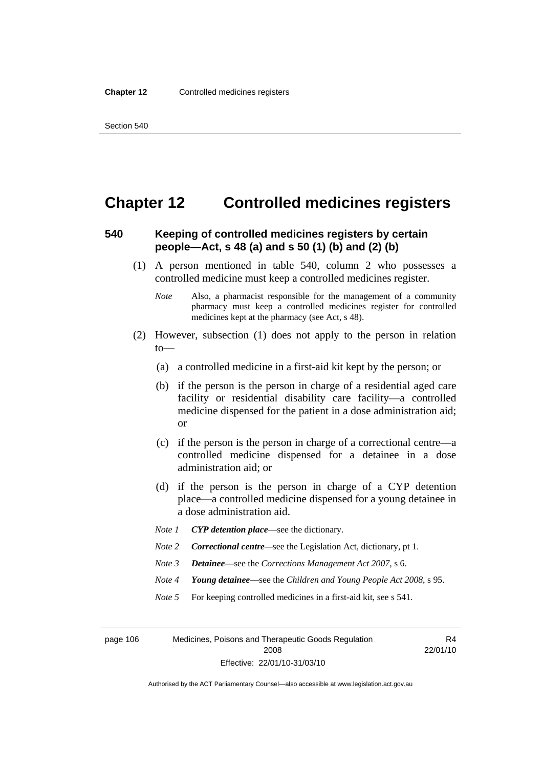## **Chapter 12 Controlled medicines registers**

#### **540 Keeping of controlled medicines registers by certain people—Act, s 48 (a) and s 50 (1) (b) and (2) (b)**

- (1) A person mentioned in table 540, column 2 who possesses a controlled medicine must keep a controlled medicines register.
	- *Note* Also, a pharmacist responsible for the management of a community pharmacy must keep a controlled medicines register for controlled medicines kept at the pharmacy (see Act, s 48).
- (2) However, subsection (1) does not apply to the person in relation to—
	- (a) a controlled medicine in a first-aid kit kept by the person; or
	- (b) if the person is the person in charge of a residential aged care facility or residential disability care facility—a controlled medicine dispensed for the patient in a dose administration aid; or
	- (c) if the person is the person in charge of a correctional centre—a controlled medicine dispensed for a detainee in a dose administration aid; or
	- (d) if the person is the person in charge of a CYP detention place—a controlled medicine dispensed for a young detainee in a dose administration aid.
	- *Note 1 CYP detention place*—see the dictionary.
	- *Note 2 Correctional centre*—see the Legislation Act, dictionary, pt 1.
	- *Note 3 Detainee*—see the *Corrections Management Act 2007*, s 6.
	- *Note 4 Young detainee*—see the *Children and Young People Act 2008*, s 95.
	- *Note* 5 For keeping controlled medicines in a first-aid kit, see s 541.

page 106 Medicines, Poisons and Therapeutic Goods Regulation 2008 Effective: 22/01/10-31/03/10

R4 22/01/10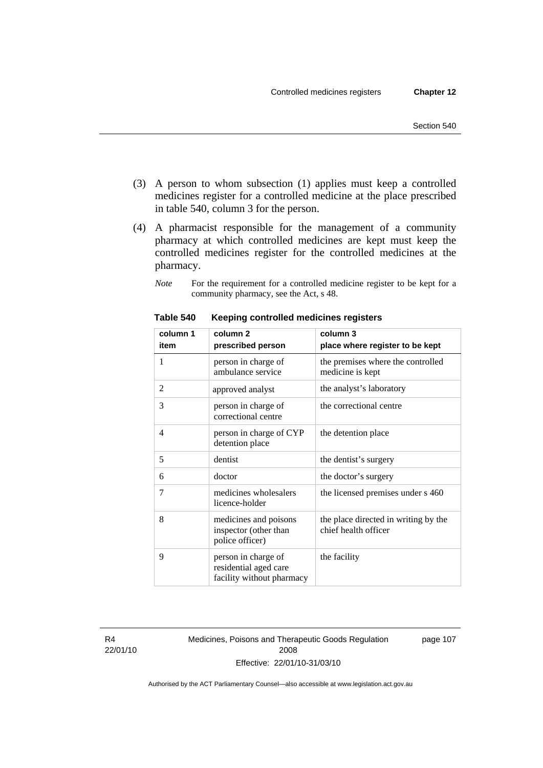- (3) A person to whom subsection (1) applies must keep a controlled medicines register for a controlled medicine at the place prescribed in table 540, column 3 for the person.
- (4) A pharmacist responsible for the management of a community pharmacy at which controlled medicines are kept must keep the controlled medicines register for the controlled medicines at the pharmacy.
	- *Note* For the requirement for a controlled medicine register to be kept for a community pharmacy, see the Act, s 48.

| column 1 | column <sub>2</sub>                                                       | column 3                                                     |
|----------|---------------------------------------------------------------------------|--------------------------------------------------------------|
| item     | prescribed person                                                         | place where register to be kept                              |
| 1        | person in charge of<br>ambulance service                                  | the premises where the controlled<br>medicine is kept        |
| 2        | approved analyst                                                          | the analyst's laboratory                                     |
| 3        | person in charge of<br>correctional centre                                | the correctional centre                                      |
| 4        | person in charge of CYP<br>detention place                                | the detention place                                          |
| 5        | dentist                                                                   | the dentist's surgery                                        |
| 6        | doctor                                                                    | the doctor's surgery                                         |
| 7        | medicines wholesalers<br>licence-holder                                   | the licensed premises under s 460                            |
| 8        | medicines and poisons<br>inspector (other than<br>police officer)         | the place directed in writing by the<br>chief health officer |
| 9        | person in charge of<br>residential aged care<br>facility without pharmacy | the facility                                                 |

**Table 540 Keeping controlled medicines registers** 

R4 22/01/10 Medicines, Poisons and Therapeutic Goods Regulation 2008 Effective: 22/01/10-31/03/10

page 107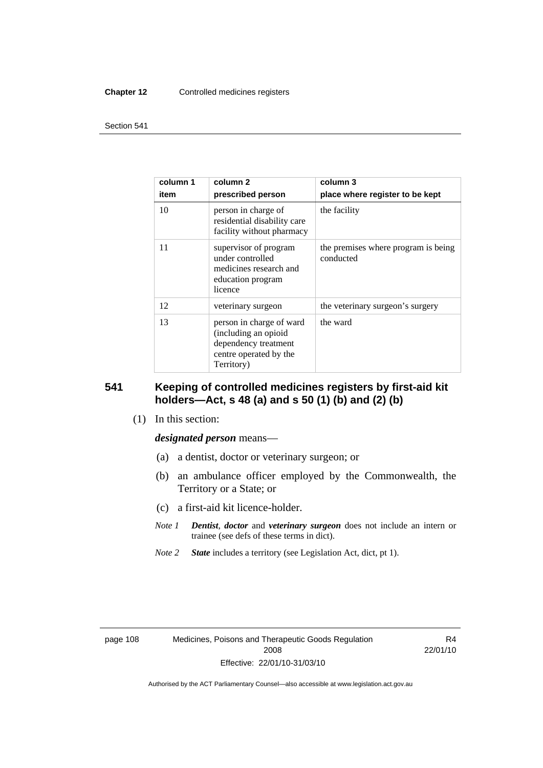#### **Chapter 12** Controlled medicines registers

#### Section 541

| column 1<br>item | column 2<br>prescribed person                                                                                    | column 3<br>place where register to be kept      |
|------------------|------------------------------------------------------------------------------------------------------------------|--------------------------------------------------|
| 10               | person in charge of<br>residential disability care<br>facility without pharmacy                                  | the facility                                     |
| 11               | supervisor of program<br>under controlled<br>medicines research and<br>education program<br>licence              | the premises where program is being<br>conducted |
| 12               | veterinary surgeon                                                                                               | the veterinary surgeon's surgery                 |
| 13               | person in charge of ward<br>(including an opioid<br>dependency treatment<br>centre operated by the<br>Territory) | the ward                                         |

#### **541 Keeping of controlled medicines registers by first-aid kit holders—Act, s 48 (a) and s 50 (1) (b) and (2) (b)**

(1) In this section:

#### *designated person* means—

- (a) a dentist, doctor or veterinary surgeon; or
- (b) an ambulance officer employed by the Commonwealth, the Territory or a State; or
- (c) a first-aid kit licence-holder.
- *Note 1 Dentist*, *doctor* and *veterinary surgeon* does not include an intern or trainee (see defs of these terms in dict).
- *Note 2 State* includes a territory (see Legislation Act, dict, pt 1).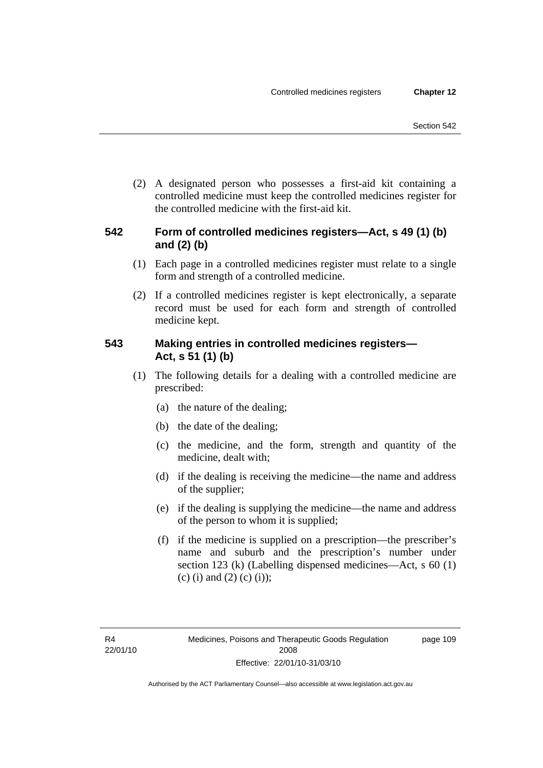(2) A designated person who possesses a first-aid kit containing a controlled medicine must keep the controlled medicines register for the controlled medicine with the first-aid kit.

## **542 Form of controlled medicines registers—Act, s 49 (1) (b) and (2) (b)**

- (1) Each page in a controlled medicines register must relate to a single form and strength of a controlled medicine.
- (2) If a controlled medicines register is kept electronically, a separate record must be used for each form and strength of controlled medicine kept.

## **543 Making entries in controlled medicines registers— Act, s 51 (1) (b)**

- (1) The following details for a dealing with a controlled medicine are prescribed:
	- (a) the nature of the dealing;
	- (b) the date of the dealing;
	- (c) the medicine, and the form, strength and quantity of the medicine, dealt with;
	- (d) if the dealing is receiving the medicine—the name and address of the supplier;
	- (e) if the dealing is supplying the medicine—the name and address of the person to whom it is supplied;
	- (f) if the medicine is supplied on a prescription—the prescriber's name and suburb and the prescription's number under section 123 (k) (Labelling dispensed medicines—Act, s 60 (1) (c) (i) and (2) (c) (i));

page 109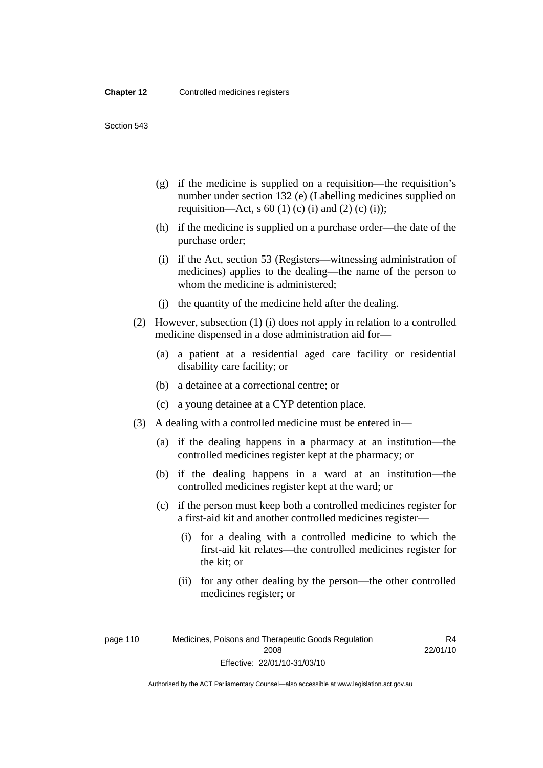Section 543

- (g) if the medicine is supplied on a requisition—the requisition's number under section 132 (e) (Labelling medicines supplied on requisition—Act, s 60 (1) (c) (i) and (2) (c) (i));
- (h) if the medicine is supplied on a purchase order—the date of the purchase order;
- (i) if the Act, section 53 (Registers—witnessing administration of medicines) applies to the dealing—the name of the person to whom the medicine is administered;
- (j) the quantity of the medicine held after the dealing.
- (2) However, subsection (1) (i) does not apply in relation to a controlled medicine dispensed in a dose administration aid for—
	- (a) a patient at a residential aged care facility or residential disability care facility; or
	- (b) a detainee at a correctional centre; or
	- (c) a young detainee at a CYP detention place.
- (3) A dealing with a controlled medicine must be entered in—
	- (a) if the dealing happens in a pharmacy at an institution—the controlled medicines register kept at the pharmacy; or
	- (b) if the dealing happens in a ward at an institution—the controlled medicines register kept at the ward; or
	- (c) if the person must keep both a controlled medicines register for a first-aid kit and another controlled medicines register—
		- (i) for a dealing with a controlled medicine to which the first-aid kit relates—the controlled medicines register for the kit; or
		- (ii) for any other dealing by the person—the other controlled medicines register; or

page 110 Medicines, Poisons and Therapeutic Goods Regulation 2008 Effective: 22/01/10-31/03/10

R4 22/01/10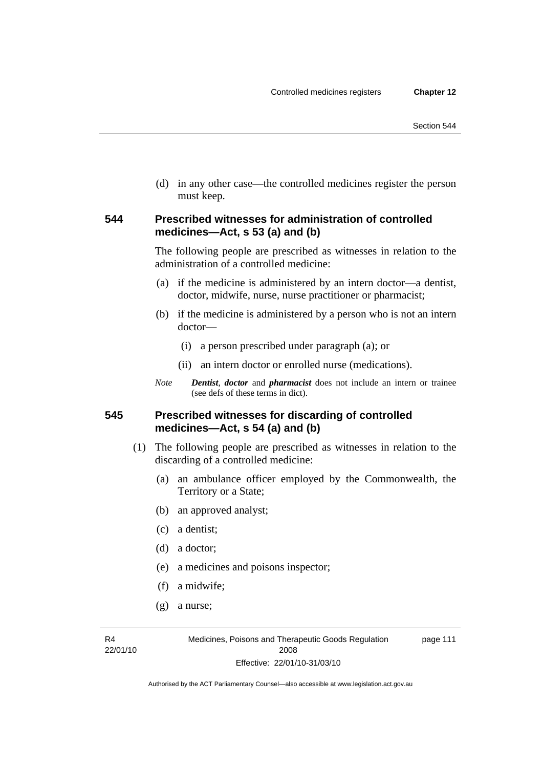(d) in any other case—the controlled medicines register the person must keep.

#### **544 Prescribed witnesses for administration of controlled medicines—Act, s 53 (a) and (b)**

The following people are prescribed as witnesses in relation to the administration of a controlled medicine:

- (a) if the medicine is administered by an intern doctor—a dentist, doctor, midwife, nurse, nurse practitioner or pharmacist;
- (b) if the medicine is administered by a person who is not an intern doctor—
	- (i) a person prescribed under paragraph (a); or
	- (ii) an intern doctor or enrolled nurse (medications).
- *Note Dentist*, *doctor* and *pharmacist* does not include an intern or trainee (see defs of these terms in dict).

#### **545 Prescribed witnesses for discarding of controlled medicines—Act, s 54 (a) and (b)**

- (1) The following people are prescribed as witnesses in relation to the discarding of a controlled medicine:
	- (a) an ambulance officer employed by the Commonwealth, the Territory or a State;
	- (b) an approved analyst;
	- (c) a dentist;
	- (d) a doctor;
	- (e) a medicines and poisons inspector;
	- (f) a midwife;
	- (g) a nurse;

R4 22/01/10 page 111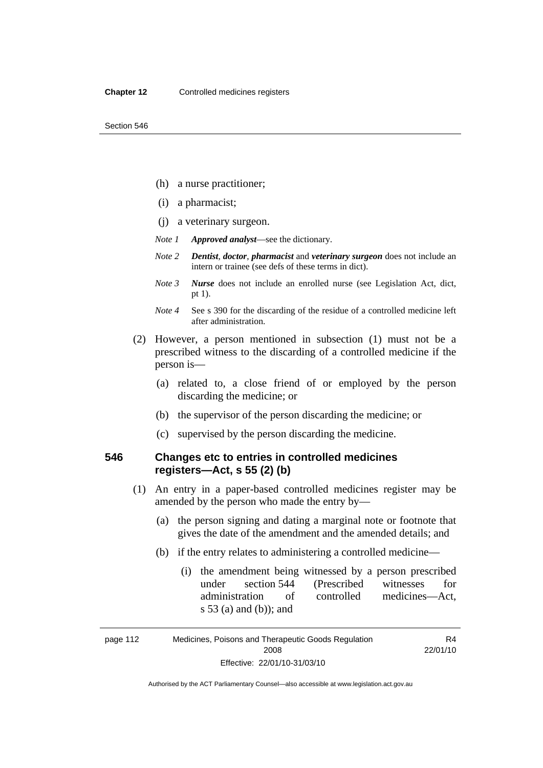- (h) a nurse practitioner;
- (i) a pharmacist;
- (j) a veterinary surgeon.
- *Note 1 Approved analyst*—see the dictionary.
- *Note 2 Dentist*, *doctor*, *pharmacist* and *veterinary surgeon* does not include an intern or trainee (see defs of these terms in dict).
- *Note 3 Nurse* does not include an enrolled nurse (see Legislation Act, dict, pt 1).
- *Note 4* See s 390 for the discarding of the residue of a controlled medicine left after administration.
- (2) However, a person mentioned in subsection (1) must not be a prescribed witness to the discarding of a controlled medicine if the person is—
	- (a) related to, a close friend of or employed by the person discarding the medicine; or
	- (b) the supervisor of the person discarding the medicine; or
	- (c) supervised by the person discarding the medicine.

## **546 Changes etc to entries in controlled medicines registers—Act, s 55 (2) (b)**

- (1) An entry in a paper-based controlled medicines register may be amended by the person who made the entry by—
	- (a) the person signing and dating a marginal note or footnote that gives the date of the amendment and the amended details; and
	- (b) if the entry relates to administering a controlled medicine—
		- (i) the amendment being witnessed by a person prescribed under section 544 (Prescribed witnesses for administration of controlled medicines—Act, s 53 (a) and (b)); and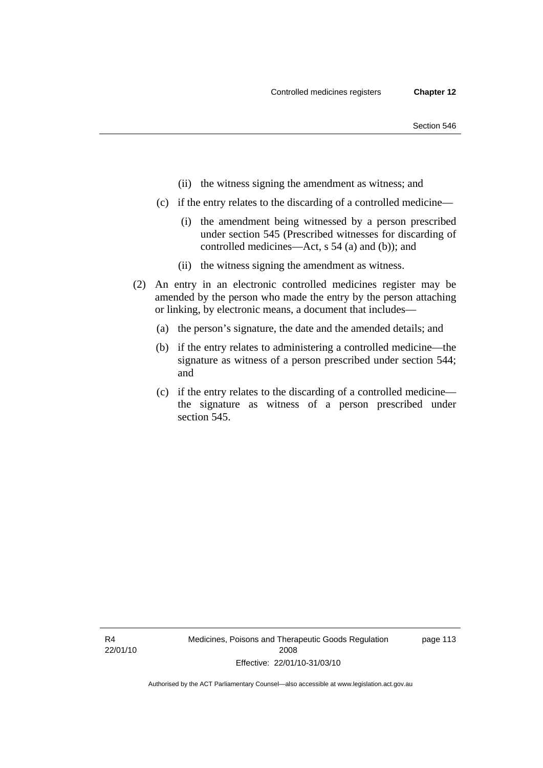- (ii) the witness signing the amendment as witness; and
- (c) if the entry relates to the discarding of a controlled medicine—
	- (i) the amendment being witnessed by a person prescribed under section 545 (Prescribed witnesses for discarding of controlled medicines—Act, s 54 (a) and (b)); and
	- (ii) the witness signing the amendment as witness.
- (2) An entry in an electronic controlled medicines register may be amended by the person who made the entry by the person attaching or linking, by electronic means, a document that includes—
	- (a) the person's signature, the date and the amended details; and
	- (b) if the entry relates to administering a controlled medicine—the signature as witness of a person prescribed under section 544; and
	- (c) if the entry relates to the discarding of a controlled medicine the signature as witness of a person prescribed under section 545.

R4 22/01/10 page 113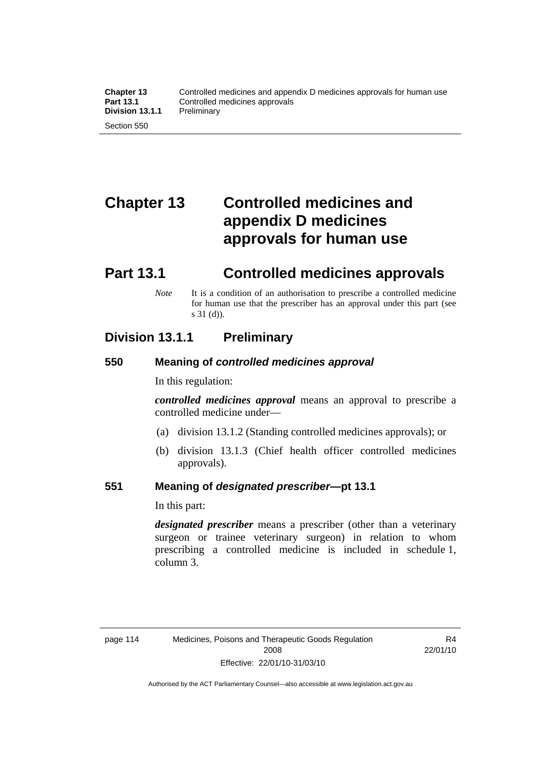# **Chapter 13 Controlled medicines and appendix D medicines approvals for human use**

# **Part 13.1 Controlled medicines approvals**

*Note* It is a condition of an authorisation to prescribe a controlled medicine for human use that the prescriber has an approval under this part (see s 31 (d)).

## **Division 13.1.1 Preliminary**

#### **550 Meaning of** *controlled medicines approval*

In this regulation:

*controlled medicines approval* means an approval to prescribe a controlled medicine under—

- (a) division 13.1.2 (Standing controlled medicines approvals); or
- (b) division 13.1.3 (Chief health officer controlled medicines approvals).

#### **551 Meaning of** *designated prescriber***—pt 13.1**

In this part:

*designated prescriber* means a prescriber (other than a veterinary surgeon or trainee veterinary surgeon) in relation to whom prescribing a controlled medicine is included in schedule 1, column 3.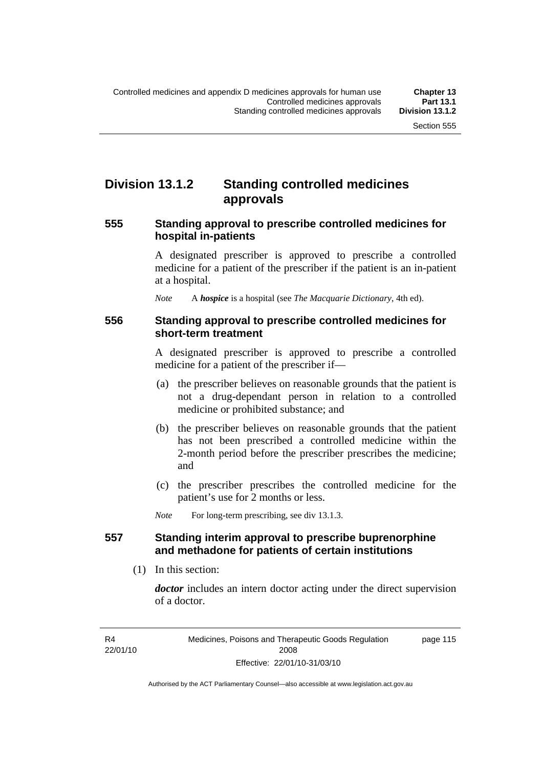## **Division 13.1.2 Standing controlled medicines approvals**

#### **555 Standing approval to prescribe controlled medicines for hospital in-patients**

A designated prescriber is approved to prescribe a controlled medicine for a patient of the prescriber if the patient is an in-patient at a hospital.

*Note* A *hospice* is a hospital (see *The Macquarie Dictionary*, 4th ed).

#### **556 Standing approval to prescribe controlled medicines for short-term treatment**

A designated prescriber is approved to prescribe a controlled medicine for a patient of the prescriber if—

- (a) the prescriber believes on reasonable grounds that the patient is not a drug-dependant person in relation to a controlled medicine or prohibited substance; and
- (b) the prescriber believes on reasonable grounds that the patient has not been prescribed a controlled medicine within the 2-month period before the prescriber prescribes the medicine; and
- (c) the prescriber prescribes the controlled medicine for the patient's use for 2 months or less.

*Note* For long-term prescribing, see div 13.1.3.

#### **557 Standing interim approval to prescribe buprenorphine and methadone for patients of certain institutions**

(1) In this section:

*doctor* includes an intern doctor acting under the direct supervision of a doctor.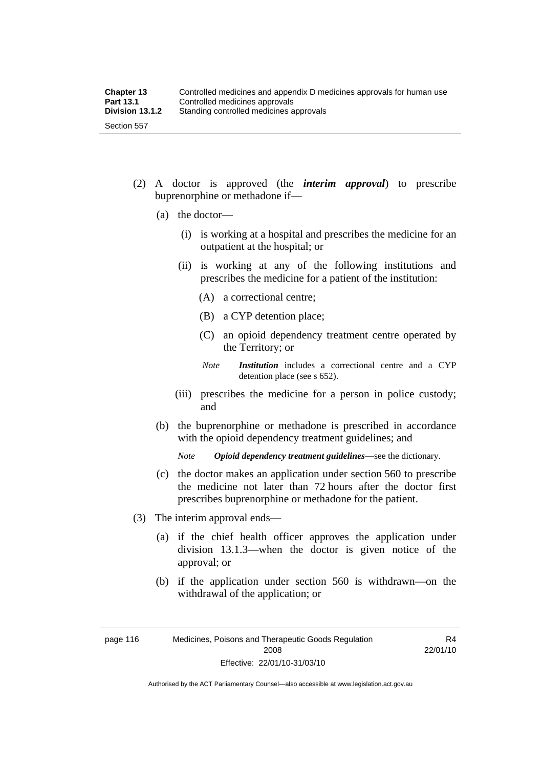- (2) A doctor is approved (the *interim approval*) to prescribe buprenorphine or methadone if—
	- (a) the doctor—
		- (i) is working at a hospital and prescribes the medicine for an outpatient at the hospital; or
		- (ii) is working at any of the following institutions and prescribes the medicine for a patient of the institution:
			- (A) a correctional centre;
			- (B) a CYP detention place;
			- (C) an opioid dependency treatment centre operated by the Territory; or
			- *Note Institution* includes a correctional centre and a CYP detention place (see s 652).
		- (iii) prescribes the medicine for a person in police custody; and
	- (b) the buprenorphine or methadone is prescribed in accordance with the opioid dependency treatment guidelines; and

*Note Opioid dependency treatment guidelines*—see the dictionary.

- (c) the doctor makes an application under section 560 to prescribe the medicine not later than 72 hours after the doctor first prescribes buprenorphine or methadone for the patient.
- (3) The interim approval ends—
	- (a) if the chief health officer approves the application under division 13.1.3—when the doctor is given notice of the approval; or
	- (b) if the application under section 560 is withdrawn—on the withdrawal of the application; or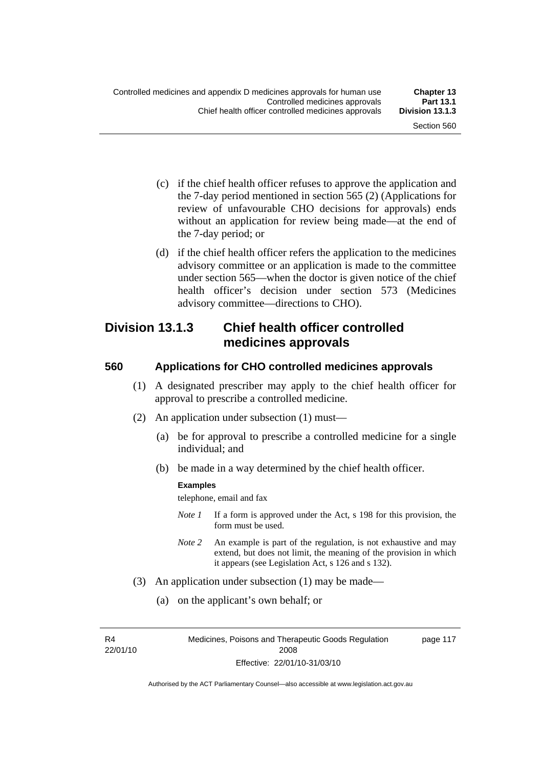- (c) if the chief health officer refuses to approve the application and the 7-day period mentioned in section 565 (2) (Applications for review of unfavourable CHO decisions for approvals) ends without an application for review being made—at the end of the 7-day period; or
- (d) if the chief health officer refers the application to the medicines advisory committee or an application is made to the committee under section 565—when the doctor is given notice of the chief health officer's decision under section 573 (Medicines advisory committee—directions to CHO).

## **Division 13.1.3 Chief health officer controlled medicines approvals**

#### **560 Applications for CHO controlled medicines approvals**

- (1) A designated prescriber may apply to the chief health officer for approval to prescribe a controlled medicine.
- (2) An application under subsection (1) must—
	- (a) be for approval to prescribe a controlled medicine for a single individual; and
	- (b) be made in a way determined by the chief health officer.

#### **Examples**

telephone, email and fax

- *Note 1* If a form is approved under the Act, s 198 for this provision, the form must be used.
- *Note 2* An example is part of the regulation, is not exhaustive and may extend, but does not limit, the meaning of the provision in which it appears (see Legislation Act, s 126 and s 132).
- (3) An application under subsection (1) may be made—
	- (a) on the applicant's own behalf; or

R4 22/01/10 Medicines, Poisons and Therapeutic Goods Regulation 2008 Effective: 22/01/10-31/03/10

page 117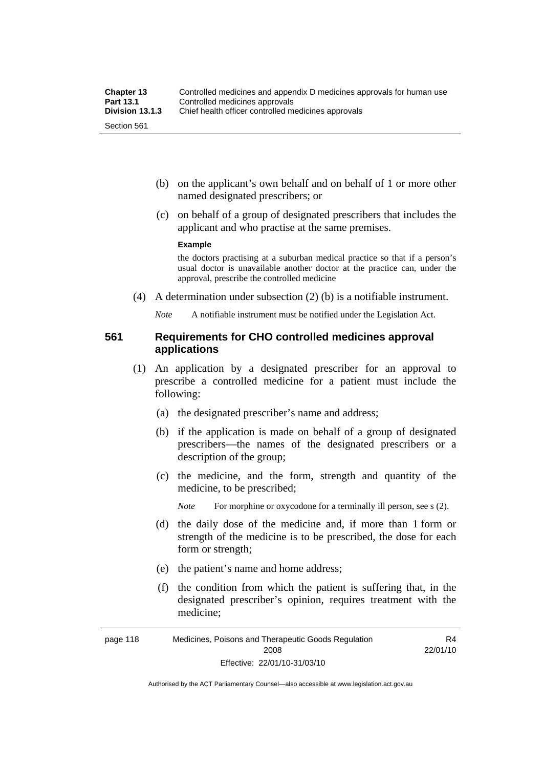- (b) on the applicant's own behalf and on behalf of 1 or more other named designated prescribers; or
- (c) on behalf of a group of designated prescribers that includes the applicant and who practise at the same premises.

#### **Example**

the doctors practising at a suburban medical practice so that if a person's usual doctor is unavailable another doctor at the practice can, under the approval, prescribe the controlled medicine

(4) A determination under subsection (2) (b) is a notifiable instrument.

*Note* A notifiable instrument must be notified under the Legislation Act.

#### **561 Requirements for CHO controlled medicines approval applications**

- (1) An application by a designated prescriber for an approval to prescribe a controlled medicine for a patient must include the following:
	- (a) the designated prescriber's name and address;
	- (b) if the application is made on behalf of a group of designated prescribers—the names of the designated prescribers or a description of the group;
	- (c) the medicine, and the form, strength and quantity of the medicine, to be prescribed;

*Note* For morphine or oxycodone for a terminally ill person, see s (2).

- (d) the daily dose of the medicine and, if more than 1 form or strength of the medicine is to be prescribed, the dose for each form or strength;
- (e) the patient's name and home address;
- (f) the condition from which the patient is suffering that, in the designated prescriber's opinion, requires treatment with the medicine;

R4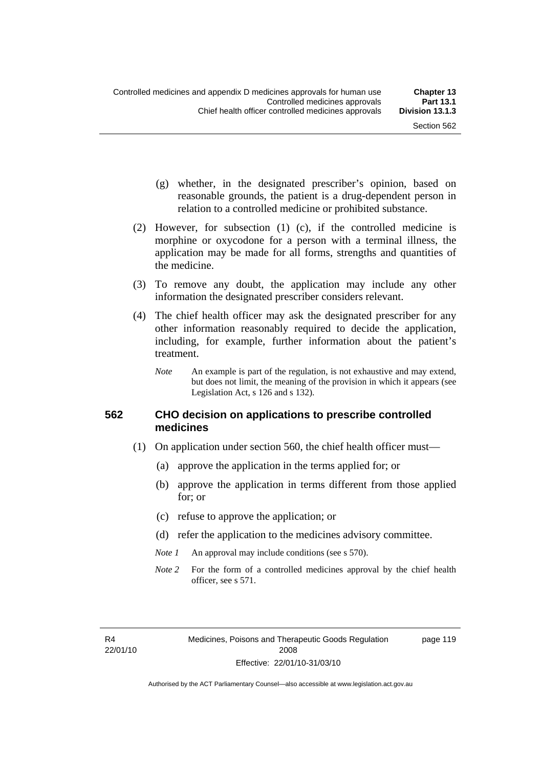- (g) whether, in the designated prescriber's opinion, based on reasonable grounds, the patient is a drug-dependent person in relation to a controlled medicine or prohibited substance.
- (2) However, for subsection (1) (c), if the controlled medicine is morphine or oxycodone for a person with a terminal illness, the application may be made for all forms, strengths and quantities of the medicine.
- (3) To remove any doubt, the application may include any other information the designated prescriber considers relevant.
- (4) The chief health officer may ask the designated prescriber for any other information reasonably required to decide the application, including, for example, further information about the patient's treatment.
	- *Note* An example is part of the regulation, is not exhaustive and may extend, but does not limit, the meaning of the provision in which it appears (see Legislation Act, s 126 and s 132).

#### **562 CHO decision on applications to prescribe controlled medicines**

- (1) On application under section 560, the chief health officer must—
	- (a) approve the application in the terms applied for; or
	- (b) approve the application in terms different from those applied for; or
	- (c) refuse to approve the application; or
	- (d) refer the application to the medicines advisory committee.
	- *Note 1* An approval may include conditions (see s 570).
	- *Note* 2 For the form of a controlled medicines approval by the chief health officer, see s 571.

R4 22/01/10 page 119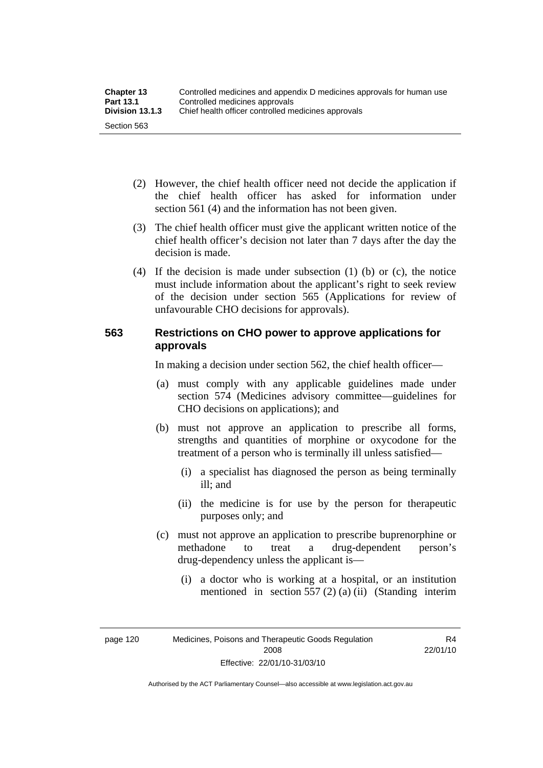| <b>Chapter 13</b> | Controlled medicines and appendix D medicines approvals for human use |  |
|-------------------|-----------------------------------------------------------------------|--|
| <b>Part 13.1</b>  | Controlled medicines approvals                                        |  |
| Division 13.1.3   | Chief health officer controlled medicines approvals                   |  |
| Section 563       |                                                                       |  |

- (2) However, the chief health officer need not decide the application if the chief health officer has asked for information under section 561 (4) and the information has not been given.
- (3) The chief health officer must give the applicant written notice of the chief health officer's decision not later than 7 days after the day the decision is made.
- (4) If the decision is made under subsection (1) (b) or (c), the notice must include information about the applicant's right to seek review of the decision under section 565 (Applications for review of unfavourable CHO decisions for approvals).

## **563 Restrictions on CHO power to approve applications for approvals**

In making a decision under section 562, the chief health officer—

- (a) must comply with any applicable guidelines made under section 574 (Medicines advisory committee—guidelines for CHO decisions on applications); and
- (b) must not approve an application to prescribe all forms, strengths and quantities of morphine or oxycodone for the treatment of a person who is terminally ill unless satisfied—
	- (i) a specialist has diagnosed the person as being terminally ill; and
	- (ii) the medicine is for use by the person for therapeutic purposes only; and
- (c) must not approve an application to prescribe buprenorphine or methadone to treat a drug-dependent person's drug-dependency unless the applicant is—
	- (i) a doctor who is working at a hospital, or an institution mentioned in section 557 (2) (a) (ii) (Standing interim

page 120 Medicines, Poisons and Therapeutic Goods Regulation 2008 Effective: 22/01/10-31/03/10

R4 22/01/10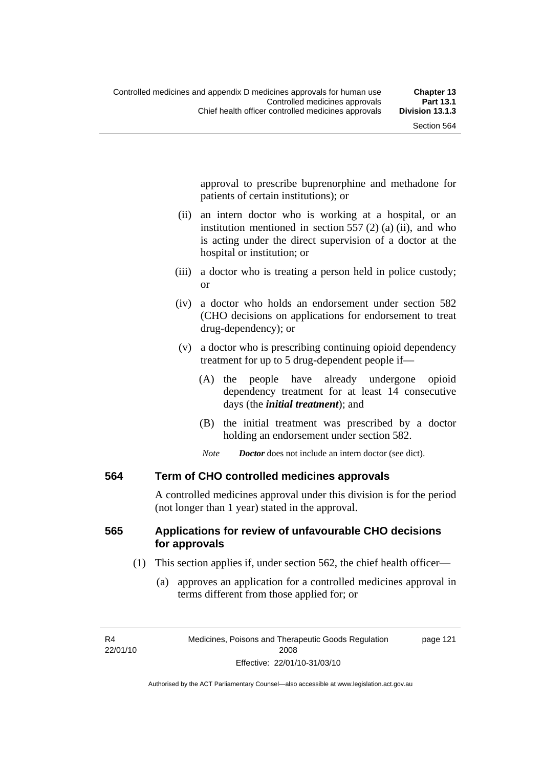approval to prescribe buprenorphine and methadone for patients of certain institutions); or

- (ii) an intern doctor who is working at a hospital, or an institution mentioned in section 557 (2) (a) (ii), and who is acting under the direct supervision of a doctor at the hospital or institution; or
- (iii) a doctor who is treating a person held in police custody; or
- (iv) a doctor who holds an endorsement under section 582 (CHO decisions on applications for endorsement to treat drug-dependency); or
- (v) a doctor who is prescribing continuing opioid dependency treatment for up to 5 drug-dependent people if—
	- (A) the people have already undergone opioid dependency treatment for at least 14 consecutive days (the *initial treatment*); and
	- (B) the initial treatment was prescribed by a doctor holding an endorsement under section 582.
	- *Note Doctor* does not include an intern doctor (see dict).

#### **564 Term of CHO controlled medicines approvals**

A controlled medicines approval under this division is for the period (not longer than 1 year) stated in the approval.

### **565 Applications for review of unfavourable CHO decisions for approvals**

- (1) This section applies if, under section 562, the chief health officer—
	- (a) approves an application for a controlled medicines approval in terms different from those applied for; or

R4 22/01/10 page 121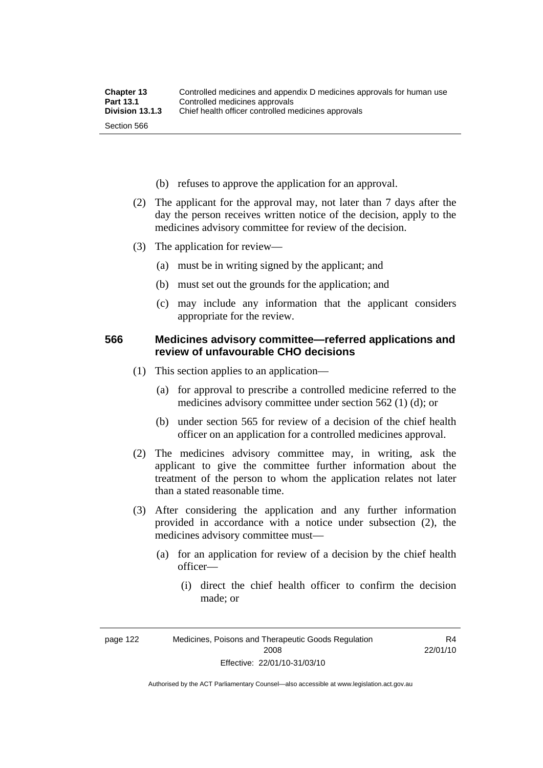- (b) refuses to approve the application for an approval.
- (2) The applicant for the approval may, not later than 7 days after the day the person receives written notice of the decision, apply to the medicines advisory committee for review of the decision.
- (3) The application for review—
	- (a) must be in writing signed by the applicant; and
	- (b) must set out the grounds for the application; and
	- (c) may include any information that the applicant considers appropriate for the review.

#### **566 Medicines advisory committee—referred applications and review of unfavourable CHO decisions**

- (1) This section applies to an application—
	- (a) for approval to prescribe a controlled medicine referred to the medicines advisory committee under section 562 (1) (d); or
	- (b) under section 565 for review of a decision of the chief health officer on an application for a controlled medicines approval.
- (2) The medicines advisory committee may, in writing, ask the applicant to give the committee further information about the treatment of the person to whom the application relates not later than a stated reasonable time.
- (3) After considering the application and any further information provided in accordance with a notice under subsection (2), the medicines advisory committee must—
	- (a) for an application for review of a decision by the chief health officer—
		- (i) direct the chief health officer to confirm the decision made; or

R4 22/01/10

Authorised by the ACT Parliamentary Counsel—also accessible at www.legislation.act.gov.au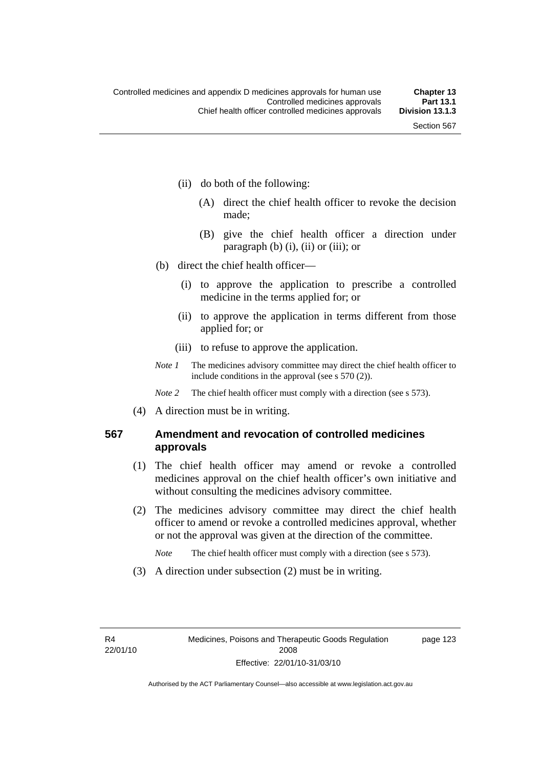- (ii) do both of the following:
	- (A) direct the chief health officer to revoke the decision made;
	- (B) give the chief health officer a direction under paragraph  $(b)$   $(i)$ ,  $(ii)$  or  $(iii)$ ; or
- (b) direct the chief health officer—
	- (i) to approve the application to prescribe a controlled medicine in the terms applied for; or
	- (ii) to approve the application in terms different from those applied for; or
	- (iii) to refuse to approve the application.
- *Note 1* The medicines advisory committee may direct the chief health officer to include conditions in the approval (see s 570 (2)).

*Note* 2 The chief health officer must comply with a direction (see s 573).

(4) A direction must be in writing.

### **567 Amendment and revocation of controlled medicines approvals**

- (1) The chief health officer may amend or revoke a controlled medicines approval on the chief health officer's own initiative and without consulting the medicines advisory committee.
- (2) The medicines advisory committee may direct the chief health officer to amend or revoke a controlled medicines approval, whether or not the approval was given at the direction of the committee.

*Note* The chief health officer must comply with a direction (see s 573).

(3) A direction under subsection (2) must be in writing.

R4 22/01/10 page 123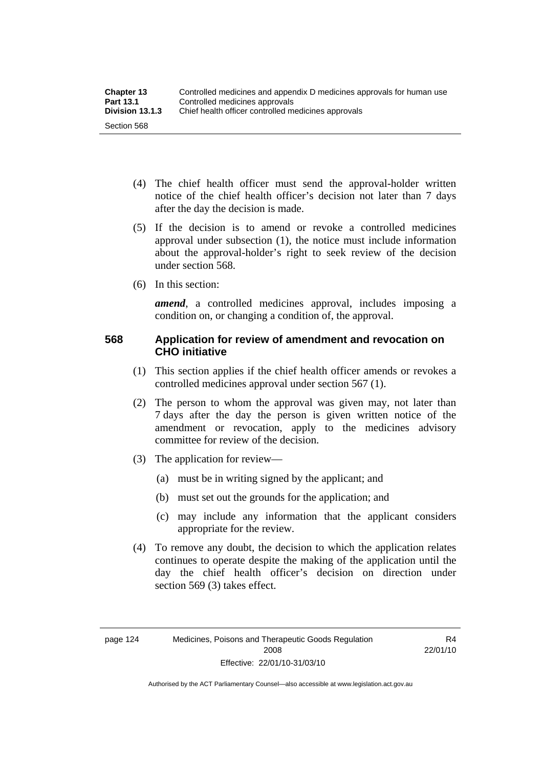- (4) The chief health officer must send the approval-holder written notice of the chief health officer's decision not later than 7 days after the day the decision is made.
- (5) If the decision is to amend or revoke a controlled medicines approval under subsection (1), the notice must include information about the approval-holder's right to seek review of the decision under section 568.
- (6) In this section:

*amend*, a controlled medicines approval, includes imposing a condition on, or changing a condition of, the approval.

### **568 Application for review of amendment and revocation on CHO initiative**

- (1) This section applies if the chief health officer amends or revokes a controlled medicines approval under section 567 (1).
- (2) The person to whom the approval was given may, not later than 7 days after the day the person is given written notice of the amendment or revocation, apply to the medicines advisory committee for review of the decision.
- (3) The application for review—
	- (a) must be in writing signed by the applicant; and
	- (b) must set out the grounds for the application; and
	- (c) may include any information that the applicant considers appropriate for the review.
- (4) To remove any doubt, the decision to which the application relates continues to operate despite the making of the application until the day the chief health officer's decision on direction under section 569 (3) takes effect.

Authorised by the ACT Parliamentary Counsel—also accessible at www.legislation.act.gov.au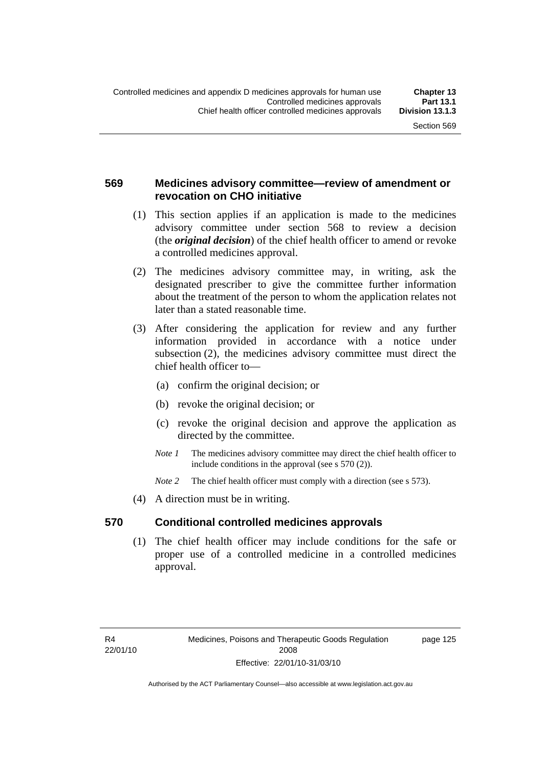### **569 Medicines advisory committee—review of amendment or revocation on CHO initiative**

- (1) This section applies if an application is made to the medicines advisory committee under section 568 to review a decision (the *original decision*) of the chief health officer to amend or revoke a controlled medicines approval.
- (2) The medicines advisory committee may, in writing, ask the designated prescriber to give the committee further information about the treatment of the person to whom the application relates not later than a stated reasonable time.
- (3) After considering the application for review and any further information provided in accordance with a notice under subsection (2), the medicines advisory committee must direct the chief health officer to—
	- (a) confirm the original decision; or
	- (b) revoke the original decision; or
	- (c) revoke the original decision and approve the application as directed by the committee.
	- *Note 1* The medicines advisory committee may direct the chief health officer to include conditions in the approval (see s 570 (2)).
	- *Note* 2 The chief health officer must comply with a direction (see s 573).
- (4) A direction must be in writing.

#### **570 Conditional controlled medicines approvals**

 (1) The chief health officer may include conditions for the safe or proper use of a controlled medicine in a controlled medicines approval.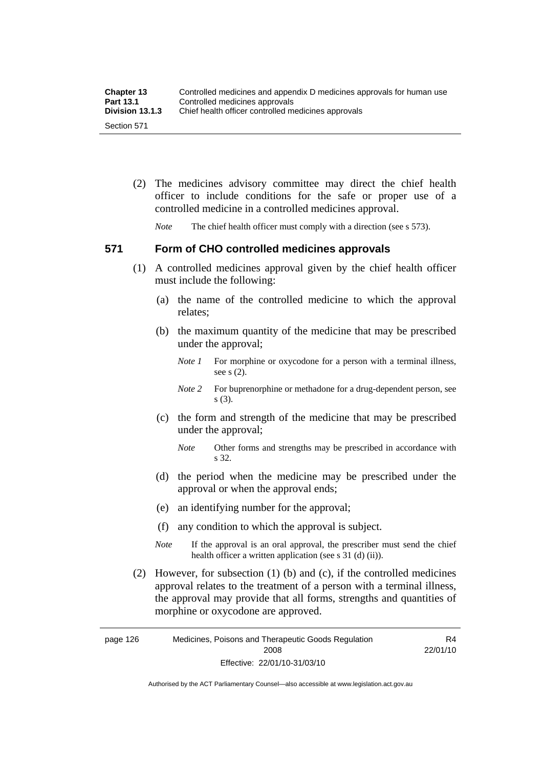| <b>Chapter 13</b> | Controlled medicines and appendix D medicines approvals for human use |
|-------------------|-----------------------------------------------------------------------|
| <b>Part 13.1</b>  | Controlled medicines approvals                                        |
| Division 13.1.3   | Chief health officer controlled medicines approvals                   |
| Section 571       |                                                                       |

 (2) The medicines advisory committee may direct the chief health officer to include conditions for the safe or proper use of a controlled medicine in a controlled medicines approval.

*Note* The chief health officer must comply with a direction (see s 573).

### **571 Form of CHO controlled medicines approvals**

- (1) A controlled medicines approval given by the chief health officer must include the following:
	- (a) the name of the controlled medicine to which the approval relates;
	- (b) the maximum quantity of the medicine that may be prescribed under the approval;
		- *Note 1* For morphine or oxycodone for a person with a terminal illness, see s (2).
		- *Note* 2 For buprenorphine or methadone for a drug-dependent person, see s (3).
	- (c) the form and strength of the medicine that may be prescribed under the approval;
		- *Note* Other forms and strengths may be prescribed in accordance with s 32.
	- (d) the period when the medicine may be prescribed under the approval or when the approval ends;
	- (e) an identifying number for the approval;
	- (f) any condition to which the approval is subject.
	- *Note* If the approval is an oral approval, the prescriber must send the chief health officer a written application (see s  $31$  (d) (ii)).
- (2) However, for subsection (1) (b) and (c), if the controlled medicines approval relates to the treatment of a person with a terminal illness, the approval may provide that all forms, strengths and quantities of morphine or oxycodone are approved.

page 126 Medicines, Poisons and Therapeutic Goods Regulation 2008 Effective: 22/01/10-31/03/10 R4 22/01/10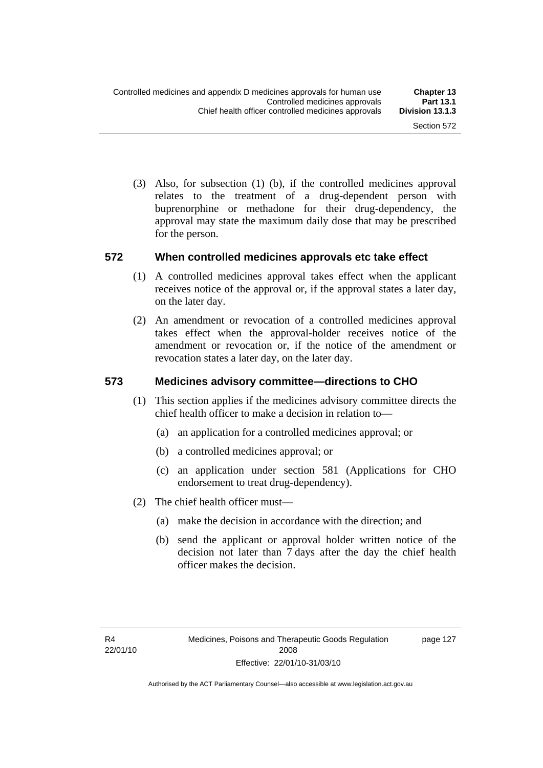(3) Also, for subsection (1) (b), if the controlled medicines approval relates to the treatment of a drug-dependent person with buprenorphine or methadone for their drug-dependency, the approval may state the maximum daily dose that may be prescribed for the person.

#### **572 When controlled medicines approvals etc take effect**

- (1) A controlled medicines approval takes effect when the applicant receives notice of the approval or, if the approval states a later day, on the later day.
- (2) An amendment or revocation of a controlled medicines approval takes effect when the approval-holder receives notice of the amendment or revocation or, if the notice of the amendment or revocation states a later day, on the later day.

#### **573 Medicines advisory committee—directions to CHO**

- (1) This section applies if the medicines advisory committee directs the chief health officer to make a decision in relation to—
	- (a) an application for a controlled medicines approval; or
	- (b) a controlled medicines approval; or
	- (c) an application under section 581 (Applications for CHO endorsement to treat drug-dependency).
- (2) The chief health officer must—
	- (a) make the decision in accordance with the direction; and
	- (b) send the applicant or approval holder written notice of the decision not later than 7 days after the day the chief health officer makes the decision.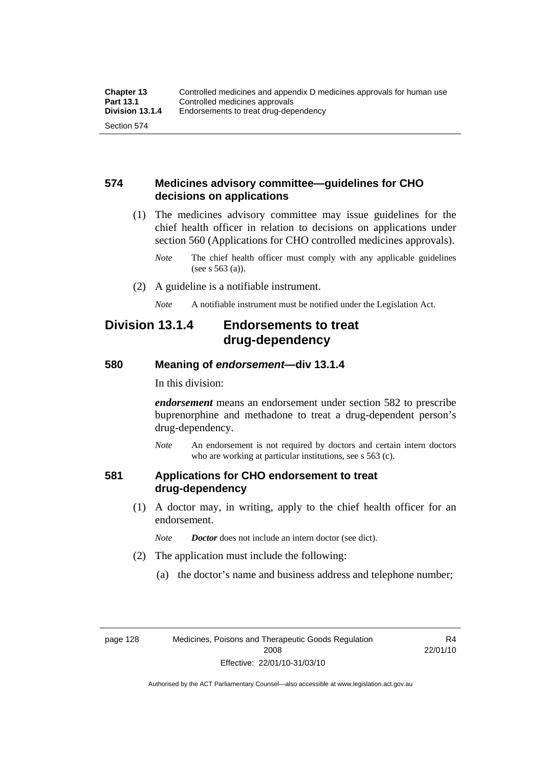### **574 Medicines advisory committee—guidelines for CHO decisions on applications**

 (1) The medicines advisory committee may issue guidelines for the chief health officer in relation to decisions on applications under section 560 (Applications for CHO controlled medicines approvals).

- (2) A guideline is a notifiable instrument.
	- *Note* A notifiable instrument must be notified under the Legislation Act.

## **Division 13.1.4 Endorsements to treat drug-dependency**

#### **580 Meaning of** *endorsement***—div 13.1.4**

In this division:

*endorsement* means an endorsement under section 582 to prescribe buprenorphine and methadone to treat a drug-dependent person's drug-dependency.

*Note* An endorsement is not required by doctors and certain intern doctors who are working at particular institutions, see s 563 (c).

#### **581 Applications for CHO endorsement to treat drug-dependency**

 (1) A doctor may, in writing, apply to the chief health officer for an endorsement.

*Note Doctor* does not include an intern doctor (see dict).

- (2) The application must include the following:
	- (a) the doctor's name and business address and telephone number;

R4 22/01/10

*Note* The chief health officer must comply with any applicable guidelines (see s 563 (a)).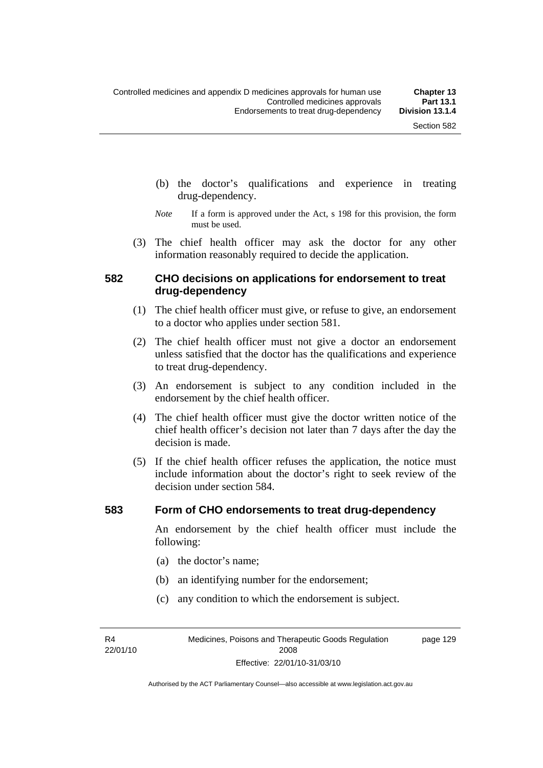- (b) the doctor's qualifications and experience in treating drug-dependency.
- *Note* If a form is approved under the Act, s 198 for this provision, the form must be used.
- (3) The chief health officer may ask the doctor for any other information reasonably required to decide the application.

#### **582 CHO decisions on applications for endorsement to treat drug-dependency**

- (1) The chief health officer must give, or refuse to give, an endorsement to a doctor who applies under section 581.
- (2) The chief health officer must not give a doctor an endorsement unless satisfied that the doctor has the qualifications and experience to treat drug-dependency.
- (3) An endorsement is subject to any condition included in the endorsement by the chief health officer.
- (4) The chief health officer must give the doctor written notice of the chief health officer's decision not later than 7 days after the day the decision is made.
- (5) If the chief health officer refuses the application, the notice must include information about the doctor's right to seek review of the decision under section 584.

#### **583 Form of CHO endorsements to treat drug-dependency**

An endorsement by the chief health officer must include the following:

- (a) the doctor's name;
- (b) an identifying number for the endorsement;
- (c) any condition to which the endorsement is subject.

R4 22/01/10 page 129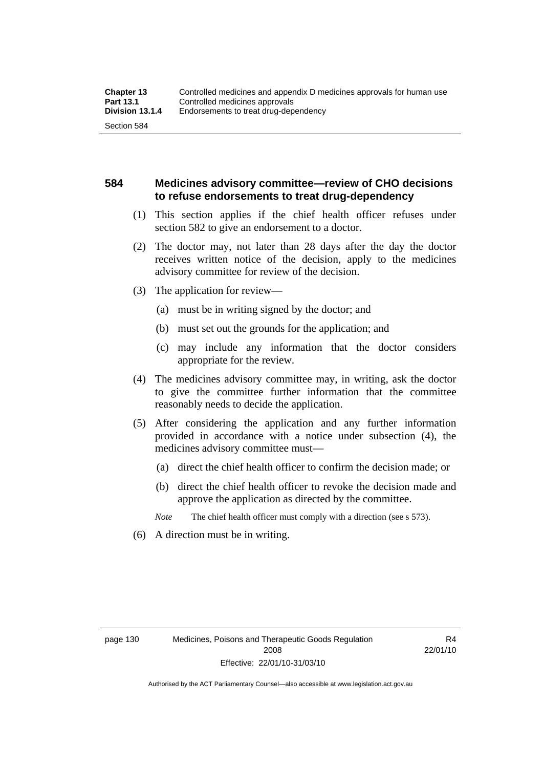### **584 Medicines advisory committee—review of CHO decisions to refuse endorsements to treat drug-dependency**

- (1) This section applies if the chief health officer refuses under section 582 to give an endorsement to a doctor.
- (2) The doctor may, not later than 28 days after the day the doctor receives written notice of the decision, apply to the medicines advisory committee for review of the decision.
- (3) The application for review—
	- (a) must be in writing signed by the doctor; and
	- (b) must set out the grounds for the application; and
	- (c) may include any information that the doctor considers appropriate for the review.
- (4) The medicines advisory committee may, in writing, ask the doctor to give the committee further information that the committee reasonably needs to decide the application.
- (5) After considering the application and any further information provided in accordance with a notice under subsection (4), the medicines advisory committee must—
	- (a) direct the chief health officer to confirm the decision made; or
	- (b) direct the chief health officer to revoke the decision made and approve the application as directed by the committee.

*Note* The chief health officer must comply with a direction (see s 573).

(6) A direction must be in writing.

R4 22/01/10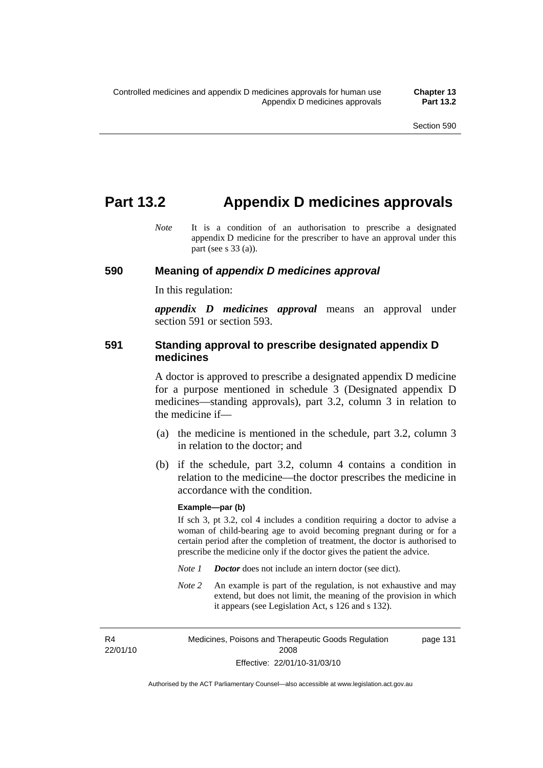## **Part 13.2 Appendix D medicines approvals**

*Note* It is a condition of an authorisation to prescribe a designated appendix D medicine for the prescriber to have an approval under this part (see s 33 (a)).

#### **590 Meaning of** *appendix D medicines approval*

In this regulation:

*appendix D medicines approval* means an approval under section 591 or section 593.

#### **591 Standing approval to prescribe designated appendix D medicines**

A doctor is approved to prescribe a designated appendix D medicine for a purpose mentioned in schedule 3 (Designated appendix D medicines—standing approvals), part 3.2, column 3 in relation to the medicine if—

- (a) the medicine is mentioned in the schedule, part 3.2, column 3 in relation to the doctor; and
- (b) if the schedule, part 3.2, column 4 contains a condition in relation to the medicine—the doctor prescribes the medicine in accordance with the condition.

#### **Example—par (b)**

If sch 3, pt 3.2, col 4 includes a condition requiring a doctor to advise a woman of child-bearing age to avoid becoming pregnant during or for a certain period after the completion of treatment, the doctor is authorised to prescribe the medicine only if the doctor gives the patient the advice.

- *Note 1 Doctor* does not include an intern doctor (see dict).
- *Note 2* An example is part of the regulation, is not exhaustive and may extend, but does not limit, the meaning of the provision in which it appears (see Legislation Act, s 126 and s 132).

R4 22/01/10 Medicines, Poisons and Therapeutic Goods Regulation 2008 Effective: 22/01/10-31/03/10 page 131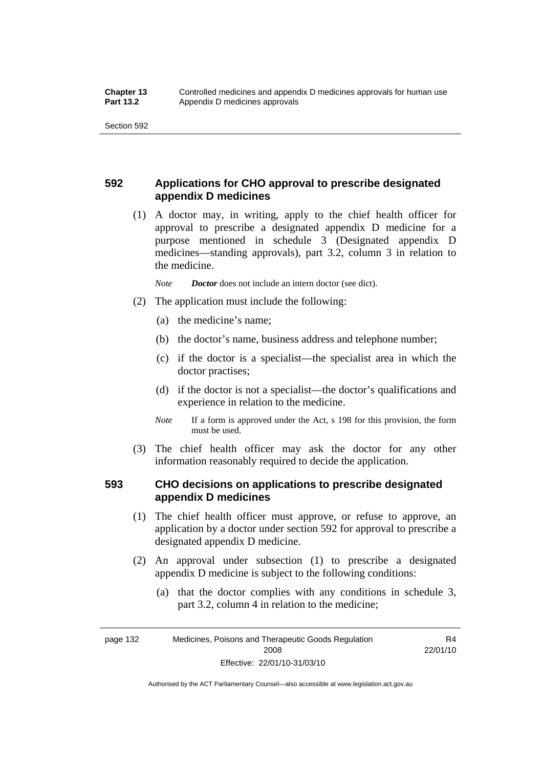### **592 Applications for CHO approval to prescribe designated appendix D medicines**

 (1) A doctor may, in writing, apply to the chief health officer for approval to prescribe a designated appendix D medicine for a purpose mentioned in schedule 3 (Designated appendix D medicines—standing approvals), part 3.2, column 3 in relation to the medicine.

*Note Doctor* does not include an intern doctor (see dict).

- (2) The application must include the following:
	- (a) the medicine's name;
	- (b) the doctor's name, business address and telephone number;
	- (c) if the doctor is a specialist—the specialist area in which the doctor practises;
	- (d) if the doctor is not a specialist—the doctor's qualifications and experience in relation to the medicine.
	- *Note* If a form is approved under the Act, s 198 for this provision, the form must be used.
- (3) The chief health officer may ask the doctor for any other information reasonably required to decide the application.

### **593 CHO decisions on applications to prescribe designated appendix D medicines**

- (1) The chief health officer must approve, or refuse to approve, an application by a doctor under section 592 for approval to prescribe a designated appendix D medicine.
- (2) An approval under subsection (1) to prescribe a designated appendix D medicine is subject to the following conditions:
	- (a) that the doctor complies with any conditions in schedule 3, part 3.2, column 4 in relation to the medicine;

R4 22/01/10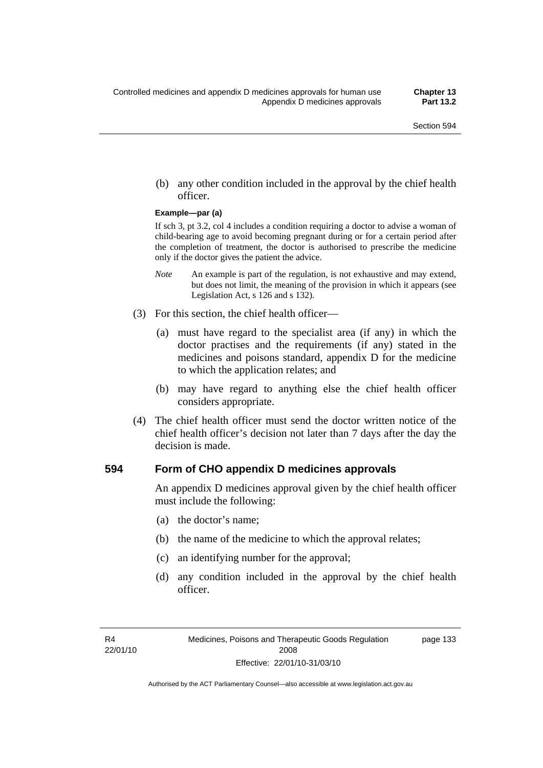(b) any other condition included in the approval by the chief health officer.

#### **Example—par (a)**

If sch 3, pt 3.2, col 4 includes a condition requiring a doctor to advise a woman of child-bearing age to avoid becoming pregnant during or for a certain period after the completion of treatment, the doctor is authorised to prescribe the medicine only if the doctor gives the patient the advice.

- *Note* An example is part of the regulation, is not exhaustive and may extend, but does not limit, the meaning of the provision in which it appears (see Legislation Act, s 126 and s 132).
- (3) For this section, the chief health officer—
	- (a) must have regard to the specialist area (if any) in which the doctor practises and the requirements (if any) stated in the medicines and poisons standard, appendix D for the medicine to which the application relates; and
	- (b) may have regard to anything else the chief health officer considers appropriate.
- (4) The chief health officer must send the doctor written notice of the chief health officer's decision not later than 7 days after the day the decision is made.

#### **594 Form of CHO appendix D medicines approvals**

An appendix D medicines approval given by the chief health officer must include the following:

- (a) the doctor's name;
- (b) the name of the medicine to which the approval relates;
- (c) an identifying number for the approval;
- (d) any condition included in the approval by the chief health officer.

page 133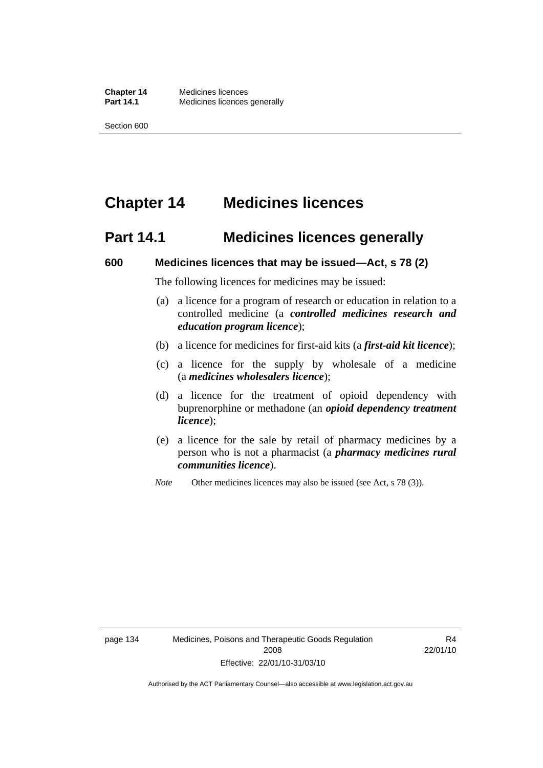# **Chapter 14 Medicines licences**

## **Part 14.1 Medicines licences generally**

#### **600 Medicines licences that may be issued—Act, s 78 (2)**

The following licences for medicines may be issued:

- (a) a licence for a program of research or education in relation to a controlled medicine (a *controlled medicines research and education program licence*);
- (b) a licence for medicines for first-aid kits (a *first-aid kit licence*);
- (c) a licence for the supply by wholesale of a medicine (a *medicines wholesalers licence*);
- (d) a licence for the treatment of opioid dependency with buprenorphine or methadone (an *opioid dependency treatment licence*);
- (e) a licence for the sale by retail of pharmacy medicines by a person who is not a pharmacist (a *pharmacy medicines rural communities licence*).
- *Note* Other medicines licences may also be issued (see Act, s 78 (3)).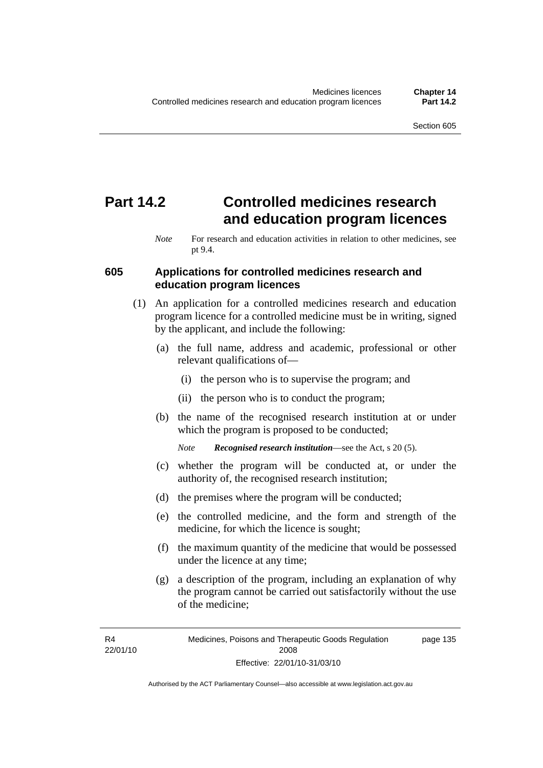# **Part 14.2 Controlled medicines research and education program licences**

#### **605 Applications for controlled medicines research and education program licences**

- (1) An application for a controlled medicines research and education program licence for a controlled medicine must be in writing, signed by the applicant, and include the following:
	- (a) the full name, address and academic, professional or other relevant qualifications of—
		- (i) the person who is to supervise the program; and
		- (ii) the person who is to conduct the program;
	- (b) the name of the recognised research institution at or under which the program is proposed to be conducted;

*Note Recognised research institution*—see the Act, s 20 (5).

- (c) whether the program will be conducted at, or under the authority of, the recognised research institution;
- (d) the premises where the program will be conducted;
- (e) the controlled medicine, and the form and strength of the medicine, for which the licence is sought;
- (f) the maximum quantity of the medicine that would be possessed under the licence at any time;
- (g) a description of the program, including an explanation of why the program cannot be carried out satisfactorily without the use of the medicine;

R4 22/01/10

*Note* For research and education activities in relation to other medicines, see pt 9.4.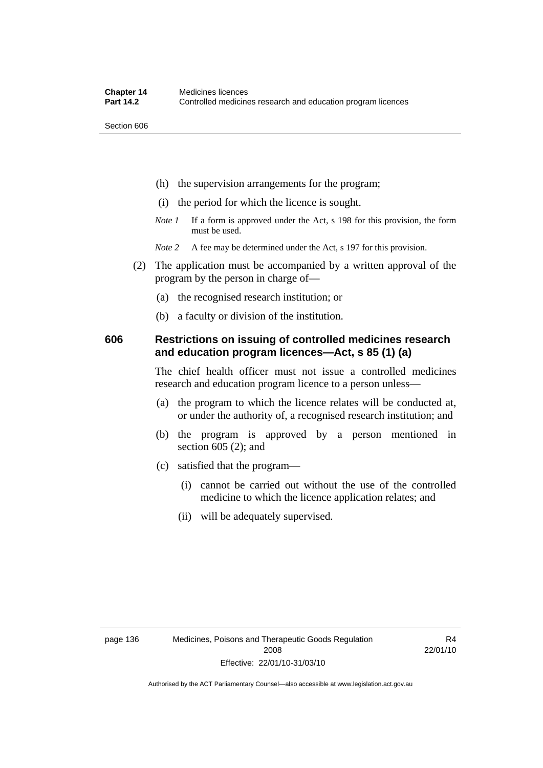Section 606

- (h) the supervision arrangements for the program;
- (i) the period for which the licence is sought.
- *Note 1* If a form is approved under the Act, s 198 for this provision, the form must be used.
- *Note* 2 A fee may be determined under the Act, s 197 for this provision.
- (2) The application must be accompanied by a written approval of the program by the person in charge of—
	- (a) the recognised research institution; or
	- (b) a faculty or division of the institution.

#### **606 Restrictions on issuing of controlled medicines research and education program licences—Act, s 85 (1) (a)**

The chief health officer must not issue a controlled medicines research and education program licence to a person unless—

- (a) the program to which the licence relates will be conducted at, or under the authority of, a recognised research institution; and
- (b) the program is approved by a person mentioned in section 605 (2); and
- (c) satisfied that the program—
	- (i) cannot be carried out without the use of the controlled medicine to which the licence application relates; and
	- (ii) will be adequately supervised.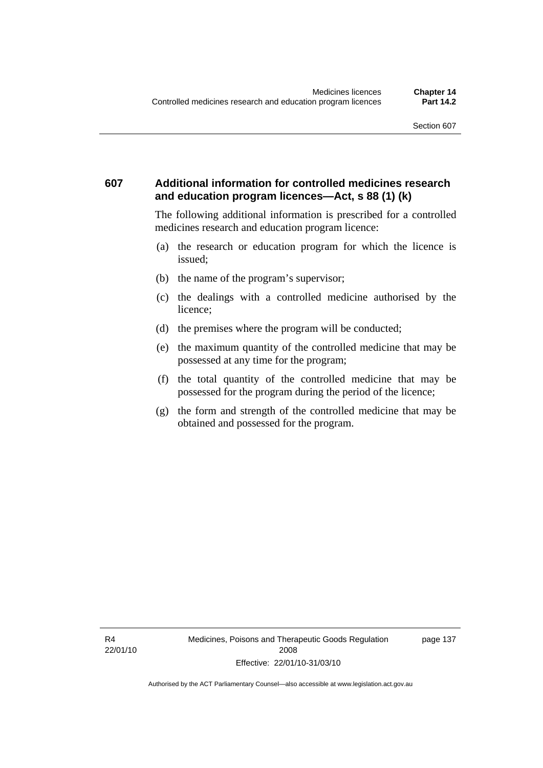#### **607 Additional information for controlled medicines research and education program licences—Act, s 88 (1) (k)**

The following additional information is prescribed for a controlled medicines research and education program licence:

- (a) the research or education program for which the licence is issued;
- (b) the name of the program's supervisor;
- (c) the dealings with a controlled medicine authorised by the licence;
- (d) the premises where the program will be conducted;
- (e) the maximum quantity of the controlled medicine that may be possessed at any time for the program;
- (f) the total quantity of the controlled medicine that may be possessed for the program during the period of the licence;
- (g) the form and strength of the controlled medicine that may be obtained and possessed for the program.

page 137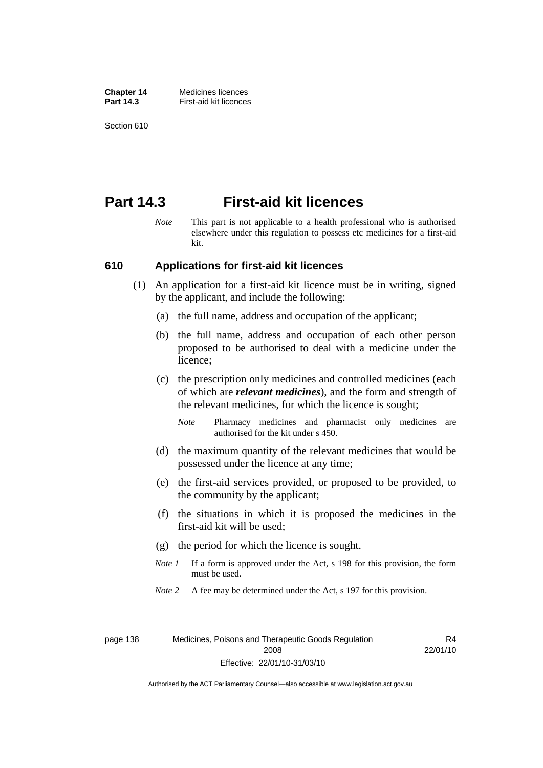**Chapter 14** Medicines licences **Part 14.3 First-aid kit licences** 

Section 610

## **Part 14.3 First-aid kit licences**

*Note* This part is not applicable to a health professional who is authorised elsewhere under this regulation to possess etc medicines for a first-aid kit.

#### **610 Applications for first-aid kit licences**

- (1) An application for a first-aid kit licence must be in writing, signed by the applicant, and include the following:
	- (a) the full name, address and occupation of the applicant;
	- (b) the full name, address and occupation of each other person proposed to be authorised to deal with a medicine under the licence;
	- (c) the prescription only medicines and controlled medicines (each of which are *relevant medicines*), and the form and strength of the relevant medicines, for which the licence is sought;
		- *Note* Pharmacy medicines and pharmacist only medicines are authorised for the kit under s 450.
	- (d) the maximum quantity of the relevant medicines that would be possessed under the licence at any time;
	- (e) the first-aid services provided, or proposed to be provided, to the community by the applicant;
	- (f) the situations in which it is proposed the medicines in the first-aid kit will be used;
	- (g) the period for which the licence is sought.
	- *Note 1* If a form is approved under the Act, s 198 for this provision, the form must be used.
	- *Note* 2 A fee may be determined under the Act, s 197 for this provision.

page 138 Medicines, Poisons and Therapeutic Goods Regulation 2008 Effective: 22/01/10-31/03/10

R4 22/01/10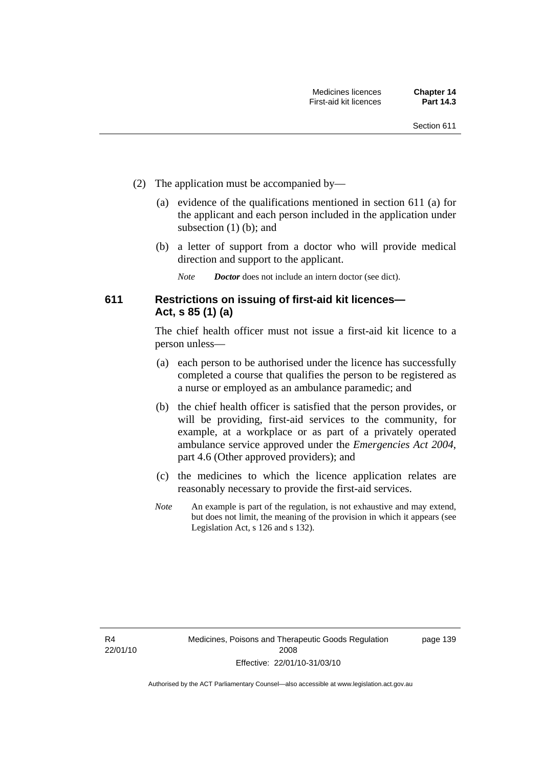- (2) The application must be accompanied by—
	- (a) evidence of the qualifications mentioned in section 611 (a) for the applicant and each person included in the application under subsection (1) (b); and
	- (b) a letter of support from a doctor who will provide medical direction and support to the applicant.
		- *Note Doctor* does not include an intern doctor (see dict).

### **611 Restrictions on issuing of first-aid kit licences— Act, s 85 (1) (a)**

The chief health officer must not issue a first-aid kit licence to a person unless—

- (a) each person to be authorised under the licence has successfully completed a course that qualifies the person to be registered as a nurse or employed as an ambulance paramedic; and
- (b) the chief health officer is satisfied that the person provides, or will be providing, first-aid services to the community, for example, at a workplace or as part of a privately operated ambulance service approved under the *Emergencies Act 2004*, part 4.6 (Other approved providers); and
- (c) the medicines to which the licence application relates are reasonably necessary to provide the first-aid services.
- *Note* An example is part of the regulation, is not exhaustive and may extend, but does not limit, the meaning of the provision in which it appears (see Legislation Act, s 126 and s 132).

R4 22/01/10 page 139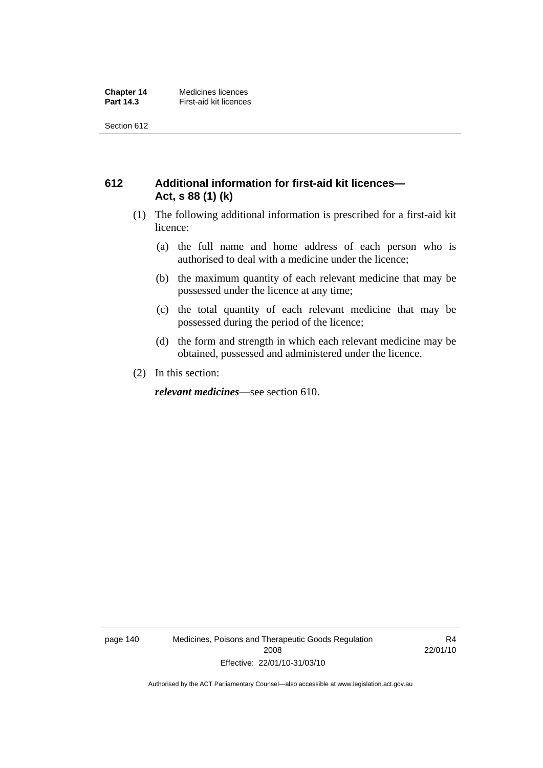Section 612

### **612 Additional information for first-aid kit licences— Act, s 88 (1) (k)**

- (1) The following additional information is prescribed for a first-aid kit licence:
	- (a) the full name and home address of each person who is authorised to deal with a medicine under the licence;
	- (b) the maximum quantity of each relevant medicine that may be possessed under the licence at any time;
	- (c) the total quantity of each relevant medicine that may be possessed during the period of the licence;
	- (d) the form and strength in which each relevant medicine may be obtained, possessed and administered under the licence.
- (2) In this section:

*relevant medicines*—see section 610.

page 140 Medicines, Poisons and Therapeutic Goods Regulation 2008 Effective: 22/01/10-31/03/10

R4 22/01/10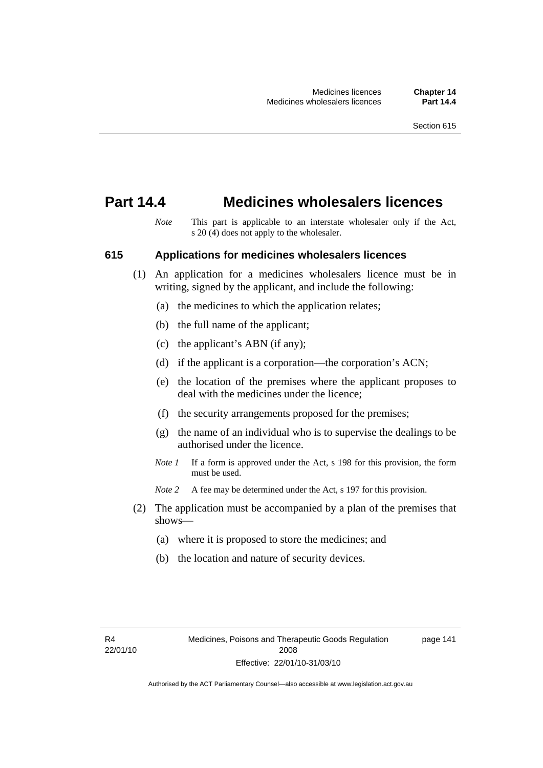## **Part 14.4 Medicines wholesalers licences**

*Note* This part is applicable to an interstate wholesaler only if the Act, s 20 (4) does not apply to the wholesaler.

#### **615 Applications for medicines wholesalers licences**

- (1) An application for a medicines wholesalers licence must be in writing, signed by the applicant, and include the following:
	- (a) the medicines to which the application relates;
	- (b) the full name of the applicant;
	- (c) the applicant's ABN (if any);
	- (d) if the applicant is a corporation—the corporation's ACN;
	- (e) the location of the premises where the applicant proposes to deal with the medicines under the licence;
	- (f) the security arrangements proposed for the premises;
	- (g) the name of an individual who is to supervise the dealings to be authorised under the licence.
	- *Note 1* If a form is approved under the Act, s 198 for this provision, the form must be used.
	- *Note* 2 A fee may be determined under the Act, s 197 for this provision.
- (2) The application must be accompanied by a plan of the premises that shows—
	- (a) where it is proposed to store the medicines; and
	- (b) the location and nature of security devices.

page 141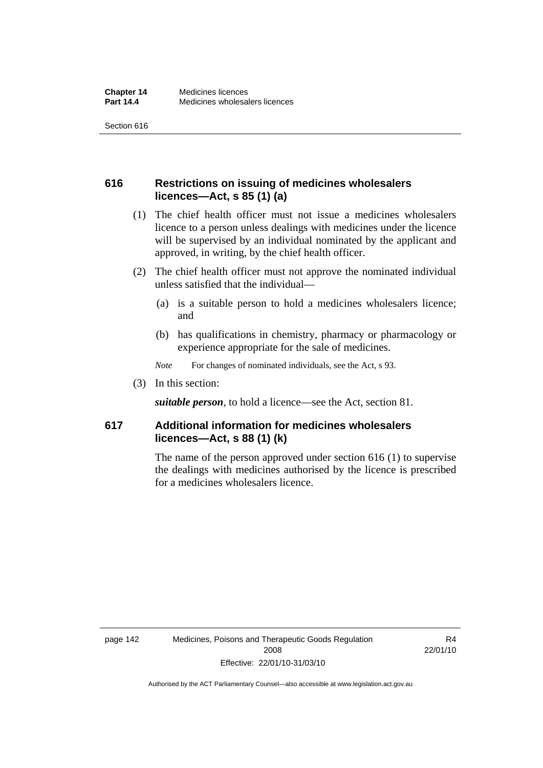Section 616

### **616 Restrictions on issuing of medicines wholesalers licences—Act, s 85 (1) (a)**

- (1) The chief health officer must not issue a medicines wholesalers licence to a person unless dealings with medicines under the licence will be supervised by an individual nominated by the applicant and approved, in writing, by the chief health officer.
- (2) The chief health officer must not approve the nominated individual unless satisfied that the individual—
	- (a) is a suitable person to hold a medicines wholesalers licence; and
	- (b) has qualifications in chemistry, pharmacy or pharmacology or experience appropriate for the sale of medicines.
	- *Note* For changes of nominated individuals, see the Act, s 93.
- (3) In this section:

*suitable person*, to hold a licence—see the Act, section 81.

### **617 Additional information for medicines wholesalers licences—Act, s 88 (1) (k)**

The name of the person approved under section 616 (1) to supervise the dealings with medicines authorised by the licence is prescribed for a medicines wholesalers licence.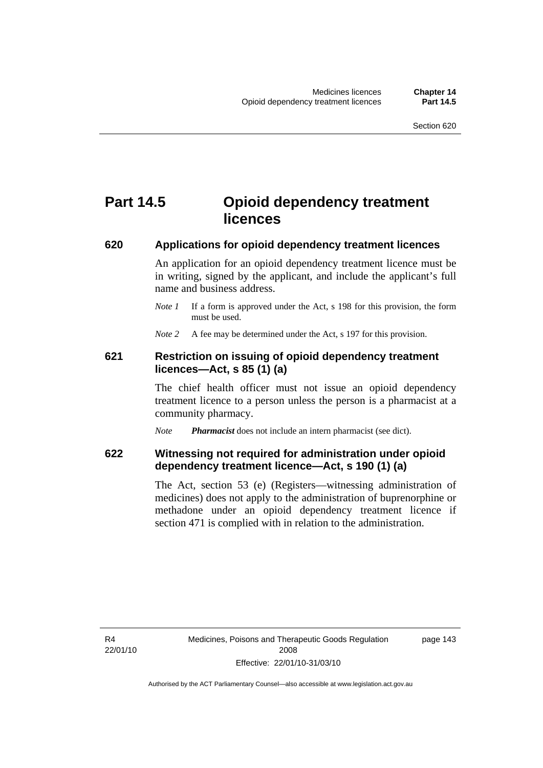# **Part 14.5 Opioid dependency treatment licences**

#### **620 Applications for opioid dependency treatment licences**

An application for an opioid dependency treatment licence must be in writing, signed by the applicant, and include the applicant's full name and business address.

*Note 1* If a form is approved under the Act, s 198 for this provision, the form must be used.

*Note* 2 A fee may be determined under the Act, s 197 for this provision.

#### **621 Restriction on issuing of opioid dependency treatment licences—Act, s 85 (1) (a)**

The chief health officer must not issue an opioid dependency treatment licence to a person unless the person is a pharmacist at a community pharmacy.

*Note Pharmacist* does not include an intern pharmacist (see dict).

### **622 Witnessing not required for administration under opioid dependency treatment licence—Act, s 190 (1) (a)**

The Act, section 53 (e) (Registers—witnessing administration of medicines) does not apply to the administration of buprenorphine or methadone under an opioid dependency treatment licence if section 471 is complied with in relation to the administration.

R4 22/01/10 page 143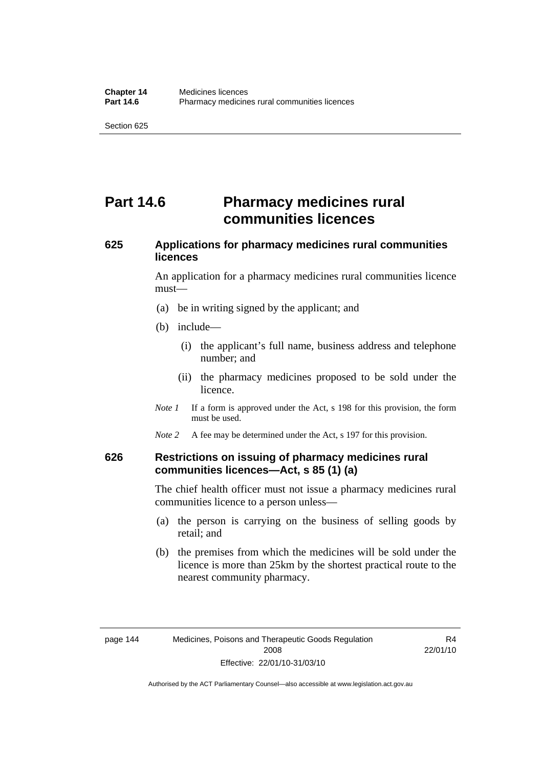# **Part 14.6** Pharmacy medicines rural **communities licences**

## **625 Applications for pharmacy medicines rural communities licences**

An application for a pharmacy medicines rural communities licence must—

- (a) be in writing signed by the applicant; and
- (b) include—
	- (i) the applicant's full name, business address and telephone number; and
	- (ii) the pharmacy medicines proposed to be sold under the licence.
- *Note 1* If a form is approved under the Act, s 198 for this provision, the form must be used.
- *Note* 2 A fee may be determined under the Act, s 197 for this provision.

#### **626 Restrictions on issuing of pharmacy medicines rural communities licences—Act, s 85 (1) (a)**

The chief health officer must not issue a pharmacy medicines rural communities licence to a person unless—

- (a) the person is carrying on the business of selling goods by retail; and
- (b) the premises from which the medicines will be sold under the licence is more than 25km by the shortest practical route to the nearest community pharmacy.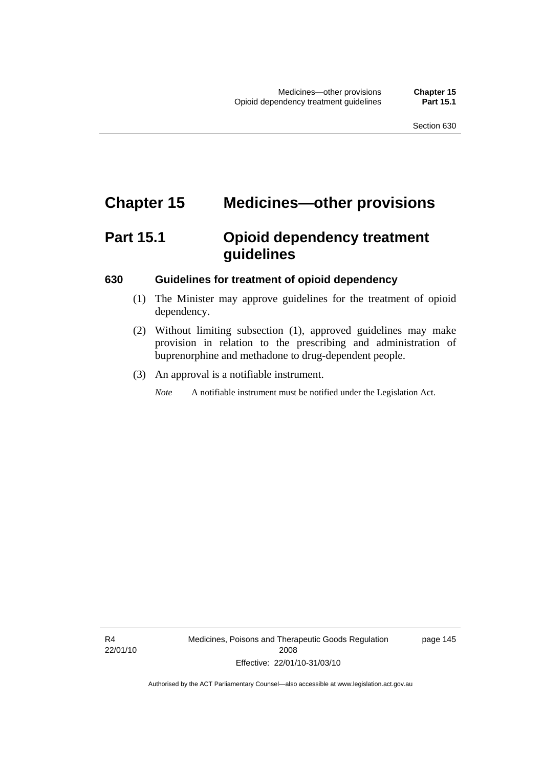# **Chapter 15 Medicines—other provisions**

# **Part 15.1 Opioid dependency treatment guidelines**

#### **630 Guidelines for treatment of opioid dependency**

- (1) The Minister may approve guidelines for the treatment of opioid dependency.
- (2) Without limiting subsection (1), approved guidelines may make provision in relation to the prescribing and administration of buprenorphine and methadone to drug-dependent people.
- (3) An approval is a notifiable instrument.

*Note* A notifiable instrument must be notified under the Legislation Act.

page 145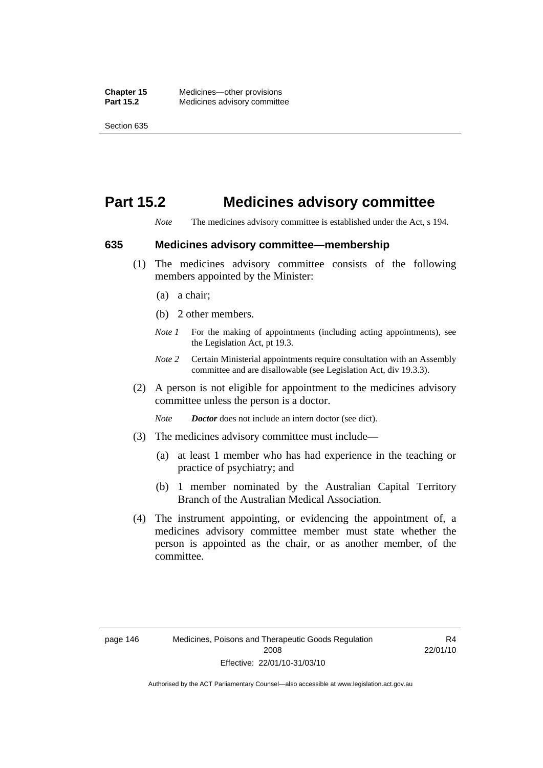## **Part 15.2 Medicines advisory committee**

*Note* The medicines advisory committee is established under the Act, s 194.

#### **635 Medicines advisory committee—membership**

- (1) The medicines advisory committee consists of the following members appointed by the Minister:
	- (a) a chair;
	- (b) 2 other members.
	- *Note 1* For the making of appointments (including acting appointments), see the Legislation Act, pt 19.3.
	- *Note 2* Certain Ministerial appointments require consultation with an Assembly committee and are disallowable (see Legislation Act, div 19.3.3).
- (2) A person is not eligible for appointment to the medicines advisory committee unless the person is a doctor.

*Note Doctor* does not include an intern doctor (see dict).

- (3) The medicines advisory committee must include—
	- (a) at least 1 member who has had experience in the teaching or practice of psychiatry; and
	- (b) 1 member nominated by the Australian Capital Territory Branch of the Australian Medical Association.
- (4) The instrument appointing, or evidencing the appointment of, a medicines advisory committee member must state whether the person is appointed as the chair, or as another member, of the committee.

R4 22/01/10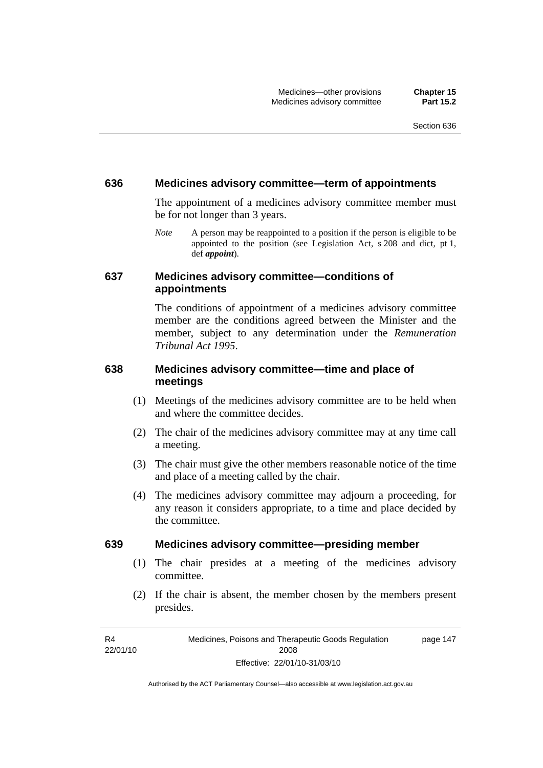#### **636 Medicines advisory committee—term of appointments**

The appointment of a medicines advisory committee member must be for not longer than 3 years.

*Note* A person may be reappointed to a position if the person is eligible to be appointed to the position (see Legislation Act, s 208 and dict, pt 1, def *appoint*).

#### **637 Medicines advisory committee—conditions of appointments**

The conditions of appointment of a medicines advisory committee member are the conditions agreed between the Minister and the member, subject to any determination under the *Remuneration Tribunal Act 1995*.

### **638 Medicines advisory committee—time and place of meetings**

- (1) Meetings of the medicines advisory committee are to be held when and where the committee decides.
- (2) The chair of the medicines advisory committee may at any time call a meeting.
- (3) The chair must give the other members reasonable notice of the time and place of a meeting called by the chair.
- (4) The medicines advisory committee may adjourn a proceeding, for any reason it considers appropriate, to a time and place decided by the committee.

#### **639 Medicines advisory committee—presiding member**

- (1) The chair presides at a meeting of the medicines advisory committee.
- (2) If the chair is absent, the member chosen by the members present presides.

R4 22/01/10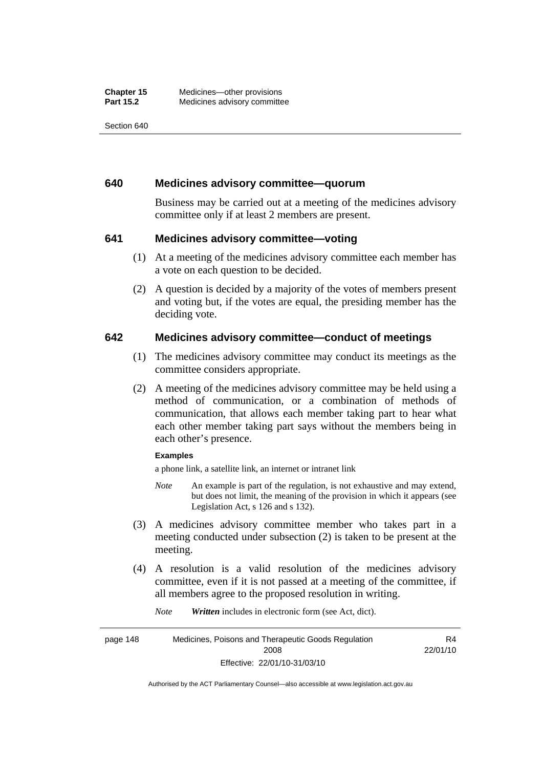Section 640

#### **640 Medicines advisory committee—quorum**

Business may be carried out at a meeting of the medicines advisory committee only if at least 2 members are present.

#### **641 Medicines advisory committee—voting**

- (1) At a meeting of the medicines advisory committee each member has a vote on each question to be decided.
- (2) A question is decided by a majority of the votes of members present and voting but, if the votes are equal, the presiding member has the deciding vote.

#### **642 Medicines advisory committee—conduct of meetings**

- (1) The medicines advisory committee may conduct its meetings as the committee considers appropriate.
- (2) A meeting of the medicines advisory committee may be held using a method of communication, or a combination of methods of communication, that allows each member taking part to hear what each other member taking part says without the members being in each other's presence.

#### **Examples**

a phone link, a satellite link, an internet or intranet link

- *Note* An example is part of the regulation, is not exhaustive and may extend, but does not limit, the meaning of the provision in which it appears (see Legislation Act, s 126 and s 132).
- (3) A medicines advisory committee member who takes part in a meeting conducted under subsection (2) is taken to be present at the meeting.
- (4) A resolution is a valid resolution of the medicines advisory committee, even if it is not passed at a meeting of the committee, if all members agree to the proposed resolution in writing.

*Note Written* includes in electronic form (see Act, dict).

page 148 Medicines, Poisons and Therapeutic Goods Regulation 2008 Effective: 22/01/10-31/03/10 R4 22/01/10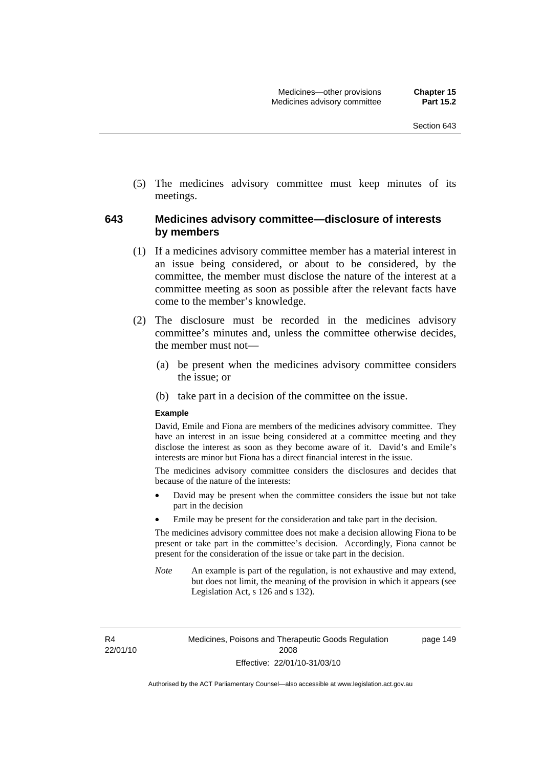(5) The medicines advisory committee must keep minutes of its meetings.

#### **643 Medicines advisory committee—disclosure of interests by members**

- (1) If a medicines advisory committee member has a material interest in an issue being considered, or about to be considered, by the committee, the member must disclose the nature of the interest at a committee meeting as soon as possible after the relevant facts have come to the member's knowledge.
- (2) The disclosure must be recorded in the medicines advisory committee's minutes and, unless the committee otherwise decides, the member must not—
	- (a) be present when the medicines advisory committee considers the issue; or
	- (b) take part in a decision of the committee on the issue.

#### **Example**

David, Emile and Fiona are members of the medicines advisory committee. They have an interest in an issue being considered at a committee meeting and they disclose the interest as soon as they become aware of it. David's and Emile's interests are minor but Fiona has a direct financial interest in the issue.

The medicines advisory committee considers the disclosures and decides that because of the nature of the interests:

- David may be present when the committee considers the issue but not take part in the decision
- Emile may be present for the consideration and take part in the decision.

The medicines advisory committee does not make a decision allowing Fiona to be present or take part in the committee's decision. Accordingly, Fiona cannot be present for the consideration of the issue or take part in the decision.

*Note* An example is part of the regulation, is not exhaustive and may extend, but does not limit, the meaning of the provision in which it appears (see Legislation Act, s 126 and s 132).

R4 22/01/10 page 149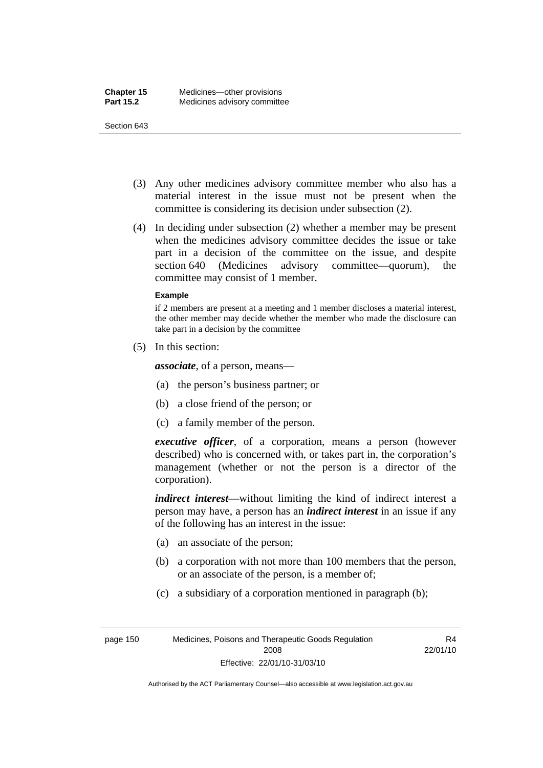#### Section 643

- (3) Any other medicines advisory committee member who also has a material interest in the issue must not be present when the committee is considering its decision under subsection (2).
- (4) In deciding under subsection (2) whether a member may be present when the medicines advisory committee decides the issue or take part in a decision of the committee on the issue, and despite section 640 (Medicines advisory committee—quorum), the committee may consist of 1 member.

#### **Example**

if 2 members are present at a meeting and 1 member discloses a material interest, the other member may decide whether the member who made the disclosure can take part in a decision by the committee

(5) In this section:

*associate*, of a person, means—

- (a) the person's business partner; or
- (b) a close friend of the person; or
- (c) a family member of the person.

*executive officer*, of a corporation, means a person (however described) who is concerned with, or takes part in, the corporation's management (whether or not the person is a director of the corporation).

*indirect interest*—without limiting the kind of indirect interest a person may have, a person has an *indirect interest* in an issue if any of the following has an interest in the issue:

- (a) an associate of the person;
- (b) a corporation with not more than 100 members that the person, or an associate of the person, is a member of;
- (c) a subsidiary of a corporation mentioned in paragraph (b);

R4 22/01/10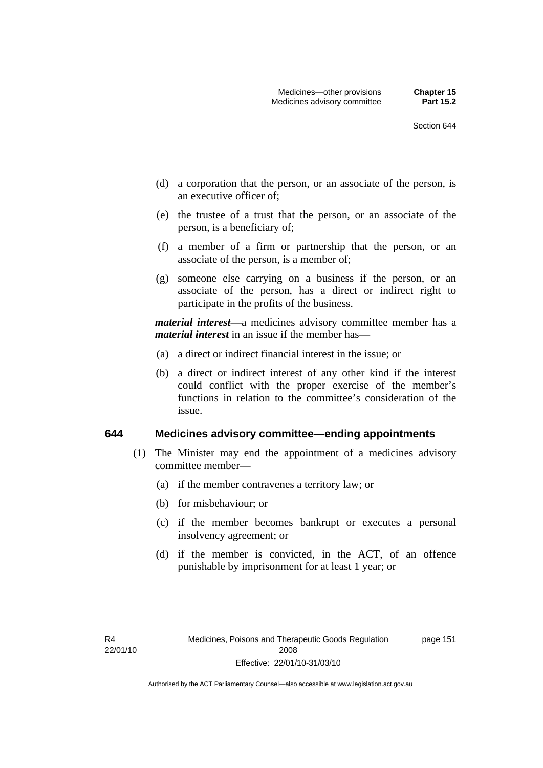page 151

- (d) a corporation that the person, or an associate of the person, is an executive officer of;
- (e) the trustee of a trust that the person, or an associate of the person, is a beneficiary of;
- (f) a member of a firm or partnership that the person, or an associate of the person, is a member of;
- (g) someone else carrying on a business if the person, or an associate of the person, has a direct or indirect right to participate in the profits of the business.

*material interest*—a medicines advisory committee member has a *material interest* in an issue if the member has—

- (a) a direct or indirect financial interest in the issue; or
- (b) a direct or indirect interest of any other kind if the interest could conflict with the proper exercise of the member's functions in relation to the committee's consideration of the issue.

#### **644 Medicines advisory committee—ending appointments**

- (1) The Minister may end the appointment of a medicines advisory committee member—
	- (a) if the member contravenes a territory law; or
	- (b) for misbehaviour; or
	- (c) if the member becomes bankrupt or executes a personal insolvency agreement; or
	- (d) if the member is convicted, in the ACT, of an offence punishable by imprisonment for at least 1 year; or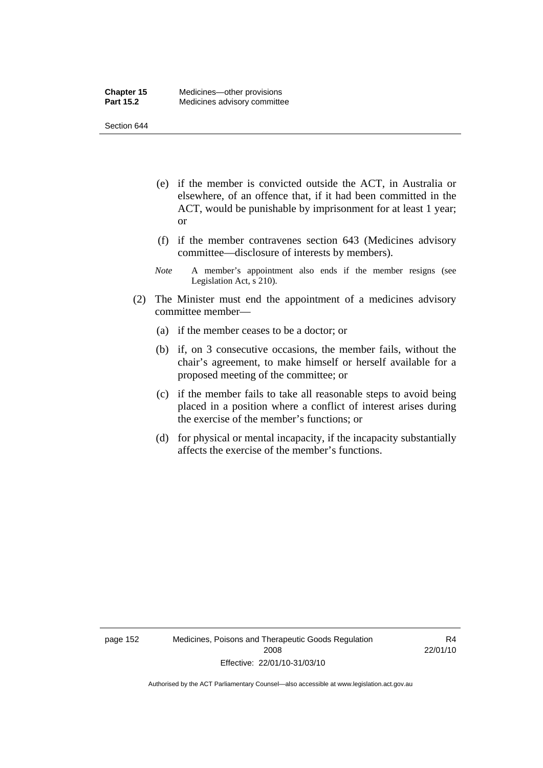Section 644

- (e) if the member is convicted outside the ACT, in Australia or elsewhere, of an offence that, if it had been committed in the ACT, would be punishable by imprisonment for at least 1 year; or
- (f) if the member contravenes section 643 (Medicines advisory committee—disclosure of interests by members).
- *Note* A member's appointment also ends if the member resigns (see Legislation Act, s 210).
- (2) The Minister must end the appointment of a medicines advisory committee member—
	- (a) if the member ceases to be a doctor; or
	- (b) if, on 3 consecutive occasions, the member fails, without the chair's agreement, to make himself or herself available for a proposed meeting of the committee; or
	- (c) if the member fails to take all reasonable steps to avoid being placed in a position where a conflict of interest arises during the exercise of the member's functions; or
	- (d) for physical or mental incapacity, if the incapacity substantially affects the exercise of the member's functions.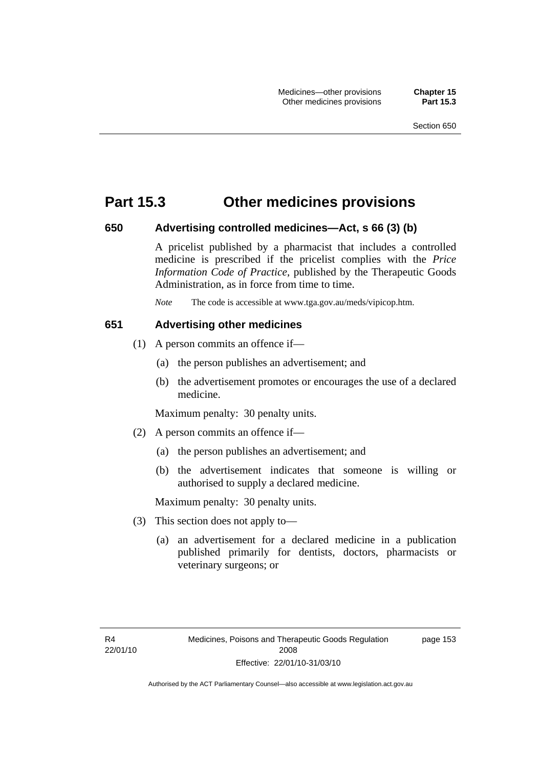## **Part 15.3 Other medicines provisions**

#### **650 Advertising controlled medicines—Act, s 66 (3) (b)**

A pricelist published by a pharmacist that includes a controlled medicine is prescribed if the pricelist complies with the *Price Information Code of Practice*, published by the Therapeutic Goods Administration, as in force from time to time.

*Note* The code is accessible at www.tga.gov.au/meds/vipicop.htm.

#### **651 Advertising other medicines**

- (1) A person commits an offence if—
	- (a) the person publishes an advertisement; and
	- (b) the advertisement promotes or encourages the use of a declared medicine.

Maximum penalty: 30 penalty units.

- (2) A person commits an offence if—
	- (a) the person publishes an advertisement; and
	- (b) the advertisement indicates that someone is willing or authorised to supply a declared medicine.

Maximum penalty: 30 penalty units.

- (3) This section does not apply to—
	- (a) an advertisement for a declared medicine in a publication published primarily for dentists, doctors, pharmacists or veterinary surgeons; or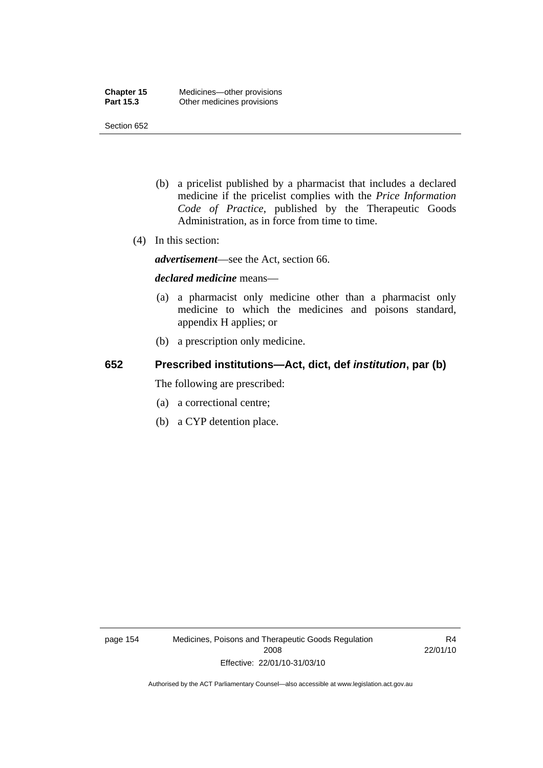Section 652

- (b) a pricelist published by a pharmacist that includes a declared medicine if the pricelist complies with the *Price Information Code of Practice*, published by the Therapeutic Goods Administration, as in force from time to time.
- (4) In this section:

*advertisement*—see the Act, section 66.

#### *declared medicine* means—

- (a) a pharmacist only medicine other than a pharmacist only medicine to which the medicines and poisons standard, appendix H applies; or
- (b) a prescription only medicine.

## **652 Prescribed institutions—Act, dict, def** *institution***, par (b)**

The following are prescribed:

- (a) a correctional centre;
- (b) a CYP detention place.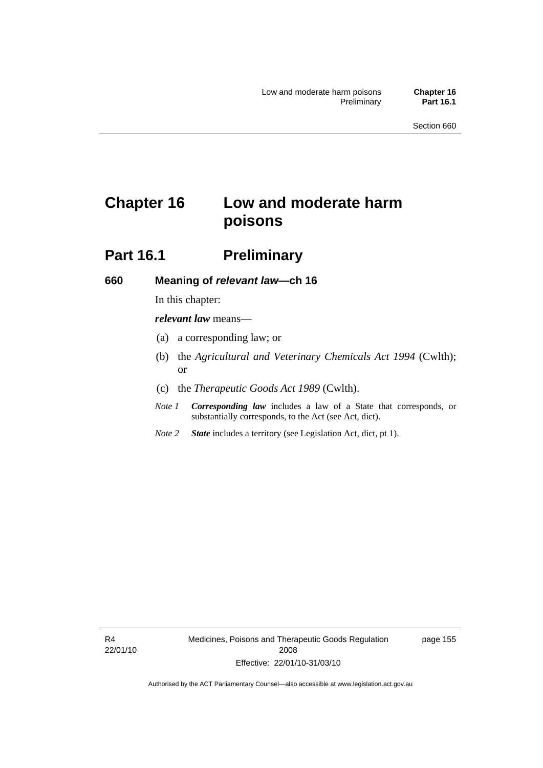# **Chapter 16 Low and moderate harm poisons**

## **Part 16.1** Preliminary

#### **660 Meaning of** *relevant law***—ch 16**

In this chapter:

*relevant law* means—

- (a) a corresponding law; or
- (b) the *Agricultural and Veterinary Chemicals Act 1994* (Cwlth); or
- (c) the *Therapeutic Goods Act 1989* (Cwlth).
- *Note 1 Corresponding law* includes a law of a State that corresponds, or substantially corresponds, to the Act (see Act, dict).
- *Note 2 State* includes a territory (see Legislation Act, dict, pt 1).

R4 22/01/10 page 155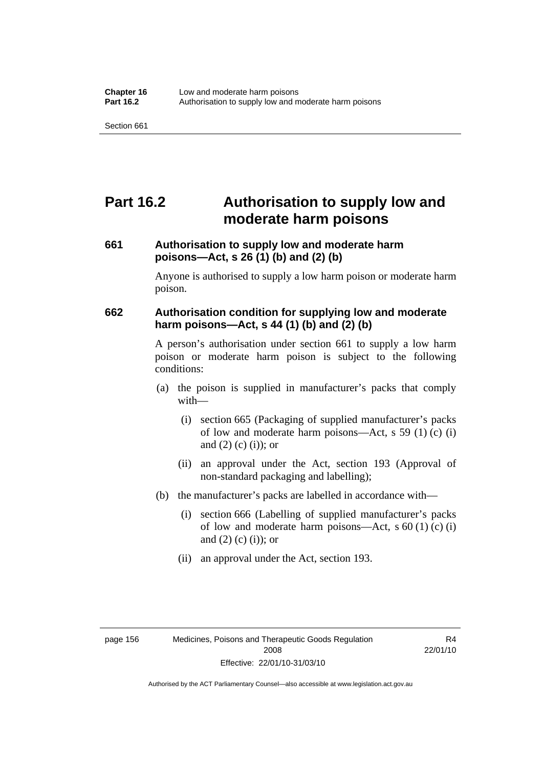# **Part 16.2 Authorisation to supply low and moderate harm poisons**

## **661 Authorisation to supply low and moderate harm poisons—Act, s 26 (1) (b) and (2) (b)**

Anyone is authorised to supply a low harm poison or moderate harm poison.

#### **662 Authorisation condition for supplying low and moderate harm poisons—Act, s 44 (1) (b) and (2) (b)**

A person's authorisation under section 661 to supply a low harm poison or moderate harm poison is subject to the following conditions:

- (a) the poison is supplied in manufacturer's packs that comply with—
	- (i) section 665 (Packaging of supplied manufacturer's packs of low and moderate harm poisons—Act, s 59 (1) (c) (i) and  $(2)$  (c) (i)); or
	- (ii) an approval under the Act, section 193 (Approval of non-standard packaging and labelling);
- (b) the manufacturer's packs are labelled in accordance with—
	- (i) section 666 (Labelling of supplied manufacturer's packs of low and moderate harm poisons—Act, s  $60(1)(c)(i)$ and  $(2)$  (c)  $(i)$ ; or
	- (ii) an approval under the Act, section 193.

R4 22/01/10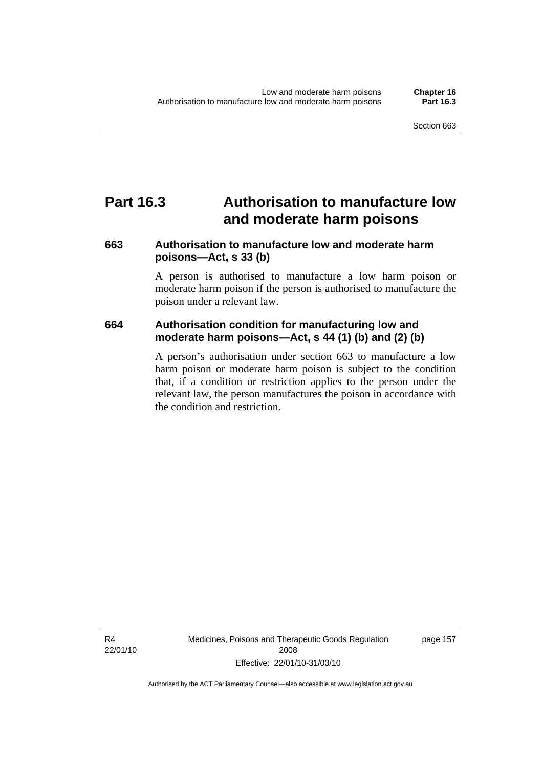## **Part 16.3 Authorisation to manufacture low and moderate harm poisons**

## **663 Authorisation to manufacture low and moderate harm poisons—Act, s 33 (b)**

A person is authorised to manufacture a low harm poison or moderate harm poison if the person is authorised to manufacture the poison under a relevant law.

## **664 Authorisation condition for manufacturing low and moderate harm poisons—Act, s 44 (1) (b) and (2) (b)**

A person's authorisation under section 663 to manufacture a low harm poison or moderate harm poison is subject to the condition that, if a condition or restriction applies to the person under the relevant law, the person manufactures the poison in accordance with the condition and restriction.

R4 22/01/10 Medicines, Poisons and Therapeutic Goods Regulation 2008 Effective: 22/01/10-31/03/10

page 157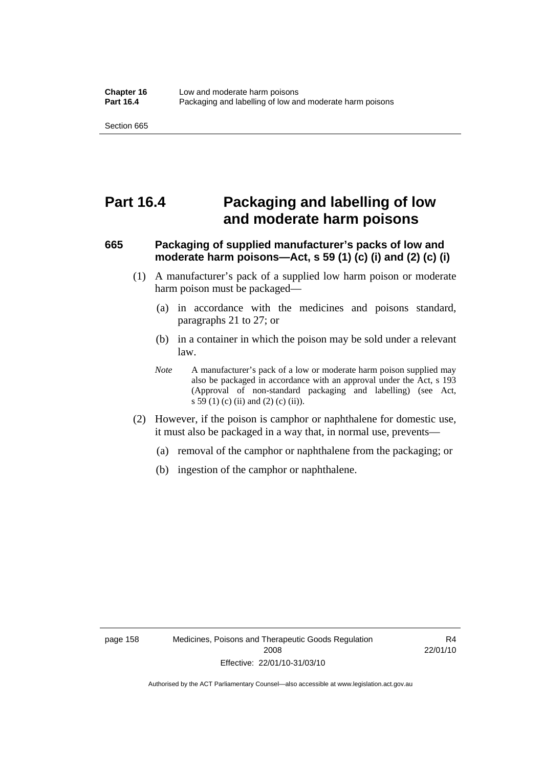## **Part 16.4 Packaging and labelling of low and moderate harm poisons**

## **665 Packaging of supplied manufacturer's packs of low and moderate harm poisons—Act, s 59 (1) (c) (i) and (2) (c) (i)**

- (1) A manufacturer's pack of a supplied low harm poison or moderate harm poison must be packaged—
	- (a) in accordance with the medicines and poisons standard, paragraphs 21 to 27; or
	- (b) in a container in which the poison may be sold under a relevant law.
	- *Note* A manufacturer's pack of a low or moderate harm poison supplied may also be packaged in accordance with an approval under the Act, s 193 (Approval of non-standard packaging and labelling) (see Act, s 59 (1) (c) (ii) and (2) (c) (ii)).
- (2) However, if the poison is camphor or naphthalene for domestic use, it must also be packaged in a way that, in normal use, prevents—
	- (a) removal of the camphor or naphthalene from the packaging; or
	- (b) ingestion of the camphor or naphthalene.

R4 22/01/10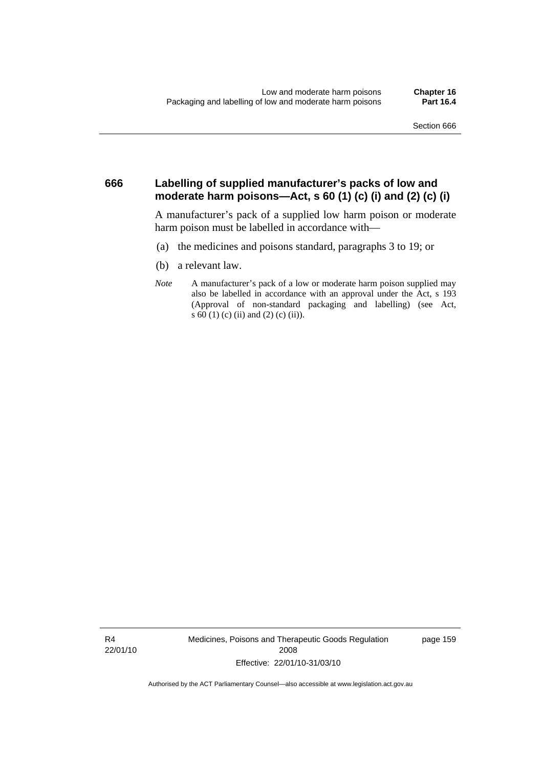#### **666 Labelling of supplied manufacturer's packs of low and moderate harm poisons—Act, s 60 (1) (c) (i) and (2) (c) (i)**

A manufacturer's pack of a supplied low harm poison or moderate harm poison must be labelled in accordance with—

- (a) the medicines and poisons standard, paragraphs 3 to 19; or
- (b) a relevant law.
- *Note* A manufacturer's pack of a low or moderate harm poison supplied may also be labelled in accordance with an approval under the Act, s 193 (Approval of non-standard packaging and labelling) (see Act, s 60 (1) (c) (ii) and (2) (c) (ii)).

R4 22/01/10 Medicines, Poisons and Therapeutic Goods Regulation 2008 Effective: 22/01/10-31/03/10

page 159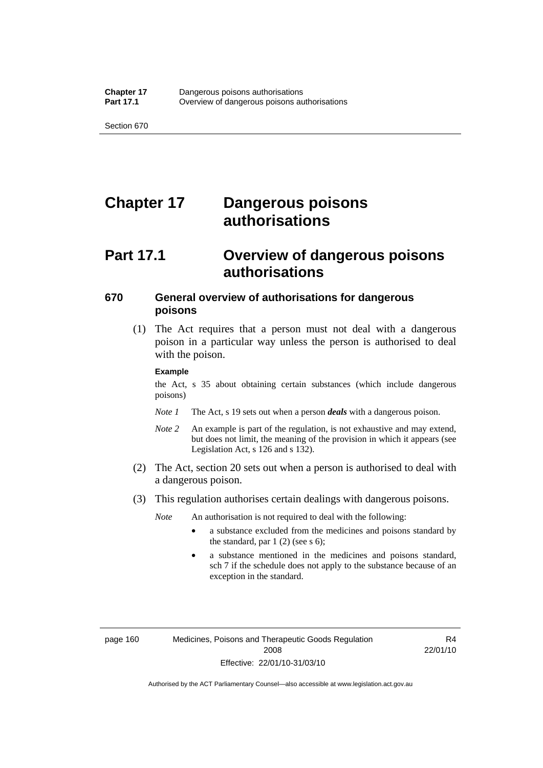# **Chapter 17 Dangerous poisons authorisations**

## **Part 17.1 Overview of dangerous poisons authorisations**

### **670 General overview of authorisations for dangerous poisons**

 (1) The Act requires that a person must not deal with a dangerous poison in a particular way unless the person is authorised to deal with the poison.

#### **Example**

the Act, s 35 about obtaining certain substances (which include dangerous poisons)

- *Note 1* The Act, s 19 sets out when a person *deals* with a dangerous poison.
- *Note 2* An example is part of the regulation, is not exhaustive and may extend, but does not limit, the meaning of the provision in which it appears (see Legislation Act, s 126 and s 132).
- (2) The Act, section 20 sets out when a person is authorised to deal with a dangerous poison.
- (3) This regulation authorises certain dealings with dangerous poisons.

*Note* An authorisation is not required to deal with the following:

- a substance excluded from the medicines and poisons standard by the standard, par  $1(2)$  (see s 6);
- a substance mentioned in the medicines and poisons standard, sch 7 if the schedule does not apply to the substance because of an exception in the standard.

R4 22/01/10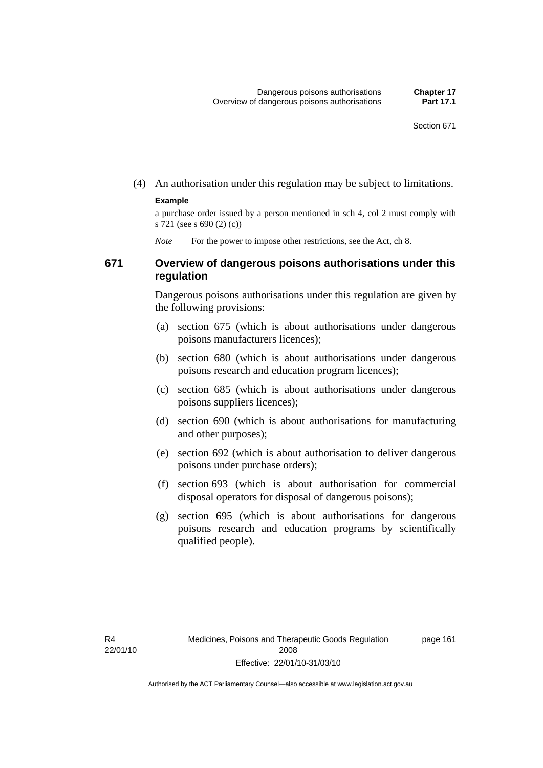(4) An authorisation under this regulation may be subject to limitations.

#### **Example**

a purchase order issued by a person mentioned in sch 4, col 2 must comply with s 721 (see s 690 (2) (c))

*Note* For the power to impose other restrictions, see the Act, ch 8.

### **671 Overview of dangerous poisons authorisations under this regulation**

Dangerous poisons authorisations under this regulation are given by the following provisions:

- (a) section 675 (which is about authorisations under dangerous poisons manufacturers licences);
- (b) section 680 (which is about authorisations under dangerous poisons research and education program licences);
- (c) section 685 (which is about authorisations under dangerous poisons suppliers licences);
- (d) section 690 (which is about authorisations for manufacturing and other purposes);
- (e) section 692 (which is about authorisation to deliver dangerous poisons under purchase orders);
- (f) section 693 (which is about authorisation for commercial disposal operators for disposal of dangerous poisons);
- (g) section 695 (which is about authorisations for dangerous poisons research and education programs by scientifically qualified people).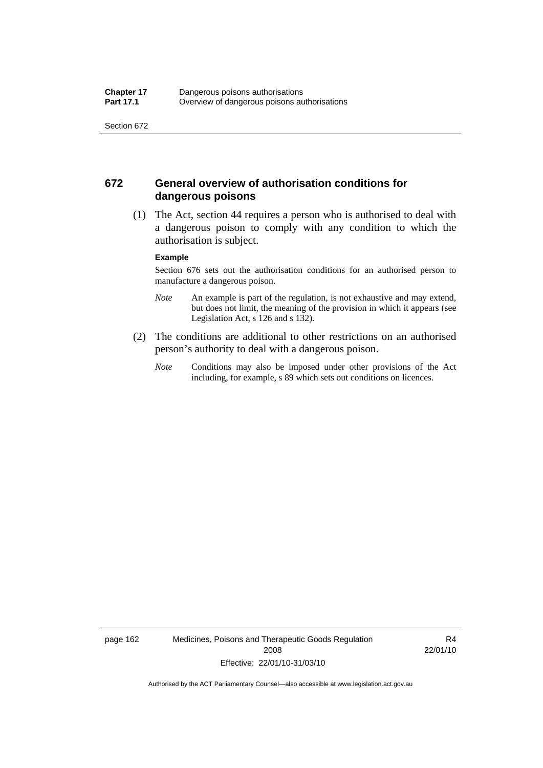### **672 General overview of authorisation conditions for dangerous poisons**

 (1) The Act, section 44 requires a person who is authorised to deal with a dangerous poison to comply with any condition to which the authorisation is subject.

#### **Example**

Section 676 sets out the authorisation conditions for an authorised person to manufacture a dangerous poison.

- *Note* An example is part of the regulation, is not exhaustive and may extend, but does not limit, the meaning of the provision in which it appears (see Legislation Act, s 126 and s 132).
- (2) The conditions are additional to other restrictions on an authorised person's authority to deal with a dangerous poison.
	- *Note* Conditions may also be imposed under other provisions of the Act including, for example, s 89 which sets out conditions on licences.

page 162 Medicines, Poisons and Therapeutic Goods Regulation 2008 Effective: 22/01/10-31/03/10

R4 22/01/10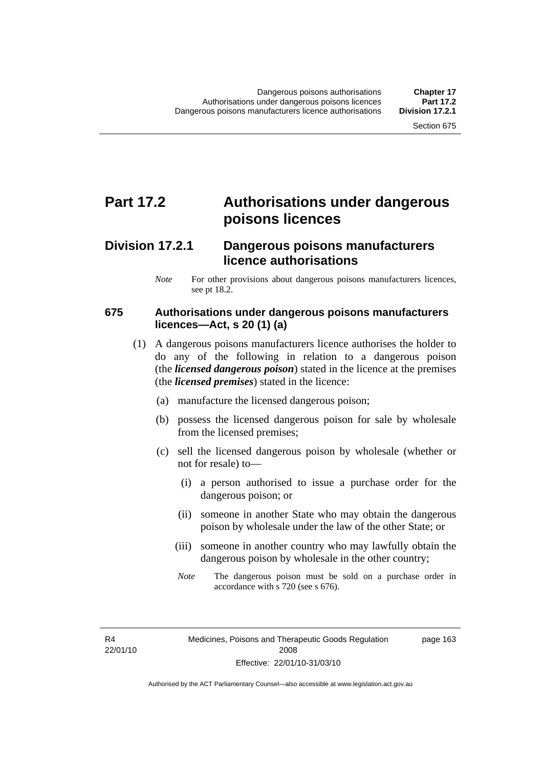# **Part 17.2 Authorisations under dangerous poisons licences**

## **Division 17.2.1 Dangerous poisons manufacturers licence authorisations**

*Note* For other provisions about dangerous poisons manufacturers licences, see pt 18.2.

#### **675 Authorisations under dangerous poisons manufacturers licences—Act, s 20 (1) (a)**

- (1) A dangerous poisons manufacturers licence authorises the holder to do any of the following in relation to a dangerous poison (the *licensed dangerous poison*) stated in the licence at the premises (the *licensed premises*) stated in the licence:
	- (a) manufacture the licensed dangerous poison;
	- (b) possess the licensed dangerous poison for sale by wholesale from the licensed premises;
	- (c) sell the licensed dangerous poison by wholesale (whether or not for resale) to—
		- (i) a person authorised to issue a purchase order for the dangerous poison; or
		- (ii) someone in another State who may obtain the dangerous poison by wholesale under the law of the other State; or
		- (iii) someone in another country who may lawfully obtain the dangerous poison by wholesale in the other country;
		- *Note* The dangerous poison must be sold on a purchase order in accordance with s 720 (see s 676).

R4 22/01/10 page 163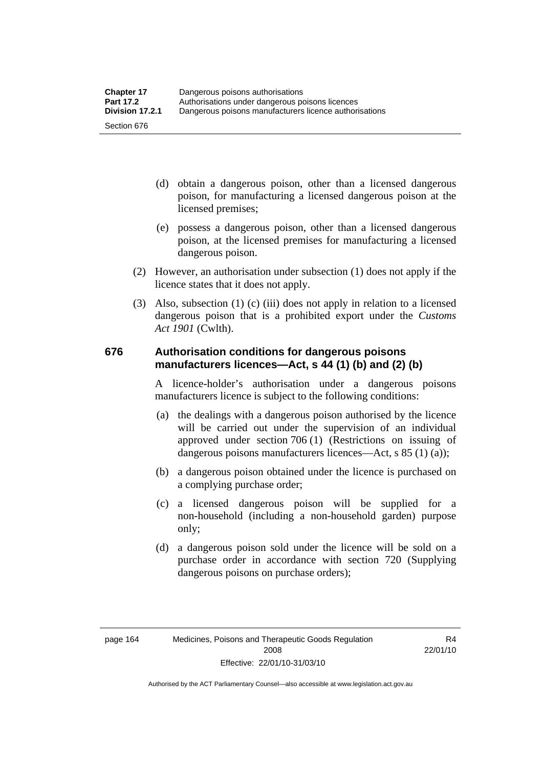- (d) obtain a dangerous poison, other than a licensed dangerous poison, for manufacturing a licensed dangerous poison at the licensed premises;
- (e) possess a dangerous poison, other than a licensed dangerous poison, at the licensed premises for manufacturing a licensed dangerous poison.
- (2) However, an authorisation under subsection (1) does not apply if the licence states that it does not apply.
- (3) Also, subsection (1) (c) (iii) does not apply in relation to a licensed dangerous poison that is a prohibited export under the *Customs Act 1901* (Cwlth).

#### **676 Authorisation conditions for dangerous poisons manufacturers licences—Act, s 44 (1) (b) and (2) (b)**

A licence-holder's authorisation under a dangerous poisons manufacturers licence is subject to the following conditions:

- (a) the dealings with a dangerous poison authorised by the licence will be carried out under the supervision of an individual approved under section 706 (1) (Restrictions on issuing of dangerous poisons manufacturers licences—Act, s 85 (1) (a));
- (b) a dangerous poison obtained under the licence is purchased on a complying purchase order;
- (c) a licensed dangerous poison will be supplied for a non-household (including a non-household garden) purpose only;
- (d) a dangerous poison sold under the licence will be sold on a purchase order in accordance with section 720 (Supplying dangerous poisons on purchase orders);

R4 22/01/10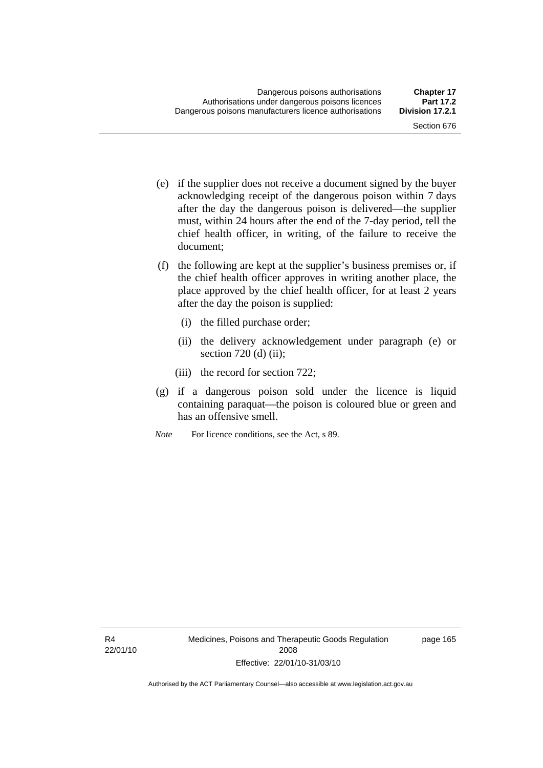- (e) if the supplier does not receive a document signed by the buyer acknowledging receipt of the dangerous poison within 7 days after the day the dangerous poison is delivered—the supplier must, within 24 hours after the end of the 7-day period, tell the chief health officer, in writing, of the failure to receive the document;
- (f) the following are kept at the supplier's business premises or, if the chief health officer approves in writing another place, the place approved by the chief health officer, for at least 2 years after the day the poison is supplied:
	- (i) the filled purchase order;
	- (ii) the delivery acknowledgement under paragraph (e) or section  $720$  (d) (ii);
	- (iii) the record for section 722;
- (g) if a dangerous poison sold under the licence is liquid containing paraquat—the poison is coloured blue or green and has an offensive smell.
- *Note* For licence conditions, see the Act, s 89.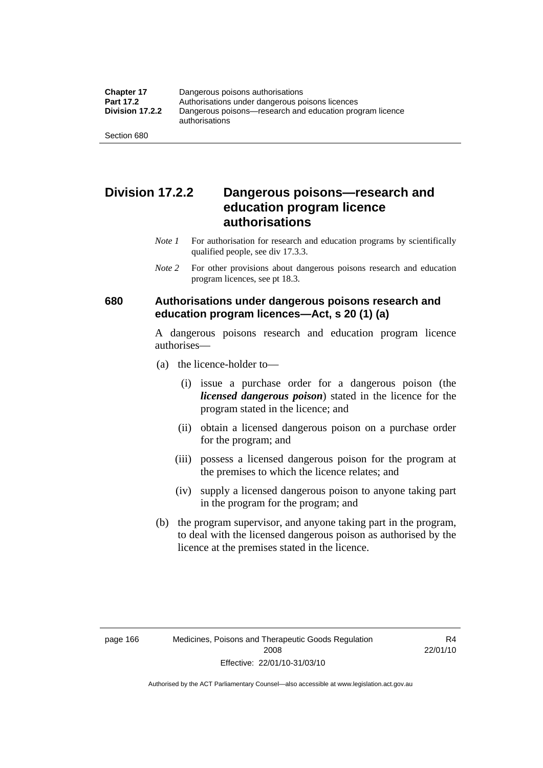## **Division 17.2.2 Dangerous poisons—research and education program licence authorisations**

- *Note 1* For authorisation for research and education programs by scientifically qualified people, see div 17.3.3.
- *Note 2* For other provisions about dangerous poisons research and education program licences, see pt 18.3.

### **680 Authorisations under dangerous poisons research and education program licences—Act, s 20 (1) (a)**

A dangerous poisons research and education program licence authorises—

- (a) the licence-holder to—
	- (i) issue a purchase order for a dangerous poison (the *licensed dangerous poison*) stated in the licence for the program stated in the licence; and
	- (ii) obtain a licensed dangerous poison on a purchase order for the program; and
	- (iii) possess a licensed dangerous poison for the program at the premises to which the licence relates; and
	- (iv) supply a licensed dangerous poison to anyone taking part in the program for the program; and
- (b) the program supervisor, and anyone taking part in the program, to deal with the licensed dangerous poison as authorised by the licence at the premises stated in the licence.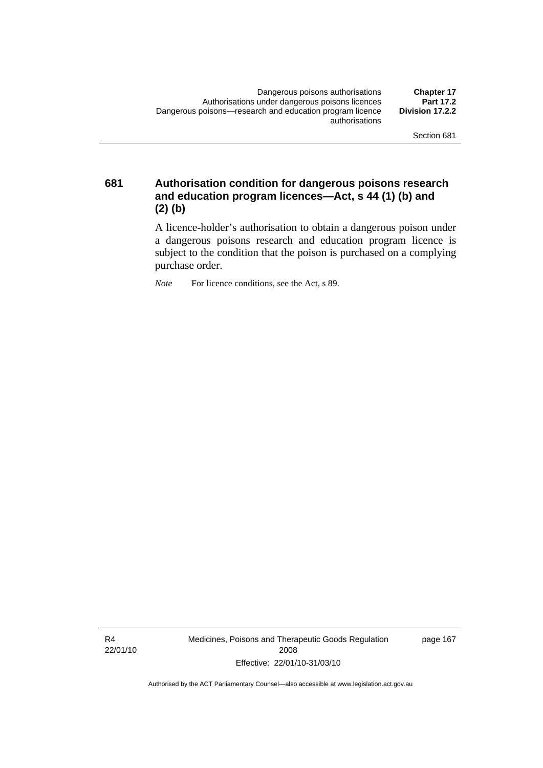**681 Authorisation condition for dangerous poisons research and education program licences—Act, s 44 (1) (b) and (2) (b)** 

> A licence-holder's authorisation to obtain a dangerous poison under a dangerous poisons research and education program licence is subject to the condition that the poison is purchased on a complying purchase order.

*Note* For licence conditions, see the Act, s 89.

R4 22/01/10 Medicines, Poisons and Therapeutic Goods Regulation 2008 Effective: 22/01/10-31/03/10

page 167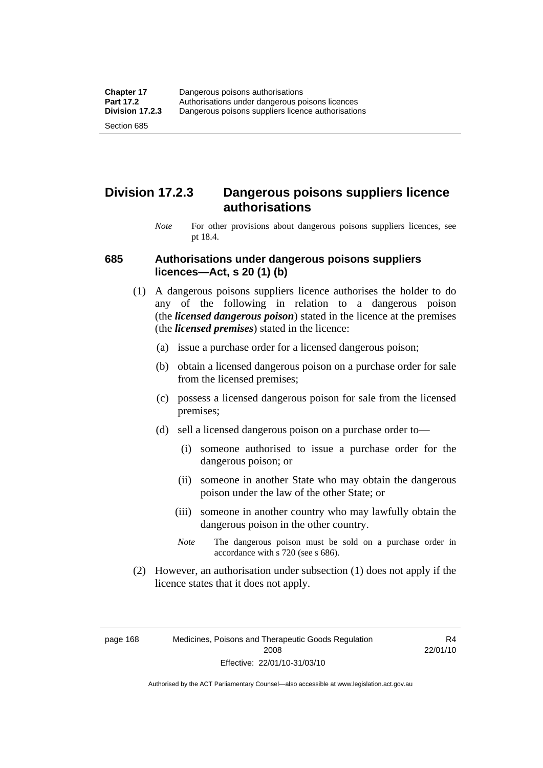## **Division 17.2.3 Dangerous poisons suppliers licence authorisations**

*Note* For other provisions about dangerous poisons suppliers licences, see pt 18.4.

#### **685 Authorisations under dangerous poisons suppliers licences—Act, s 20 (1) (b)**

- (1) A dangerous poisons suppliers licence authorises the holder to do any of the following in relation to a dangerous poison (the *licensed dangerous poison*) stated in the licence at the premises (the *licensed premises*) stated in the licence:
	- (a) issue a purchase order for a licensed dangerous poison;
	- (b) obtain a licensed dangerous poison on a purchase order for sale from the licensed premises;
	- (c) possess a licensed dangerous poison for sale from the licensed premises;
	- (d) sell a licensed dangerous poison on a purchase order to—
		- (i) someone authorised to issue a purchase order for the dangerous poison; or
		- (ii) someone in another State who may obtain the dangerous poison under the law of the other State; or
		- (iii) someone in another country who may lawfully obtain the dangerous poison in the other country.
		- *Note* The dangerous poison must be sold on a purchase order in accordance with s 720 (see s 686).
- (2) However, an authorisation under subsection (1) does not apply if the licence states that it does not apply.

page 168 Medicines, Poisons and Therapeutic Goods Regulation 2008 Effective: 22/01/10-31/03/10

R4 22/01/10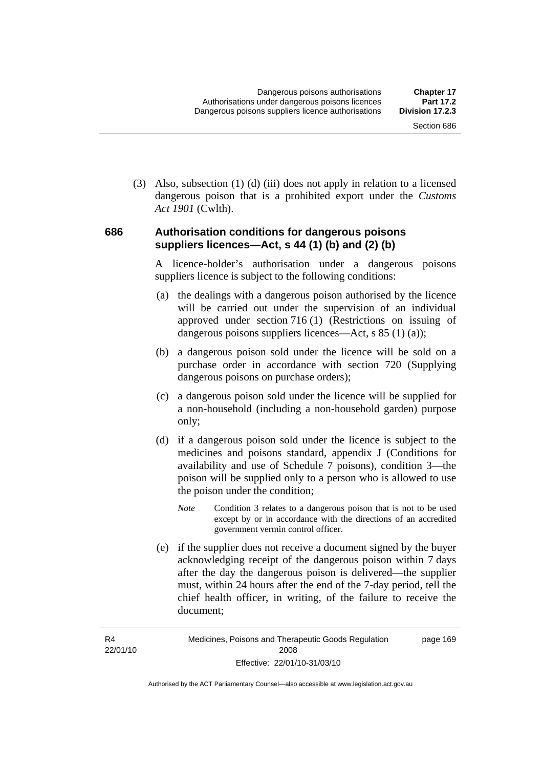(3) Also, subsection (1) (d) (iii) does not apply in relation to a licensed dangerous poison that is a prohibited export under the *Customs Act 1901* (Cwlth).

#### **686 Authorisation conditions for dangerous poisons suppliers licences—Act, s 44 (1) (b) and (2) (b)**

A licence-holder's authorisation under a dangerous poisons suppliers licence is subject to the following conditions:

- (a) the dealings with a dangerous poison authorised by the licence will be carried out under the supervision of an individual approved under section 716 (1) (Restrictions on issuing of dangerous poisons suppliers licences—Act, s 85 (1) (a));
- (b) a dangerous poison sold under the licence will be sold on a purchase order in accordance with section 720 (Supplying dangerous poisons on purchase orders);
- (c) a dangerous poison sold under the licence will be supplied for a non-household (including a non-household garden) purpose only;
- (d) if a dangerous poison sold under the licence is subject to the medicines and poisons standard, appendix J (Conditions for availability and use of Schedule 7 poisons), condition 3—the poison will be supplied only to a person who is allowed to use the poison under the condition;
	- *Note* Condition 3 relates to a dangerous poison that is not to be used except by or in accordance with the directions of an accredited government vermin control officer.
- (e) if the supplier does not receive a document signed by the buyer acknowledging receipt of the dangerous poison within 7 days after the day the dangerous poison is delivered—the supplier must, within 24 hours after the end of the 7-day period, tell the chief health officer, in writing, of the failure to receive the document;

R4 22/01/10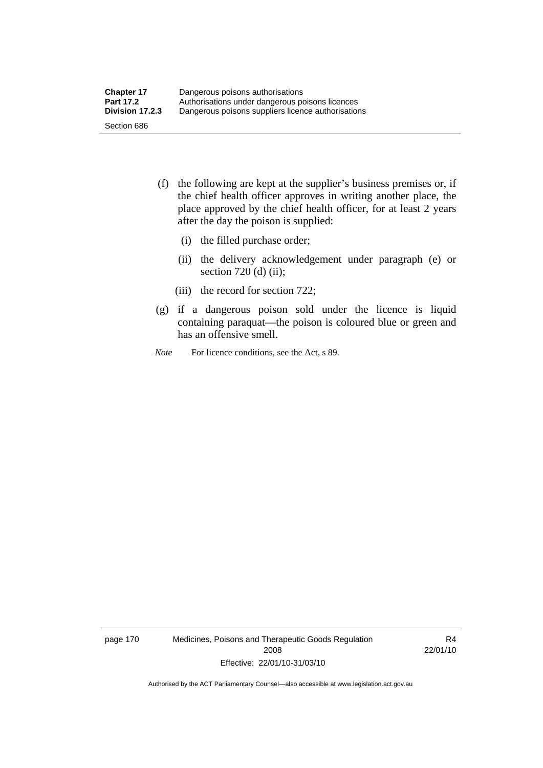- (f) the following are kept at the supplier's business premises or, if the chief health officer approves in writing another place, the place approved by the chief health officer, for at least 2 years after the day the poison is supplied:
	- (i) the filled purchase order;
	- (ii) the delivery acknowledgement under paragraph (e) or section 720 (d) (ii);
	- (iii) the record for section 722;
- (g) if a dangerous poison sold under the licence is liquid containing paraquat—the poison is coloured blue or green and has an offensive smell.
- *Note* For licence conditions, see the Act, s 89.

page 170 Medicines, Poisons and Therapeutic Goods Regulation 2008 Effective: 22/01/10-31/03/10

R4 22/01/10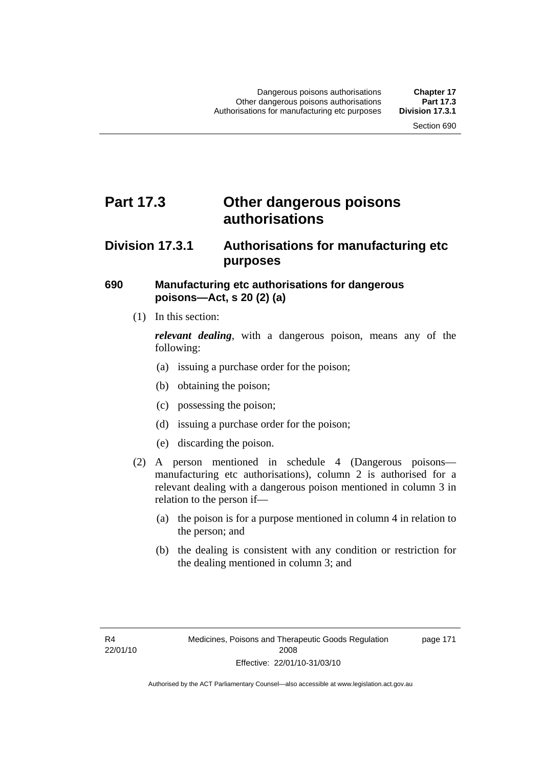## **Part 17.3 Other dangerous poisons authorisations**

## **Division 17.3.1 Authorisations for manufacturing etc purposes**

### **690 Manufacturing etc authorisations for dangerous poisons—Act, s 20 (2) (a)**

(1) In this section:

*relevant dealing*, with a dangerous poison, means any of the following:

- (a) issuing a purchase order for the poison;
- (b) obtaining the poison;
- (c) possessing the poison;
- (d) issuing a purchase order for the poison;
- (e) discarding the poison.
- (2) A person mentioned in schedule 4 (Dangerous poisons manufacturing etc authorisations), column 2 is authorised for a relevant dealing with a dangerous poison mentioned in column 3 in relation to the person if—
	- (a) the poison is for a purpose mentioned in column 4 in relation to the person; and
	- (b) the dealing is consistent with any condition or restriction for the dealing mentioned in column 3; and

page 171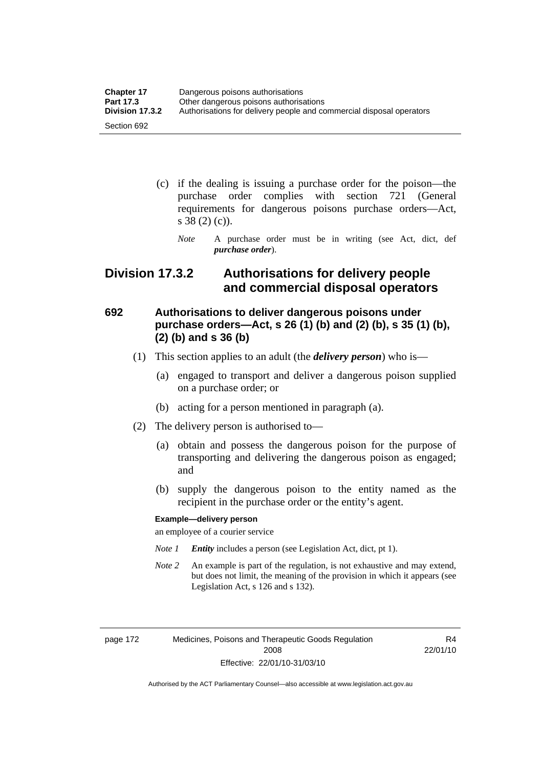| <b>Chapter 17</b> | Dangerous poisons authorisations                                     |  |
|-------------------|----------------------------------------------------------------------|--|
| <b>Part 17.3</b>  | Other dangerous poisons authorisations                               |  |
| Division 17.3.2   | Authorisations for delivery people and commercial disposal operators |  |
| Section 692       |                                                                      |  |

- (c) if the dealing is issuing a purchase order for the poison—the purchase order complies with section 721 (General requirements for dangerous poisons purchase orders—Act, s 38 (2) (c)).
	- *Note* A purchase order must be in writing (see Act, dict, def *purchase order*).

## **Division 17.3.2 Authorisations for delivery people and commercial disposal operators**

## **692 Authorisations to deliver dangerous poisons under purchase orders—Act, s 26 (1) (b) and (2) (b), s 35 (1) (b), (2) (b) and s 36 (b)**

- (1) This section applies to an adult (the *delivery person*) who is—
	- (a) engaged to transport and deliver a dangerous poison supplied on a purchase order; or
	- (b) acting for a person mentioned in paragraph (a).
- (2) The delivery person is authorised to—
	- (a) obtain and possess the dangerous poison for the purpose of transporting and delivering the dangerous poison as engaged; and
	- (b) supply the dangerous poison to the entity named as the recipient in the purchase order or the entity's agent.

#### **Example—delivery person**

an employee of a courier service

- *Note 1 Entity* includes a person (see Legislation Act, dict, pt 1).
- *Note 2* An example is part of the regulation, is not exhaustive and may extend, but does not limit, the meaning of the provision in which it appears (see Legislation Act, s 126 and s 132).

page 172 Medicines, Poisons and Therapeutic Goods Regulation 2008 Effective: 22/01/10-31/03/10

R4 22/01/10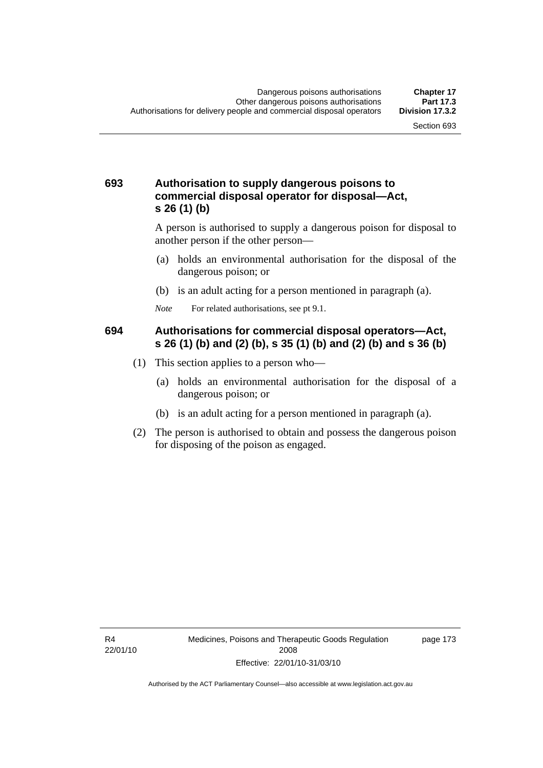### **693 Authorisation to supply dangerous poisons to commercial disposal operator for disposal—Act, s 26 (1) (b)**

A person is authorised to supply a dangerous poison for disposal to another person if the other person—

- (a) holds an environmental authorisation for the disposal of the dangerous poison; or
- (b) is an adult acting for a person mentioned in paragraph (a).
- *Note* For related authorisations, see pt 9.1.

### **694 Authorisations for commercial disposal operators—Act, s 26 (1) (b) and (2) (b), s 35 (1) (b) and (2) (b) and s 36 (b)**

- (1) This section applies to a person who—
	- (a) holds an environmental authorisation for the disposal of a dangerous poison; or
	- (b) is an adult acting for a person mentioned in paragraph (a).
- (2) The person is authorised to obtain and possess the dangerous poison for disposing of the poison as engaged.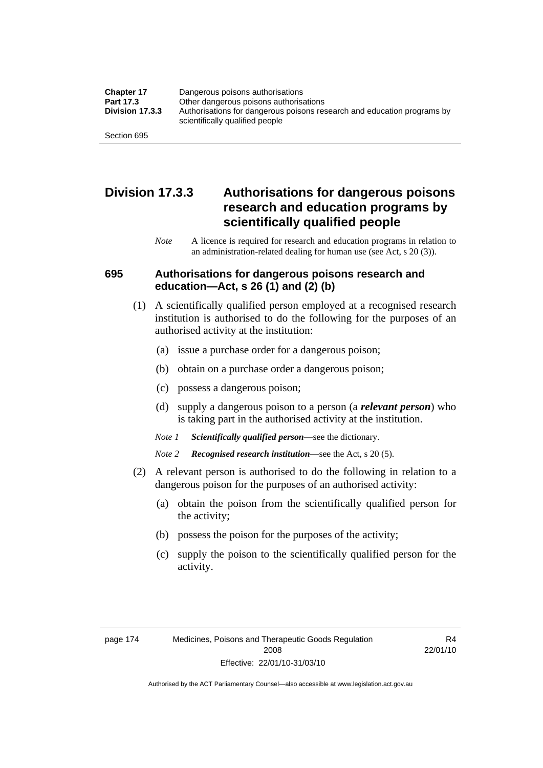| <b>Chapter 17</b> | Dangerous poisons authorisations                                                                           |  |
|-------------------|------------------------------------------------------------------------------------------------------------|--|
| Part 17.3         | Other dangerous poisons authorisations                                                                     |  |
| Division 17.3.3   | Authorisations for dangerous poisons research and education programs by<br>scientifically qualified people |  |
| Section 695       |                                                                                                            |  |

## **Division 17.3.3 Authorisations for dangerous poisons research and education programs by scientifically qualified people**

*Note* A licence is required for research and education programs in relation to an administration-related dealing for human use (see Act, s 20 (3)).

#### **695 Authorisations for dangerous poisons research and education—Act, s 26 (1) and (2) (b)**

- (1) A scientifically qualified person employed at a recognised research institution is authorised to do the following for the purposes of an authorised activity at the institution:
	- (a) issue a purchase order for a dangerous poison;
	- (b) obtain on a purchase order a dangerous poison;
	- (c) possess a dangerous poison;
	- (d) supply a dangerous poison to a person (a *relevant person*) who is taking part in the authorised activity at the institution.
	- *Note 1 Scientifically qualified person*—see the dictionary.
	- *Note 2 Recognised research institution*—see the Act, s 20 (5).
- (2) A relevant person is authorised to do the following in relation to a dangerous poison for the purposes of an authorised activity:
	- (a) obtain the poison from the scientifically qualified person for the activity;
	- (b) possess the poison for the purposes of the activity;
	- (c) supply the poison to the scientifically qualified person for the activity.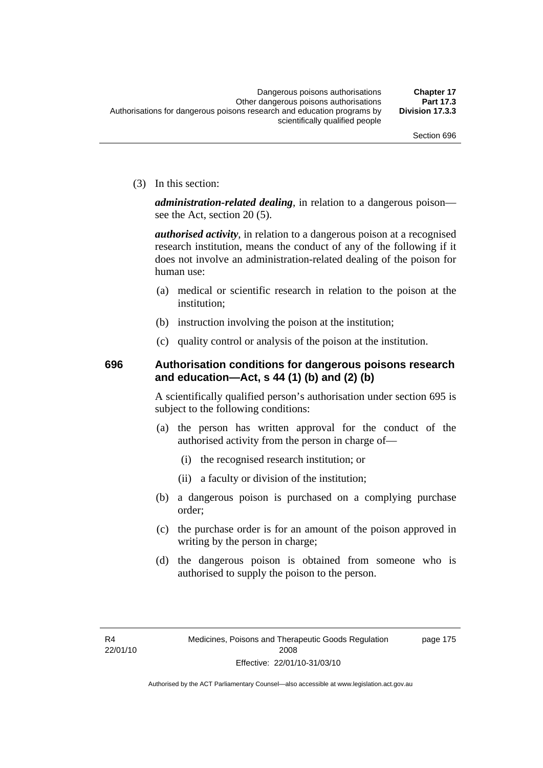(3) In this section:

*administration-related dealing*, in relation to a dangerous poison see the Act, section 20 (5).

*authorised activity*, in relation to a dangerous poison at a recognised research institution, means the conduct of any of the following if it does not involve an administration-related dealing of the poison for human use:

- (a) medical or scientific research in relation to the poison at the institution;
- (b) instruction involving the poison at the institution;
- (c) quality control or analysis of the poison at the institution.

## **696 Authorisation conditions for dangerous poisons research and education—Act, s 44 (1) (b) and (2) (b)**

A scientifically qualified person's authorisation under section 695 is subject to the following conditions:

- (a) the person has written approval for the conduct of the authorised activity from the person in charge of—
	- (i) the recognised research institution; or
	- (ii) a faculty or division of the institution;
- (b) a dangerous poison is purchased on a complying purchase order;
- (c) the purchase order is for an amount of the poison approved in writing by the person in charge;
- (d) the dangerous poison is obtained from someone who is authorised to supply the poison to the person.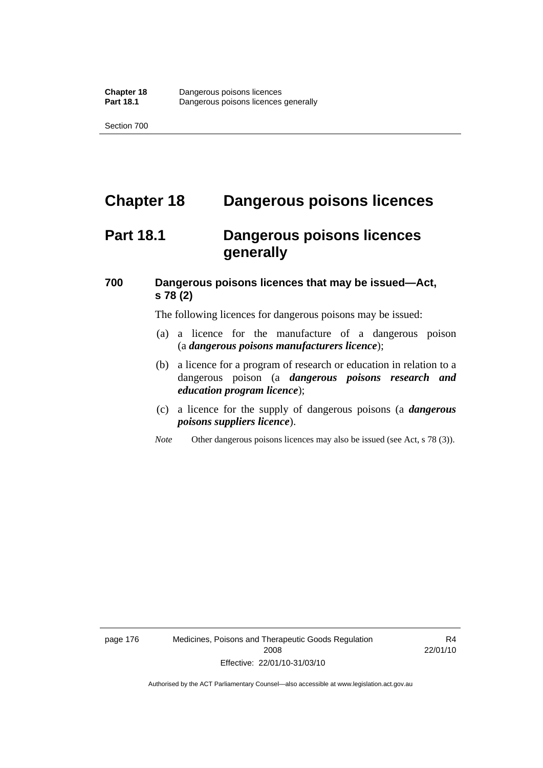## **Chapter 18 Dangerous poisons licences**

## **Part 18.1 Dangerous poisons licences generally**

## **700 Dangerous poisons licences that may be issued—Act, s 78 (2)**

The following licences for dangerous poisons may be issued:

- (a) a licence for the manufacture of a dangerous poison (a *dangerous poisons manufacturers licence*);
- (b) a licence for a program of research or education in relation to a dangerous poison (a *dangerous poisons research and education program licence*);
- (c) a licence for the supply of dangerous poisons (a *dangerous poisons suppliers licence*).
- *Note* Other dangerous poisons licences may also be issued (see Act, s 78 (3)).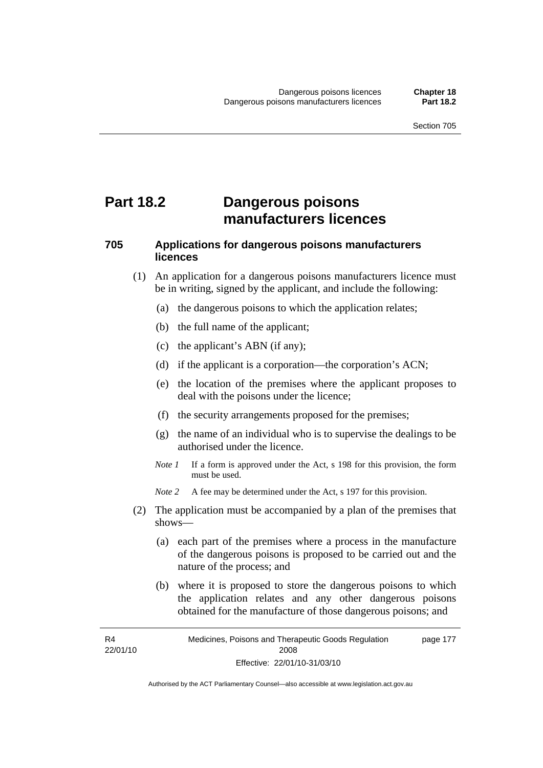## **Part 18.2 Dangerous poisons manufacturers licences**

## **705 Applications for dangerous poisons manufacturers licences**

- (1) An application for a dangerous poisons manufacturers licence must be in writing, signed by the applicant, and include the following:
	- (a) the dangerous poisons to which the application relates;
	- (b) the full name of the applicant;
	- (c) the applicant's ABN (if any);
	- (d) if the applicant is a corporation—the corporation's ACN;
	- (e) the location of the premises where the applicant proposes to deal with the poisons under the licence;
	- (f) the security arrangements proposed for the premises;
	- (g) the name of an individual who is to supervise the dealings to be authorised under the licence.
	- *Note 1* If a form is approved under the Act, s 198 for this provision, the form must be used.
	- *Note 2* A fee may be determined under the Act, s 197 for this provision.
- (2) The application must be accompanied by a plan of the premises that shows—
	- (a) each part of the premises where a process in the manufacture of the dangerous poisons is proposed to be carried out and the nature of the process; and
	- (b) where it is proposed to store the dangerous poisons to which the application relates and any other dangerous poisons obtained for the manufacture of those dangerous poisons; and

R4 22/01/10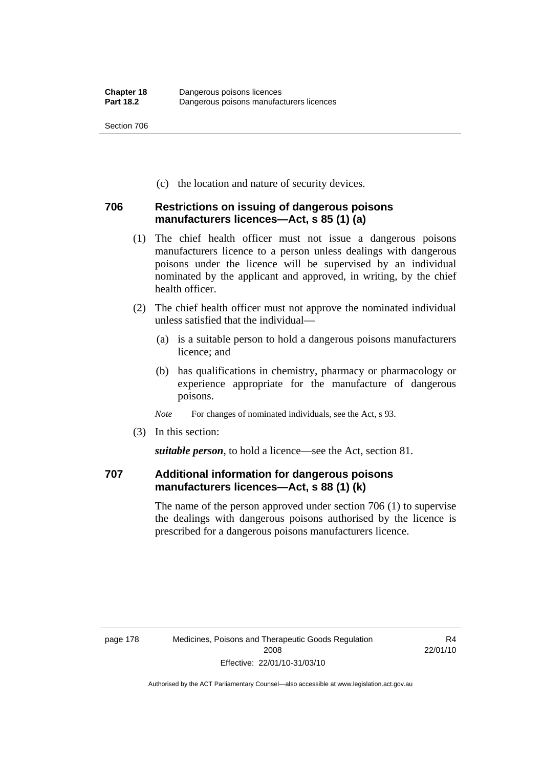(c) the location and nature of security devices.

## **706 Restrictions on issuing of dangerous poisons manufacturers licences—Act, s 85 (1) (a)**

- (1) The chief health officer must not issue a dangerous poisons manufacturers licence to a person unless dealings with dangerous poisons under the licence will be supervised by an individual nominated by the applicant and approved, in writing, by the chief health officer.
- (2) The chief health officer must not approve the nominated individual unless satisfied that the individual—
	- (a) is a suitable person to hold a dangerous poisons manufacturers licence; and
	- (b) has qualifications in chemistry, pharmacy or pharmacology or experience appropriate for the manufacture of dangerous poisons.
	- *Note* For changes of nominated individuals, see the Act, s 93.
- (3) In this section:

*suitable person*, to hold a licence—see the Act, section 81.

### **707 Additional information for dangerous poisons manufacturers licences—Act, s 88 (1) (k)**

The name of the person approved under section 706 (1) to supervise the dealings with dangerous poisons authorised by the licence is prescribed for a dangerous poisons manufacturers licence.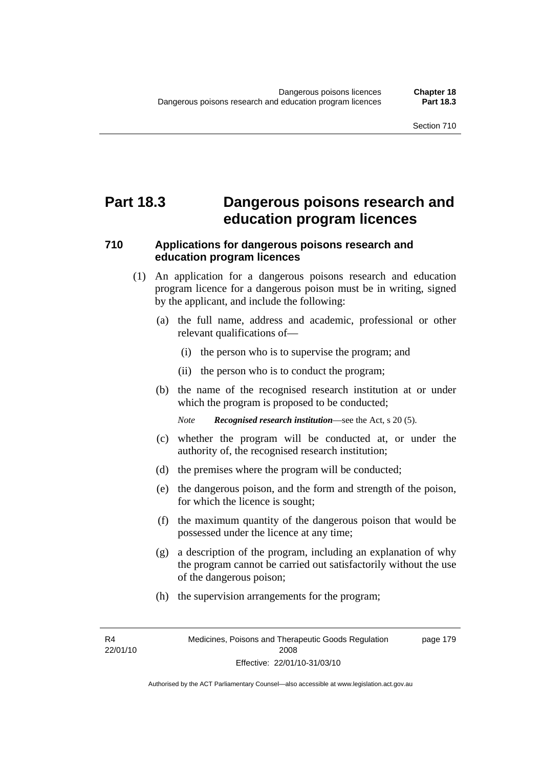## **Part 18.3 Dangerous poisons research and education program licences**

### **710 Applications for dangerous poisons research and education program licences**

- (1) An application for a dangerous poisons research and education program licence for a dangerous poison must be in writing, signed by the applicant, and include the following:
	- (a) the full name, address and academic, professional or other relevant qualifications of—
		- (i) the person who is to supervise the program; and
		- (ii) the person who is to conduct the program;
	- (b) the name of the recognised research institution at or under which the program is proposed to be conducted;

*Note Recognised research institution*—see the Act, s 20 (5).

- (c) whether the program will be conducted at, or under the authority of, the recognised research institution;
- (d) the premises where the program will be conducted;
- (e) the dangerous poison, and the form and strength of the poison, for which the licence is sought;
- (f) the maximum quantity of the dangerous poison that would be possessed under the licence at any time;
- (g) a description of the program, including an explanation of why the program cannot be carried out satisfactorily without the use of the dangerous poison;
- (h) the supervision arrangements for the program;

R4 22/01/10 page 179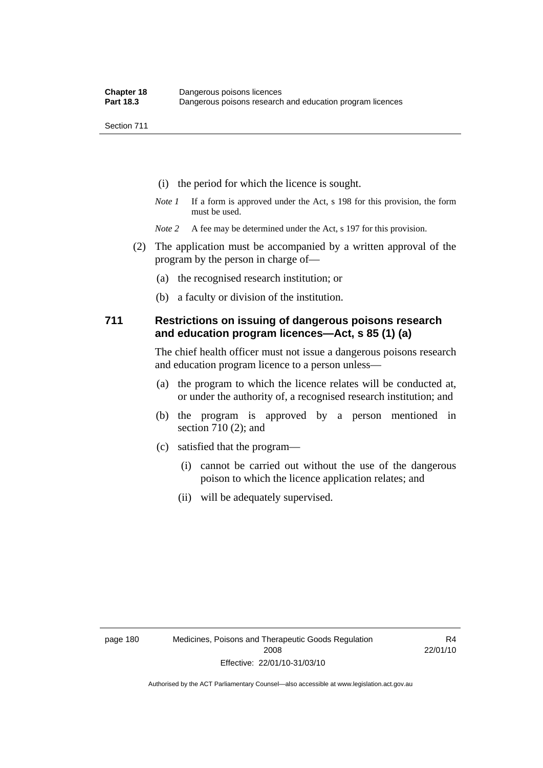- (i) the period for which the licence is sought.
- *Note 1* If a form is approved under the Act, s 198 for this provision, the form must be used.
- *Note* 2 A fee may be determined under the Act, s 197 for this provision.
- (2) The application must be accompanied by a written approval of the program by the person in charge of—
	- (a) the recognised research institution; or
	- (b) a faculty or division of the institution.

#### **711 Restrictions on issuing of dangerous poisons research and education program licences—Act, s 85 (1) (a)**

The chief health officer must not issue a dangerous poisons research and education program licence to a person unless—

- (a) the program to which the licence relates will be conducted at, or under the authority of, a recognised research institution; and
- (b) the program is approved by a person mentioned in section 710 (2); and
- (c) satisfied that the program—
	- (i) cannot be carried out without the use of the dangerous poison to which the licence application relates; and
	- (ii) will be adequately supervised.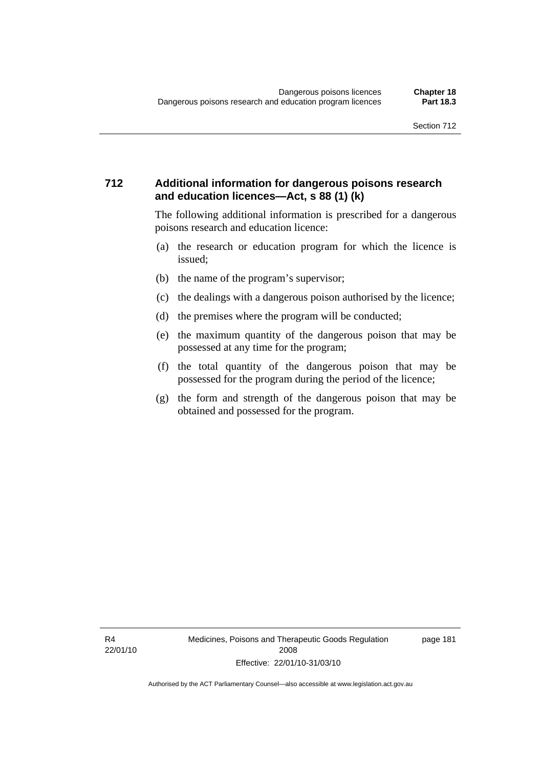### **712 Additional information for dangerous poisons research and education licences—Act, s 88 (1) (k)**

The following additional information is prescribed for a dangerous poisons research and education licence:

- (a) the research or education program for which the licence is issued;
- (b) the name of the program's supervisor;
- (c) the dealings with a dangerous poison authorised by the licence;
- (d) the premises where the program will be conducted;
- (e) the maximum quantity of the dangerous poison that may be possessed at any time for the program;
- (f) the total quantity of the dangerous poison that may be possessed for the program during the period of the licence;
- (g) the form and strength of the dangerous poison that may be obtained and possessed for the program.

R4 22/01/10 page 181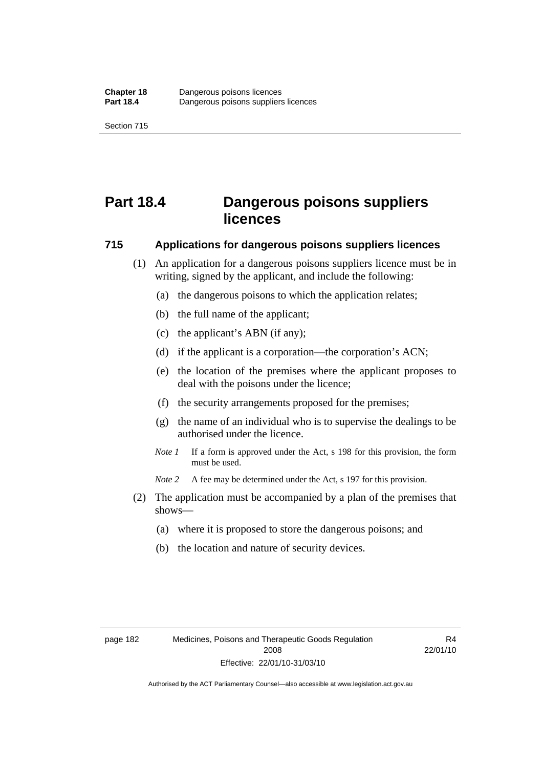# **Part 18.4 Dangerous poisons suppliers licences**

#### **715 Applications for dangerous poisons suppliers licences**

- (1) An application for a dangerous poisons suppliers licence must be in writing, signed by the applicant, and include the following:
	- (a) the dangerous poisons to which the application relates;
	- (b) the full name of the applicant;
	- (c) the applicant's ABN (if any);
	- (d) if the applicant is a corporation—the corporation's ACN;
	- (e) the location of the premises where the applicant proposes to deal with the poisons under the licence;
	- (f) the security arrangements proposed for the premises;
	- (g) the name of an individual who is to supervise the dealings to be authorised under the licence.
	- *Note 1* If a form is approved under the Act, s 198 for this provision, the form must be used.
	- *Note 2* A fee may be determined under the Act, s 197 for this provision.
- (2) The application must be accompanied by a plan of the premises that shows—
	- (a) where it is proposed to store the dangerous poisons; and
	- (b) the location and nature of security devices.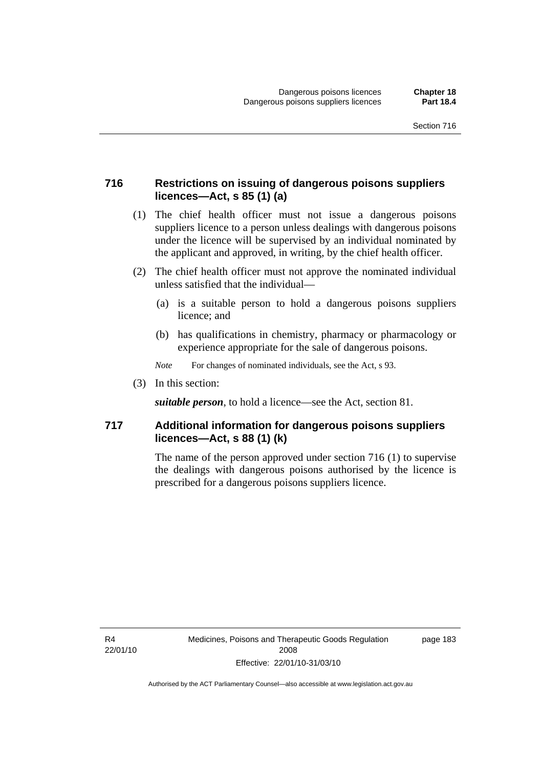### **716 Restrictions on issuing of dangerous poisons suppliers licences—Act, s 85 (1) (a)**

- (1) The chief health officer must not issue a dangerous poisons suppliers licence to a person unless dealings with dangerous poisons under the licence will be supervised by an individual nominated by the applicant and approved, in writing, by the chief health officer.
- (2) The chief health officer must not approve the nominated individual unless satisfied that the individual—
	- (a) is a suitable person to hold a dangerous poisons suppliers licence; and
	- (b) has qualifications in chemistry, pharmacy or pharmacology or experience appropriate for the sale of dangerous poisons.
	- *Note* For changes of nominated individuals, see the Act, s 93.
- (3) In this section:

*suitable person*, to hold a licence—see the Act, section 81.

### **717 Additional information for dangerous poisons suppliers licences—Act, s 88 (1) (k)**

The name of the person approved under section 716 (1) to supervise the dealings with dangerous poisons authorised by the licence is prescribed for a dangerous poisons suppliers licence.

R4 22/01/10 page 183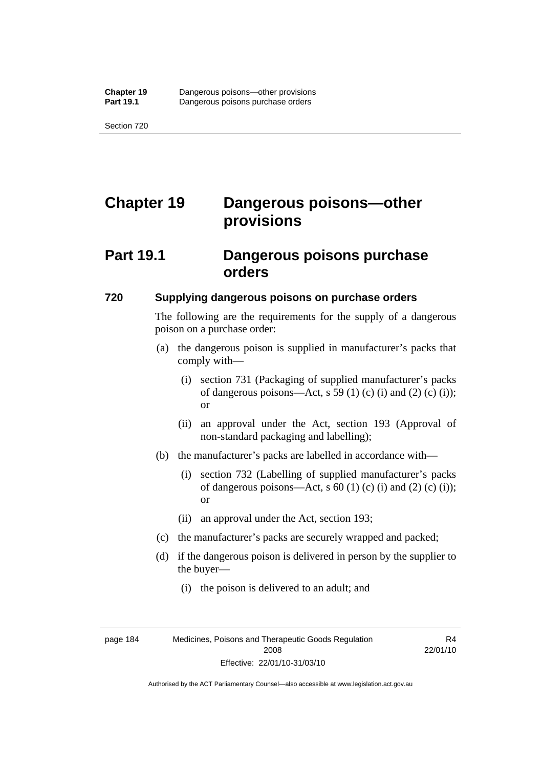# **Chapter 19 Dangerous poisons—other provisions**

## **Part 19.1 Dangerous poisons purchase orders**

#### **720 Supplying dangerous poisons on purchase orders**

The following are the requirements for the supply of a dangerous poison on a purchase order:

- (a) the dangerous poison is supplied in manufacturer's packs that comply with—
	- (i) section 731 (Packaging of supplied manufacturer's packs of dangerous poisons—Act, s 59 (1) (c) (i) and (2) (c) (i)); or
	- (ii) an approval under the Act, section 193 (Approval of non-standard packaging and labelling);
- (b) the manufacturer's packs are labelled in accordance with—
	- (i) section 732 (Labelling of supplied manufacturer's packs of dangerous poisons—Act, s  $60$  (1) (c) (i) and (2) (c) (i)); or
	- (ii) an approval under the Act, section 193;
- (c) the manufacturer's packs are securely wrapped and packed;
- (d) if the dangerous poison is delivered in person by the supplier to the buyer—
	- (i) the poison is delivered to an adult; and

R4 22/01/10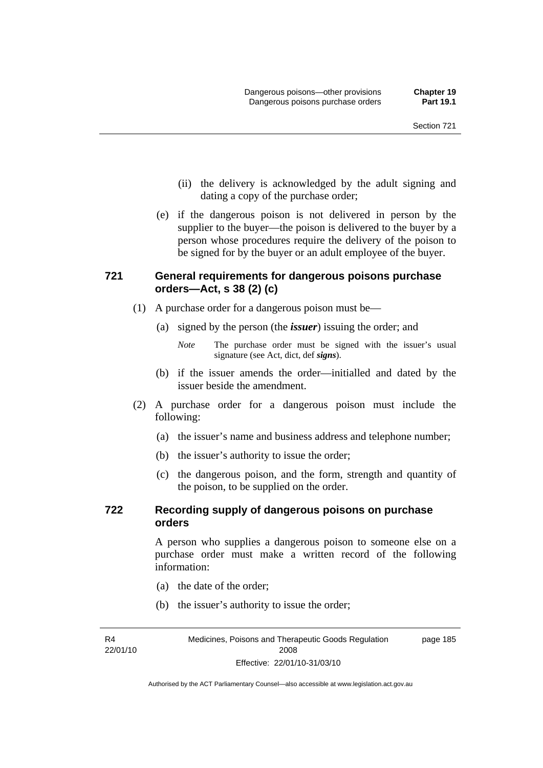- (ii) the delivery is acknowledged by the adult signing and dating a copy of the purchase order;
- (e) if the dangerous poison is not delivered in person by the supplier to the buyer—the poison is delivered to the buyer by a person whose procedures require the delivery of the poison to be signed for by the buyer or an adult employee of the buyer.

## **721 General requirements for dangerous poisons purchase orders—Act, s 38 (2) (c)**

- (1) A purchase order for a dangerous poison must be—
	- (a) signed by the person (the *issuer*) issuing the order; and

- (b) if the issuer amends the order—initialled and dated by the issuer beside the amendment.
- (2) A purchase order for a dangerous poison must include the following:
	- (a) the issuer's name and business address and telephone number;
	- (b) the issuer's authority to issue the order;
	- (c) the dangerous poison, and the form, strength and quantity of the poison, to be supplied on the order.

#### **722 Recording supply of dangerous poisons on purchase orders**

A person who supplies a dangerous poison to someone else on a purchase order must make a written record of the following information:

- (a) the date of the order;
- (b) the issuer's authority to issue the order;

R4 22/01/10

*Note* The purchase order must be signed with the issuer's usual signature (see Act, dict, def *signs*).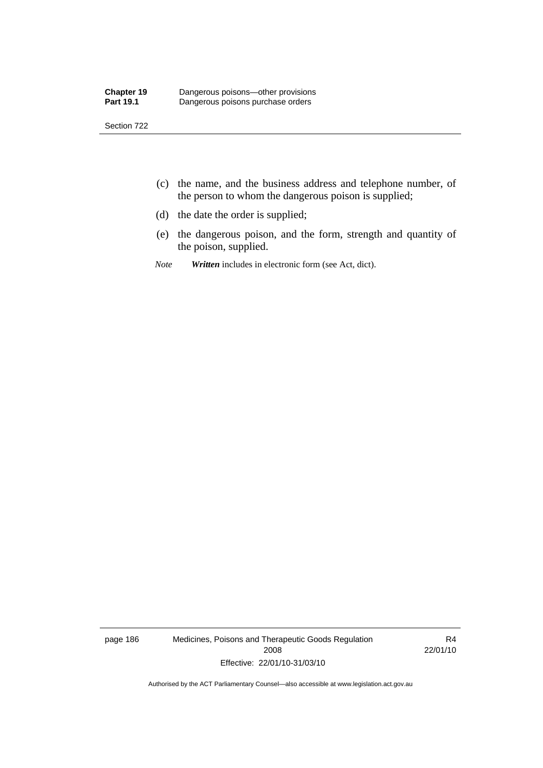- (c) the name, and the business address and telephone number, of the person to whom the dangerous poison is supplied;
- (d) the date the order is supplied;
- (e) the dangerous poison, and the form, strength and quantity of the poison, supplied.
- *Note Written* includes in electronic form (see Act, dict).

page 186 Medicines, Poisons and Therapeutic Goods Regulation 2008 Effective: 22/01/10-31/03/10

R4 22/01/10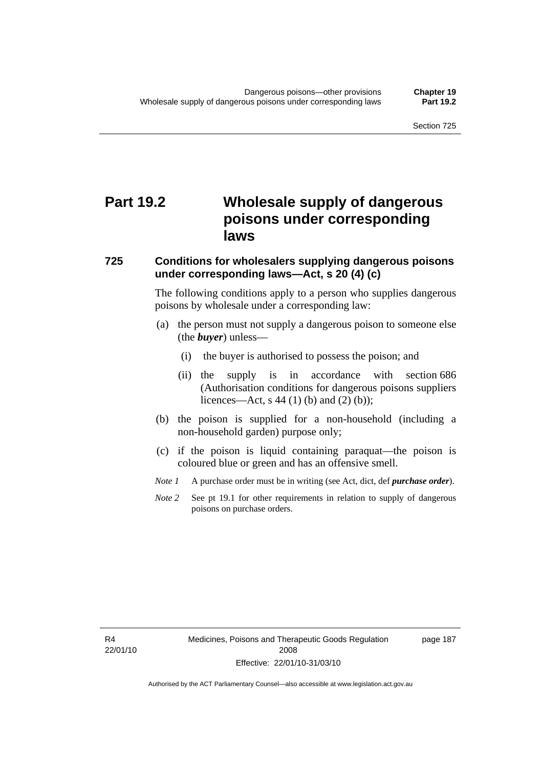# **Part 19.2 Wholesale supply of dangerous poisons under corresponding laws**

#### **725 Conditions for wholesalers supplying dangerous poisons under corresponding laws—Act, s 20 (4) (c)**

The following conditions apply to a person who supplies dangerous poisons by wholesale under a corresponding law:

- (a) the person must not supply a dangerous poison to someone else (the *buyer*) unless—
	- (i) the buyer is authorised to possess the poison; and
	- (ii) the supply is in accordance with section 686 (Authorisation conditions for dangerous poisons suppliers licences—Act, s 44 (1) (b) and (2) (b));
- (b) the poison is supplied for a non-household (including a non-household garden) purpose only;
- (c) if the poison is liquid containing paraquat—the poison is coloured blue or green and has an offensive smell.
- *Note 1* A purchase order must be in writing (see Act, dict, def *purchase order*).
- *Note* 2 See pt 19.1 for other requirements in relation to supply of dangerous poisons on purchase orders.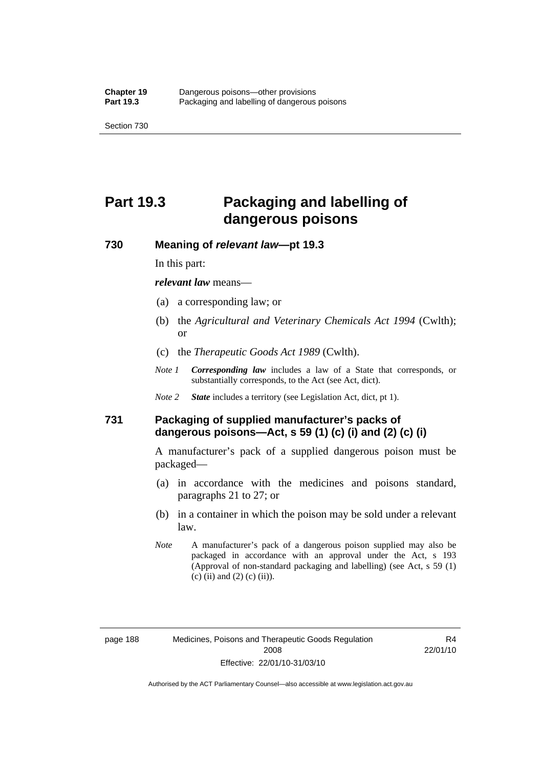# **Part 19.3 Packaging and labelling of dangerous poisons**

#### **730 Meaning of** *relevant law***—pt 19.3**

In this part:

*relevant law* means—

- (a) a corresponding law; or
- (b) the *Agricultural and Veterinary Chemicals Act 1994* (Cwlth); or
- (c) the *Therapeutic Goods Act 1989* (Cwlth).
- *Note 1 Corresponding law* includes a law of a State that corresponds, or substantially corresponds, to the Act (see Act, dict).
- *Note 2 State* includes a territory (see Legislation Act, dict, pt 1).

### **731 Packaging of supplied manufacturer's packs of dangerous poisons—Act, s 59 (1) (c) (i) and (2) (c) (i)**

A manufacturer's pack of a supplied dangerous poison must be packaged—

- (a) in accordance with the medicines and poisons standard, paragraphs 21 to 27; or
- (b) in a container in which the poison may be sold under a relevant law.
- *Note* A manufacturer's pack of a dangerous poison supplied may also be packaged in accordance with an approval under the Act, s 193 (Approval of non-standard packaging and labelling) (see Act, s 59 (1)  $(c)$  (ii) and (2) (c) (ii)).

R4 22/01/10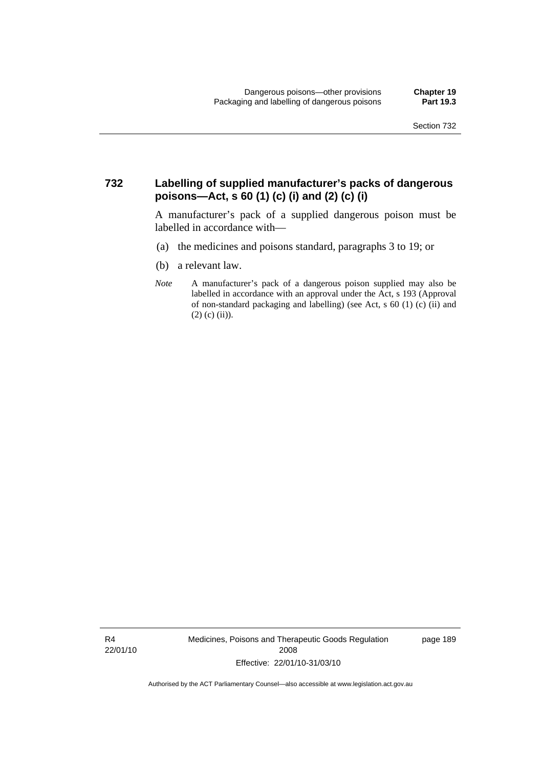### **732 Labelling of supplied manufacturer's packs of dangerous poisons—Act, s 60 (1) (c) (i) and (2) (c) (i)**

A manufacturer's pack of a supplied dangerous poison must be labelled in accordance with—

- (a) the medicines and poisons standard, paragraphs 3 to 19; or
- (b) a relevant law.
- *Note* A manufacturer's pack of a dangerous poison supplied may also be labelled in accordance with an approval under the Act, s 193 (Approval of non-standard packaging and labelling) (see Act, s 60 (1) (c) (ii) and  $(2)$  (c) (ii)).

R4 22/01/10 Medicines, Poisons and Therapeutic Goods Regulation 2008 Effective: 22/01/10-31/03/10

page 189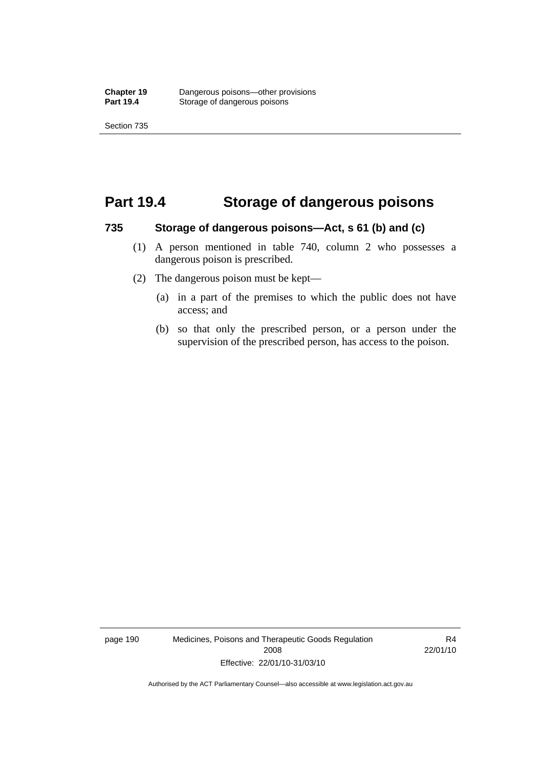## **Part 19.4 Storage of dangerous poisons**

#### **735 Storage of dangerous poisons—Act, s 61 (b) and (c)**

- (1) A person mentioned in table 740, column 2 who possesses a dangerous poison is prescribed.
- (2) The dangerous poison must be kept—
	- (a) in a part of the premises to which the public does not have access; and
	- (b) so that only the prescribed person, or a person under the supervision of the prescribed person, has access to the poison.

page 190 Medicines, Poisons and Therapeutic Goods Regulation 2008 Effective: 22/01/10-31/03/10

R4 22/01/10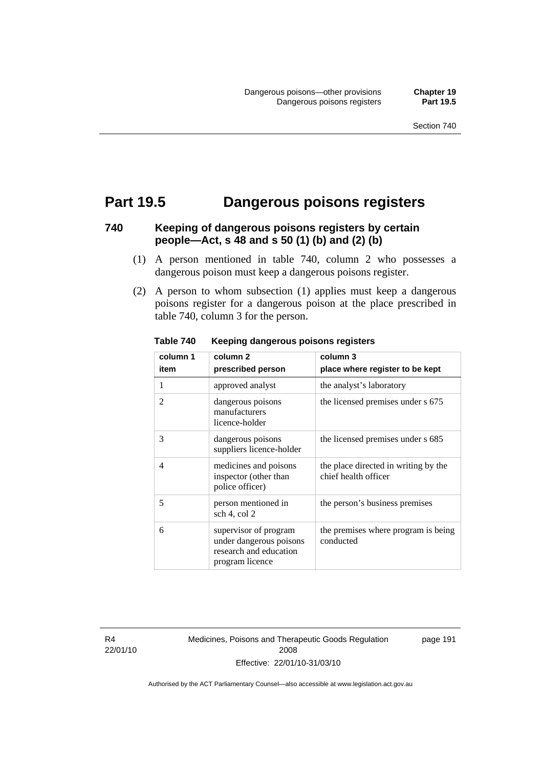## **Part 19.5 Dangerous poisons registers**

## **740 Keeping of dangerous poisons registers by certain people—Act, s 48 and s 50 (1) (b) and (2) (b)**

- (1) A person mentioned in table 740, column 2 who possesses a dangerous poison must keep a dangerous poisons register.
- (2) A person to whom subsection (1) applies must keep a dangerous poisons register for a dangerous poison at the place prescribed in table 740, column 3 for the person.

| column 1       | column 2                                                                                      | column 3                                                     |
|----------------|-----------------------------------------------------------------------------------------------|--------------------------------------------------------------|
| item           | prescribed person                                                                             | place where register to be kept                              |
| 1              | approved analyst                                                                              | the analyst's laboratory                                     |
| 2              | dangerous poisons<br>manufacturers<br>licence-holder                                          | the licensed premises under s 675                            |
| 3              | dangerous poisons<br>suppliers licence-holder                                                 | the licensed premises under s 685                            |
| $\overline{4}$ | medicines and poisons<br>inspector (other than<br>police officer)                             | the place directed in writing by the<br>chief health officer |
| 5              | person mentioned in<br>sch 4, col 2                                                           | the person's business premises                               |
| 6              | supervisor of program<br>under dangerous poisons<br>research and education<br>program licence | the premises where program is being<br>conducted             |

**Table 740 Keeping dangerous poisons registers** 

R4 22/01/10 Medicines, Poisons and Therapeutic Goods Regulation 2008 Effective: 22/01/10-31/03/10

page 191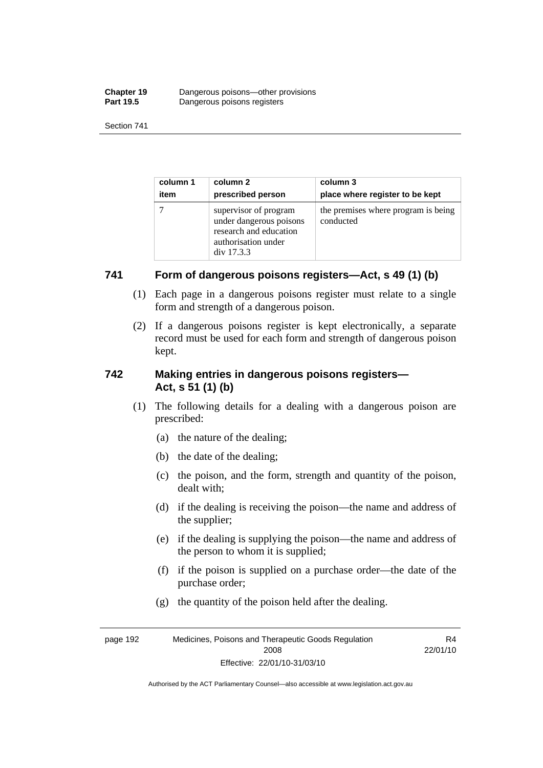| <b>Chapter 19</b> | Dangerous poisons—other provisions |
|-------------------|------------------------------------|
| <b>Part 19.5</b>  | Dangerous poisons registers        |

| column 1 | column 2                                                                                                        | column 3                                         |
|----------|-----------------------------------------------------------------------------------------------------------------|--------------------------------------------------|
| item     | prescribed person                                                                                               | place where register to be kept                  |
|          | supervisor of program<br>under dangerous poisons<br>research and education<br>authorisation under<br>div 17.3.3 | the premises where program is being<br>conducted |

### **741 Form of dangerous poisons registers—Act, s 49 (1) (b)**

- (1) Each page in a dangerous poisons register must relate to a single form and strength of a dangerous poison.
- (2) If a dangerous poisons register is kept electronically, a separate record must be used for each form and strength of dangerous poison kept.

### **742 Making entries in dangerous poisons registers— Act, s 51 (1) (b)**

- (1) The following details for a dealing with a dangerous poison are prescribed:
	- (a) the nature of the dealing;
	- (b) the date of the dealing;
	- (c) the poison, and the form, strength and quantity of the poison, dealt with;
	- (d) if the dealing is receiving the poison—the name and address of the supplier;
	- (e) if the dealing is supplying the poison—the name and address of the person to whom it is supplied;
	- (f) if the poison is supplied on a purchase order—the date of the purchase order;

R4

(g) the quantity of the poison held after the dealing.

page 192 Medicines, Poisons and Therapeutic Goods Regulation 2008 Effective: 22/01/10-31/03/10 22/01/10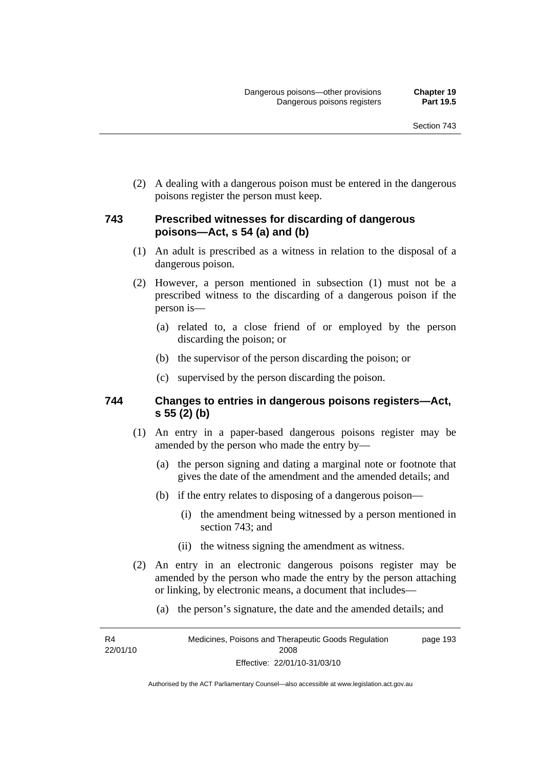(2) A dealing with a dangerous poison must be entered in the dangerous poisons register the person must keep.

#### **743 Prescribed witnesses for discarding of dangerous poisons—Act, s 54 (a) and (b)**

- (1) An adult is prescribed as a witness in relation to the disposal of a dangerous poison.
- (2) However, a person mentioned in subsection (1) must not be a prescribed witness to the discarding of a dangerous poison if the person is—
	- (a) related to, a close friend of or employed by the person discarding the poison; or
	- (b) the supervisor of the person discarding the poison; or
	- (c) supervised by the person discarding the poison.

#### **744 Changes to entries in dangerous poisons registers—Act, s 55 (2) (b)**

- (1) An entry in a paper-based dangerous poisons register may be amended by the person who made the entry by—
	- (a) the person signing and dating a marginal note or footnote that gives the date of the amendment and the amended details; and
	- (b) if the entry relates to disposing of a dangerous poison—
		- (i) the amendment being witnessed by a person mentioned in section 743; and
		- (ii) the witness signing the amendment as witness.
- (2) An entry in an electronic dangerous poisons register may be amended by the person who made the entry by the person attaching or linking, by electronic means, a document that includes—
	- (a) the person's signature, the date and the amended details; and

R4 22/01/10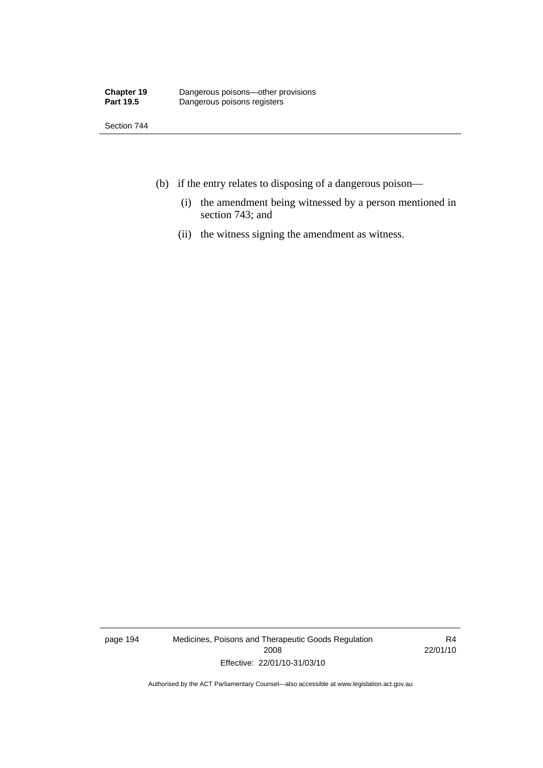Section 744

- (b) if the entry relates to disposing of a dangerous poison—
	- (i) the amendment being witnessed by a person mentioned in section 743; and
	- (ii) the witness signing the amendment as witness.

page 194 Medicines, Poisons and Therapeutic Goods Regulation 2008 Effective: 22/01/10-31/03/10

R4 22/01/10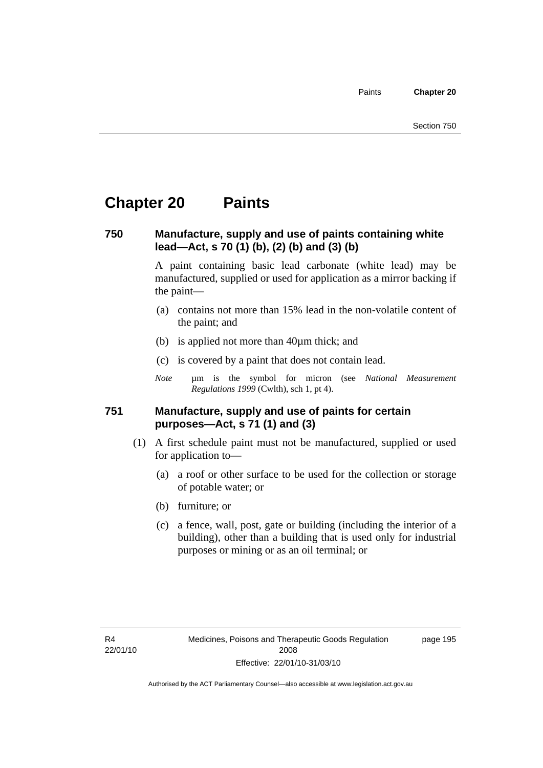Paints **Chapter 20** 

# **Chapter 20 Paints**

#### **750 Manufacture, supply and use of paints containing white lead—Act, s 70 (1) (b), (2) (b) and (3) (b)**

A paint containing basic lead carbonate (white lead) may be manufactured, supplied or used for application as a mirror backing if the paint—

- (a) contains not more than 15% lead in the non-volatile content of the paint; and
- (b) is applied not more than 40µm thick; and
- (c) is covered by a paint that does not contain lead.
- *Note* um is the symbol for micron (see *National Measurement Regulations 1999* (Cwlth), sch 1, pt 4).

#### **751 Manufacture, supply and use of paints for certain purposes—Act, s 71 (1) and (3)**

- (1) A first schedule paint must not be manufactured, supplied or used for application to—
	- (a) a roof or other surface to be used for the collection or storage of potable water; or
	- (b) furniture; or
	- (c) a fence, wall, post, gate or building (including the interior of a building), other than a building that is used only for industrial purposes or mining or as an oil terminal; or

page 195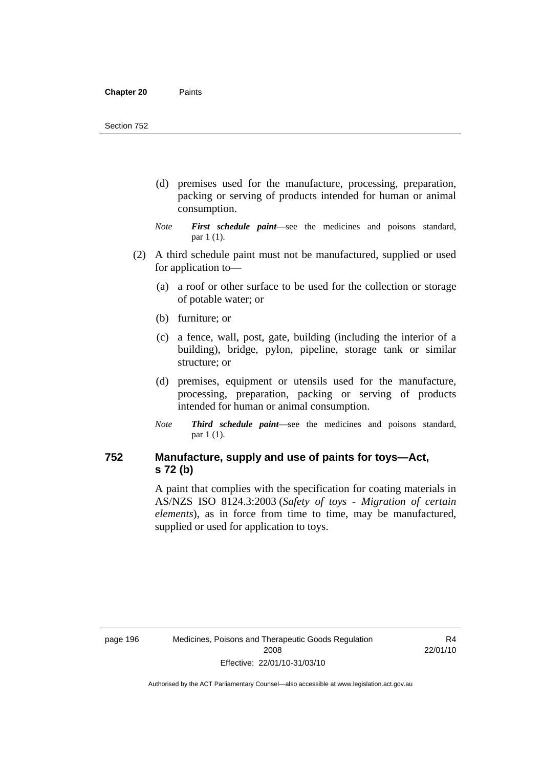- (d) premises used for the manufacture, processing, preparation, packing or serving of products intended for human or animal consumption.
- *Note First schedule paint*—see the medicines and poisons standard, par 1 (1).
- (2) A third schedule paint must not be manufactured, supplied or used for application to—
	- (a) a roof or other surface to be used for the collection or storage of potable water; or
	- (b) furniture; or
	- (c) a fence, wall, post, gate, building (including the interior of a building), bridge, pylon, pipeline, storage tank or similar structure; or
	- (d) premises, equipment or utensils used for the manufacture, processing, preparation, packing or serving of products intended for human or animal consumption.
	- *Note Third schedule paint*—see the medicines and poisons standard, par 1 (1).

### **752 Manufacture, supply and use of paints for toys—Act, s 72 (b)**

A paint that complies with the specification for coating materials in AS/NZS ISO 8124.3:2003 (*Safety of toys - Migration of certain elements*), as in force from time to time, may be manufactured, supplied or used for application to toys.

R4 22/01/10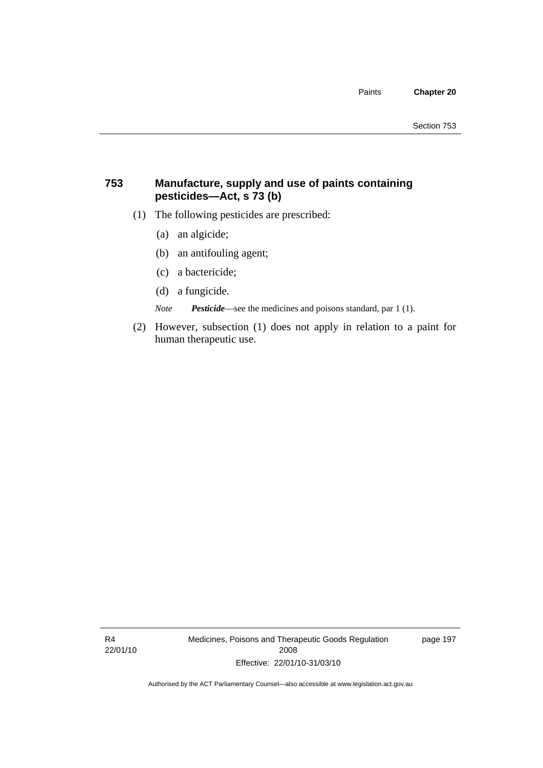#### **753 Manufacture, supply and use of paints containing pesticides—Act, s 73 (b)**

- (1) The following pesticides are prescribed:
	- (a) an algicide;
	- (b) an antifouling agent;
	- (c) a bactericide;
	- (d) a fungicide.

*Note Pesticide*—see the medicines and poisons standard, par 1 (1).

 (2) However, subsection (1) does not apply in relation to a paint for human therapeutic use.

R4 22/01/10 Medicines, Poisons and Therapeutic Goods Regulation 2008 Effective: 22/01/10-31/03/10

page 197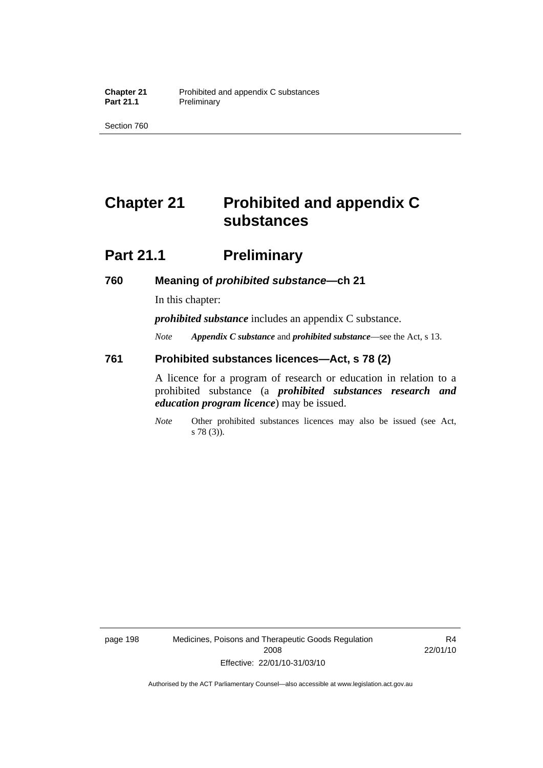Section 760

# **Chapter 21 Prohibited and appendix C substances**

# **Part 21.1** Preliminary

#### **760 Meaning of** *prohibited substance***—ch 21**

In this chapter:

*prohibited substance* includes an appendix C substance.

*Note Appendix C substance* and *prohibited substance*—see the Act, s 13.

#### **761 Prohibited substances licences—Act, s 78 (2)**

A licence for a program of research or education in relation to a prohibited substance (a *prohibited substances research and education program licence*) may be issued.

*Note* Other prohibited substances licences may also be issued (see Act, s 78 (3)).

page 198 Medicines, Poisons and Therapeutic Goods Regulation 2008 Effective: 22/01/10-31/03/10

R4 22/01/10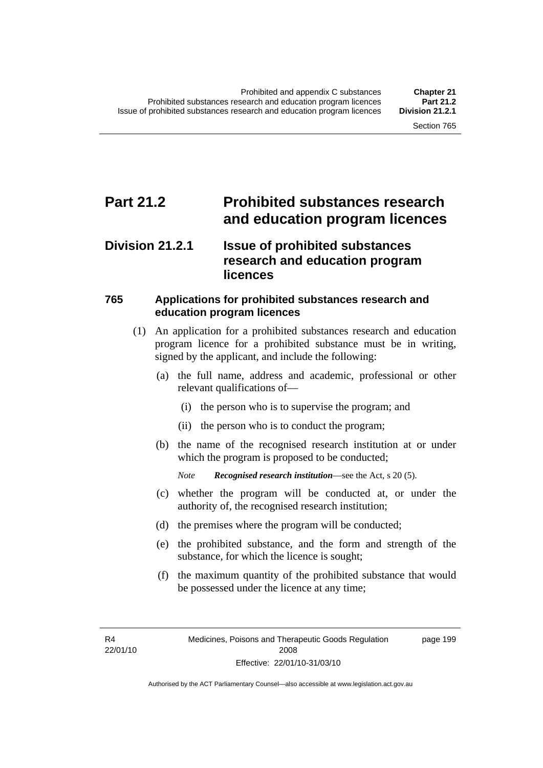## **Part 21.2 Prohibited substances research and education program licences**

## **Division 21.2.1 Issue of prohibited substances research and education program licences**

#### **765 Applications for prohibited substances research and education program licences**

- (1) An application for a prohibited substances research and education program licence for a prohibited substance must be in writing, signed by the applicant, and include the following:
	- (a) the full name, address and academic, professional or other relevant qualifications of—
		- (i) the person who is to supervise the program; and
		- (ii) the person who is to conduct the program;
	- (b) the name of the recognised research institution at or under which the program is proposed to be conducted;

*Note Recognised research institution*—see the Act, s 20 (5).

- (c) whether the program will be conducted at, or under the authority of, the recognised research institution;
- (d) the premises where the program will be conducted;
- (e) the prohibited substance, and the form and strength of the substance, for which the licence is sought;
- (f) the maximum quantity of the prohibited substance that would be possessed under the licence at any time;

R4 22/01/10 page 199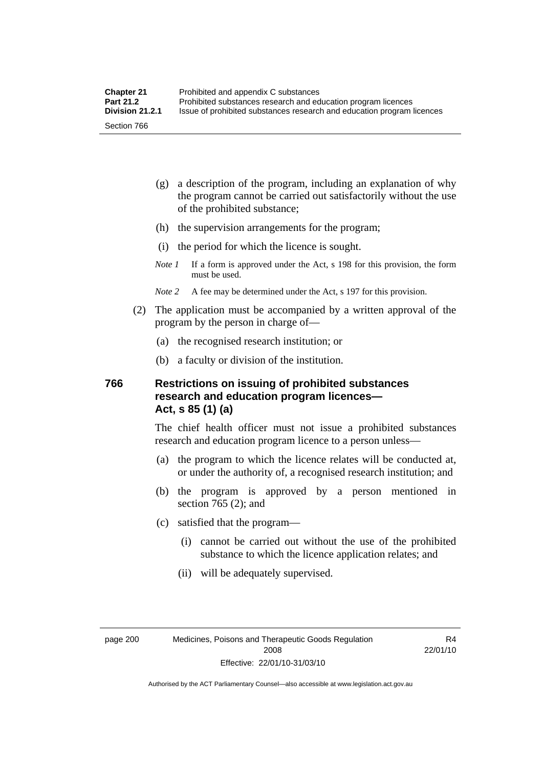- (g) a description of the program, including an explanation of why the program cannot be carried out satisfactorily without the use of the prohibited substance;
- (h) the supervision arrangements for the program;
- (i) the period for which the licence is sought.
- *Note 1* If a form is approved under the Act, s 198 for this provision, the form must be used.
- *Note 2* A fee may be determined under the Act, s 197 for this provision.
- (2) The application must be accompanied by a written approval of the program by the person in charge of—
	- (a) the recognised research institution; or
	- (b) a faculty or division of the institution.

#### **766 Restrictions on issuing of prohibited substances research and education program licences— Act, s 85 (1) (a)**

The chief health officer must not issue a prohibited substances research and education program licence to a person unless—

- (a) the program to which the licence relates will be conducted at, or under the authority of, a recognised research institution; and
- (b) the program is approved by a person mentioned in section 765 (2); and
- (c) satisfied that the program—
	- (i) cannot be carried out without the use of the prohibited substance to which the licence application relates; and
	- (ii) will be adequately supervised.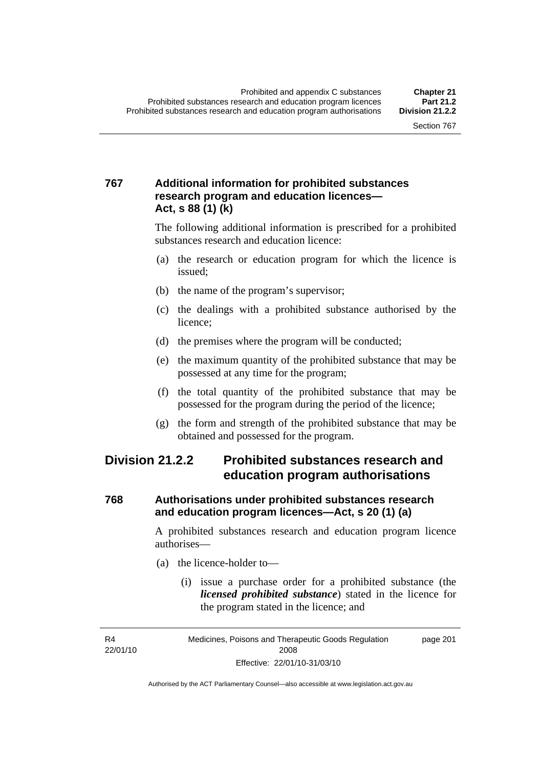## **767 Additional information for prohibited substances research program and education licences— Act, s 88 (1) (k)**

The following additional information is prescribed for a prohibited substances research and education licence:

- (a) the research or education program for which the licence is issued;
- (b) the name of the program's supervisor;
- (c) the dealings with a prohibited substance authorised by the licence;
- (d) the premises where the program will be conducted;
- (e) the maximum quantity of the prohibited substance that may be possessed at any time for the program;
- (f) the total quantity of the prohibited substance that may be possessed for the program during the period of the licence;
- (g) the form and strength of the prohibited substance that may be obtained and possessed for the program.

## **Division 21.2.2 Prohibited substances research and education program authorisations**

#### **768 Authorisations under prohibited substances research and education program licences—Act, s 20 (1) (a)**

A prohibited substances research and education program licence authorises—

- (a) the licence-holder to—
	- (i) issue a purchase order for a prohibited substance (the *licensed prohibited substance*) stated in the licence for the program stated in the licence; and

R4 22/01/10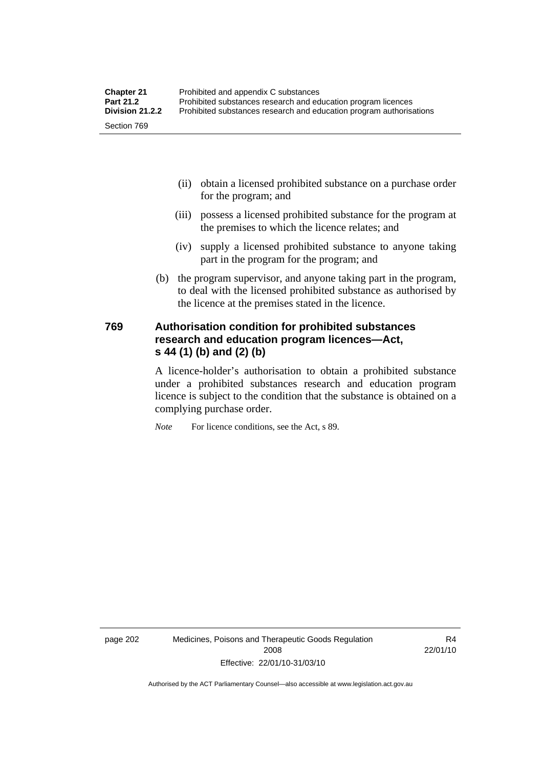| <b>Chapter 21</b> | Prohibited and appendix C substances                                |
|-------------------|---------------------------------------------------------------------|
| <b>Part 21.2</b>  | Prohibited substances research and education program licences       |
| Division 21.2.2   | Prohibited substances research and education program authorisations |
| Section 769       |                                                                     |

- (ii) obtain a licensed prohibited substance on a purchase order for the program; and
- (iii) possess a licensed prohibited substance for the program at the premises to which the licence relates; and
- (iv) supply a licensed prohibited substance to anyone taking part in the program for the program; and
- (b) the program supervisor, and anyone taking part in the program, to deal with the licensed prohibited substance as authorised by the licence at the premises stated in the licence.

#### **769 Authorisation condition for prohibited substances research and education program licences—Act, s 44 (1) (b) and (2) (b)**

A licence-holder's authorisation to obtain a prohibited substance under a prohibited substances research and education program licence is subject to the condition that the substance is obtained on a complying purchase order.

*Note* For licence conditions, see the Act, s 89.

page 202 Medicines, Poisons and Therapeutic Goods Regulation 2008 Effective: 22/01/10-31/03/10

R4 22/01/10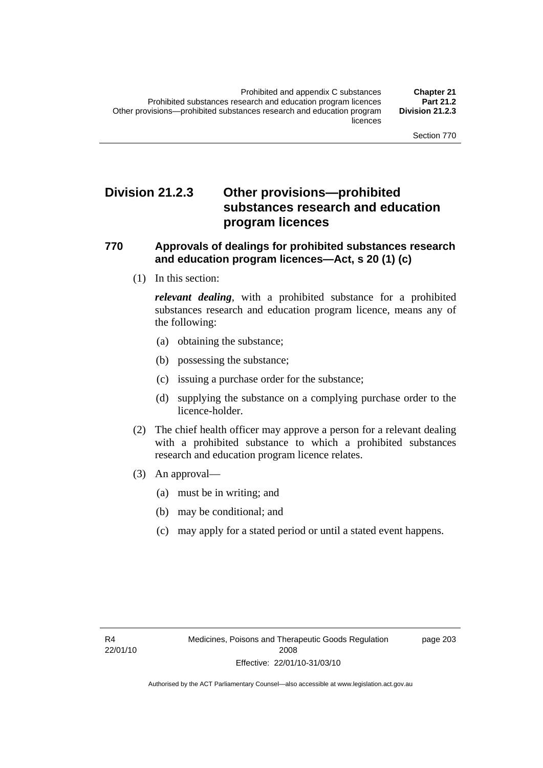## **Division 21.2.3 Other provisions—prohibited substances research and education program licences**

#### **770 Approvals of dealings for prohibited substances research and education program licences—Act, s 20 (1) (c)**

(1) In this section:

*relevant dealing*, with a prohibited substance for a prohibited substances research and education program licence, means any of the following:

- (a) obtaining the substance;
- (b) possessing the substance;
- (c) issuing a purchase order for the substance;
- (d) supplying the substance on a complying purchase order to the licence-holder.
- (2) The chief health officer may approve a person for a relevant dealing with a prohibited substance to which a prohibited substances research and education program licence relates.
- (3) An approval—
	- (a) must be in writing; and
	- (b) may be conditional; and
	- (c) may apply for a stated period or until a stated event happens.

page 203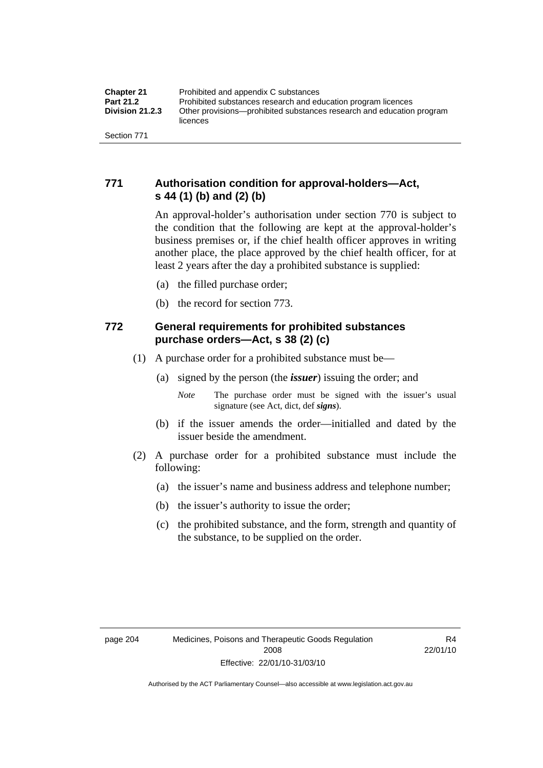## **771 Authorisation condition for approval-holders—Act, s 44 (1) (b) and (2) (b)**

An approval-holder's authorisation under section 770 is subject to the condition that the following are kept at the approval-holder's business premises or, if the chief health officer approves in writing another place, the place approved by the chief health officer, for at least 2 years after the day a prohibited substance is supplied:

- (a) the filled purchase order;
- (b) the record for section 773.

## **772 General requirements for prohibited substances purchase orders—Act, s 38 (2) (c)**

- (1) A purchase order for a prohibited substance must be—
	- (a) signed by the person (the *issuer*) issuing the order; and
		- *Note* The purchase order must be signed with the issuer's usual signature (see Act, dict, def *signs*).
	- (b) if the issuer amends the order—initialled and dated by the issuer beside the amendment.
- (2) A purchase order for a prohibited substance must include the following:
	- (a) the issuer's name and business address and telephone number;
	- (b) the issuer's authority to issue the order;
	- (c) the prohibited substance, and the form, strength and quantity of the substance, to be supplied on the order.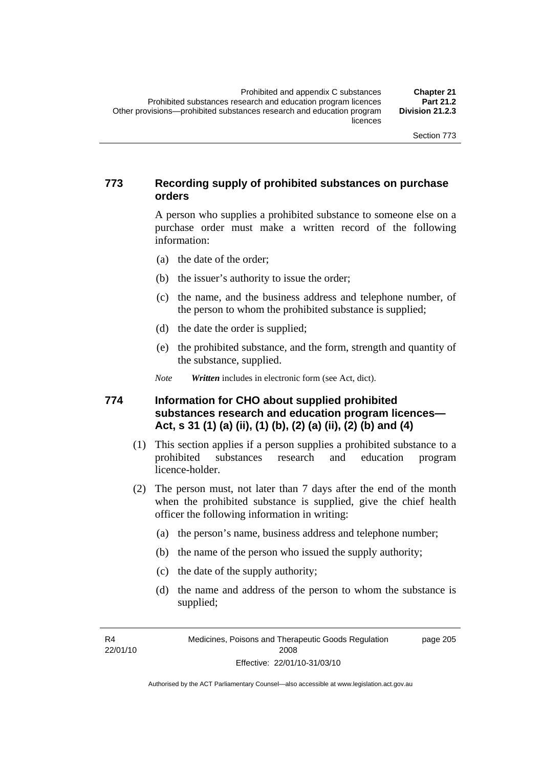### **773 Recording supply of prohibited substances on purchase orders**

A person who supplies a prohibited substance to someone else on a purchase order must make a written record of the following information:

- (a) the date of the order;
- (b) the issuer's authority to issue the order;
- (c) the name, and the business address and telephone number, of the person to whom the prohibited substance is supplied;
- (d) the date the order is supplied;
- (e) the prohibited substance, and the form, strength and quantity of the substance, supplied.

*Note Written* includes in electronic form (see Act, dict).

#### **774 Information for CHO about supplied prohibited substances research and education program licences— Act, s 31 (1) (a) (ii), (1) (b), (2) (a) (ii), (2) (b) and (4)**

- (1) This section applies if a person supplies a prohibited substance to a prohibited substances research and education program licence-holder.
- (2) The person must, not later than 7 days after the end of the month when the prohibited substance is supplied, give the chief health officer the following information in writing:
	- (a) the person's name, business address and telephone number;
	- (b) the name of the person who issued the supply authority;
	- (c) the date of the supply authority;
	- (d) the name and address of the person to whom the substance is supplied;

R4 22/01/10 page 205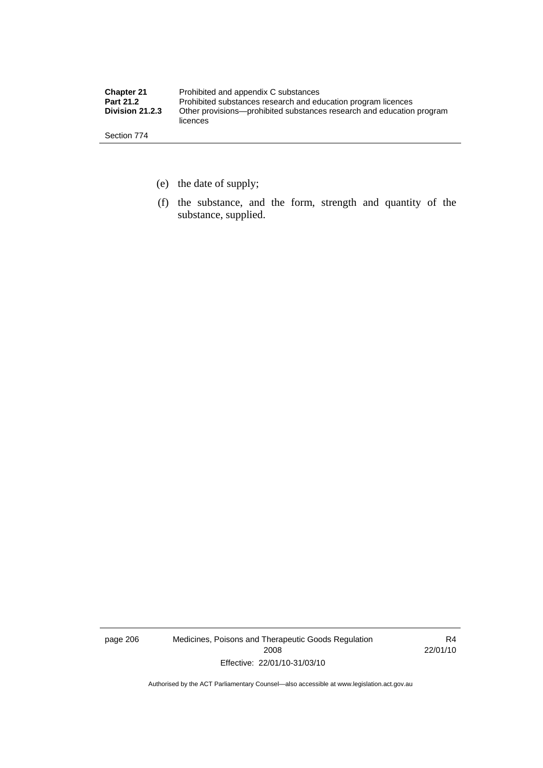| <b>Chapter 21</b> | Prohibited and appendix C substances                                              |
|-------------------|-----------------------------------------------------------------------------------|
| <b>Part 21.2</b>  | Prohibited substances research and education program licences                     |
| Division 21.2.3   | Other provisions—prohibited substances research and education program<br>licences |
| Section 774       |                                                                                   |

- (e) the date of supply;
- (f) the substance, and the form, strength and quantity of the substance, supplied.

page 206 Medicines, Poisons and Therapeutic Goods Regulation 2008 Effective: 22/01/10-31/03/10

R4 22/01/10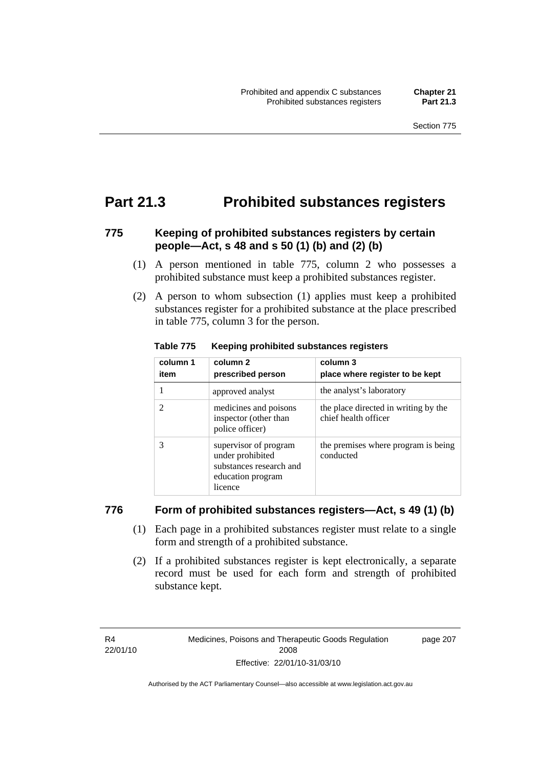## **Part 21.3 Prohibited substances registers**

## **775 Keeping of prohibited substances registers by certain people—Act, s 48 and s 50 (1) (b) and (2) (b)**

- (1) A person mentioned in table 775, column 2 who possesses a prohibited substance must keep a prohibited substances register.
- (2) A person to whom subsection (1) applies must keep a prohibited substances register for a prohibited substance at the place prescribed in table 775, column 3 for the person.

| column 1<br>item | column <sub>2</sub><br>prescribed person                                                             | column 3<br>place where register to be kept                  |
|------------------|------------------------------------------------------------------------------------------------------|--------------------------------------------------------------|
|                  | approved analyst                                                                                     | the analyst's laboratory                                     |
| 2                | medicines and poisons<br>inspector (other than<br>police officer)                                    | the place directed in writing by the<br>chief health officer |
| 3                | supervisor of program<br>under prohibited<br>substances research and<br>education program<br>licence | the premises where program is being<br>conducted             |

#### **Table 775 Keeping prohibited substances registers**

#### **776 Form of prohibited substances registers—Act, s 49 (1) (b)**

- (1) Each page in a prohibited substances register must relate to a single form and strength of a prohibited substance.
- (2) If a prohibited substances register is kept electronically, a separate record must be used for each form and strength of prohibited substance kept.

R4 22/01/10 page 207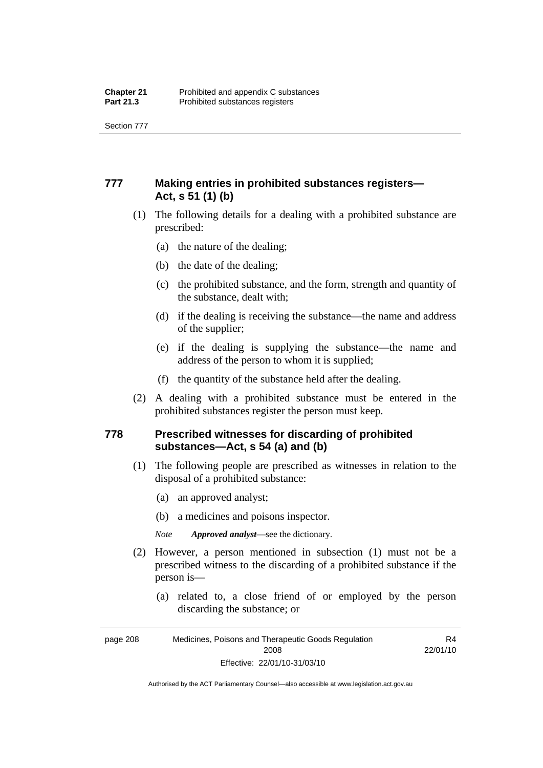Section 777

## **777 Making entries in prohibited substances registers— Act, s 51 (1) (b)**

- (1) The following details for a dealing with a prohibited substance are prescribed:
	- (a) the nature of the dealing;
	- (b) the date of the dealing;
	- (c) the prohibited substance, and the form, strength and quantity of the substance, dealt with;
	- (d) if the dealing is receiving the substance—the name and address of the supplier;
	- (e) if the dealing is supplying the substance—the name and address of the person to whom it is supplied;
	- (f) the quantity of the substance held after the dealing.
- (2) A dealing with a prohibited substance must be entered in the prohibited substances register the person must keep.

#### **778 Prescribed witnesses for discarding of prohibited substances—Act, s 54 (a) and (b)**

- (1) The following people are prescribed as witnesses in relation to the disposal of a prohibited substance:
	- (a) an approved analyst;
	- (b) a medicines and poisons inspector.

*Note Approved analyst*—see the dictionary.

- (2) However, a person mentioned in subsection (1) must not be a prescribed witness to the discarding of a prohibited substance if the person is—
	- (a) related to, a close friend of or employed by the person discarding the substance; or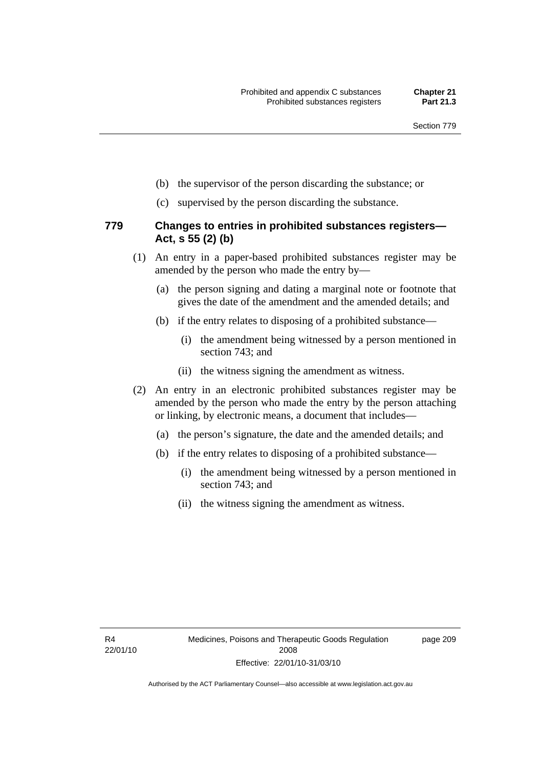- (b) the supervisor of the person discarding the substance; or
- (c) supervised by the person discarding the substance.

#### **779 Changes to entries in prohibited substances registers— Act, s 55 (2) (b)**

- (1) An entry in a paper-based prohibited substances register may be amended by the person who made the entry by—
	- (a) the person signing and dating a marginal note or footnote that gives the date of the amendment and the amended details; and
	- (b) if the entry relates to disposing of a prohibited substance—
		- (i) the amendment being witnessed by a person mentioned in section 743; and
		- (ii) the witness signing the amendment as witness.
- (2) An entry in an electronic prohibited substances register may be amended by the person who made the entry by the person attaching or linking, by electronic means, a document that includes—
	- (a) the person's signature, the date and the amended details; and
	- (b) if the entry relates to disposing of a prohibited substance—
		- (i) the amendment being witnessed by a person mentioned in section 743; and
		- (ii) the witness signing the amendment as witness.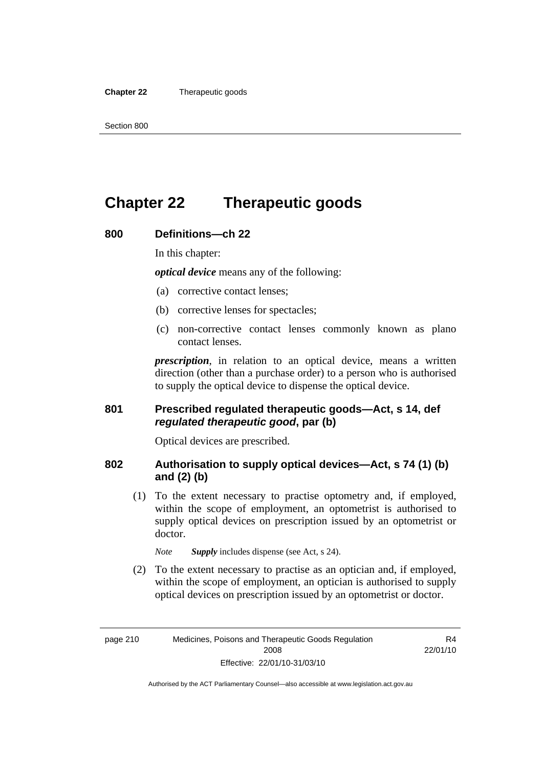#### **Chapter 22** Therapeutic goods

## **Chapter 22 Therapeutic goods**

#### **800 Definitions—ch 22**

In this chapter:

*optical device* means any of the following:

- (a) corrective contact lenses;
- (b) corrective lenses for spectacles;
- (c) non-corrective contact lenses commonly known as plano contact lenses.

*prescription*, in relation to an optical device, means a written direction (other than a purchase order) to a person who is authorised to supply the optical device to dispense the optical device.

#### **801 Prescribed regulated therapeutic goods—Act, s 14, def**  *regulated therapeutic good***, par (b)**

Optical devices are prescribed.

#### **802 Authorisation to supply optical devices—Act, s 74 (1) (b) and (2) (b)**

 (1) To the extent necessary to practise optometry and, if employed, within the scope of employment, an optometrist is authorised to supply optical devices on prescription issued by an optometrist or doctor.

*Note Supply* includes dispense (see Act, s 24).

 (2) To the extent necessary to practise as an optician and, if employed, within the scope of employment, an optician is authorised to supply optical devices on prescription issued by an optometrist or doctor.

R4 22/01/10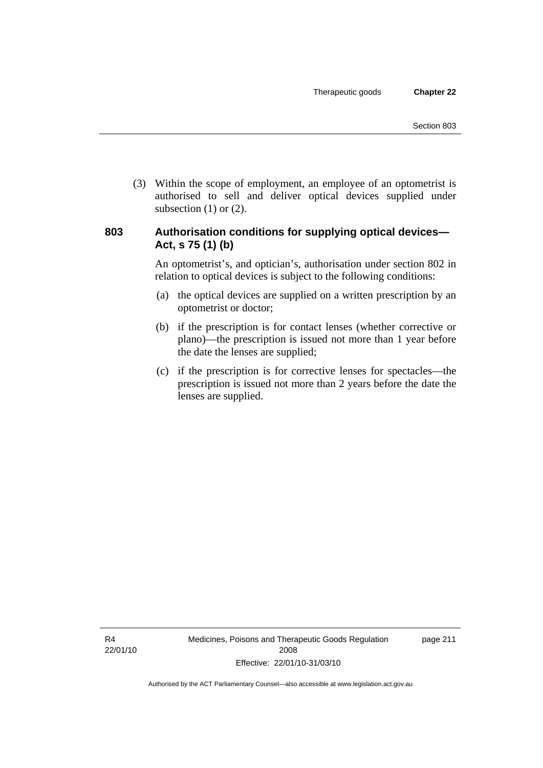(3) Within the scope of employment, an employee of an optometrist is authorised to sell and deliver optical devices supplied under subsection  $(1)$  or  $(2)$ .

#### **803 Authorisation conditions for supplying optical devices— Act, s 75 (1) (b)**

An optometrist's, and optician's, authorisation under section 802 in relation to optical devices is subject to the following conditions:

- (a) the optical devices are supplied on a written prescription by an optometrist or doctor;
- (b) if the prescription is for contact lenses (whether corrective or plano)—the prescription is issued not more than 1 year before the date the lenses are supplied;
- (c) if the prescription is for corrective lenses for spectacles—the prescription is issued not more than 2 years before the date the lenses are supplied.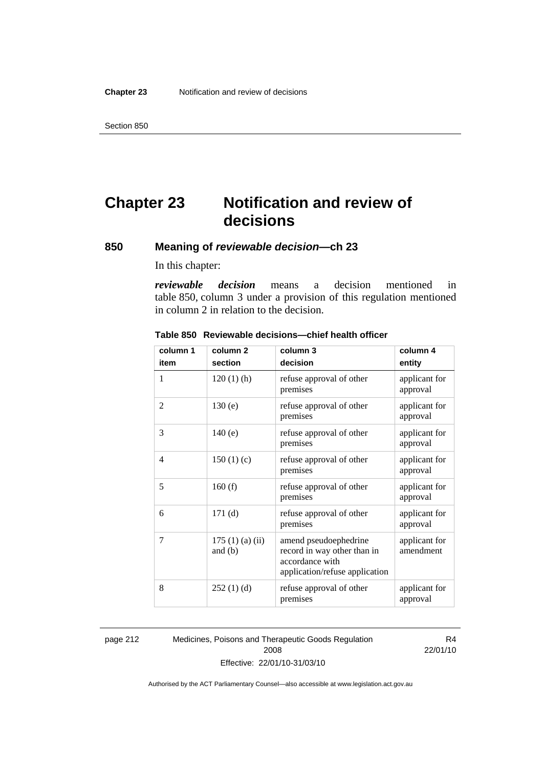# **Chapter 23 Notification and review of decisions**

## **850 Meaning of** *reviewable decision—***ch 23**

In this chapter:

*reviewable decision* means a decision mentioned in table 850, column 3 under a provision of this regulation mentioned in column 2 in relation to the decision.

| column 1 | column <sub>2</sub>        | column 3                                                                                                  | column 4                   |
|----------|----------------------------|-----------------------------------------------------------------------------------------------------------|----------------------------|
| item     | section                    | decision                                                                                                  | entity                     |
| 1        | $120(1)$ (h)               | refuse approval of other<br>premises                                                                      | applicant for<br>approval  |
| 2        | 130(e)                     | refuse approval of other<br>premises                                                                      | applicant for<br>approval  |
| 3        | 140(e)                     | refuse approval of other<br>premises                                                                      | applicant for<br>approval  |
| 4        | 150(1)(c)                  | refuse approval of other<br>premises                                                                      | applicant for<br>approval  |
| 5        | 160(f)                     | refuse approval of other<br>premises                                                                      | applicant for<br>approval  |
| 6        | 171(d)                     | refuse approval of other<br>premises                                                                      | applicant for<br>approval  |
| 7        | 175(1)(a)(ii)<br>and $(b)$ | amend pseudoephedrine<br>record in way other than in<br>accordance with<br>application/refuse application | applicant for<br>amendment |
| 8        | 252(1)(d)                  | refuse approval of other<br>premises                                                                      | applicant for<br>approval  |

#### **Table 850 Reviewable decisions—chief health officer**

page 212 Medicines, Poisons and Therapeutic Goods Regulation 2008 Effective: 22/01/10-31/03/10

R4 22/01/10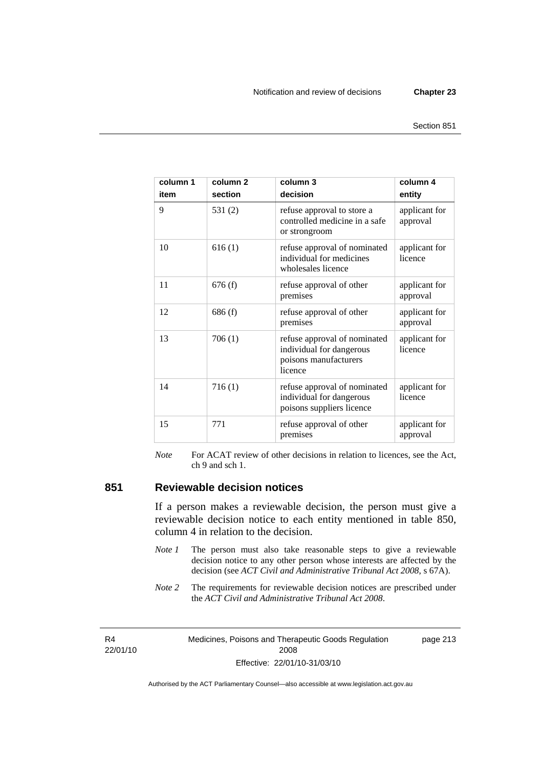| column 1<br>item | column <sub>2</sub><br>section | column 3<br>decision                                                                         | column 4<br>entity        |
|------------------|--------------------------------|----------------------------------------------------------------------------------------------|---------------------------|
| 9                | 531(2)                         | refuse approval to store a<br>controlled medicine in a safe<br>or strongroom                 | applicant for<br>approval |
| 10               | 616(1)                         | refuse approval of nominated<br>individual for medicines<br>wholesales licence               | applicant for<br>licence  |
| 11               | 676(f)                         | refuse approval of other<br>premises                                                         | applicant for<br>approval |
| 12               | 686 (f)                        | refuse approval of other<br>premises                                                         | applicant for<br>approval |
| 13               | 706(1)                         | refuse approval of nominated<br>individual for dangerous<br>poisons manufacturers<br>licence | applicant for<br>licence  |
| 14               | 716(1)                         | refuse approval of nominated<br>individual for dangerous<br>poisons suppliers licence        | applicant for<br>licence  |
| 15               | 771                            | refuse approval of other<br>premises                                                         | applicant for<br>approval |

*Note* For ACAT review of other decisions in relation to licences, see the Act, ch 9 and sch 1.

#### **851 Reviewable decision notices**

If a person makes a reviewable decision, the person must give a reviewable decision notice to each entity mentioned in table 850, column 4 in relation to the decision.

- *Note 1* The person must also take reasonable steps to give a reviewable decision notice to any other person whose interests are affected by the decision (see *ACT Civil and Administrative Tribunal Act 2008*, s 67A).
- *Note* 2 The requirements for reviewable decision notices are prescribed under the *ACT Civil and Administrative Tribunal Act 2008*.

R4 22/01/10 Medicines, Poisons and Therapeutic Goods Regulation 2008 Effective: 22/01/10-31/03/10

page 213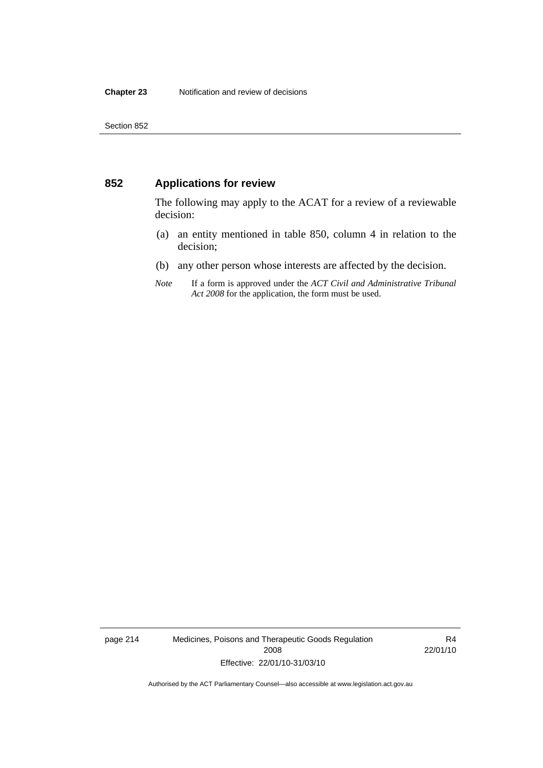#### **852 Applications for review**

The following may apply to the ACAT for a review of a reviewable decision:

- (a) an entity mentioned in table 850, column 4 in relation to the decision;
- (b) any other person whose interests are affected by the decision.
- *Note* If a form is approved under the *ACT Civil and Administrative Tribunal Act 2008* for the application, the form must be used.

page 214 Medicines, Poisons and Therapeutic Goods Regulation 2008 Effective: 22/01/10-31/03/10

R4 22/01/10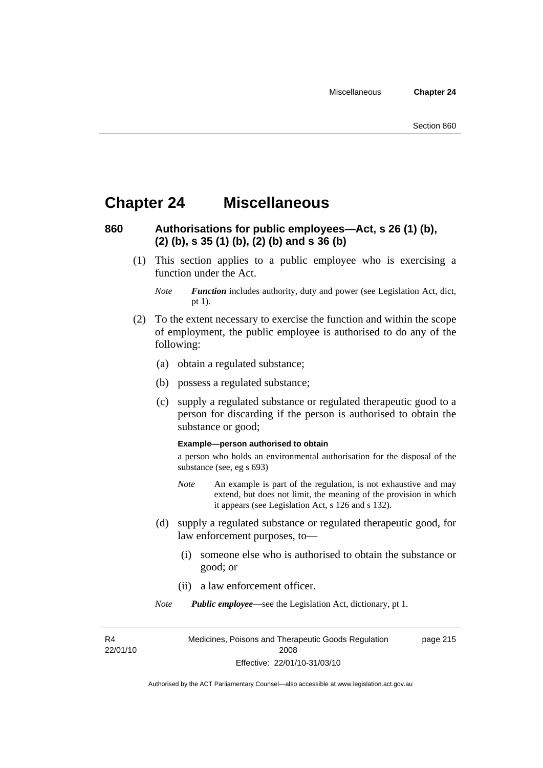## **Chapter 24 Miscellaneous**

## **860 Authorisations for public employees—Act, s 26 (1) (b), (2) (b), s 35 (1) (b), (2) (b) and s 36 (b)**

 (1) This section applies to a public employee who is exercising a function under the Act.

- (2) To the extent necessary to exercise the function and within the scope of employment, the public employee is authorised to do any of the following:
	- (a) obtain a regulated substance;
	- (b) possess a regulated substance;
	- (c) supply a regulated substance or regulated therapeutic good to a person for discarding if the person is authorised to obtain the substance or good;

#### **Example—person authorised to obtain**

a person who holds an environmental authorisation for the disposal of the substance (see, eg s 693)

- *Note* An example is part of the regulation, is not exhaustive and may extend, but does not limit, the meaning of the provision in which it appears (see Legislation Act, s 126 and s 132).
- (d) supply a regulated substance or regulated therapeutic good, for law enforcement purposes, to—
	- (i) someone else who is authorised to obtain the substance or good; or
	- (ii) a law enforcement officer.

*Note Public employee*—see the Legislation Act, dictionary, pt 1.

R4 22/01/10 page 215

*Note Function* includes authority, duty and power (see Legislation Act, dict, pt 1).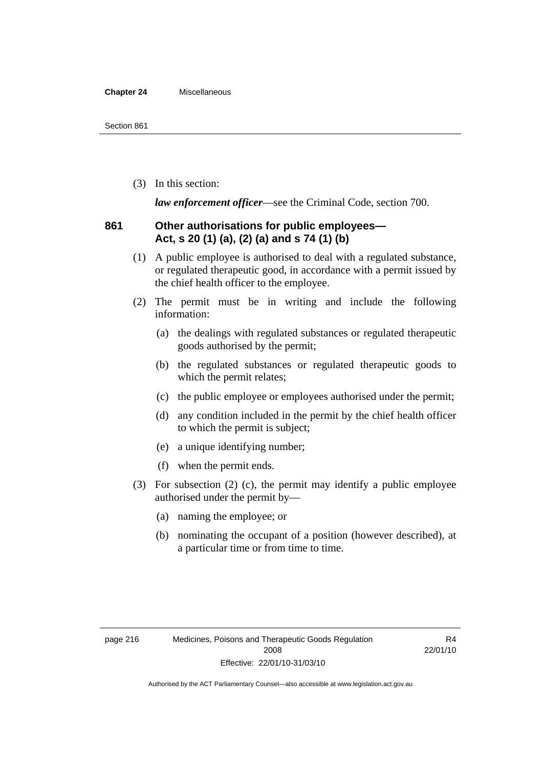#### **Chapter 24** Miscellaneous

(3) In this section:

*law enforcement officer*—see the Criminal Code, section 700.

#### **861 Other authorisations for public employees— Act, s 20 (1) (a), (2) (a) and s 74 (1) (b)**

- (1) A public employee is authorised to deal with a regulated substance, or regulated therapeutic good, in accordance with a permit issued by the chief health officer to the employee.
- (2) The permit must be in writing and include the following information:
	- (a) the dealings with regulated substances or regulated therapeutic goods authorised by the permit;
	- (b) the regulated substances or regulated therapeutic goods to which the permit relates;
	- (c) the public employee or employees authorised under the permit;
	- (d) any condition included in the permit by the chief health officer to which the permit is subject;
	- (e) a unique identifying number;
	- (f) when the permit ends.
- (3) For subsection (2) (c), the permit may identify a public employee authorised under the permit by—
	- (a) naming the employee; or
	- (b) nominating the occupant of a position (however described), at a particular time or from time to time.

R4 22/01/10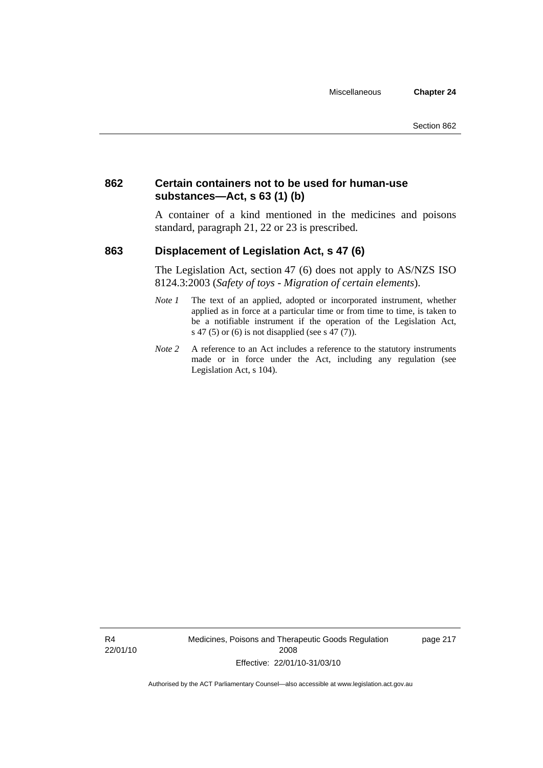### **862 Certain containers not to be used for human-use substances—Act, s 63 (1) (b)**

A container of a kind mentioned in the medicines and poisons standard, paragraph 21, 22 or 23 is prescribed.

## **863 Displacement of Legislation Act, s 47 (6)**

The Legislation Act, section 47 (6) does not apply to AS/NZS ISO 8124.3:2003 (*Safety of toys - Migration of certain elements*).

- *Note 1* The text of an applied, adopted or incorporated instrument, whether applied as in force at a particular time or from time to time, is taken to be a notifiable instrument if the operation of the Legislation Act, s 47 (5) or (6) is not disapplied (see s 47 (7)).
- *Note 2* A reference to an Act includes a reference to the statutory instruments made or in force under the Act, including any regulation (see Legislation Act, s 104).

R4 22/01/10 Medicines, Poisons and Therapeutic Goods Regulation 2008 Effective: 22/01/10-31/03/10

page 217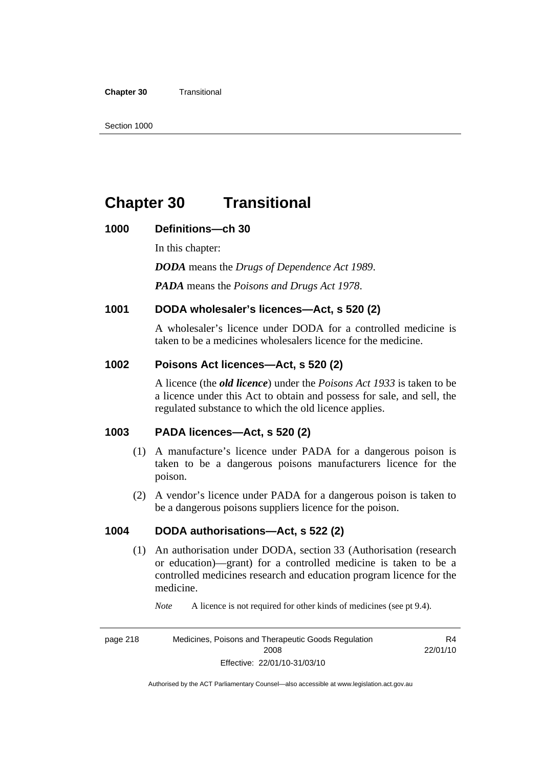#### **Chapter 30** Transitional

## **Chapter 30 Transitional**

#### **1000 Definitions—ch 30**

In this chapter: *DODA* means the *Drugs of Dependence Act 1989*. *PADA* means the *Poisons and Drugs Act 1978*.

#### **1001 DODA wholesaler's licences—Act, s 520 (2)**

A wholesaler's licence under DODA for a controlled medicine is taken to be a medicines wholesalers licence for the medicine.

#### **1002 Poisons Act licences—Act, s 520 (2)**

A licence (the *old licence*) under the *Poisons Act 1933* is taken to be a licence under this Act to obtain and possess for sale, and sell, the regulated substance to which the old licence applies.

#### **1003 PADA licences—Act, s 520 (2)**

- (1) A manufacture's licence under PADA for a dangerous poison is taken to be a dangerous poisons manufacturers licence for the poison.
- (2) A vendor's licence under PADA for a dangerous poison is taken to be a dangerous poisons suppliers licence for the poison.

#### **1004 DODA authorisations—Act, s 522 (2)**

 (1) An authorisation under DODA, section 33 (Authorisation (research or education)—grant) for a controlled medicine is taken to be a controlled medicines research and education program licence for the medicine.

*Note* A licence is not required for other kinds of medicines (see pt 9.4).

page 218 Medicines, Poisons and Therapeutic Goods Regulation 2008 Effective: 22/01/10-31/03/10 R4 22/01/10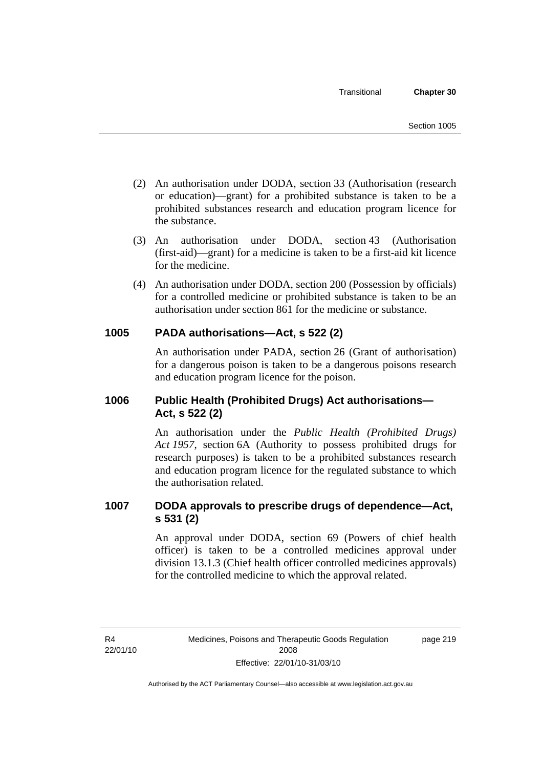- (2) An authorisation under DODA, section 33 (Authorisation (research or education)—grant) for a prohibited substance is taken to be a prohibited substances research and education program licence for the substance.
- (3) An authorisation under DODA, section 43 (Authorisation (first-aid)—grant) for a medicine is taken to be a first-aid kit licence for the medicine.
- (4) An authorisation under DODA, section 200 (Possession by officials) for a controlled medicine or prohibited substance is taken to be an authorisation under section 861 for the medicine or substance.

#### **1005 PADA authorisations—Act, s 522 (2)**

An authorisation under PADA, section 26 (Grant of authorisation) for a dangerous poison is taken to be a dangerous poisons research and education program licence for the poison.

## **1006 Public Health (Prohibited Drugs) Act authorisations— Act, s 522 (2)**

An authorisation under the *Public Health (Prohibited Drugs) Act 1957*, section 6A (Authority to possess prohibited drugs for research purposes) is taken to be a prohibited substances research and education program licence for the regulated substance to which the authorisation related.

#### **1007 DODA approvals to prescribe drugs of dependence—Act, s 531 (2)**

An approval under DODA, section 69 (Powers of chief health officer) is taken to be a controlled medicines approval under division 13.1.3 (Chief health officer controlled medicines approvals) for the controlled medicine to which the approval related.

R4 22/01/10 page 219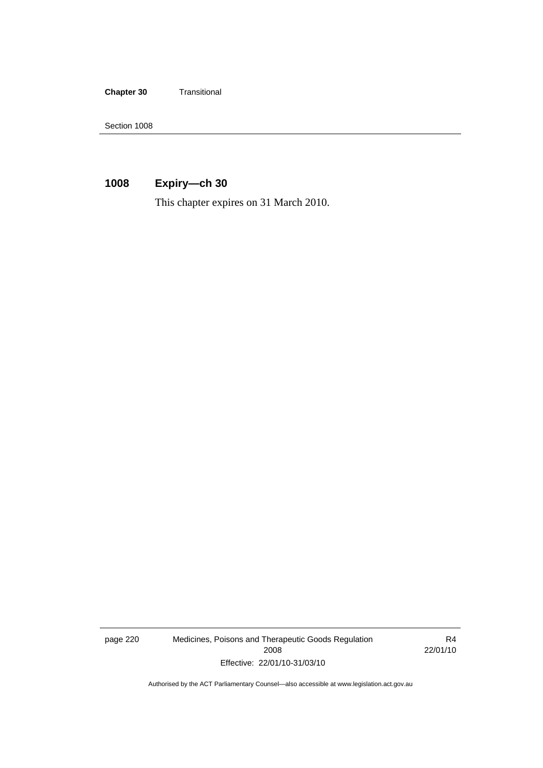**Chapter 30** Transitional

Section 1008

## **1008 Expiry—ch 30**

This chapter expires on 31 March 2010.

page 220 Medicines, Poisons and Therapeutic Goods Regulation 2008 Effective: 22/01/10-31/03/10

R4 22/01/10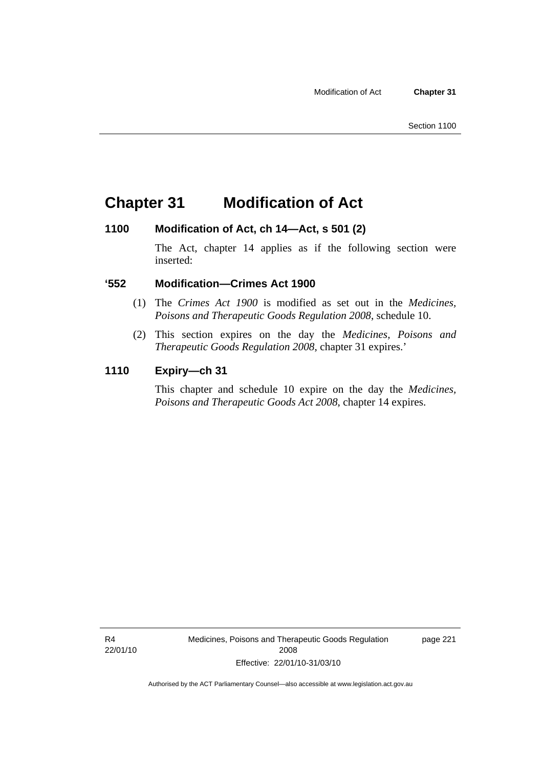## **Chapter 31 Modification of Act**

#### **1100 Modification of Act, ch 14—Act, s 501 (2)**

The Act, chapter 14 applies as if the following section were inserted:

#### **'552 Modification—Crimes Act 1900**

- (1) The *Crimes Act 1900* is modified as set out in the *Medicines, Poisons and Therapeutic Goods Regulation 2008*, schedule 10.
- (2) This section expires on the day the *Medicines, Poisons and Therapeutic Goods Regulation 2008*, chapter 31 expires.'

#### **1110 Expiry—ch 31**

This chapter and schedule 10 expire on the day the *Medicines, Poisons and Therapeutic Goods Act 2008*, chapter 14 expires.

R4 22/01/10 page 221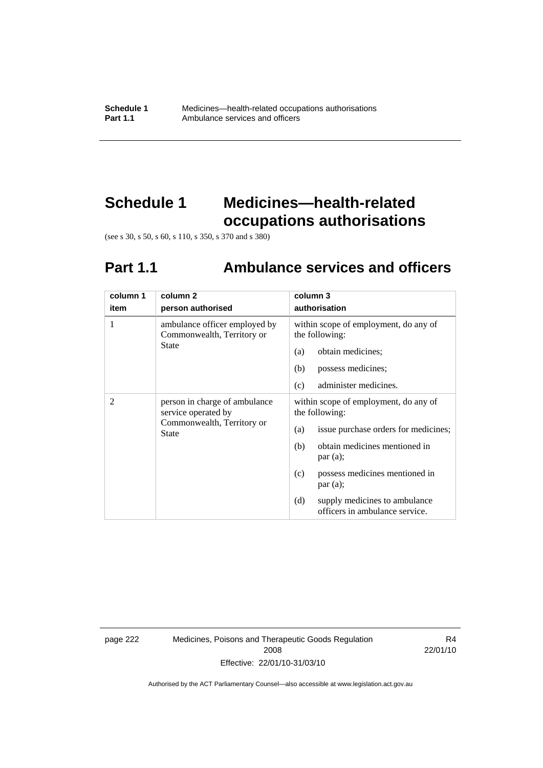# **Schedule 1 Medicines—health-related occupations authorisations**

(see s 30, s 50, s 60, s 110, s 350, s 370 and s 380)

# **Part 1.1 Ambulance services and officers**

| column 1       | column 2                                                                                    | column 3                                                               |
|----------------|---------------------------------------------------------------------------------------------|------------------------------------------------------------------------|
| item           | person authorised                                                                           | authorisation                                                          |
| 1              | ambulance officer employed by<br>Commonwealth, Territory or                                 | within scope of employment, do any of<br>the following:                |
|                | State                                                                                       | obtain medicines;<br>(a)                                               |
|                |                                                                                             | (b)<br>possess medicines;                                              |
|                |                                                                                             | administer medicines.<br>(c)                                           |
| $\overline{2}$ | person in charge of ambulance<br>service operated by<br>Commonwealth, Territory or<br>State | within scope of employment, do any of<br>the following:                |
|                |                                                                                             | issue purchase orders for medicines;<br>(a)                            |
|                |                                                                                             | obtain medicines mentioned in<br>(b)<br>par(a);                        |
|                |                                                                                             | possess medicines mentioned in<br>(c)<br>par(a);                       |
|                |                                                                                             | (d)<br>supply medicines to ambulance<br>officers in ambulance service. |

page 222 Medicines, Poisons and Therapeutic Goods Regulation 2008 Effective: 22/01/10-31/03/10

R4 22/01/10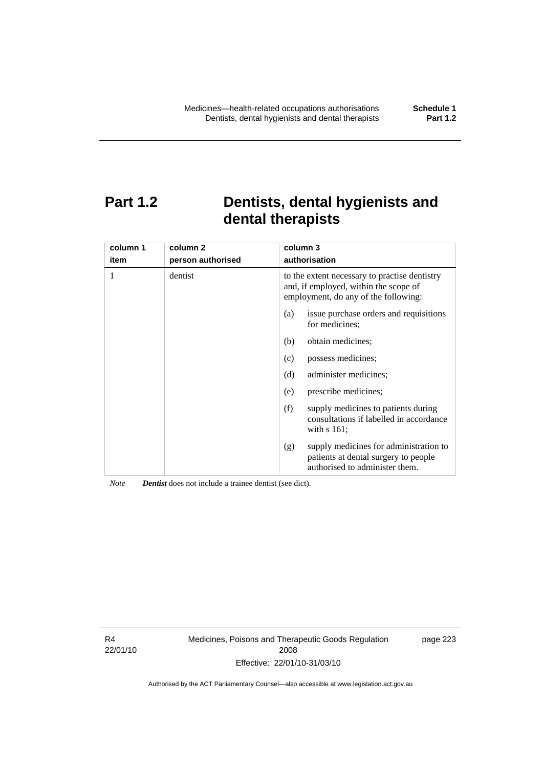# **Part 1.2 Dentists, dental hygienists and dental therapists**

| column 1<br>item | column 2<br>person authorised | column 3<br>authorisation                                                                                                      |  |
|------------------|-------------------------------|--------------------------------------------------------------------------------------------------------------------------------|--|
| 1                | dentist                       | to the extent necessary to practise dentistry<br>and, if employed, within the scope of<br>employment, do any of the following: |  |
|                  |                               | issue purchase orders and requisitions<br>(a)<br>for medicines:                                                                |  |
|                  |                               | obtain medicines;<br>(b)                                                                                                       |  |
|                  |                               | possess medicines;<br>(c)                                                                                                      |  |
|                  |                               | (d)<br>administer medicines;                                                                                                   |  |
|                  |                               | prescribe medicines;<br>(e)                                                                                                    |  |
|                  |                               | supply medicines to patients during<br>(f)<br>consultations if labelled in accordance<br>with $s$ 161;                         |  |
|                  |                               | supply medicines for administration to<br>(g)<br>patients at dental surgery to people<br>authorised to administer them.        |  |

*Note Dentist* does not include a trainee dentist (see dict).

R4 22/01/10 Medicines, Poisons and Therapeutic Goods Regulation 2008 Effective: 22/01/10-31/03/10

page 223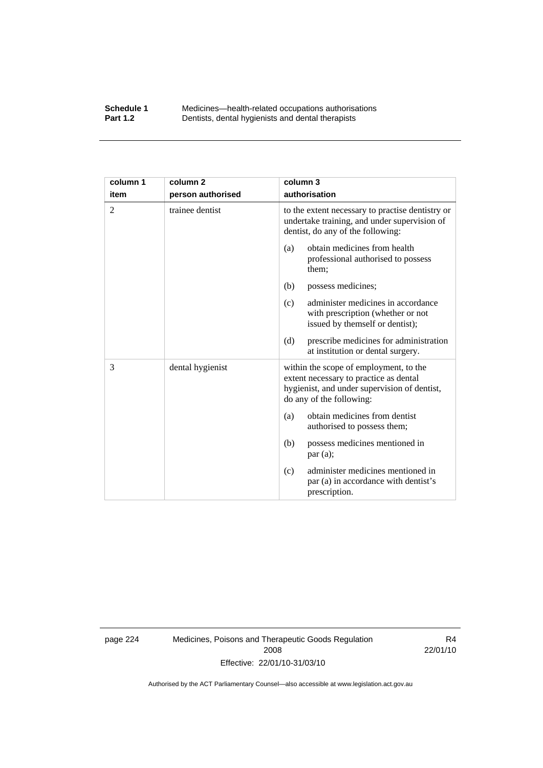#### **Schedule 1** Medicines—health-related occupations authorisations<br>**Part 1.2** Dentists, dental hygienists and dental therapists **Part 1.2** Dentists, dental hygienists and dental therapists

| column 1       | column <sub>2</sub> | column 3                                                                                                                                                     |  |
|----------------|---------------------|--------------------------------------------------------------------------------------------------------------------------------------------------------------|--|
| item           | person authorised   | authorisation                                                                                                                                                |  |
| $\overline{2}$ | trainee dentist     | to the extent necessary to practise dentistry or<br>undertake training, and under supervision of<br>dentist, do any of the following:                        |  |
|                |                     | obtain medicines from health<br>(a)<br>professional authorised to possess<br>them;                                                                           |  |
|                |                     | (b)<br>possess medicines;                                                                                                                                    |  |
|                |                     | administer medicines in accordance<br>(c)<br>with prescription (whether or not<br>issued by themself or dentist);                                            |  |
|                |                     | prescribe medicines for administration<br>(d)<br>at institution or dental surgery.                                                                           |  |
| 3              | dental hygienist    | within the scope of employment, to the<br>extent necessary to practice as dental<br>hygienist, and under supervision of dentist,<br>do any of the following: |  |
|                |                     | obtain medicines from dentist<br>(a)<br>authorised to possess them;                                                                                          |  |
|                |                     | possess medicines mentioned in<br>(b)<br>par(a);                                                                                                             |  |
|                |                     | administer medicines mentioned in<br>(c)<br>par (a) in accordance with dentist's<br>prescription.                                                            |  |

page 224 Medicines, Poisons and Therapeutic Goods Regulation 2008 Effective: 22/01/10-31/03/10

R4 22/01/10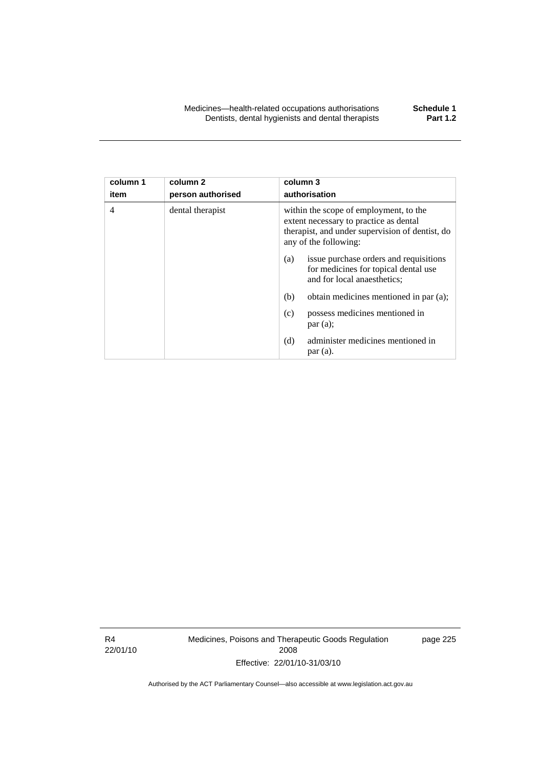| column 1<br>item | column 2<br>person authorised | column 3<br>authorisation                                                                                                                                    |                                                                                |
|------------------|-------------------------------|--------------------------------------------------------------------------------------------------------------------------------------------------------------|--------------------------------------------------------------------------------|
| 4                | dental therapist              | within the scope of employment, to the<br>extent necessary to practice as dental<br>therapist, and under supervision of dentist, do<br>any of the following: |                                                                                |
|                  |                               | (a)<br>and for local anaesthetics;                                                                                                                           | issue purchase orders and requisitions<br>for medicines for topical dental use |
|                  |                               | (b)                                                                                                                                                          | obtain medicines mentioned in par (a);                                         |
|                  |                               | (c)<br>par(a);                                                                                                                                               | possess medicines mentioned in                                                 |
|                  |                               | (d)<br>$par(a)$ .                                                                                                                                            | administer medicines mentioned in                                              |

R4 22/01/10 Medicines, Poisons and Therapeutic Goods Regulation 2008 Effective: 22/01/10-31/03/10

page 225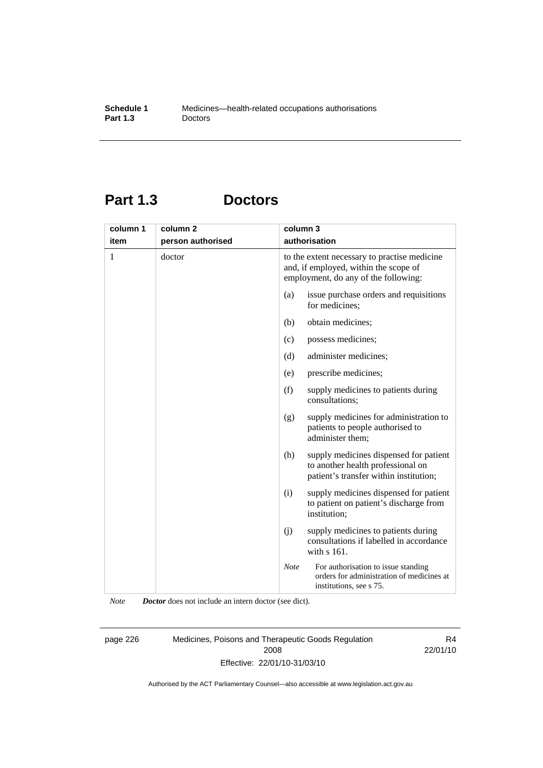# **Part 1.3 Doctors**

| column 1 | column <sub>2</sub> | column 3      |                                                                                                                               |
|----------|---------------------|---------------|-------------------------------------------------------------------------------------------------------------------------------|
| item     | person authorised   | authorisation |                                                                                                                               |
| 1        | doctor              |               | to the extent necessary to practise medicine<br>and, if employed, within the scope of<br>employment, do any of the following: |
|          |                     | (a)           | issue purchase orders and requisitions<br>for medicines;                                                                      |
|          |                     | (b)           | obtain medicines;                                                                                                             |
|          |                     | (c)           | possess medicines;                                                                                                            |
|          |                     | (d)           | administer medicines;                                                                                                         |
|          |                     | (e)           | prescribe medicines;                                                                                                          |
|          |                     | (f)           | supply medicines to patients during<br>consultations:                                                                         |
|          |                     | (g)           | supply medicines for administration to<br>patients to people authorised to<br>administer them;                                |
|          |                     | (h)           | supply medicines dispensed for patient<br>to another health professional on<br>patient's transfer within institution;         |
|          |                     | (i)           | supply medicines dispensed for patient<br>to patient on patient's discharge from<br>institution;                              |
|          |                     | (j)           | supply medicines to patients during<br>consultations if labelled in accordance<br>with s 161.                                 |
|          |                     | <b>Note</b>   | For authorisation to issue standing<br>orders for administration of medicines at<br>institutions, see s 75.                   |

*Note Doctor* does not include an intern doctor (see dict).

page 226 Medicines, Poisons and Therapeutic Goods Regulation 2008 Effective: 22/01/10-31/03/10

R4 22/01/10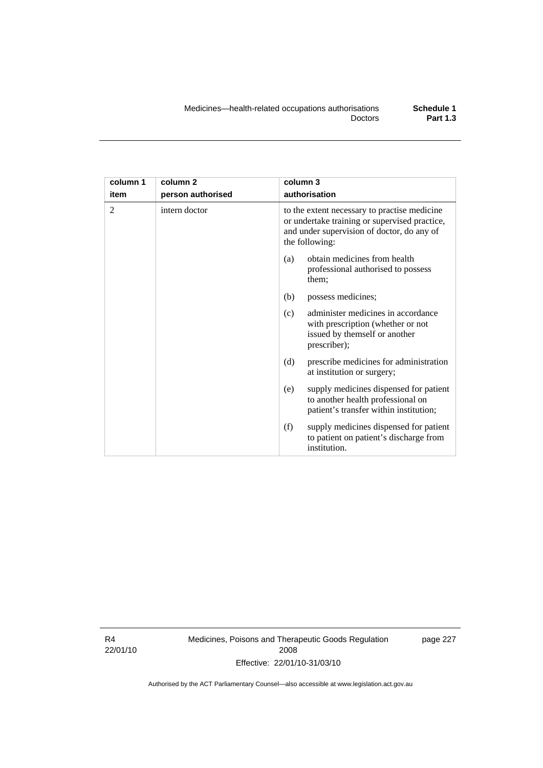| column 1       | column 2          | column 3                                                                                                                                                      |  |
|----------------|-------------------|---------------------------------------------------------------------------------------------------------------------------------------------------------------|--|
| item           | person authorised | authorisation                                                                                                                                                 |  |
| $\mathfrak{D}$ | intern doctor     | to the extent necessary to practise medicine<br>or undertake training or supervised practice,<br>and under supervision of doctor, do any of<br>the following: |  |
|                |                   | obtain medicines from health<br>(a)<br>professional authorised to possess<br>them;                                                                            |  |
|                |                   | (b)<br>possess medicines;                                                                                                                                     |  |
|                |                   | administer medicines in accordance<br>(c)<br>with prescription (whether or not<br>issued by themself or another<br>prescriber);                               |  |
|                |                   | (d)<br>prescribe medicines for administration<br>at institution or surgery;                                                                                   |  |
|                |                   | supply medicines dispensed for patient<br>(e)<br>to another health professional on<br>patient's transfer within institution;                                  |  |
|                |                   | (f)<br>supply medicines dispensed for patient<br>to patient on patient's discharge from<br>institution.                                                       |  |

R4 22/01/10 Medicines, Poisons and Therapeutic Goods Regulation 2008 Effective: 22/01/10-31/03/10

page 227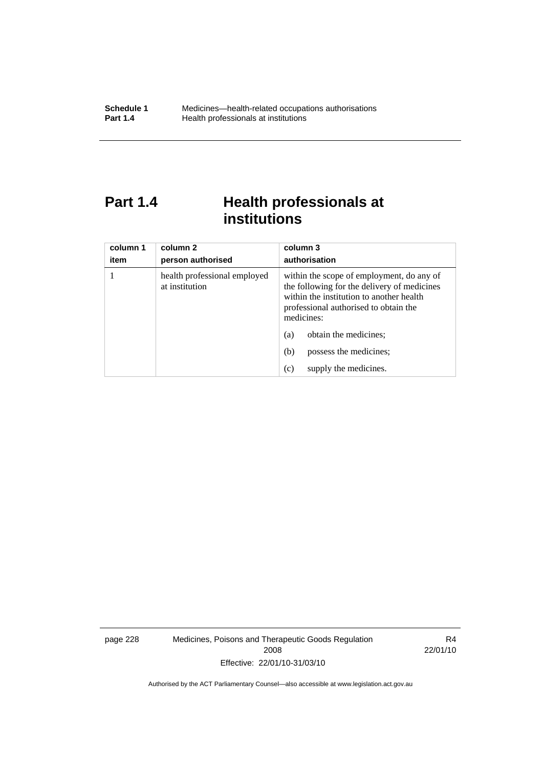# **Part 1.4 Health professionals at institutions**

| column 1<br>item | column 2<br>person authorised                  | column 3<br>authorisation                                                                                                                                                                   |
|------------------|------------------------------------------------|---------------------------------------------------------------------------------------------------------------------------------------------------------------------------------------------|
|                  | health professional employed<br>at institution | within the scope of employment, do any of<br>the following for the delivery of medicines<br>within the institution to another health<br>professional authorised to obtain the<br>medicines: |
|                  |                                                | obtain the medicines;<br>(a)                                                                                                                                                                |
|                  |                                                | possess the medicines;<br>(b)                                                                                                                                                               |
|                  |                                                | supply the medicines.<br>(c)                                                                                                                                                                |

page 228 Medicines, Poisons and Therapeutic Goods Regulation 2008 Effective: 22/01/10-31/03/10

R4 22/01/10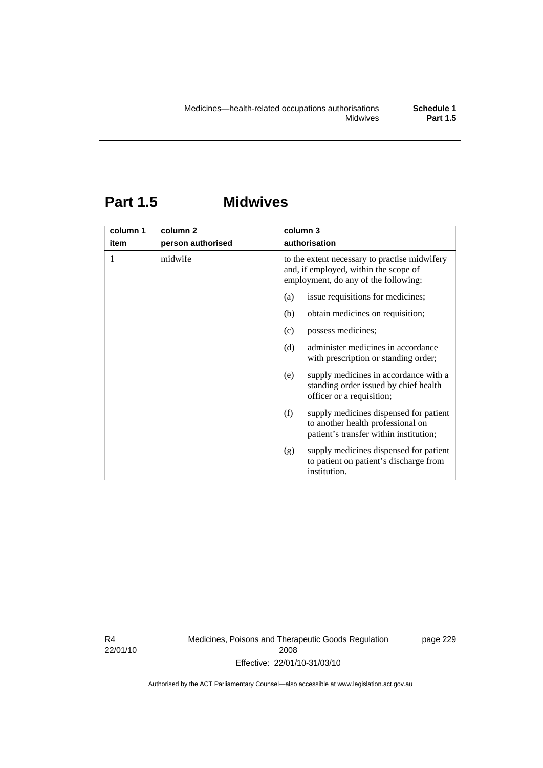### **Part 1.5 Midwives**

| column 1 | column <sub>2</sub> | column 3                                                                                                                       |  |
|----------|---------------------|--------------------------------------------------------------------------------------------------------------------------------|--|
| item     | person authorised   | authorisation                                                                                                                  |  |
| 1        | midwife             | to the extent necessary to practise midwifery<br>and, if employed, within the scope of<br>employment, do any of the following: |  |
|          |                     | issue requisitions for medicines;<br>(a)                                                                                       |  |
|          |                     | (b)<br>obtain medicines on requisition;                                                                                        |  |
|          |                     | (c)<br>possess medicines;                                                                                                      |  |
|          |                     | administer medicines in accordance<br>(d)<br>with prescription or standing order;                                              |  |
|          |                     | supply medicines in accordance with a<br>(e)<br>standing order issued by chief health<br>officer or a requisition;             |  |
|          |                     | (f)<br>supply medicines dispensed for patient<br>to another health professional on<br>patient's transfer within institution;   |  |
|          |                     | supply medicines dispensed for patient<br>(g)<br>to patient on patient's discharge from<br>institution.                        |  |

R4 22/01/10 Medicines, Poisons and Therapeutic Goods Regulation 2008 Effective: 22/01/10-31/03/10

page 229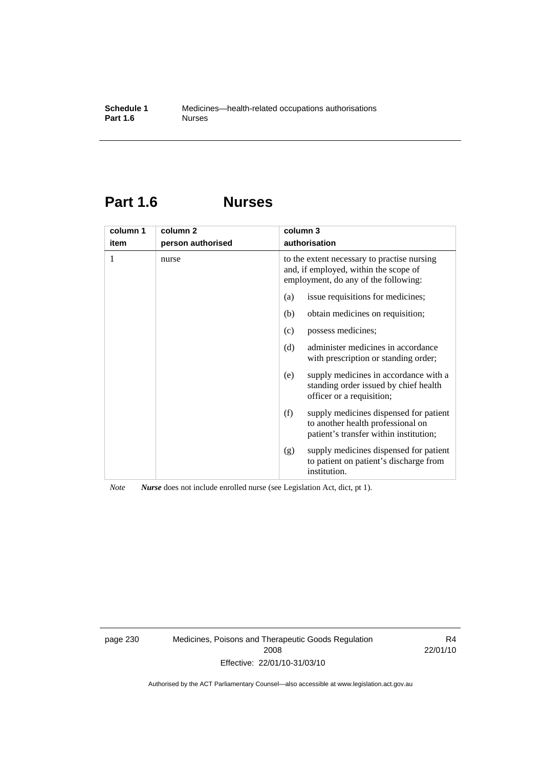### **Part 1.6 Nurses**

| column 1 | column <sub>2</sub> | column 3                                                                                                                     |  |
|----------|---------------------|------------------------------------------------------------------------------------------------------------------------------|--|
| item     | person authorised   | authorisation                                                                                                                |  |
| 1        | nurse               | to the extent necessary to practise nursing<br>and, if employed, within the scope of<br>employment, do any of the following: |  |
|          |                     | issue requisitions for medicines;<br>(a)                                                                                     |  |
|          |                     | obtain medicines on requisition;<br>(b)                                                                                      |  |
|          |                     | possess medicines;<br>(c)                                                                                                    |  |
|          |                     | administer medicines in accordance<br>(d)<br>with prescription or standing order;                                            |  |
|          |                     | supply medicines in accordance with a<br>(e)<br>standing order issued by chief health<br>officer or a requisition;           |  |
|          |                     | supply medicines dispensed for patient<br>(f)<br>to another health professional on<br>patient's transfer within institution; |  |
|          |                     | supply medicines dispensed for patient<br>(g)<br>to patient on patient's discharge from<br>institution.                      |  |

*Note Nurse* does not include enrolled nurse (see Legislation Act, dict, pt 1).

page 230 Medicines, Poisons and Therapeutic Goods Regulation 2008 Effective: 22/01/10-31/03/10

R4 22/01/10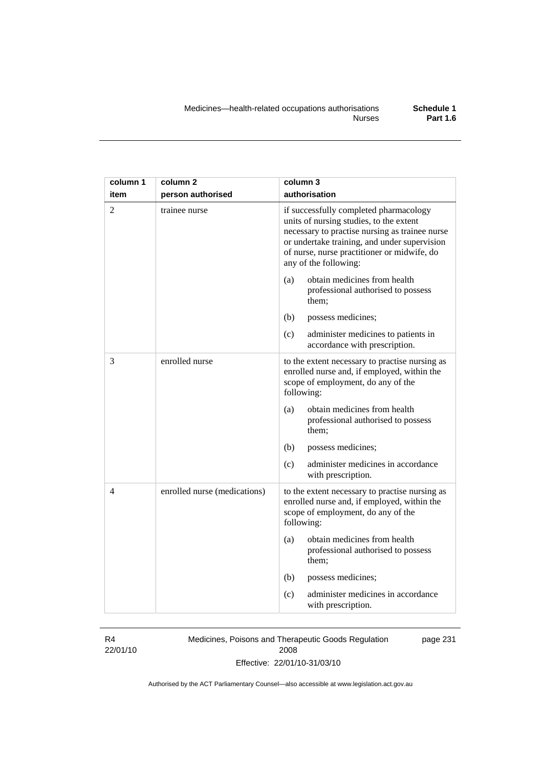| column 1       | column 2                     | column 3                                                                                                                                                                                                                                                    |
|----------------|------------------------------|-------------------------------------------------------------------------------------------------------------------------------------------------------------------------------------------------------------------------------------------------------------|
| item           | person authorised            | authorisation                                                                                                                                                                                                                                               |
| $\overline{2}$ | trainee nurse                | if successfully completed pharmacology<br>units of nursing studies, to the extent<br>necessary to practise nursing as trainee nurse<br>or undertake training, and under supervision<br>of nurse, nurse practitioner or midwife, do<br>any of the following: |
|                |                              | obtain medicines from health<br>(a)<br>professional authorised to possess<br>them;                                                                                                                                                                          |
|                |                              | (b)<br>possess medicines;                                                                                                                                                                                                                                   |
|                |                              | (c)<br>administer medicines to patients in<br>accordance with prescription.                                                                                                                                                                                 |
| 3              | enrolled nurse               | to the extent necessary to practise nursing as<br>enrolled nurse and, if employed, within the<br>scope of employment, do any of the<br>following:                                                                                                           |
|                |                              | (a)<br>obtain medicines from health<br>professional authorised to possess<br>them:                                                                                                                                                                          |
|                |                              | (b)<br>possess medicines;                                                                                                                                                                                                                                   |
|                |                              | (c)<br>administer medicines in accordance<br>with prescription.                                                                                                                                                                                             |
| 4              | enrolled nurse (medications) | to the extent necessary to practise nursing as<br>enrolled nurse and, if employed, within the<br>scope of employment, do any of the<br>following:                                                                                                           |
|                |                              | obtain medicines from health<br>(a)<br>professional authorised to possess<br>them;                                                                                                                                                                          |
|                |                              | (b)<br>possess medicines;                                                                                                                                                                                                                                   |
|                |                              | administer medicines in accordance<br>(c)<br>with prescription.                                                                                                                                                                                             |

### R4

22/01/10

Medicines, Poisons and Therapeutic Goods Regulation 2008 Effective: 22/01/10-31/03/10 page 231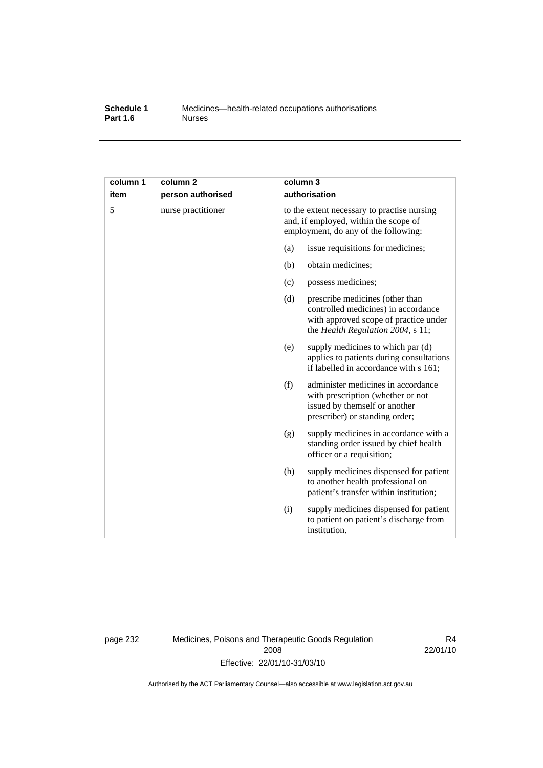#### **Schedule 1** Medicines—health-related occupations authorisations<br>**Part 1.6** Murses **Part 1.6**

| column 1<br>item | column <sub>2</sub><br>person authorised | column 3 | authorisation                                                                                                                                        |
|------------------|------------------------------------------|----------|------------------------------------------------------------------------------------------------------------------------------------------------------|
| 5                | nurse practitioner                       |          | to the extent necessary to practise nursing<br>and, if employed, within the scope of<br>employment, do any of the following:                         |
|                  |                                          | (a)      | issue requisitions for medicines;                                                                                                                    |
|                  |                                          | (b)      | obtain medicines;                                                                                                                                    |
|                  |                                          | (c)      | possess medicines;                                                                                                                                   |
|                  |                                          | (d)      | prescribe medicines (other than<br>controlled medicines) in accordance<br>with approved scope of practice under<br>the Health Regulation 2004, s 11; |
|                  |                                          | (e)      | supply medicines to which par (d)<br>applies to patients during consultations<br>if labelled in accordance with s 161;                               |
|                  |                                          | (f)      | administer medicines in accordance<br>with prescription (whether or not<br>issued by themself or another<br>prescriber) or standing order;           |
|                  |                                          | (g)      | supply medicines in accordance with a<br>standing order issued by chief health<br>officer or a requisition;                                          |
|                  |                                          | (h)      | supply medicines dispensed for patient<br>to another health professional on<br>patient's transfer within institution;                                |
|                  |                                          | (i)      | supply medicines dispensed for patient<br>to patient on patient's discharge from<br>institution.                                                     |

page 232 Medicines, Poisons and Therapeutic Goods Regulation 2008 Effective: 22/01/10-31/03/10

R4 22/01/10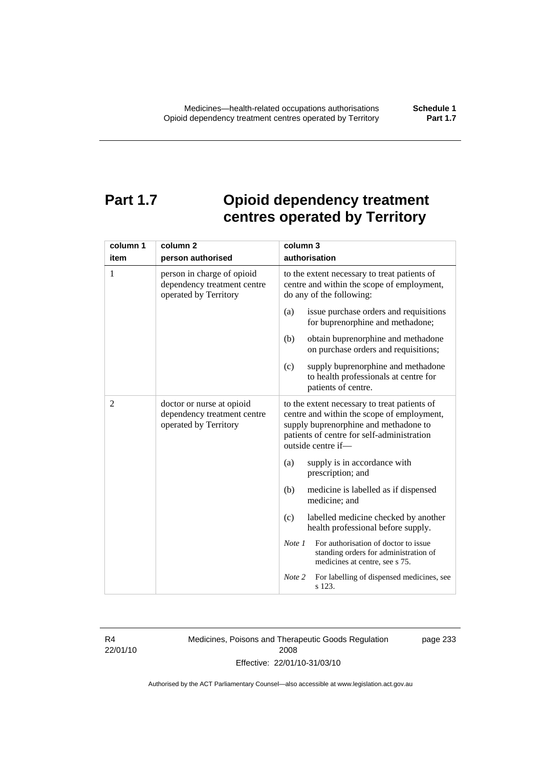# **Part 1.7 Opioid dependency treatment centres operated by Territory**

| column 1       | column 2                                                                           | column 3                                                                                                                                                                                                |  |
|----------------|------------------------------------------------------------------------------------|---------------------------------------------------------------------------------------------------------------------------------------------------------------------------------------------------------|--|
| item           | person authorised                                                                  | authorisation                                                                                                                                                                                           |  |
| 1              | person in charge of opioid<br>dependency treatment centre<br>operated by Territory | to the extent necessary to treat patients of<br>centre and within the scope of employment,<br>do any of the following:                                                                                  |  |
|                |                                                                                    | (a)<br>issue purchase orders and requisitions<br>for buprenorphine and methadone;                                                                                                                       |  |
|                |                                                                                    | (b)<br>obtain buprenorphine and methadone<br>on purchase orders and requisitions;                                                                                                                       |  |
|                |                                                                                    | supply buprenorphine and methadone<br>(c)<br>to health professionals at centre for<br>patients of centre.                                                                                               |  |
| $\overline{2}$ | doctor or nurse at opioid<br>dependency treatment centre<br>operated by Territory  | to the extent necessary to treat patients of<br>centre and within the scope of employment,<br>supply buprenorphine and methadone to<br>patients of centre for self-administration<br>outside centre if- |  |
|                |                                                                                    | supply is in accordance with<br>(a)<br>prescription; and                                                                                                                                                |  |
|                |                                                                                    | (b)<br>medicine is labelled as if dispensed<br>medicine; and                                                                                                                                            |  |
|                |                                                                                    | labelled medicine checked by another<br>(c)<br>health professional before supply.                                                                                                                       |  |
|                |                                                                                    | For authorisation of doctor to issue<br>Note 1<br>standing orders for administration of<br>medicines at centre, see s 75.                                                                               |  |
|                |                                                                                    | Note 2<br>For labelling of dispensed medicines, see<br>s 123.                                                                                                                                           |  |

R4 22/01/10 Medicines, Poisons and Therapeutic Goods Regulation 2008 Effective: 22/01/10-31/03/10

page 233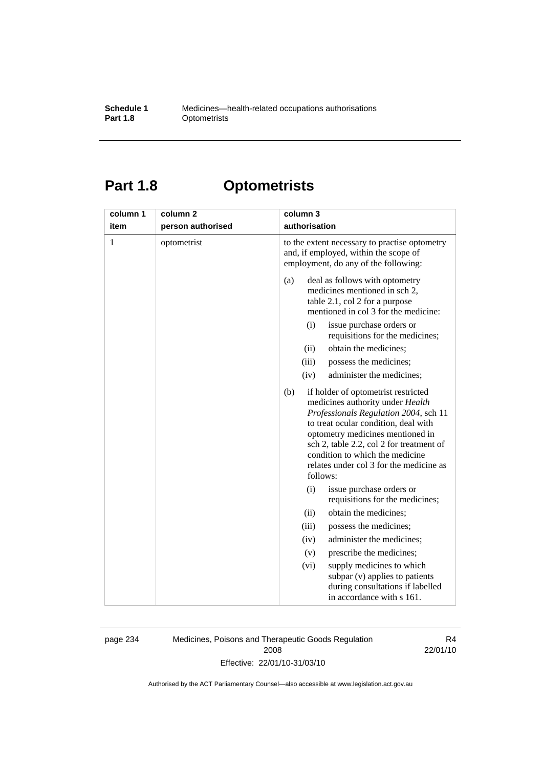#### **Schedule 1** Medicines—health-related occupations authorisations<br>**Part 1.8** Optometrists **Optometrists**

# **Part 1.8 Optometrists**

| column 1     | column <sub>2</sub> | column 3                                                                                                                                                                                                                                                                                                                                  |
|--------------|---------------------|-------------------------------------------------------------------------------------------------------------------------------------------------------------------------------------------------------------------------------------------------------------------------------------------------------------------------------------------|
| item         | person authorised   | authorisation                                                                                                                                                                                                                                                                                                                             |
| $\mathbf{1}$ | optometrist         | to the extent necessary to practise optometry<br>and, if employed, within the scope of<br>employment, do any of the following:                                                                                                                                                                                                            |
|              |                     | deal as follows with optometry<br>(a)<br>medicines mentioned in sch 2,<br>table 2.1, col 2 for a purpose<br>mentioned in col 3 for the medicine:                                                                                                                                                                                          |
|              |                     | issue purchase orders or<br>(i)<br>requisitions for the medicines;                                                                                                                                                                                                                                                                        |
|              |                     | obtain the medicines;<br>(ii)                                                                                                                                                                                                                                                                                                             |
|              |                     | (iii)<br>possess the medicines;                                                                                                                                                                                                                                                                                                           |
|              |                     | (iv)<br>administer the medicines;                                                                                                                                                                                                                                                                                                         |
|              |                     | (b)<br>if holder of optometrist restricted<br>medicines authority under Health<br>Professionals Regulation 2004, sch 11<br>to treat ocular condition, deal with<br>optometry medicines mentioned in<br>sch 2, table 2.2, col 2 for treatment of<br>condition to which the medicine<br>relates under col 3 for the medicine as<br>follows: |
|              |                     | (i)<br>issue purchase orders or<br>requisitions for the medicines;                                                                                                                                                                                                                                                                        |
|              |                     | obtain the medicines;<br>(ii)                                                                                                                                                                                                                                                                                                             |
|              |                     | (iii)<br>possess the medicines;                                                                                                                                                                                                                                                                                                           |
|              |                     | administer the medicines;<br>(iv)                                                                                                                                                                                                                                                                                                         |
|              |                     | prescribe the medicines;<br>(v)                                                                                                                                                                                                                                                                                                           |
|              |                     | supply medicines to which<br>(vi)<br>subpar (v) applies to patients<br>during consultations if labelled<br>in accordance with s 161.                                                                                                                                                                                                      |

page 234 Medicines, Poisons and Therapeutic Goods Regulation 2008 Effective: 22/01/10-31/03/10

R4 22/01/10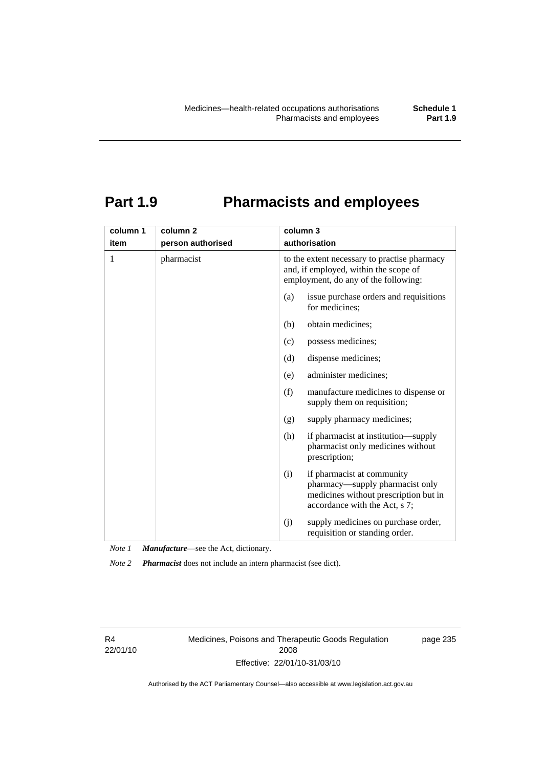### **Part 1.9 Pharmacists and employees**

| column 1 | column <sub>2</sub> | column 3                                                                                                                                       |
|----------|---------------------|------------------------------------------------------------------------------------------------------------------------------------------------|
| item     | person authorised   | authorisation                                                                                                                                  |
| 1        | pharmacist          | to the extent necessary to practise pharmacy<br>and, if employed, within the scope of<br>employment, do any of the following:                  |
|          |                     | (a)<br>issue purchase orders and requisitions<br>for medicines;                                                                                |
|          |                     | obtain medicines;<br>(b)                                                                                                                       |
|          |                     | possess medicines;<br>(c)                                                                                                                      |
|          |                     | dispense medicines;<br>(d)                                                                                                                     |
|          |                     | administer medicines;<br>(e)                                                                                                                   |
|          |                     | (f)<br>manufacture medicines to dispense or<br>supply them on requisition;                                                                     |
|          |                     | supply pharmacy medicines;<br>(g)                                                                                                              |
|          |                     | (h)<br>if pharmacist at institution—supply<br>pharmacist only medicines without<br>prescription;                                               |
|          |                     | if pharmacist at community<br>(i)<br>pharmacy-supply pharmacist only<br>medicines without prescription but in<br>accordance with the Act, s 7; |
|          |                     | supply medicines on purchase order,<br>(i)<br>requisition or standing order.                                                                   |

*Note 1 Manufacture*—see the Act, dictionary.

*Note 2 Pharmacist* does not include an intern pharmacist (see dict).

R4 22/01/10 Medicines, Poisons and Therapeutic Goods Regulation 2008 Effective: 22/01/10-31/03/10

page 235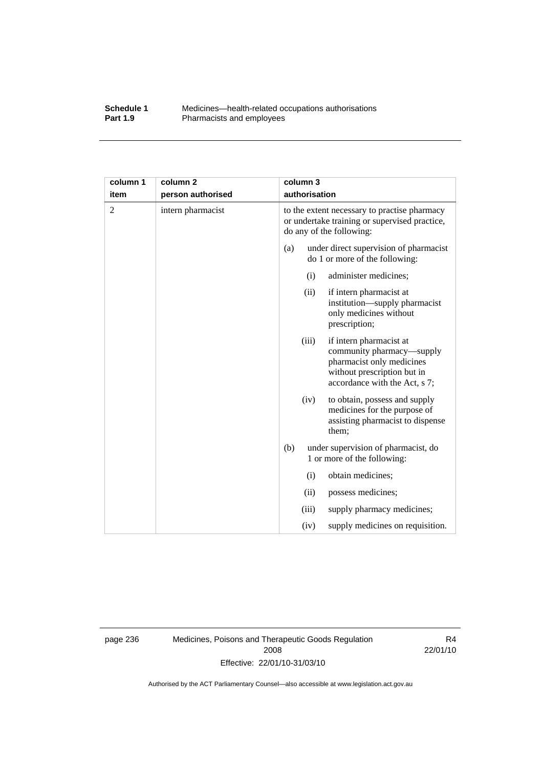#### **Schedule 1** Medicines—health-related occupations authorisations<br>**Part 1.9** Pharmacists and employees Pharmacists and employees

| column 1<br>item | column <sub>2</sub><br>person authorised |     | column 3<br>authorisation                                                                                                 |                                                                                                                                                   |
|------------------|------------------------------------------|-----|---------------------------------------------------------------------------------------------------------------------------|---------------------------------------------------------------------------------------------------------------------------------------------------|
| 2                | intern pharmacist                        |     | to the extent necessary to practise pharmacy<br>or undertake training or supervised practice,<br>do any of the following: |                                                                                                                                                   |
|                  |                                          | (a) |                                                                                                                           | under direct supervision of pharmacist<br>do 1 or more of the following:                                                                          |
|                  |                                          |     | (i)                                                                                                                       | administer medicines;                                                                                                                             |
|                  |                                          |     | (ii)                                                                                                                      | if intern pharmacist at<br>institution—supply pharmacist<br>only medicines without<br>prescription;                                               |
|                  |                                          |     | (iii)                                                                                                                     | if intern pharmacist at<br>community pharmacy—supply<br>pharmacist only medicines<br>without prescription but in<br>accordance with the Act, s 7; |
|                  |                                          |     | (iv)                                                                                                                      | to obtain, possess and supply<br>medicines for the purpose of<br>assisting pharmacist to dispense<br>them;                                        |
|                  |                                          | (b) |                                                                                                                           | under supervision of pharmacist, do<br>1 or more of the following:                                                                                |
|                  |                                          |     | (i)                                                                                                                       | obtain medicines;                                                                                                                                 |
|                  |                                          |     | (ii)                                                                                                                      | possess medicines;                                                                                                                                |
|                  |                                          |     | (iii)                                                                                                                     | supply pharmacy medicines;                                                                                                                        |
|                  |                                          |     | (iv)                                                                                                                      | supply medicines on requisition.                                                                                                                  |

page 236 Medicines, Poisons and Therapeutic Goods Regulation 2008 Effective: 22/01/10-31/03/10

R4 22/01/10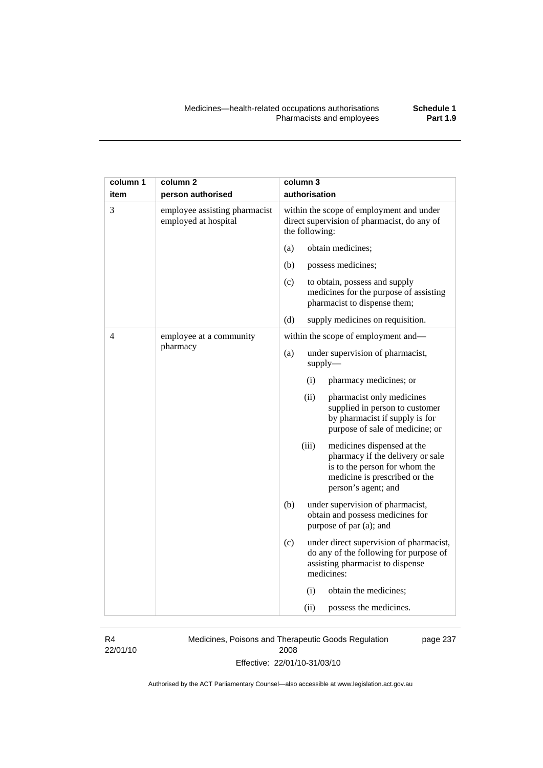| column 1<br>item | column <sub>2</sub><br>person authorised              | column 3<br>authorisation                                                                                                                                        |
|------------------|-------------------------------------------------------|------------------------------------------------------------------------------------------------------------------------------------------------------------------|
| 3                | employee assisting pharmacist<br>employed at hospital | within the scope of employment and under<br>direct supervision of pharmacist, do any of<br>the following:                                                        |
|                  |                                                       | (a)<br>obtain medicines;                                                                                                                                         |
|                  |                                                       | (b)<br>possess medicines;                                                                                                                                        |
|                  |                                                       | (c)<br>to obtain, possess and supply<br>medicines for the purpose of assisting<br>pharmacist to dispense them;                                                   |
|                  |                                                       | (d)<br>supply medicines on requisition.                                                                                                                          |
| 4                | employee at a community                               | within the scope of employment and-                                                                                                                              |
|                  | pharmacy                                              | (a)<br>under supervision of pharmacist,<br>supply                                                                                                                |
|                  |                                                       | pharmacy medicines; or<br>(i)                                                                                                                                    |
|                  |                                                       | (ii)<br>pharmacist only medicines<br>supplied in person to customer<br>by pharmacist if supply is for<br>purpose of sale of medicine; or                         |
|                  |                                                       | (iii)<br>medicines dispensed at the<br>pharmacy if the delivery or sale<br>is to the person for whom the<br>medicine is prescribed or the<br>person's agent; and |
|                  |                                                       | (b)<br>under supervision of pharmacist,<br>obtain and possess medicines for<br>purpose of par (a); and                                                           |
|                  |                                                       | (c)<br>under direct supervision of pharmacist,<br>do any of the following for purpose of<br>assisting pharmacist to dispense<br>medicines:                       |
|                  |                                                       | (i)<br>obtain the medicines;                                                                                                                                     |
|                  |                                                       | (ii)<br>possess the medicines.                                                                                                                                   |

R4 22/01/10 Medicines, Poisons and Therapeutic Goods Regulation 2008 Effective: 22/01/10-31/03/10

page 237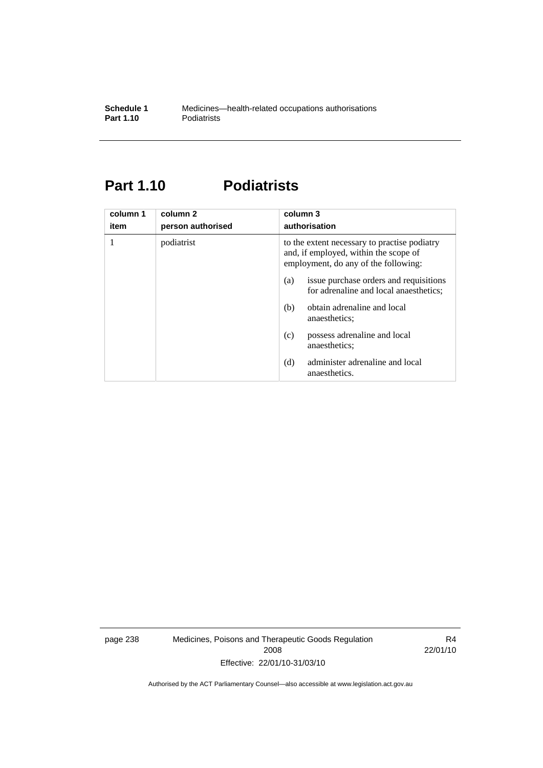### **Part 1.10 Podiatrists**

| column 1<br>item | column <sub>2</sub><br>person authorised | column 3<br>authorisation                                                                                                     |
|------------------|------------------------------------------|-------------------------------------------------------------------------------------------------------------------------------|
| 1                | podiatrist                               | to the extent necessary to practise podiatry<br>and, if employed, within the scope of<br>employment, do any of the following: |
|                  |                                          | issue purchase orders and requisitions<br>(a)<br>for adrenaline and local anaesthetics;                                       |
|                  |                                          | obtain adrenaline and local<br>(b)<br>anaesthetics:                                                                           |
|                  |                                          | possess adrenaline and local<br>(c)<br>anaesthetics:                                                                          |
|                  |                                          | administer adrenaline and local<br>(d)<br>anaesthetics.                                                                       |

page 238 Medicines, Poisons and Therapeutic Goods Regulation 2008 Effective: 22/01/10-31/03/10

R4 22/01/10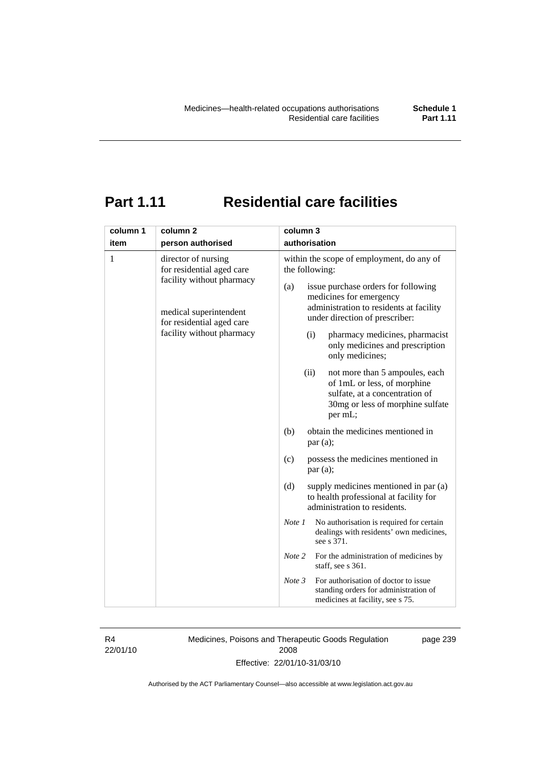# **Part 1.11 Residential care facilities**

| column 1 | column <sub>2</sub>                                                                                                                                               | column 3                                                                                                                                                                                                                                                                                                                                                                                  |  |  |
|----------|-------------------------------------------------------------------------------------------------------------------------------------------------------------------|-------------------------------------------------------------------------------------------------------------------------------------------------------------------------------------------------------------------------------------------------------------------------------------------------------------------------------------------------------------------------------------------|--|--|
| item     | person authorised                                                                                                                                                 | authorisation                                                                                                                                                                                                                                                                                                                                                                             |  |  |
| 1        | director of nursing<br>for residential aged care<br>facility without pharmacy<br>medical superintendent<br>for residential aged care<br>facility without pharmacy | within the scope of employment, do any of<br>the following:<br>(a)<br>issue purchase orders for following<br>medicines for emergency<br>administration to residents at facility<br>under direction of prescriber:<br>pharmacy medicines, pharmacist<br>(i)<br>only medicines and prescription<br>only medicines;<br>(ii)<br>not more than 5 ampoules, each<br>of 1mL or less, of morphine |  |  |
|          |                                                                                                                                                                   | sulfate, at a concentration of<br>30mg or less of morphine sulfate<br>per mL;                                                                                                                                                                                                                                                                                                             |  |  |
|          | obtain the medicines mentioned in<br>(b)<br>par (a);                                                                                                              |                                                                                                                                                                                                                                                                                                                                                                                           |  |  |
|          |                                                                                                                                                                   | possess the medicines mentioned in<br>(c)<br>par(a);                                                                                                                                                                                                                                                                                                                                      |  |  |
|          |                                                                                                                                                                   | supply medicines mentioned in par (a)<br>(d)<br>to health professional at facility for<br>administration to residents.                                                                                                                                                                                                                                                                    |  |  |
|          |                                                                                                                                                                   | Note 1<br>No authorisation is required for certain<br>dealings with residents' own medicines,<br>see s 371.                                                                                                                                                                                                                                                                               |  |  |
|          |                                                                                                                                                                   | Note 2<br>For the administration of medicines by<br>staff, see s 361.                                                                                                                                                                                                                                                                                                                     |  |  |
|          |                                                                                                                                                                   | For authorisation of doctor to issue<br>Note 3<br>standing orders for administration of<br>medicines at facility, see s 75.                                                                                                                                                                                                                                                               |  |  |

R4 22/01/10 Medicines, Poisons and Therapeutic Goods Regulation 2008 Effective: 22/01/10-31/03/10

page 239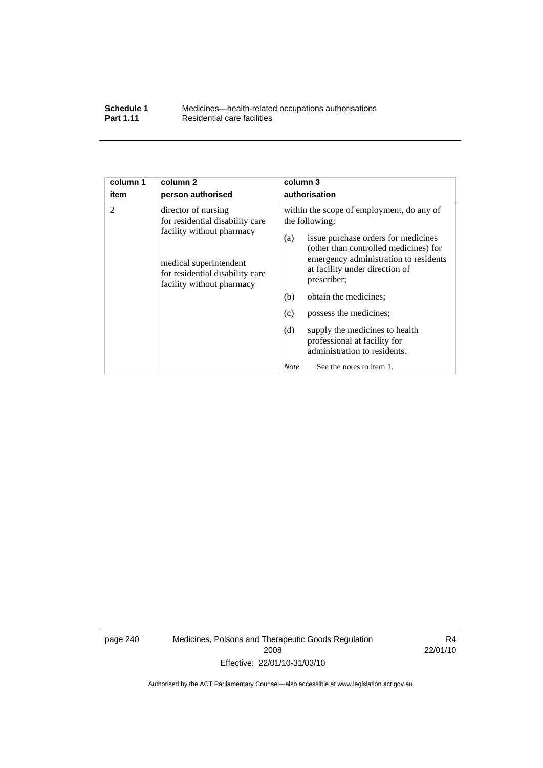| <b>Schedule 1</b> | Medicines—health-related occupations authorisations |
|-------------------|-----------------------------------------------------|
| <b>Part 1.11</b>  | Residential care facilities                         |

| column 1 | column <sub>2</sub>                                                                                                                                                           | column 3                                                                                                                                                                                                                                                                                                                                                                                                                                                          |  |  |
|----------|-------------------------------------------------------------------------------------------------------------------------------------------------------------------------------|-------------------------------------------------------------------------------------------------------------------------------------------------------------------------------------------------------------------------------------------------------------------------------------------------------------------------------------------------------------------------------------------------------------------------------------------------------------------|--|--|
| item     | person authorised                                                                                                                                                             | authorisation                                                                                                                                                                                                                                                                                                                                                                                                                                                     |  |  |
| 2        | director of nursing<br>for residential disability care<br>facility without pharmacy<br>medical superintendent<br>for residential disability care<br>facility without pharmacy | within the scope of employment, do any of<br>the following:<br>issue purchase orders for medicines<br>(a)<br>(other than controlled medicines) for<br>emergency administration to residents<br>at facility under direction of<br>prescriber;<br>(b)<br>obtain the medicines;<br>possess the medicines;<br>(c)<br>supply the medicines to health<br>(d)<br>professional at facility for<br>administration to residents.<br>See the notes to item 1.<br><b>Note</b> |  |  |

page 240 Medicines, Poisons and Therapeutic Goods Regulation 2008 Effective: 22/01/10-31/03/10

R4 22/01/10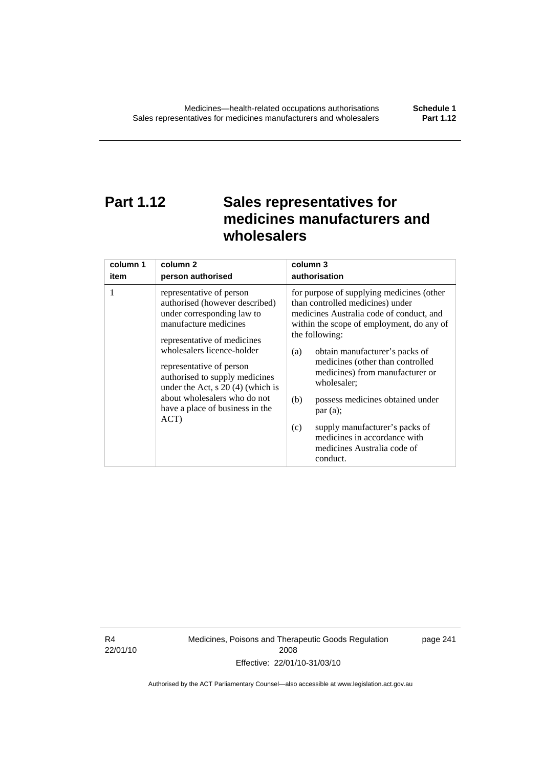# **Part 1.12 Sales representatives for medicines manufacturers and wholesalers**

| column 1 | column 2                                                                                                                                                                                                                                                                                                                                                       | column 3                                                                                                                                                                                                                                                                                                                                                                                                                                                                                          |  |
|----------|----------------------------------------------------------------------------------------------------------------------------------------------------------------------------------------------------------------------------------------------------------------------------------------------------------------------------------------------------------------|---------------------------------------------------------------------------------------------------------------------------------------------------------------------------------------------------------------------------------------------------------------------------------------------------------------------------------------------------------------------------------------------------------------------------------------------------------------------------------------------------|--|
| item     | person authorised                                                                                                                                                                                                                                                                                                                                              | authorisation                                                                                                                                                                                                                                                                                                                                                                                                                                                                                     |  |
| 1        | representative of person<br>authorised (however described)<br>under corresponding law to<br>manufacture medicines<br>representative of medicines<br>wholesalers licence-holder<br>representative of person<br>authorised to supply medicines<br>under the Act, $s$ 20 (4) (which is<br>about wholesalers who do not<br>have a place of business in the<br>ACT) | for purpose of supplying medicines (other<br>than controlled medicines) under<br>medicines Australia code of conduct, and<br>within the scope of employment, do any of<br>the following:<br>obtain manufacturer's packs of<br>(a)<br>medicines (other than controlled<br>medicines) from manufacturer or<br>wholesaler;<br>(b)<br>possess medicines obtained under<br>par(a);<br>supply manufacturer's packs of<br>(c)<br>medicines in accordance with<br>medicines Australia code of<br>conduct. |  |

R4 22/01/10 Medicines, Poisons and Therapeutic Goods Regulation 2008 Effective: 22/01/10-31/03/10

page 241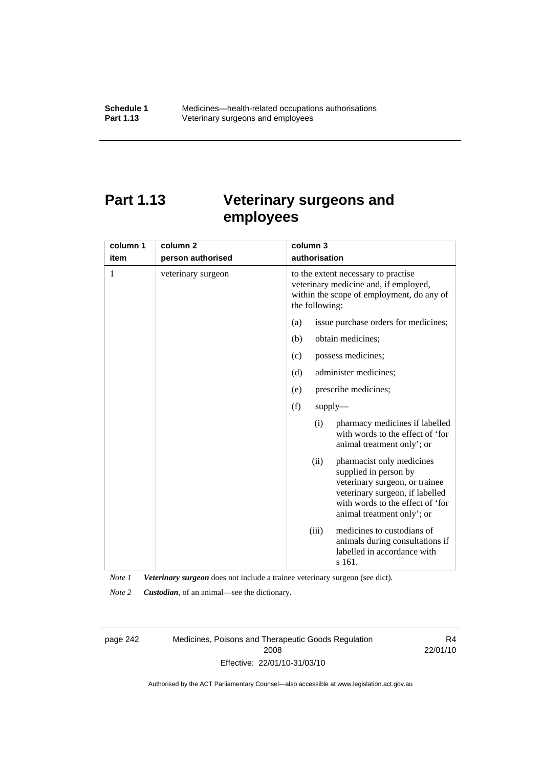### **Part 1.13 Veterinary surgeons and employees**

| column 1 | column <sub>2</sub> | column 3                                                                                                                                                                                          |  |  |
|----------|---------------------|---------------------------------------------------------------------------------------------------------------------------------------------------------------------------------------------------|--|--|
| item     | person authorised   | authorisation                                                                                                                                                                                     |  |  |
| 1        | veterinary surgeon  | to the extent necessary to practise<br>veterinary medicine and, if employed,<br>within the scope of employment, do any of<br>the following:                                                       |  |  |
|          |                     | issue purchase orders for medicines;<br>(a)                                                                                                                                                       |  |  |
|          |                     | obtain medicines;<br>(b)                                                                                                                                                                          |  |  |
|          |                     | possess medicines;<br>(c)                                                                                                                                                                         |  |  |
|          |                     | (d)<br>administer medicines;                                                                                                                                                                      |  |  |
|          |                     | prescribe medicines;<br>(e)                                                                                                                                                                       |  |  |
|          |                     | (f)<br>$supply$ —                                                                                                                                                                                 |  |  |
|          |                     | pharmacy medicines if labelled<br>(i)<br>with words to the effect of 'for<br>animal treatment only'; or                                                                                           |  |  |
|          |                     | (ii)<br>pharmacist only medicines<br>supplied in person by<br>veterinary surgeon, or trainee<br>veterinary surgeon, if labelled<br>with words to the effect of 'for<br>animal treatment only'; or |  |  |
|          |                     | medicines to custodians of<br>(iii)<br>animals during consultations if<br>labelled in accordance with<br>s 161.                                                                                   |  |  |

*Note 1 Veterinary surgeon* does not include a trainee veterinary surgeon (see dict).

*Note 2 Custodian*, of an animal—see the dictionary.

page 242 Medicines, Poisons and Therapeutic Goods Regulation 2008 Effective: 22/01/10-31/03/10

R4 22/01/10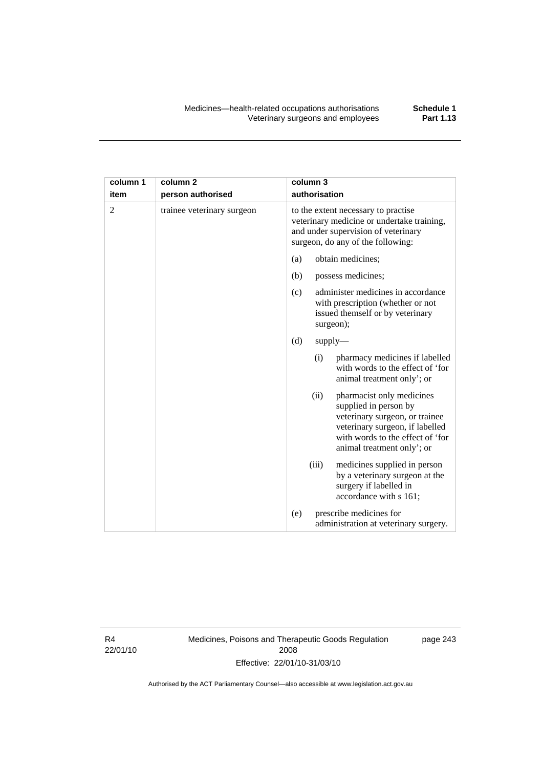| column 1 | column <sub>2</sub>        | column 3                                                                                                                                                                                          |  |
|----------|----------------------------|---------------------------------------------------------------------------------------------------------------------------------------------------------------------------------------------------|--|
| item     | person authorised          | authorisation                                                                                                                                                                                     |  |
| 2        | trainee veterinary surgeon | to the extent necessary to practise<br>veterinary medicine or undertake training,<br>and under supervision of veterinary<br>surgeon, do any of the following:                                     |  |
|          |                            | obtain medicines;<br>(a)                                                                                                                                                                          |  |
|          |                            | (b)<br>possess medicines;                                                                                                                                                                         |  |
|          |                            | administer medicines in accordance<br>(c)<br>with prescription (whether or not<br>issued themself or by veterinary<br>surgeon);                                                                   |  |
|          |                            | (d)<br>$supply$ —                                                                                                                                                                                 |  |
|          |                            | pharmacy medicines if labelled<br>(i)<br>with words to the effect of 'for<br>animal treatment only'; or                                                                                           |  |
|          |                            | (ii)<br>pharmacist only medicines<br>supplied in person by<br>veterinary surgeon, or trainee<br>veterinary surgeon, if labelled<br>with words to the effect of 'for<br>animal treatment only'; or |  |
|          |                            | (iii)<br>medicines supplied in person<br>by a veterinary surgeon at the<br>surgery if labelled in<br>accordance with s 161;                                                                       |  |
|          |                            | prescribe medicines for<br>(e)<br>administration at veterinary surgery.                                                                                                                           |  |

R4 22/01/10 Medicines, Poisons and Therapeutic Goods Regulation 2008 Effective: 22/01/10-31/03/10

page 243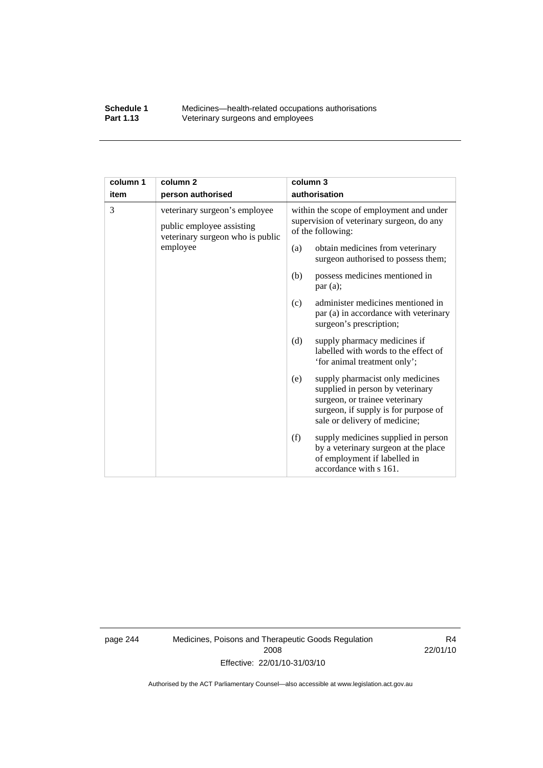#### **Schedule 1** Medicines—health-related occupations authorisations<br>**Part 1.13** Veterinary surgeons and employees Veterinary surgeons and employees

| column 1 | column <sub>2</sub>                                                                            | column 3                                                                                                   |                                                                                                                                                                                 |
|----------|------------------------------------------------------------------------------------------------|------------------------------------------------------------------------------------------------------------|---------------------------------------------------------------------------------------------------------------------------------------------------------------------------------|
| item     | person authorised                                                                              | authorisation                                                                                              |                                                                                                                                                                                 |
| 3        | veterinary surgeon's employee<br>public employee assisting<br>veterinary surgeon who is public | within the scope of employment and under<br>supervision of veterinary surgeon, do any<br>of the following: |                                                                                                                                                                                 |
|          | employee                                                                                       | (a)                                                                                                        | obtain medicines from veterinary<br>surgeon authorised to possess them;                                                                                                         |
|          |                                                                                                | (b)                                                                                                        | possess medicines mentioned in<br>par(a);                                                                                                                                       |
|          |                                                                                                | (c)                                                                                                        | administer medicines mentioned in<br>par (a) in accordance with veterinary<br>surgeon's prescription;                                                                           |
|          |                                                                                                | (d)                                                                                                        | supply pharmacy medicines if<br>labelled with words to the effect of<br>'for animal treatment only';                                                                            |
|          |                                                                                                | (e)                                                                                                        | supply pharmacist only medicines<br>supplied in person by veterinary<br>surgeon, or trainee veterinary<br>surgeon, if supply is for purpose of<br>sale or delivery of medicine; |
|          |                                                                                                | (f)                                                                                                        | supply medicines supplied in person<br>by a veterinary surgeon at the place<br>of employment if labelled in<br>accordance with s 161.                                           |

page 244 Medicines, Poisons and Therapeutic Goods Regulation 2008 Effective: 22/01/10-31/03/10

R4 22/01/10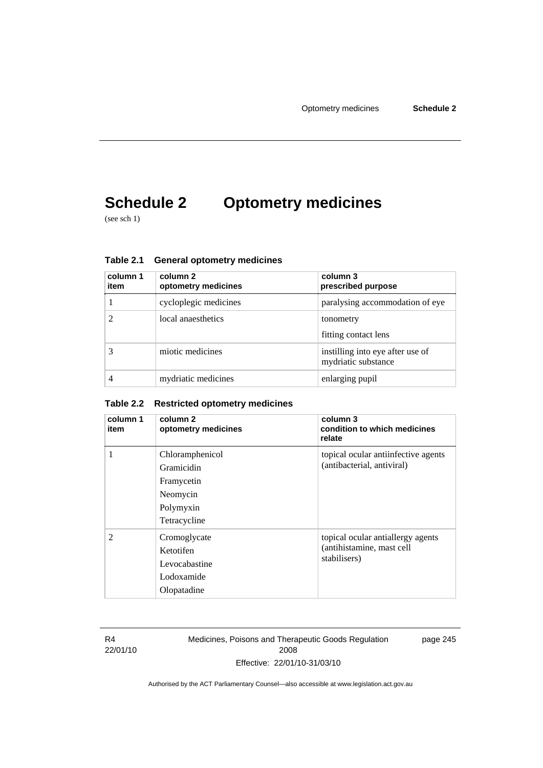# **Schedule 2 Optometry medicines**

(see sch 1)

| column 1<br>item | column 2<br>optometry medicines | column 3<br>prescribed purpose                          |
|------------------|---------------------------------|---------------------------------------------------------|
|                  | cycloplegic medicines           | paralysing accommodation of eye                         |
|                  | local anaesthetics              | tonometry<br>fitting contact lens                       |
|                  | miotic medicines                | instilling into eye after use of<br>mydriatic substance |
|                  | mydriatic medicines             | enlarging pupil                                         |

**Table 2.1 General optometry medicines** 

#### **Table 2.2 Restricted optometry medicines**

| column 1<br>item | column 2<br>optometry medicines                                                      | column 3<br>condition to which medicines<br>relate                             |
|------------------|--------------------------------------------------------------------------------------|--------------------------------------------------------------------------------|
| 1                | Chloramphenicol<br>Gramicidin<br>Framycetin<br>Neomycin<br>Polymyxin<br>Tetracycline | topical ocular antiinfective agents<br>(antibacterial, antiviral)              |
| $\mathfrak{D}$   | Cromoglycate<br>Ketotifen<br>Levocabastine<br>Lodoxamide<br>Olopatadine              | topical ocular antiallergy agents<br>(antihistamine, mast cell<br>stabilisers) |

R4 22/01/10 Medicines, Poisons and Therapeutic Goods Regulation 2008 Effective: 22/01/10-31/03/10

page 245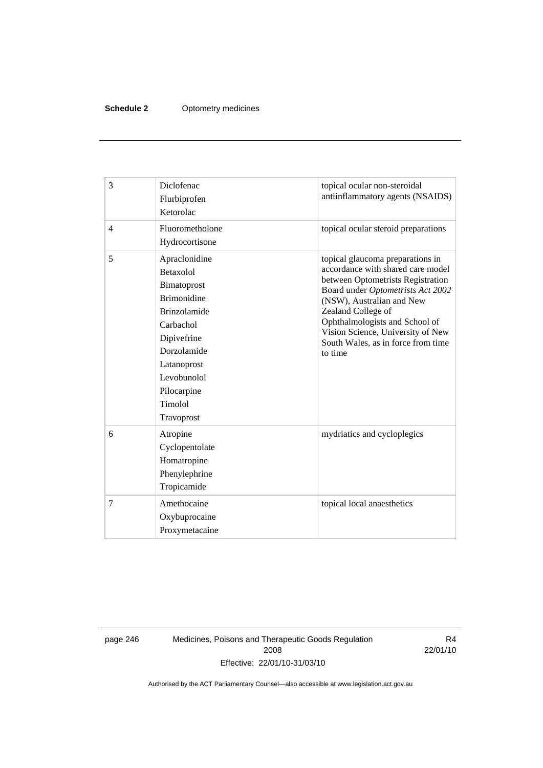#### **Schedule 2** Optometry medicines

| 3              | Diclofenac<br>Flurbiprofen<br>Ketorolac                                                                                                                                                                        | topical ocular non-steroidal<br>antiinflammatory agents (NSAIDS)                                                                                                                                                                                                                                                           |
|----------------|----------------------------------------------------------------------------------------------------------------------------------------------------------------------------------------------------------------|----------------------------------------------------------------------------------------------------------------------------------------------------------------------------------------------------------------------------------------------------------------------------------------------------------------------------|
| $\overline{4}$ | Fluorometholone<br>Hydrocortisone                                                                                                                                                                              | topical ocular steroid preparations                                                                                                                                                                                                                                                                                        |
| 5              | Apraclonidine<br><b>Betaxolol</b><br>Bimatoprost<br><b>Brimonidine</b><br><b>Brinzolamide</b><br>Carbachol<br>Dipivefrine<br>Dorzolamide<br>Latanoprost<br>Levobunolol<br>Pilocarpine<br>Timolol<br>Travoprost | topical glaucoma preparations in<br>accordance with shared care model<br>between Optometrists Registration<br>Board under Optometrists Act 2002<br>(NSW), Australian and New<br>Zealand College of<br>Ophthalmologists and School of<br>Vision Science, University of New<br>South Wales, as in force from time<br>to time |
| 6              | Atropine<br>Cyclopentolate<br>Homatropine<br>Phenylephrine<br>Tropicamide                                                                                                                                      | mydriatics and cycloplegics                                                                                                                                                                                                                                                                                                |
| 7              | Amethocaine<br>Oxybuprocaine<br>Proxymetacaine                                                                                                                                                                 | topical local anaesthetics                                                                                                                                                                                                                                                                                                 |

page 246 Medicines, Poisons and Therapeutic Goods Regulation 2008 Effective: 22/01/10-31/03/10

R4 22/01/10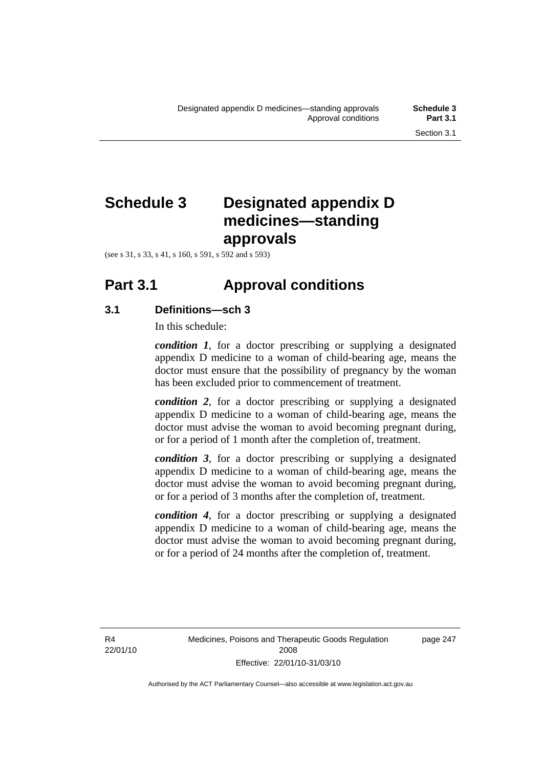# **Schedule 3 Designated appendix D**

**medicines—standing** 

(see s 31, s 33, s 41, s 160, s 591, s 592 and s 593)

### **Part 3.1 Approval conditions**

**approvals** 

#### **3.1 Definitions—sch 3**

In this schedule:

*condition 1*, for a doctor prescribing or supplying a designated appendix D medicine to a woman of child-bearing age, means the doctor must ensure that the possibility of pregnancy by the woman has been excluded prior to commencement of treatment.

*condition 2*, for a doctor prescribing or supplying a designated appendix D medicine to a woman of child-bearing age, means the doctor must advise the woman to avoid becoming pregnant during, or for a period of 1 month after the completion of, treatment.

*condition 3*, for a doctor prescribing or supplying a designated appendix D medicine to a woman of child-bearing age, means the doctor must advise the woman to avoid becoming pregnant during, or for a period of 3 months after the completion of, treatment.

*condition 4*, for a doctor prescribing or supplying a designated appendix D medicine to a woman of child-bearing age, means the doctor must advise the woman to avoid becoming pregnant during, or for a period of 24 months after the completion of, treatment.

R4 22/01/10 page 247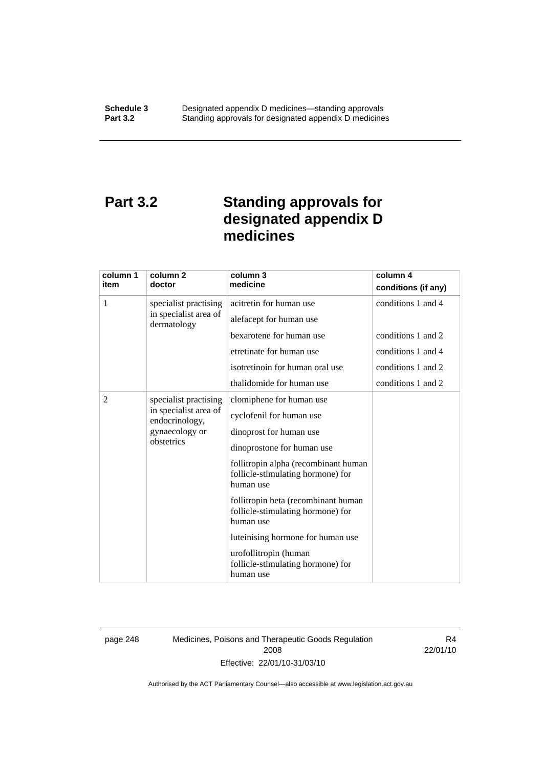# **Part 3.2 Standing approvals for designated appendix D medicines**

| column 1<br>item | column 2<br>doctor                                                                               | column 3<br>medicine                                                                                                                                                                                                                                                                                                                                                                                             | column 4<br>conditions (if any)                                |
|------------------|--------------------------------------------------------------------------------------------------|------------------------------------------------------------------------------------------------------------------------------------------------------------------------------------------------------------------------------------------------------------------------------------------------------------------------------------------------------------------------------------------------------------------|----------------------------------------------------------------|
| 1                | specialist practising<br>in specialist area of                                                   | acitretin for human use                                                                                                                                                                                                                                                                                                                                                                                          | conditions 1 and 4                                             |
|                  | dermatology                                                                                      | alefacept for human use<br>bexarotene for human use<br>etretinate for human use<br>isotretinoin for human oral use                                                                                                                                                                                                                                                                                               | conditions 1 and 2<br>conditions 1 and 4<br>conditions 1 and 2 |
|                  |                                                                                                  | thalidomide for human use                                                                                                                                                                                                                                                                                                                                                                                        | conditions 1 and 2                                             |
| $\overline{2}$   | specialist practising<br>in specialist area of<br>endocrinology,<br>gynaecology or<br>obstetrics | clomiphene for human use<br>cyclofenil for human use<br>dinoprost for human use<br>dinoprostone for human use<br>follitropin alpha (recombinant human<br>follicle-stimulating hormone) for<br>human use<br>follitropin beta (recombinant human<br>follicle-stimulating hormone) for<br>human use<br>luteinising hormone for human use<br>urofollitropin (human<br>follicle-stimulating hormone) for<br>human use |                                                                |

page 248 Medicines, Poisons and Therapeutic Goods Regulation 2008 Effective: 22/01/10-31/03/10

R4 22/01/10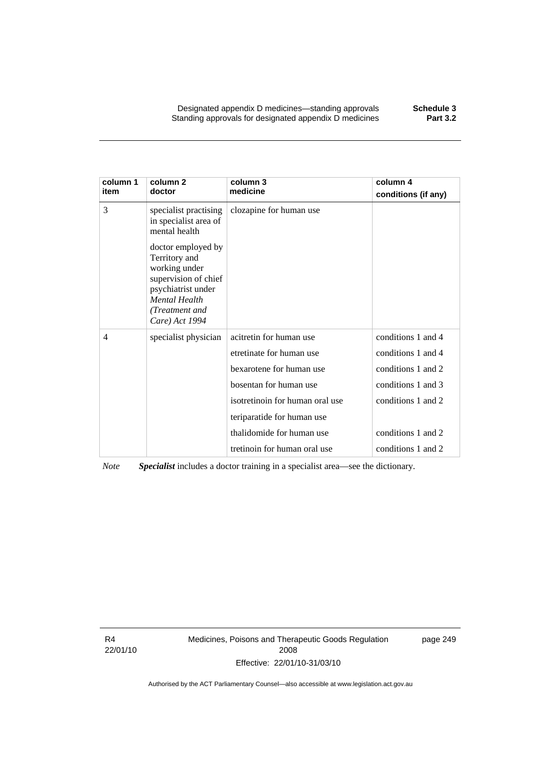Designated appendix D medicines—standing approvals **Schedule 3**  Standing approvals for designated appendix D medicines

| column 1<br>item | column <sub>2</sub><br>doctor                                                                                                                                  | column 3<br>medicine            | column 4<br>conditions (if any) |
|------------------|----------------------------------------------------------------------------------------------------------------------------------------------------------------|---------------------------------|---------------------------------|
| 3                | specialist practising<br>in specialist area of<br>mental health                                                                                                | clozapine for human use         |                                 |
|                  | doctor employed by<br>Territory and<br>working under<br>supervision of chief<br>psychiatrist under<br><b>Mental Health</b><br>(Treatment and<br>Care) Act 1994 |                                 |                                 |
| $\overline{4}$   | specialist physician                                                                                                                                           | acitretin for human use         | conditions 1 and 4              |
|                  |                                                                                                                                                                | etretinate for human use        | conditions 1 and 4              |
|                  |                                                                                                                                                                | bexarotene for human use        | conditions 1 and 2              |
|                  |                                                                                                                                                                | bosentan for human use          | conditions 1 and 3              |
|                  |                                                                                                                                                                | isotretinoin for human oral use | conditions 1 and 2              |
|                  |                                                                                                                                                                | teriparatide for human use      |                                 |
|                  |                                                                                                                                                                | thalidomide for human use       | conditions 1 and 2              |
|                  |                                                                                                                                                                | tretinoin for human oral use    | conditions 1 and 2              |

*Note Specialist* includes a doctor training in a specialist area—see the dictionary.

R4 22/01/10 Medicines, Poisons and Therapeutic Goods Regulation 2008 Effective: 22/01/10-31/03/10

page 249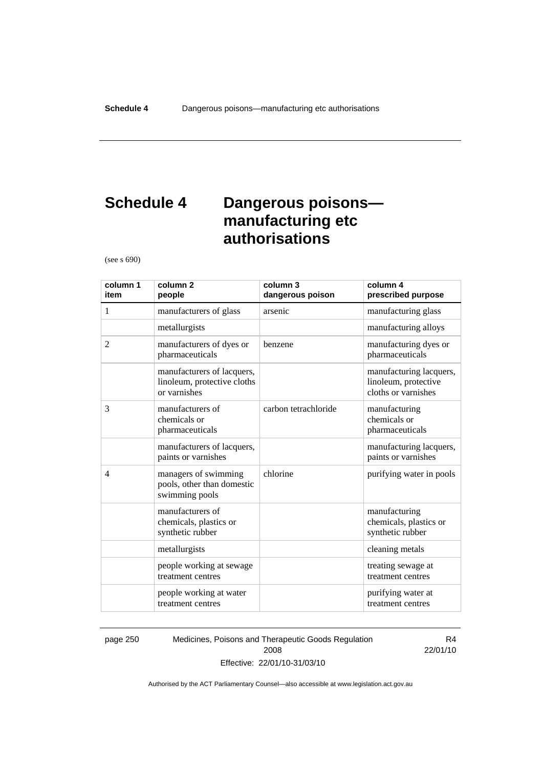# **Schedule 4 Dangerous poisons manufacturing etc authorisations**

(see s 690)

| column 1<br>item | column <sub>2</sub><br>people                                             | column 3<br>dangerous poison | column 4<br>prescribed purpose                                         |
|------------------|---------------------------------------------------------------------------|------------------------------|------------------------------------------------------------------------|
| 1                | manufacturers of glass                                                    | arsenic                      | manufacturing glass                                                    |
|                  | metallurgists                                                             |                              | manufacturing alloys                                                   |
| 2                | manufacturers of dyes or<br>pharmaceuticals                               | benzene                      | manufacturing dyes or<br>pharmaceuticals                               |
|                  | manufacturers of lacquers,<br>linoleum, protective cloths<br>or varnishes |                              | manufacturing lacquers,<br>linoleum, protective<br>cloths or varnishes |
| 3                | manufacturers of<br>chemicals or<br>pharmaceuticals                       | carbon tetrachloride         | manufacturing<br>chemicals or<br>pharmaceuticals                       |
|                  | manufacturers of lacquers,<br>paints or varnishes                         |                              | manufacturing lacquers,<br>paints or varnishes                         |
| $\overline{4}$   | managers of swimming<br>pools, other than domestic<br>swimming pools      | chlorine                     | purifying water in pools                                               |
|                  | manufacturers of<br>chemicals, plastics or<br>synthetic rubber            |                              | manufacturing<br>chemicals, plastics or<br>synthetic rubber            |
|                  | metallurgists                                                             |                              | cleaning metals                                                        |
|                  | people working at sewage<br>treatment centres                             |                              | treating sewage at<br>treatment centres                                |
|                  | people working at water<br>treatment centres                              |                              | purifying water at<br>treatment centres                                |

page 250 Medicines, Poisons and Therapeutic Goods Regulation 2008 Effective: 22/01/10-31/03/10

R4 22/01/10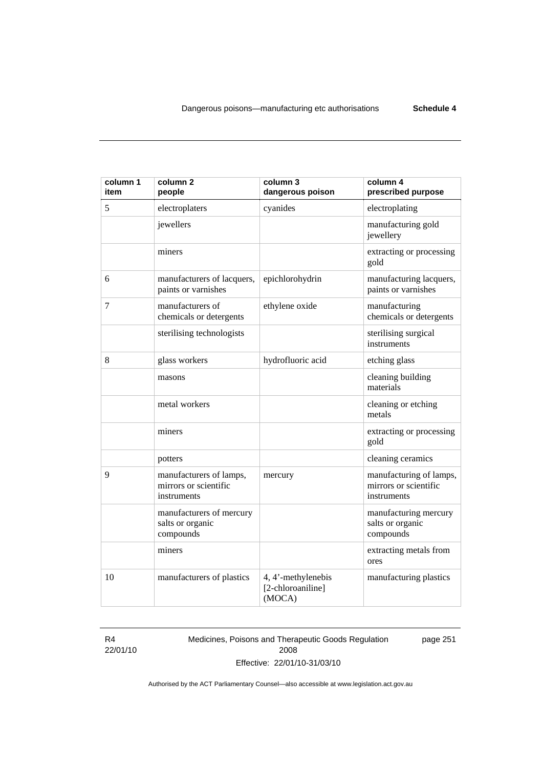| column 1<br>item | column <sub>2</sub><br>people                                   | column 3<br>dangerous poison                      | column 4<br>prescribed purpose                                  |
|------------------|-----------------------------------------------------------------|---------------------------------------------------|-----------------------------------------------------------------|
| 5                | electroplaters                                                  | cyanides                                          | electroplating                                                  |
|                  | jewellers                                                       |                                                   | manufacturing gold<br>jewellery                                 |
|                  | miners                                                          |                                                   | extracting or processing<br>gold                                |
| 6                | manufacturers of lacquers,<br>paints or varnishes               | epichlorohydrin                                   | manufacturing lacquers,<br>paints or varnishes                  |
| 7                | manufacturers of<br>chemicals or detergents                     | ethylene oxide                                    | manufacturing<br>chemicals or detergents                        |
|                  | sterilising technologists                                       |                                                   | sterilising surgical<br>instruments                             |
| 8                | glass workers                                                   | hydrofluoric acid                                 | etching glass                                                   |
|                  | masons                                                          |                                                   | cleaning building<br>materials                                  |
|                  | metal workers                                                   |                                                   | cleaning or etching<br>metals                                   |
|                  | miners                                                          |                                                   | extracting or processing<br>gold                                |
|                  | potters                                                         |                                                   | cleaning ceramics                                               |
| 9                | manufacturers of lamps,<br>mirrors or scientific<br>instruments | mercury                                           | manufacturing of lamps,<br>mirrors or scientific<br>instruments |
|                  | manufacturers of mercury<br>salts or organic<br>compounds       |                                                   | manufacturing mercury<br>salts or organic<br>compounds          |
|                  | miners                                                          |                                                   | extracting metals from<br>ores                                  |
| 10               | manufacturers of plastics                                       | 4, 4'-methylenebis<br>[2-chloroaniline]<br>(MOCA) | manufacturing plastics                                          |

R4 22/01/10 Medicines, Poisons and Therapeutic Goods Regulation 2008 Effective: 22/01/10-31/03/10

page 251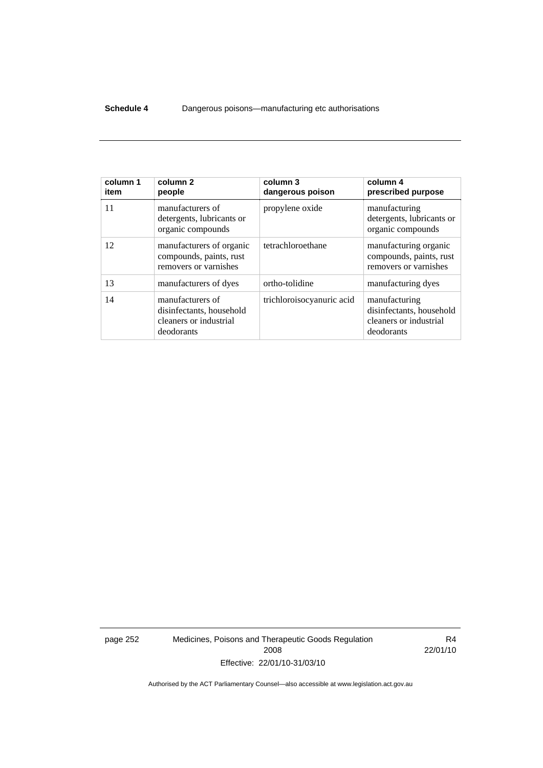#### **Schedule 4** Dangerous poisons—manufacturing etc authorisations

| column 1<br>item | column 2<br>people                                                                   | column 3<br>dangerous poison | column 4<br>prescribed purpose                                                    |
|------------------|--------------------------------------------------------------------------------------|------------------------------|-----------------------------------------------------------------------------------|
| 11               | manufacturers of<br>detergents, lubricants or<br>organic compounds                   | propylene oxide              | manufacturing<br>detergents, lubricants or<br>organic compounds                   |
| 12               | manufacturers of organic<br>compounds, paints, rust<br>removers or varnishes         | tetrachloroethane            | manufacturing organic<br>compounds, paints, rust<br>removers or varnishes         |
| 13               | manufacturers of dyes                                                                | ortho-tolidine               | manufacturing dyes                                                                |
| 14               | manufacturers of<br>disinfectants, household<br>cleaners or industrial<br>deodorants | trichloroisocyanuric acid    | manufacturing<br>disinfectants, household<br>cleaners or industrial<br>deodorants |

page 252 Medicines, Poisons and Therapeutic Goods Regulation 2008 Effective: 22/01/10-31/03/10

R4 22/01/10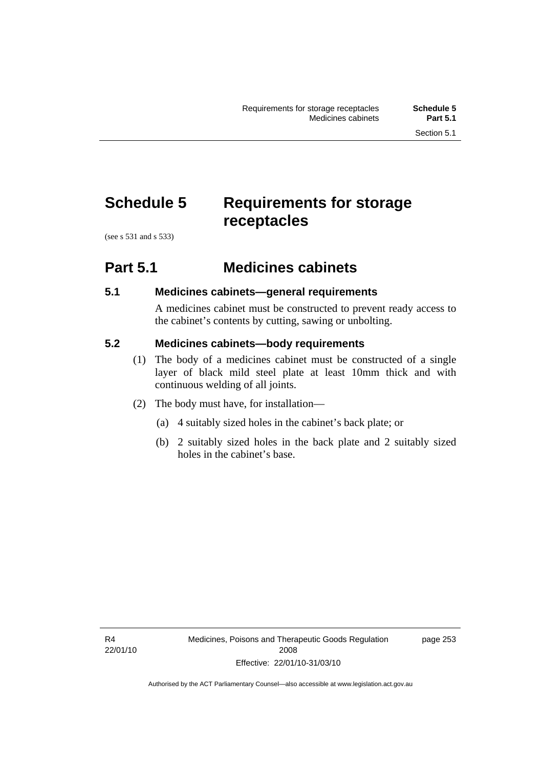# **Schedule 5 Requirements for storage receptacles**

(see s 531 and s 533)

### **Part 5.1 Medicines cabinets**

#### **5.1 Medicines cabinets—general requirements**

A medicines cabinet must be constructed to prevent ready access to the cabinet's contents by cutting, sawing or unbolting.

#### **5.2 Medicines cabinets—body requirements**

- (1) The body of a medicines cabinet must be constructed of a single layer of black mild steel plate at least 10mm thick and with continuous welding of all joints.
- (2) The body must have, for installation—
	- (a) 4 suitably sized holes in the cabinet's back plate; or
	- (b) 2 suitably sized holes in the back plate and 2 suitably sized holes in the cabinet's base.

page 253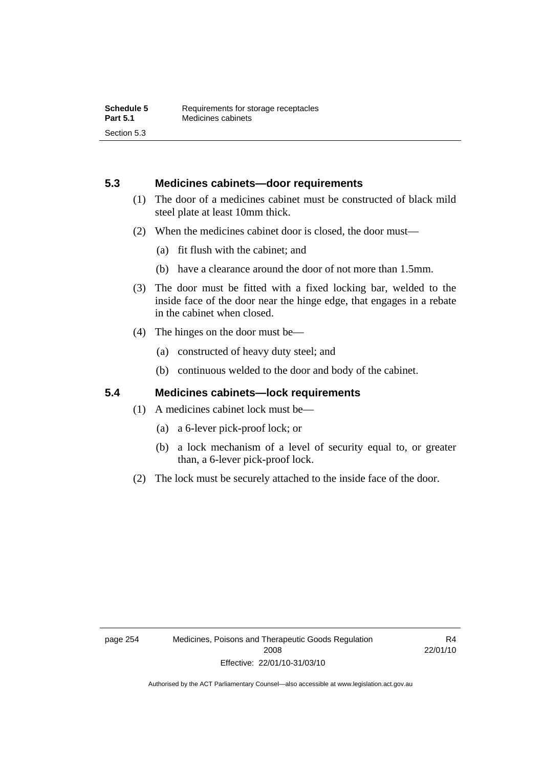#### **5.3 Medicines cabinets—door requirements**

- (1) The door of a medicines cabinet must be constructed of black mild steel plate at least 10mm thick.
- (2) When the medicines cabinet door is closed, the door must—
	- (a) fit flush with the cabinet; and
	- (b) have a clearance around the door of not more than 1.5mm.
- (3) The door must be fitted with a fixed locking bar, welded to the inside face of the door near the hinge edge, that engages in a rebate in the cabinet when closed.
- (4) The hinges on the door must be—
	- (a) constructed of heavy duty steel; and
	- (b) continuous welded to the door and body of the cabinet.

#### **5.4 Medicines cabinets—lock requirements**

- (1) A medicines cabinet lock must be—
	- (a) a 6-lever pick-proof lock; or
	- (b) a lock mechanism of a level of security equal to, or greater than, a 6-lever pick-proof lock.
- (2) The lock must be securely attached to the inside face of the door.

R4 22/01/10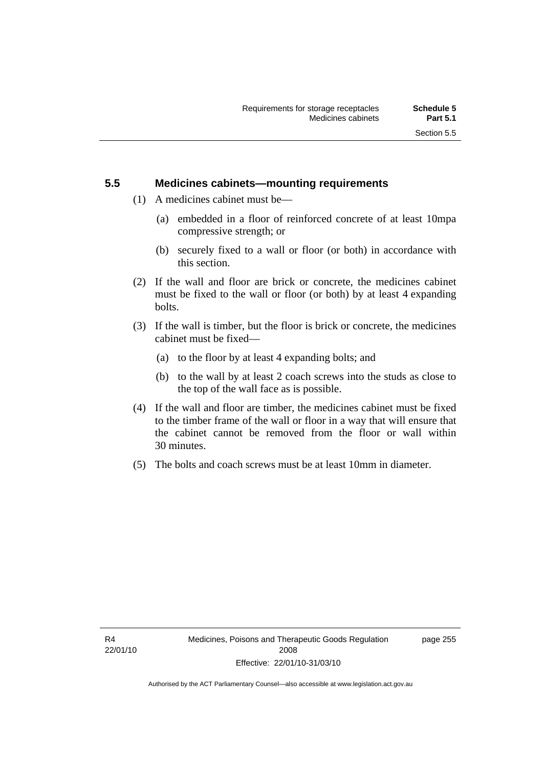#### **5.5 Medicines cabinets—mounting requirements**

- (1) A medicines cabinet must be—
	- (a) embedded in a floor of reinforced concrete of at least 10mpa compressive strength; or
	- (b) securely fixed to a wall or floor (or both) in accordance with this section.
- (2) If the wall and floor are brick or concrete, the medicines cabinet must be fixed to the wall or floor (or both) by at least 4 expanding bolts.
- (3) If the wall is timber, but the floor is brick or concrete, the medicines cabinet must be fixed—
	- (a) to the floor by at least 4 expanding bolts; and
	- (b) to the wall by at least 2 coach screws into the studs as close to the top of the wall face as is possible.
- (4) If the wall and floor are timber, the medicines cabinet must be fixed to the timber frame of the wall or floor in a way that will ensure that the cabinet cannot be removed from the floor or wall within 30 minutes.
- (5) The bolts and coach screws must be at least 10mm in diameter.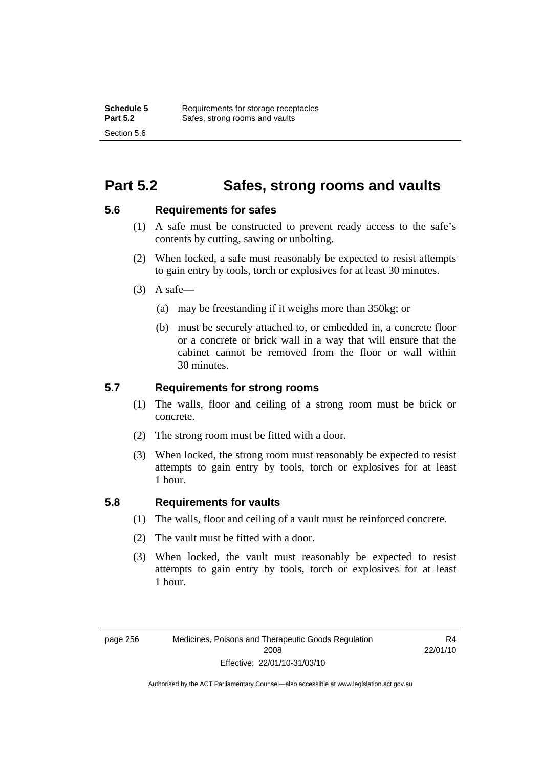### **Part 5.2 Safes, strong rooms and vaults**

#### **5.6 Requirements for safes**

- (1) A safe must be constructed to prevent ready access to the safe's contents by cutting, sawing or unbolting.
- (2) When locked, a safe must reasonably be expected to resist attempts to gain entry by tools, torch or explosives for at least 30 minutes.
- $(3)$  A safe-
	- (a) may be freestanding if it weighs more than 350kg; or
	- (b) must be securely attached to, or embedded in, a concrete floor or a concrete or brick wall in a way that will ensure that the cabinet cannot be removed from the floor or wall within 30 minutes.

#### **5.7 Requirements for strong rooms**

- (1) The walls, floor and ceiling of a strong room must be brick or concrete.
- (2) The strong room must be fitted with a door.
- (3) When locked, the strong room must reasonably be expected to resist attempts to gain entry by tools, torch or explosives for at least 1 hour.

#### **5.8 Requirements for vaults**

- (1) The walls, floor and ceiling of a vault must be reinforced concrete.
- (2) The vault must be fitted with a door.
- (3) When locked, the vault must reasonably be expected to resist attempts to gain entry by tools, torch or explosives for at least 1 hour.

R4 22/01/10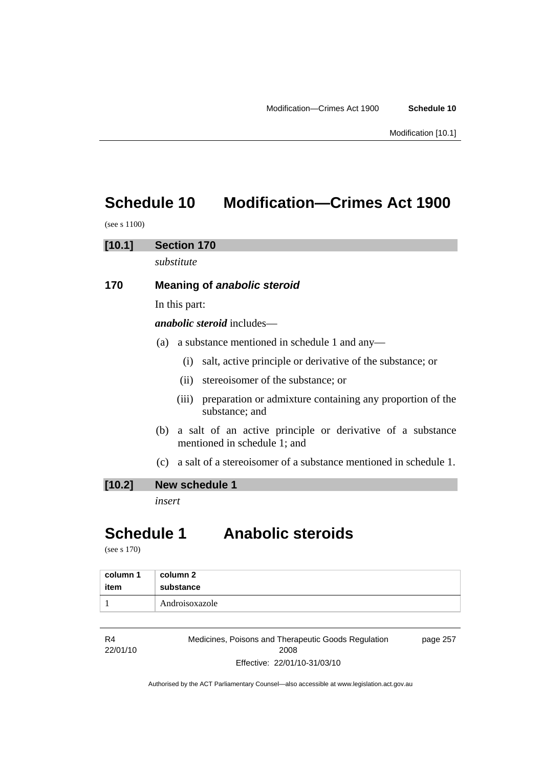## **Schedule 10 Modification—Crimes Act 1900**

(see s 1100)

# **[10.1] Section 170**  *substitute*  **170 Meaning of** *anabolic steroid* In this part: *anabolic steroid* includes— (a) a substance mentioned in schedule 1 and any— (i) salt, active principle or derivative of the substance; or

- (ii) stereoisomer of the substance; or
- (iii) preparation or admixture containing any proportion of the substance; and
- (b) a salt of an active principle or derivative of a substance mentioned in schedule 1; and
- (c) a salt of a stereoisomer of a substance mentioned in schedule 1.

#### **[10.2] New schedule 1**

*insert* 

## **Schedule 1 Anabolic steroids**

(see s 170)

| column 1 | column 2       |
|----------|----------------|
| item     | substance      |
|          | Androisoxazole |

| R4       | Medicines, Poisons and Therapeutic Goods Regulation | page 257 |
|----------|-----------------------------------------------------|----------|
| 22/01/10 | 2008                                                |          |
|          | Effective: 22/01/10-31/03/10                        |          |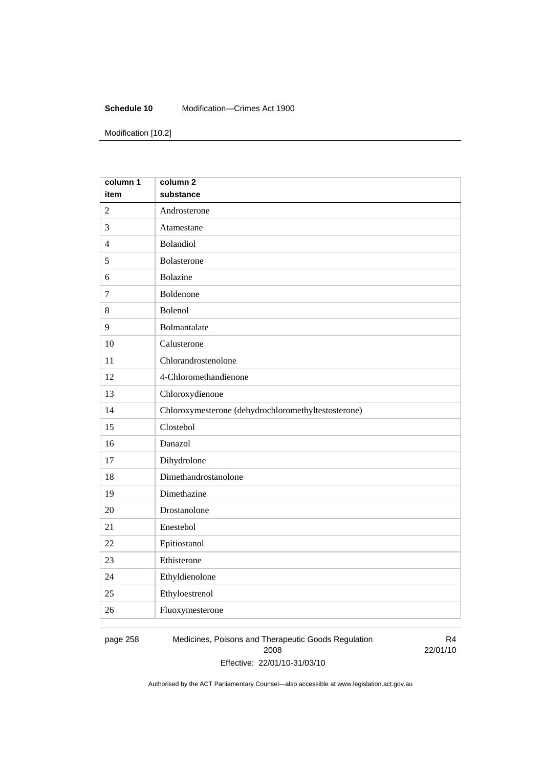#### **Schedule 10** Modification—Crimes Act 1900

Modification [10.2]

| column 1       | column <sub>2</sub>                                 |
|----------------|-----------------------------------------------------|
| item           | substance                                           |
| $\overline{2}$ | Androsterone                                        |
| 3              | Atamestane                                          |
| $\overline{4}$ | Bolandiol                                           |
| 5              | Bolasterone                                         |
| 6              | <b>Bolazine</b>                                     |
| $\overline{7}$ | Boldenone                                           |
| 8              | Bolenol                                             |
| 9              | Bolmantalate                                        |
| 10             | Calusterone                                         |
| 11             | Chlorandrostenolone                                 |
| 12             | 4-Chloromethandienone                               |
| 13             | Chloroxydienone                                     |
| 14             | Chloroxymesterone (dehydrochloromethyltestosterone) |
| 15             | Clostebol                                           |
| 16             | Danazol                                             |
| 17             | Dihydrolone                                         |
| 18             | Dimethandrostanolone                                |
| 19             | Dimethazine                                         |
| 20             | Drostanolone                                        |
| 21             | Enestebol                                           |
| 22             | Epitiostanol                                        |
| 23             | Ethisterone                                         |
| 24             | Ethyldienolone                                      |
| 25             | Ethyloestrenol                                      |
| 26             | Fluoxymesterone                                     |

page 258 Medicines, Poisons and Therapeutic Goods Regulation 2008 Effective: 22/01/10-31/03/10

R4 22/01/10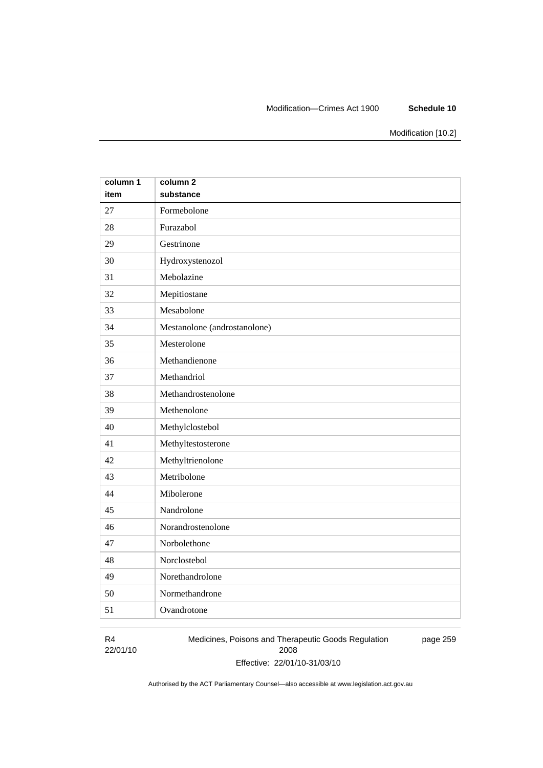#### Modification—Crimes Act 1900 **Schedule 10**

Modification [10.2]

| column 1 | column <sub>2</sub>          |
|----------|------------------------------|
| item     | substance                    |
| 27       | Formebolone                  |
| 28       | Furazabol                    |
| 29       | Gestrinone                   |
| 30       | Hydroxystenozol              |
| 31       | Mebolazine                   |
| 32       | Mepitiostane                 |
| 33       | Mesabolone                   |
| 34       | Mestanolone (androstanolone) |
| 35       | Mesterolone                  |
| 36       | Methandienone                |
| 37       | Methandriol                  |
| 38       | Methandrostenolone           |
| 39       | Methenolone                  |
| 40       | Methylclostebol              |
| 41       | Methyltestosterone           |
| 42       | Methyltrienolone             |
| 43       | Metribolone                  |
| 44       | Mibolerone                   |
| 45       | Nandrolone                   |
| 46       | Norandrostenolone            |
| 47       | Norbolethone                 |
| 48       | Norclostebol                 |
| 49       | Norethandrolone              |
| 50       | Normethandrone               |
| 51       | Ovandrotone                  |

#### R4 22/01/10

Medicines, Poisons and Therapeutic Goods Regulation 2008 Effective: 22/01/10-31/03/10 page 259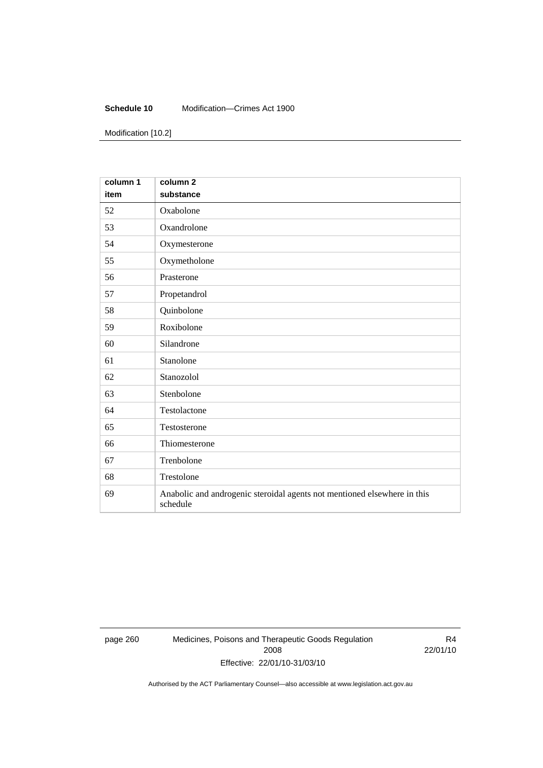#### **Schedule 10** Modification—Crimes Act 1900

Modification [10.2]

| column 1<br>item | column <sub>2</sub><br>substance                                                     |
|------------------|--------------------------------------------------------------------------------------|
| 52               | Oxabolone                                                                            |
| 53               | Oxandrolone                                                                          |
| 54               | Oxymesterone                                                                         |
| 55               | Oxymetholone                                                                         |
| 56               | Prasterone                                                                           |
| 57               | Propetandrol                                                                         |
| 58               | Quinbolone                                                                           |
| 59               | Roxibolone                                                                           |
| 60               | Silandrone                                                                           |
| 61               | Stanolone                                                                            |
| 62               | Stanozolol                                                                           |
| 63               | Stenbolone                                                                           |
| 64               | Testolactone                                                                         |
| 65               | Testosterone                                                                         |
| 66               | Thiomesterone                                                                        |
| 67               | Trenbolone                                                                           |
| 68               | Trestolone                                                                           |
| 69               | Anabolic and androgenic steroidal agents not mentioned elsewhere in this<br>schedule |

page 260 Medicines, Poisons and Therapeutic Goods Regulation 2008 Effective: 22/01/10-31/03/10

R4 22/01/10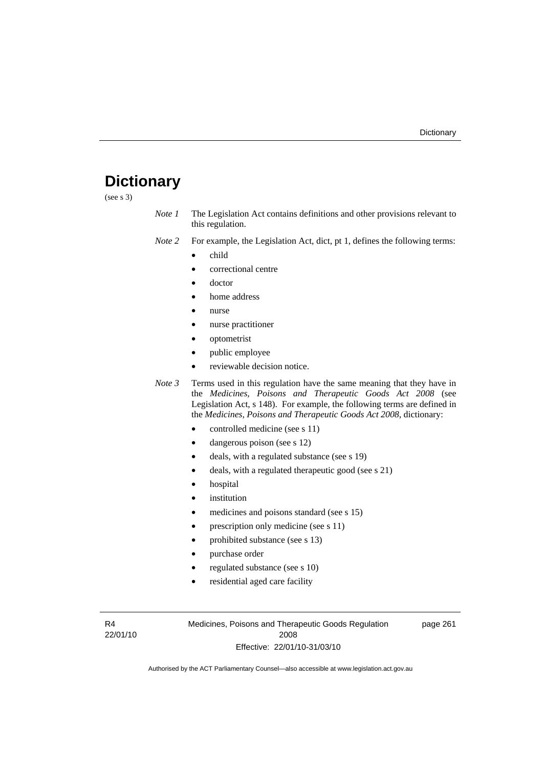# **Dictionary**

(see s 3)

- *Note 1* The Legislation Act contains definitions and other provisions relevant to this regulation.
- *Note 2* For example, the Legislation Act, dict, pt 1, defines the following terms:
	- child
		- correctional centre
	- doctor
	- home address
	- nurse
	- nurse practitioner
	- optometrist
	- public employee
	- reviewable decision notice.

*Note 3* Terms used in this regulation have the same meaning that they have in the *Medicines, Poisons and Therapeutic Goods Act 2008* (see Legislation Act, s 148). For example, the following terms are defined in the *Medicines, Poisons and Therapeutic Goods Act 2008*, dictionary:

- controlled medicine (see s 11)
- dangerous poison (see s 12)
- deals, with a regulated substance (see s 19)
- deals, with a regulated therapeutic good (see s 21)
- hospital
- *institution*
- medicines and poisons standard (see s 15)
- prescription only medicine (see s 11)
- prohibited substance (see s 13)
- purchase order
- regulated substance (see s 10)
- residential aged care facility

R4 22/01/10 Medicines, Poisons and Therapeutic Goods Regulation 2008 Effective: 22/01/10-31/03/10

page 261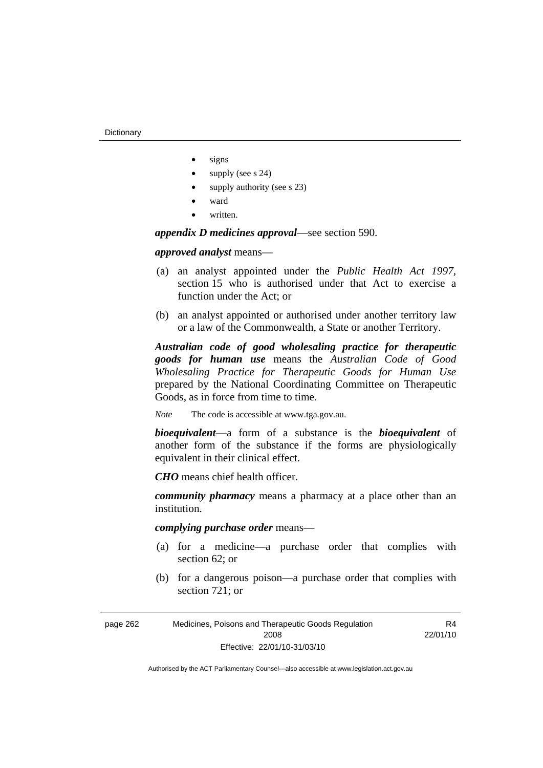- signs
- supply (see s 24)
- supply authority (see s 23)
- ward
- written.

*appendix D medicines approval*—see section 590.

*approved analyst* means—

- (a) an analyst appointed under the *Public Health Act 1997*, section 15 who is authorised under that Act to exercise a function under the Act; or
- (b) an analyst appointed or authorised under another territory law or a law of the Commonwealth, a State or another Territory.

*Australian code of good wholesaling practice for therapeutic goods for human use* means the *Australian Code of Good Wholesaling Practice for Therapeutic Goods for Human Use*  prepared by the National Coordinating Committee on Therapeutic Goods, as in force from time to time.

*Note* The code is accessible at www.tga.gov.au.

*bioequivalent*—a form of a substance is the *bioequivalent* of another form of the substance if the forms are physiologically equivalent in their clinical effect.

*CHO* means chief health officer.

*community pharmacy* means a pharmacy at a place other than an institution.

*complying purchase order* means—

- (a) for a medicine—a purchase order that complies with section 62; or
- (b) for a dangerous poison—a purchase order that complies with section 721; or

R<sub>4</sub> 22/01/10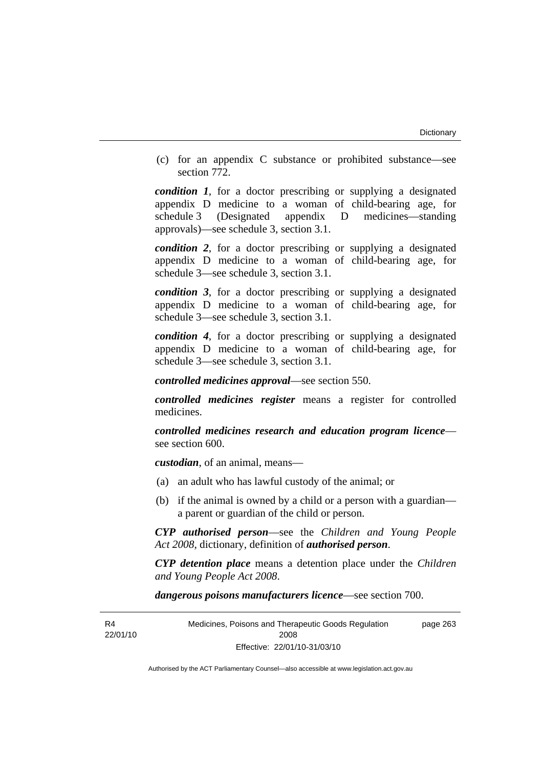(c) for an appendix C substance or prohibited substance—see section 772.

*condition 1*, for a doctor prescribing or supplying a designated appendix D medicine to a woman of child-bearing age, for schedule 3 (Designated appendix D medicines—standing approvals)—see schedule 3, section 3.1.

*condition 2*, for a doctor prescribing or supplying a designated appendix D medicine to a woman of child-bearing age, for schedule 3—see schedule 3, section 3.1.

*condition 3*, for a doctor prescribing or supplying a designated appendix D medicine to a woman of child-bearing age, for schedule 3—see schedule 3, section 3.1.

*condition 4*, for a doctor prescribing or supplying a designated appendix D medicine to a woman of child-bearing age, for schedule 3—see schedule 3, section 3.1.

*controlled medicines approval*—see section 550.

*controlled medicines register* means a register for controlled medicines.

*controlled medicines research and education program licence* see section 600.

*custodian*, of an animal, means—

- (a) an adult who has lawful custody of the animal; or
- (b) if the animal is owned by a child or a person with a guardian a parent or guardian of the child or person.

*CYP authorised person*—see the *Children and Young People Act 2008*, dictionary, definition of *authorised person*.

*CYP detention place* means a detention place under the *Children and Young People Act 2008*.

*dangerous poisons manufacturers licence*—see section 700.

R<sub>4</sub> 22/01/10 Medicines, Poisons and Therapeutic Goods Regulation 2008 Effective: 22/01/10-31/03/10 page 263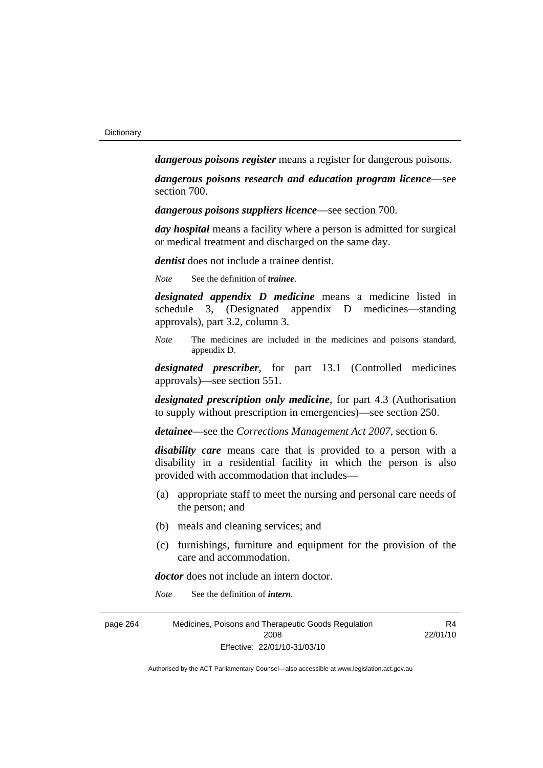*dangerous poisons register* means a register for dangerous poisons.

*dangerous poisons research and education program licence*—see section 700.

*dangerous poisons suppliers licence*—see section 700.

*day hospital* means a facility where a person is admitted for surgical or medical treatment and discharged on the same day.

*dentist* does not include a trainee dentist.

*Note* See the definition of *trainee*.

*designated appendix D medicine* means a medicine listed in schedule 3, (Designated appendix D medicines—standing approvals), part 3.2, column 3.

*Note* The medicines are included in the medicines and poisons standard, appendix D.

*designated prescriber*, for part 13.1 (Controlled medicines approvals)—see section 551.

*designated prescription only medicine*, for part 4.3 (Authorisation to supply without prescription in emergencies)—see section 250.

*detainee*—see the *Corrections Management Act 2007*, section 6.

*disability care* means care that is provided to a person with a disability in a residential facility in which the person is also provided with accommodation that includes—

- (a) appropriate staff to meet the nursing and personal care needs of the person; and
- (b) meals and cleaning services; and
- (c) furnishings, furniture and equipment for the provision of the care and accommodation.

*doctor* does not include an intern doctor.

*Note* See the definition of *intern*.

| page 264 | Medicines, Poisons and Therapeutic Goods Regulation | R4       |
|----------|-----------------------------------------------------|----------|
|          | 2008                                                | 22/01/10 |
|          | Effective: 22/01/10-31/03/10                        |          |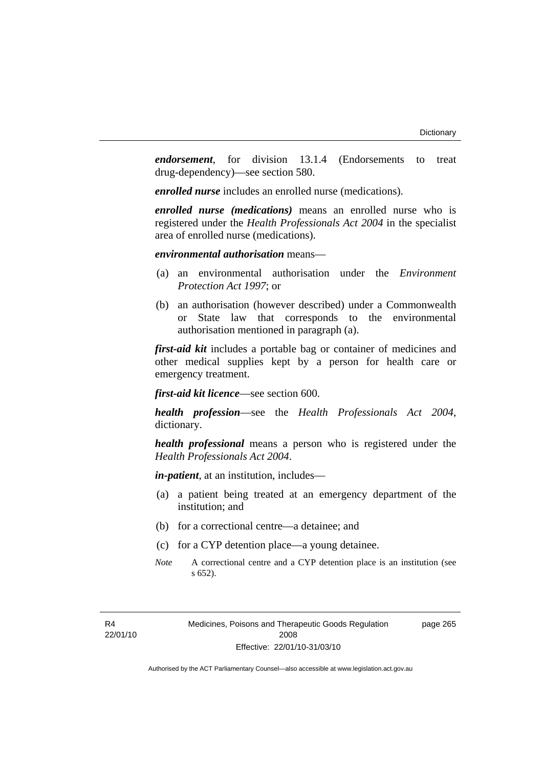*endorsement*, for division 13.1.4 (Endorsements to treat drug-dependency)—see section 580.

*enrolled nurse* includes an enrolled nurse (medications).

*enrolled nurse (medications)* means an enrolled nurse who is registered under the *Health Professionals Act 2004* in the specialist area of enrolled nurse (medications).

*environmental authorisation* means—

- (a) an environmental authorisation under the *Environment Protection Act 1997*; or
- (b) an authorisation (however described) under a Commonwealth or State law that corresponds to the environmental authorisation mentioned in paragraph (a).

*first-aid kit* includes a portable bag or container of medicines and other medical supplies kept by a person for health care or emergency treatment.

*first-aid kit licence*—see section 600.

*health profession*—see the *Health Professionals Act 2004*, dictionary.

*health professional* means a person who is registered under the *Health Professionals Act 2004*.

*in-patient*, at an institution, includes—

- (a) a patient being treated at an emergency department of the institution; and
- (b) for a correctional centre—a detainee; and
- (c) for a CYP detention place—a young detainee.
- *Note* A correctional centre and a CYP detention place is an institution (see s 652).

Medicines, Poisons and Therapeutic Goods Regulation 2008 Effective: 22/01/10-31/03/10

page 265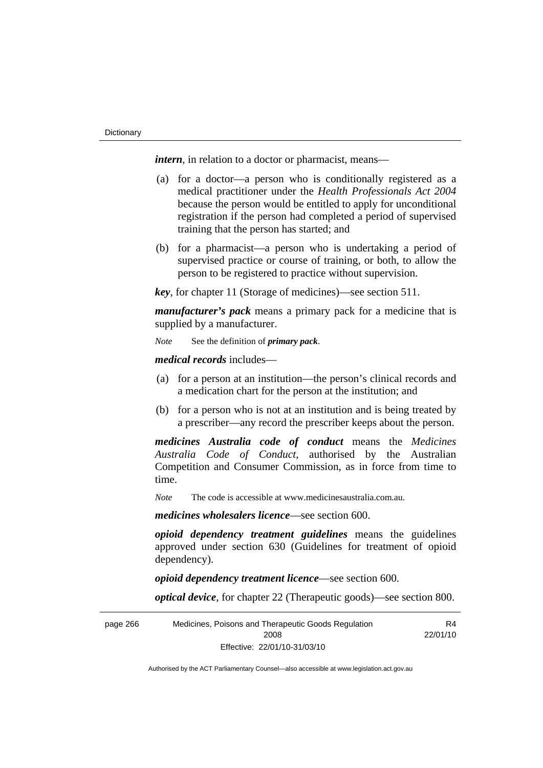*intern*, in relation to a doctor or pharmacist, means—

- (a) for a doctor—a person who is conditionally registered as a medical practitioner under the *Health Professionals Act 2004* because the person would be entitled to apply for unconditional registration if the person had completed a period of supervised training that the person has started; and
- (b) for a pharmacist—a person who is undertaking a period of supervised practice or course of training, or both, to allow the person to be registered to practice without supervision.

*key*, for chapter 11 (Storage of medicines)—see section 511.

*manufacturer's pack* means a primary pack for a medicine that is supplied by a manufacturer.

*Note* See the definition of *primary pack*.

*medical records* includes—

- (a) for a person at an institution—the person's clinical records and a medication chart for the person at the institution; and
- (b) for a person who is not at an institution and is being treated by a prescriber—any record the prescriber keeps about the person.

*medicines Australia code of conduct* means the *Medicines Australia Code of Conduct*, authorised by the Australian Competition and Consumer Commission, as in force from time to time.

*Note* The code is accessible at www.medicinesaustralia.com.au.

*medicines wholesalers licence*—see section 600.

*opioid dependency treatment guidelines* means the guidelines approved under section 630 (Guidelines for treatment of opioid dependency).

*opioid dependency treatment licence*—see section 600.

*optical device*, for chapter 22 (Therapeutic goods)—see section 800.

page 266 Medicines, Poisons and Therapeutic Goods Regulation 2008 Effective: 22/01/10-31/03/10 R4 22/01/10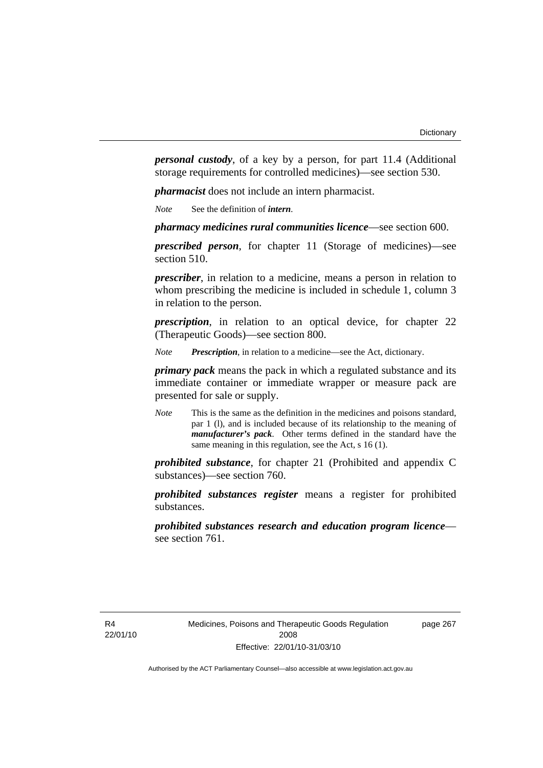*personal custody*, of a key by a person, for part 11.4 (Additional storage requirements for controlled medicines)—see section 530.

*pharmacist* does not include an intern pharmacist.

*Note* See the definition of *intern*.

*pharmacy medicines rural communities licence*—see section 600.

*prescribed person*, for chapter 11 (Storage of medicines)—see section 510.

*prescriber*, in relation to a medicine, means a person in relation to whom prescribing the medicine is included in schedule 1, column 3 in relation to the person.

*prescription*, in relation to an optical device, for chapter 22 (Therapeutic Goods)—see section 800.

*Note Prescription*, in relation to a medicine—see the Act, dictionary.

*primary pack* means the pack in which a regulated substance and its immediate container or immediate wrapper or measure pack are presented for sale or supply.

*Note* This is the same as the definition in the medicines and poisons standard, par 1 (l), and is included because of its relationship to the meaning of *manufacturer's pack*. Other terms defined in the standard have the same meaning in this regulation, see the Act, s 16 (1).

*prohibited substance*, for chapter 21 (Prohibited and appendix C substances)—see section 760.

*prohibited substances register* means a register for prohibited substances.

*prohibited substances research and education program licence* see section 761.

page 267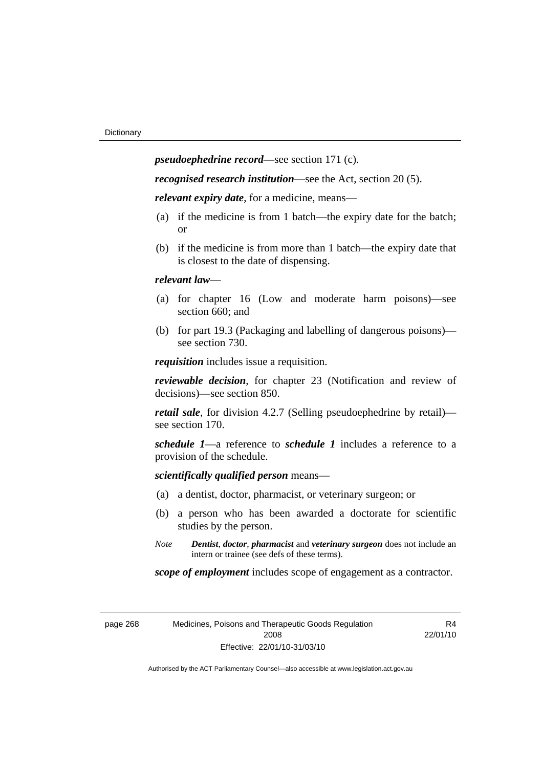*pseudoephedrine record*—see section 171 (c).

*recognised research institution*—see the Act, section 20 (5).

*relevant expiry date*, for a medicine, means—

- (a) if the medicine is from 1 batch—the expiry date for the batch; or
- (b) if the medicine is from more than 1 batch—the expiry date that is closest to the date of dispensing.

### *relevant law*—

- (a) for chapter 16 (Low and moderate harm poisons)—see section 660; and
- (b) for part 19.3 (Packaging and labelling of dangerous poisons) see section 730.

*requisition* includes issue a requisition.

*reviewable decision*, for chapter 23 (Notification and review of decisions)—see section 850.

*retail sale*, for division 4.2.7 (Selling pseudoephedrine by retail) see section 170.

*schedule 1*—a reference to *schedule 1* includes a reference to a provision of the schedule.

*scientifically qualified person* means—

- (a) a dentist, doctor, pharmacist, or veterinary surgeon; or
- (b) a person who has been awarded a doctorate for scientific studies by the person.
- *Note Dentist*, *doctor*, *pharmacist* and *veterinary surgeon* does not include an intern or trainee (see defs of these terms).

*scope of employment* includes scope of engagement as a contractor.

| page 268 |  |
|----------|--|
|----------|--|

268 Medicines, Poisons and Therapeutic Goods Regulation 2008 Effective: 22/01/10-31/03/10

R<sub>4</sub> 22/01/10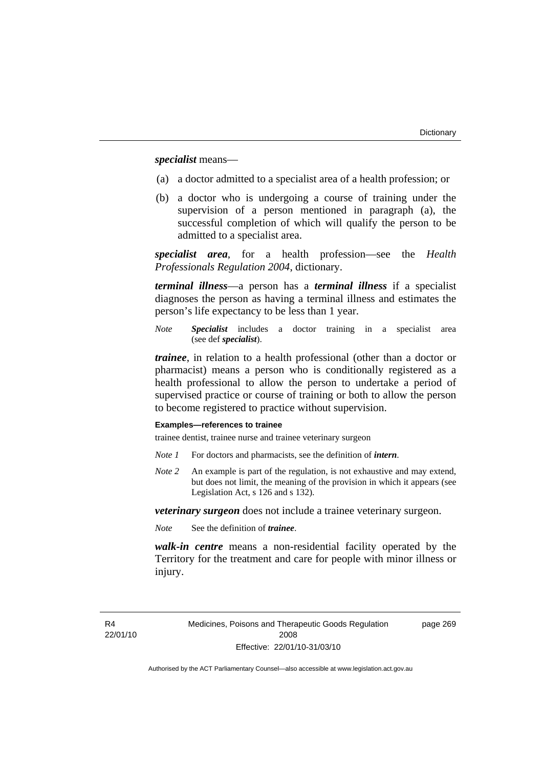*specialist* means—

- (a) a doctor admitted to a specialist area of a health profession; or
- (b) a doctor who is undergoing a course of training under the supervision of a person mentioned in paragraph (a), the successful completion of which will qualify the person to be admitted to a specialist area.

*specialist area*, for a health profession—see the *Health Professionals Regulation 2004*, dictionary.

*terminal illness*—a person has a *terminal illness* if a specialist diagnoses the person as having a terminal illness and estimates the person's life expectancy to be less than 1 year.

*Note Specialist* includes a doctor training in a specialist area (see def *specialist*).

*trainee*, in relation to a health professional (other than a doctor or pharmacist) means a person who is conditionally registered as a health professional to allow the person to undertake a period of supervised practice or course of training or both to allow the person to become registered to practice without supervision.

#### **Examples—references to trainee**

trainee dentist, trainee nurse and trainee veterinary surgeon

- *Note 1* For doctors and pharmacists, see the definition of *intern*.
- *Note 2* An example is part of the regulation, is not exhaustive and may extend, but does not limit, the meaning of the provision in which it appears (see Legislation Act, s 126 and s 132).

*veterinary surgeon* does not include a trainee veterinary surgeon.

*Note* See the definition of *trainee*.

*walk-in centre* means a non-residential facility operated by the Territory for the treatment and care for people with minor illness or injury.

R<sub>4</sub> 22/01/10 Medicines, Poisons and Therapeutic Goods Regulation 2008 Effective: 22/01/10-31/03/10

page 269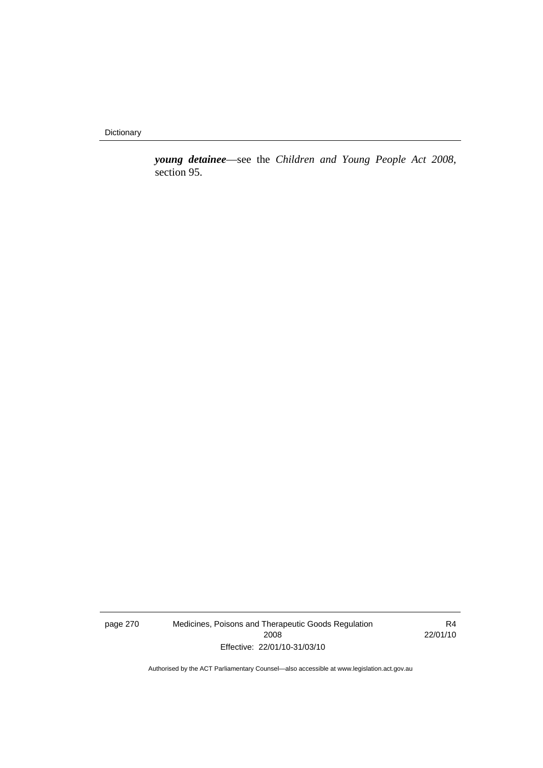**Dictionary** 

*young detainee*—see the *Children and Young People Act 2008*, section 95.

page 270 Medicines, Poisons and Therapeutic Goods Regulation 2008 Effective: 22/01/10-31/03/10

R4 22/01/10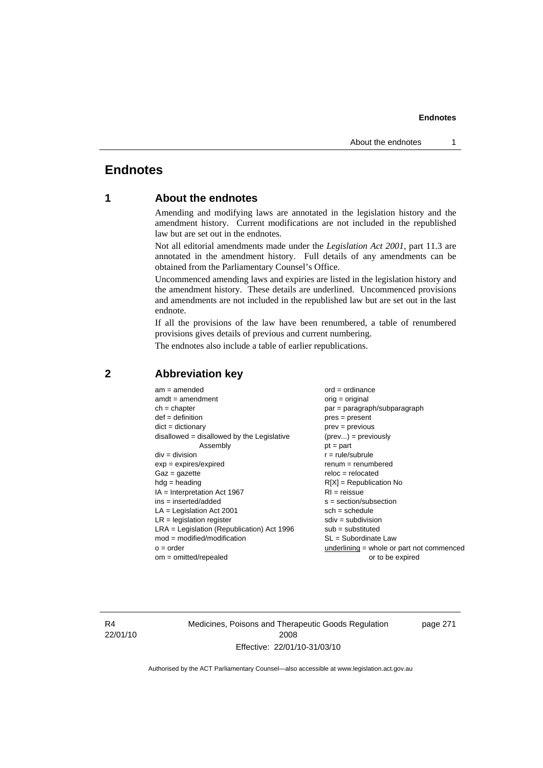# **Endnotes**

## **1 About the endnotes**

Amending and modifying laws are annotated in the legislation history and the amendment history. Current modifications are not included in the republished law but are set out in the endnotes.

Not all editorial amendments made under the *Legislation Act 2001*, part 11.3 are annotated in the amendment history. Full details of any amendments can be obtained from the Parliamentary Counsel's Office.

Uncommenced amending laws and expiries are listed in the legislation history and the amendment history. These details are underlined. Uncommenced provisions and amendments are not included in the republished law but are set out in the last endnote.

If all the provisions of the law have been renumbered, a table of renumbered provisions gives details of previous and current numbering.

The endnotes also include a table of earlier republications.

| $am = amended$                               | $ord = ordinance$                         |
|----------------------------------------------|-------------------------------------------|
| $amdt = amendment$                           | orig = original                           |
| $ch = chapter$                               | par = paragraph/subparagraph              |
| $def = definition$                           | $pres = present$                          |
| $dict = dictionary$                          | $prev = previous$                         |
| $disallowed = disallowed by the Legislative$ | $(\text{prev}) = \text{previously}$       |
| Assembly                                     | $pt = part$                               |
| $div = division$                             | $r = rule/subrule$                        |
| $exp = expires/expired$                      | $renum = renumbered$                      |
| $Gaz = gazette$                              | $reloc = relocated$                       |
| $hdg =$ heading                              | $R[X]$ = Republication No                 |
| $IA = Interpretation Act 1967$               | $RI = reissue$                            |
| $ins = inserted/added$                       | $s = section/subsection$                  |
| $LA =$ Legislation Act 2001                  | $sch = schedule$                          |
| $LR =$ legislation register                  | $sdiv = subdivision$                      |
| $LRA =$ Legislation (Republication) Act 1996 | $sub = substituted$                       |
| $mod = modified/modification$                | $SL = Subordinate$ Law                    |
| $o = order$                                  | underlining = whole or part not commenced |
| $om = omitted/repealed$                      | or to be expired                          |
|                                              |                                           |

## **2 Abbreviation key**

R4 22/01/10 Medicines, Poisons and Therapeutic Goods Regulation 2008 Effective: 22/01/10-31/03/10

page 271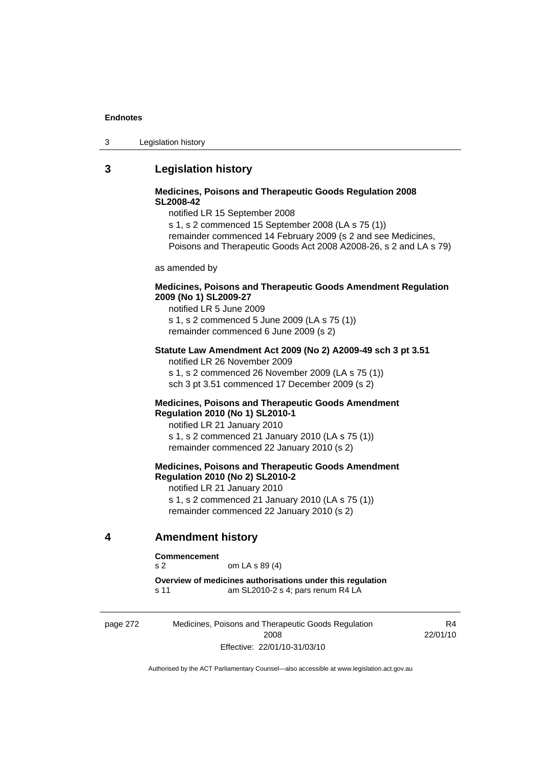| 3 | Legislation history |  |
|---|---------------------|--|
|---|---------------------|--|

## **3 Legislation history**

## **Medicines, Poisons and Therapeutic Goods Regulation 2008 SL2008-42**

notified LR 15 September 2008

s 1, s 2 commenced 15 September 2008 (LA s 75 (1)) remainder commenced 14 February 2009 (s 2 and see Medicines, Poisons and Therapeutic Goods Act 2008 A2008-26, s 2 and LA s 79)

as amended by

### **Medicines, Poisons and Therapeutic Goods Amendment Regulation 2009 (No 1) SL2009-27**

notified LR 5 June 2009 s 1, s 2 commenced 5 June 2009 (LA s 75 (1)) remainder commenced 6 June 2009 (s 2)

#### **Statute Law Amendment Act 2009 (No 2) A2009-49 sch 3 pt 3.51**  notified LR 26 November 2009

s 1, s 2 commenced 26 November 2009 (LA s 75 (1)) sch 3 pt 3.51 commenced 17 December 2009 (s 2)

#### **Medicines, Poisons and Therapeutic Goods Amendment Regulation 2010 (No 1) SL2010-1**

notified LR 21 January 2010 s 1, s 2 commenced 21 January 2010 (LA s 75 (1)) remainder commenced 22 January 2010 (s 2)

## **Medicines, Poisons and Therapeutic Goods Amendment Regulation 2010 (No 2) SL2010-2**

notified LR 21 January 2010 s 1, s 2 commenced 21 January 2010 (LA s 75 (1)) remainder commenced 22 January 2010 (s 2)

## **4 Amendment history**

#### **Commencement**

s 2 om LA s 89 (4)

**Overview of medicines authorisations under this regulation**  s 11 am SL2010-2 s 4; pars renum R4 LA

page 272 Medicines, Poisons and Therapeutic Goods Regulation 2008 Effective: 22/01/10-31/03/10

R4 22/01/10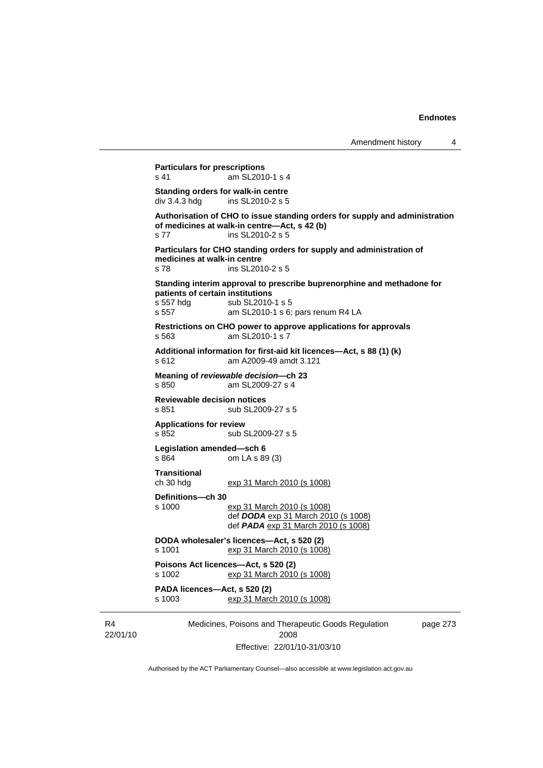22/01/10 Medicines, Poisons and Therapeutic Goods Regulation 2008 page 273 **Particulars for prescriptions**  s 41 am SL2010-1 s 4 **Standing orders for walk-in centre**  div 3.4.3 hdg ins SL2010-2 s 5 **Authorisation of CHO to issue standing orders for supply and administration of medicines at walk-in centre—Act, s 42 (b)**  s 77 ins SL2010-2 s 5 **Particulars for CHO standing orders for supply and administration of medicines at walk-in centre**  s 78 ins SL2010-2 s 5 **Standing interim approval to prescribe buprenorphine and methadone for patients of certain institutions**  s 557 hdg sub SL2010-1 s 5 s 557 am SL2010-1 s 6; pars renum R4 LA **Restrictions on CHO power to approve applications for approvals**  s 563 am SL2010-1 s 7 **Additional information for first-aid kit licences—Act, s 88 (1) (k)**  s 612 am A2009-49 amdt 3.121 **Meaning of** *reviewable decision—***ch 23**  am SL2009-27 s 4 **Reviewable decision notices**  s 851 sub SL2009-27 s 5 **Applications for review**  s 852 sub SL2009-27 s 5 **Legislation amended—sch 6**  s 864 om LA s 89 (3) **Transitional**  ch 30 hdg exp 31 March 2010 (s 1008) **Definitions—ch 30**  s 1000 exp 31 March 2010 (s 1008) def *DODA* exp 31 March 2010 (s 1008) def *PADA* exp 31 March 2010 (s 1008) **DODA wholesaler's licences—Act, s 520 (2)**  s 1001 exp 31 March 2010 (s 1008) **Poisons Act licences—Act, s 520 (2)**  s 1002 exp 31 March 2010 (s 1008) **PADA licences—Act, s 520 (2)**  s 1003 exp 31 March 2010 (s 1008)

Effective: 22/01/10-31/03/10

Authorised by the ACT Parliamentary Counsel—also accessible at www.legislation.act.gov.au

R4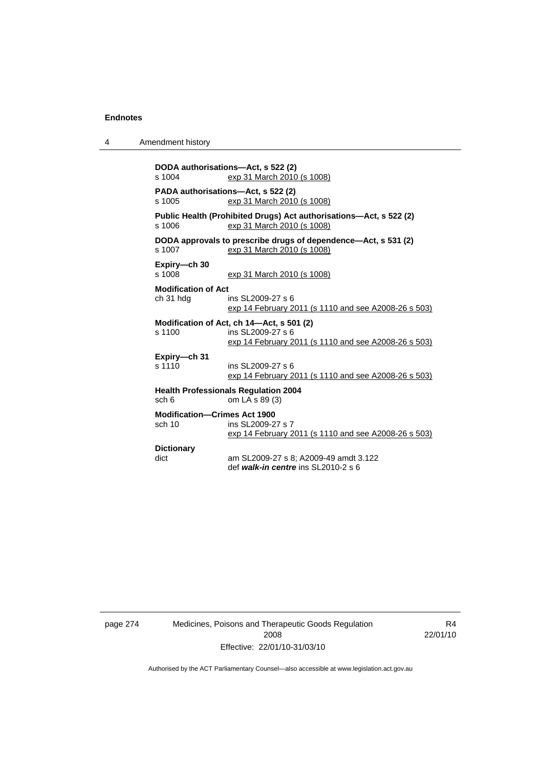| Amendment history |
|-------------------|
|-------------------|

| s 1004                                                                     | DODA authorisations—Act, s 522 (2)<br>exp 31 March 2010 (s 1008)                                                       |  |  |  |
|----------------------------------------------------------------------------|------------------------------------------------------------------------------------------------------------------------|--|--|--|
| PADA authorisations—Act, s 522 (2)<br>s 1005<br>exp 31 March 2010 (s 1008) |                                                                                                                        |  |  |  |
| s 1006                                                                     | Public Health (Prohibited Drugs) Act authorisations-Act, s 522 (2)<br>exp 31 March 2010 (s 1008)                       |  |  |  |
| s 1007                                                                     | DODA approvals to prescribe drugs of dependence—Act, s 531 (2)<br>exp 31 March 2010 (s 1008)                           |  |  |  |
| Expiry-ch 30<br>s 1008                                                     | exp 31 March 2010 (s 1008)                                                                                             |  |  |  |
| <b>Modification of Act</b>                                                 |                                                                                                                        |  |  |  |
| ch 31 hdg                                                                  | ins SL 2009-27 s 6<br>exp 14 February 2011 (s 1110 and see A2008-26 s 503)                                             |  |  |  |
| s 1100                                                                     | Modification of Act, ch 14-Act, s 501 (2)<br>ins SL2009-27 s 6<br>exp 14 February 2011 (s 1110 and see A2008-26 s 503) |  |  |  |
| Expiry-ch 31<br>s 1110                                                     | ins SL2009-27 s 6<br>exp 14 February 2011 (s 1110 and see A2008-26 s 503)                                              |  |  |  |
| sch 6                                                                      | <b>Health Professionals Requlation 2004</b><br>om LA s 89 (3)                                                          |  |  |  |
| <b>Modification-Crimes Act 1900</b><br>sch 10                              | ins SL2009-27 s 7<br>exp 14 February 2011 (s 1110 and see A2008-26 s 503)                                              |  |  |  |
| <b>Dictionary</b>                                                          |                                                                                                                        |  |  |  |
| dict                                                                       | am SL2009-27 s 8; A2009-49 amdt 3.122<br>def walk-in centre ins $SI$ 2010-2 s 6                                        |  |  |  |

page 274 Medicines, Poisons and Therapeutic Goods Regulation 2008 Effective: 22/01/10-31/03/10

R4 22/01/10